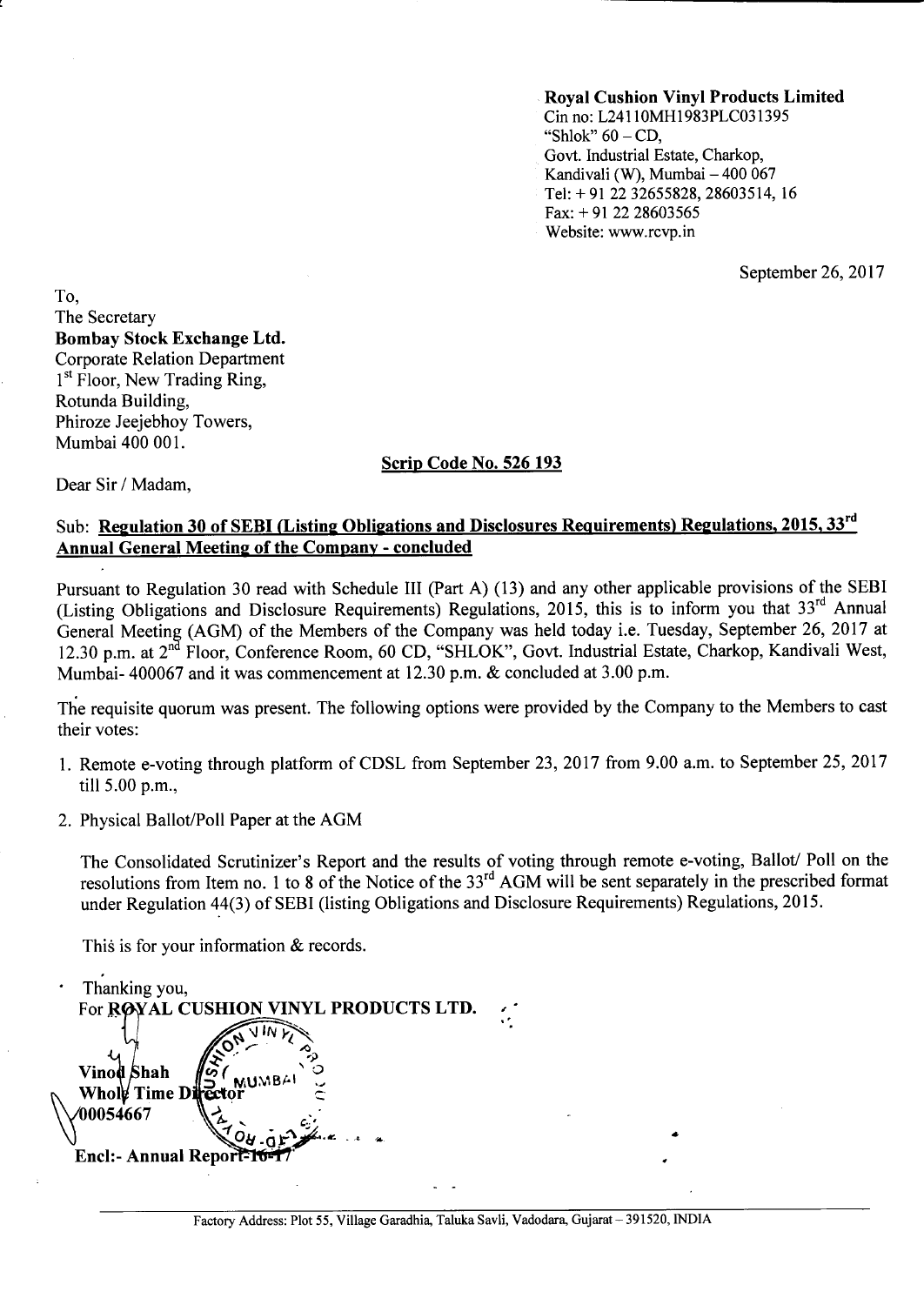#### **Roval Cushion Vinyl Products Limited** Cin no: L24110MH1983PLC031395 "Shlok"  $60 - CD$ . Govt. Industrial Estate, Charkop, Kandivali (W), Mumbai - 400 067

Tel: +91 22 32655828, 28603514, 16

Fax:  $+91$  22 28603565

Website: www.rcvp.in

September 26, 2017

To. The Secretary **Bombay Stock Exchange Ltd. Corporate Relation Department** 1<sup>st</sup> Floor, New Trading Ring, Rotunda Building. Phiroze Jeejebhoy Towers, Mumbai 400 001.

#### Scrip Code No. 526 193

Dear Sir / Madam,

#### Sub: Regulation 30 of SEBI (Listing Obligations and Disclosures Requirements) Regulations, 2015, 33<sup>rd</sup> **Annual General Meeting of the Company - concluded**

Pursuant to Regulation 30 read with Schedule III (Part A) (13) and any other applicable provisions of the SEBI (Listing Obligations and Disclosure Requirements) Regulations, 2015, this is to inform you that 33rd Annual General Meeting (AGM) of the Members of the Company was held today i.e. Tuesday, September 26, 2017 at 12.30 p.m. at 2<sup>nd</sup> Floor, Conference Room, 60 CD, "SHLOK", Govt. Industrial Estate, Charkop, Kandivali West, Mumbai-400067 and it was commencement at 12.30 p.m. & concluded at 3.00 p.m.

The requisite quorum was present. The following options were provided by the Company to the Members to cast their votes:

- 1. Remote e-voting through platform of CDSL from September 23, 2017 from 9.00 a.m. to September 25, 2017 till 5.00 p.m.,
- 2. Physical Ballot/Poll Paper at the AGM

The Consolidated Scrutinizer's Report and the results of voting through remote e-voting, Ballot/ Poll on the resolutions from Item no. 1 to 8 of the Notice of the 33<sup>rd</sup> AGM will be sent separately in the prescribed format under Regulation 44(3) of SEBI (listing Obligations and Disclosure Requirements) Regulations, 2015.

This is for your information & records.

Thanking you, For ROYAL CUSH **VINYL PRODUCTS LTD.** Vinod Shah Whole Time D **00054667** Encl:- Annual Report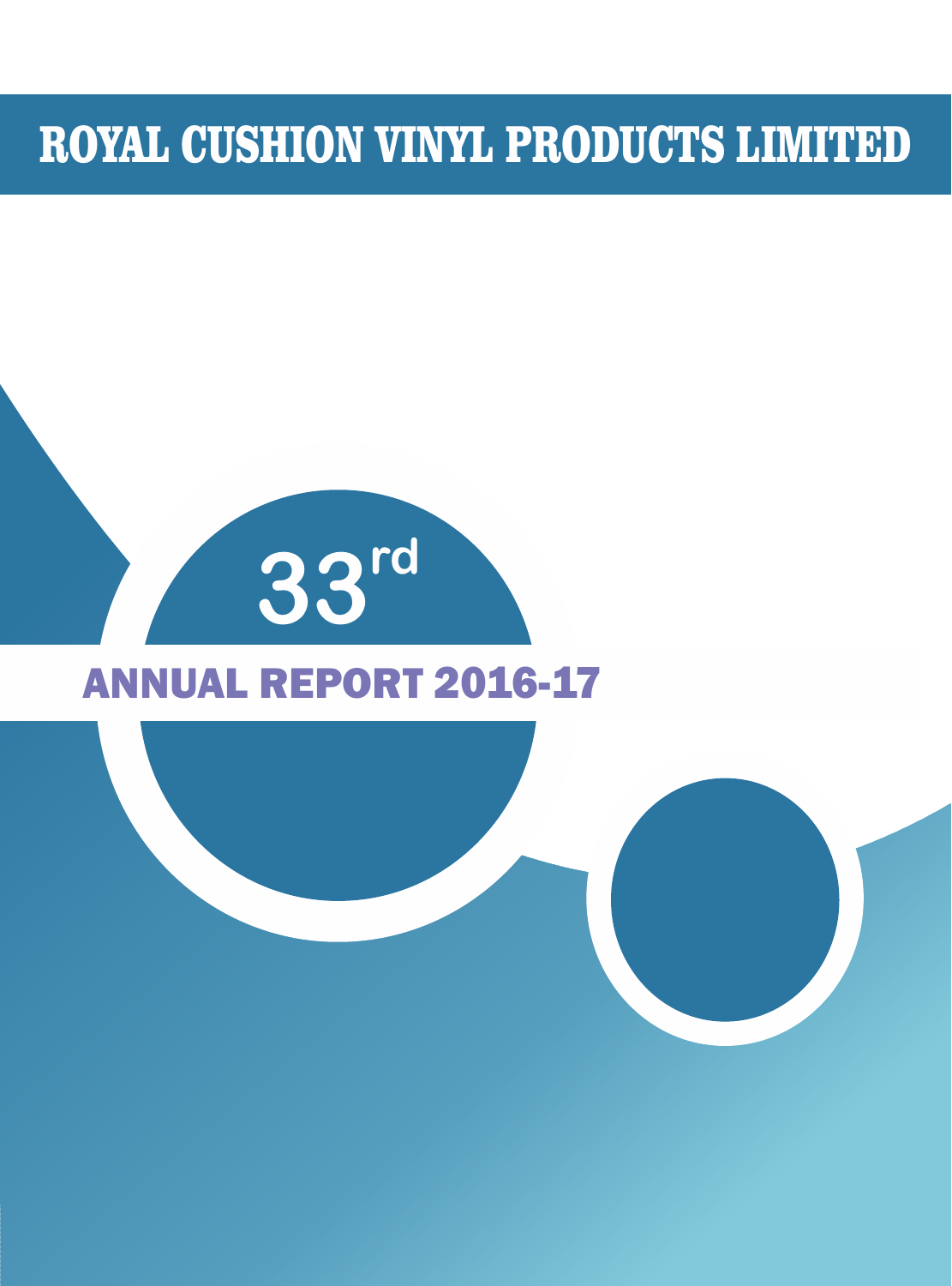# ROYAL CUSHION VINYL PRODUCTS LIMITED

# **rd 33**

## ANNUAL REPORT 2016-17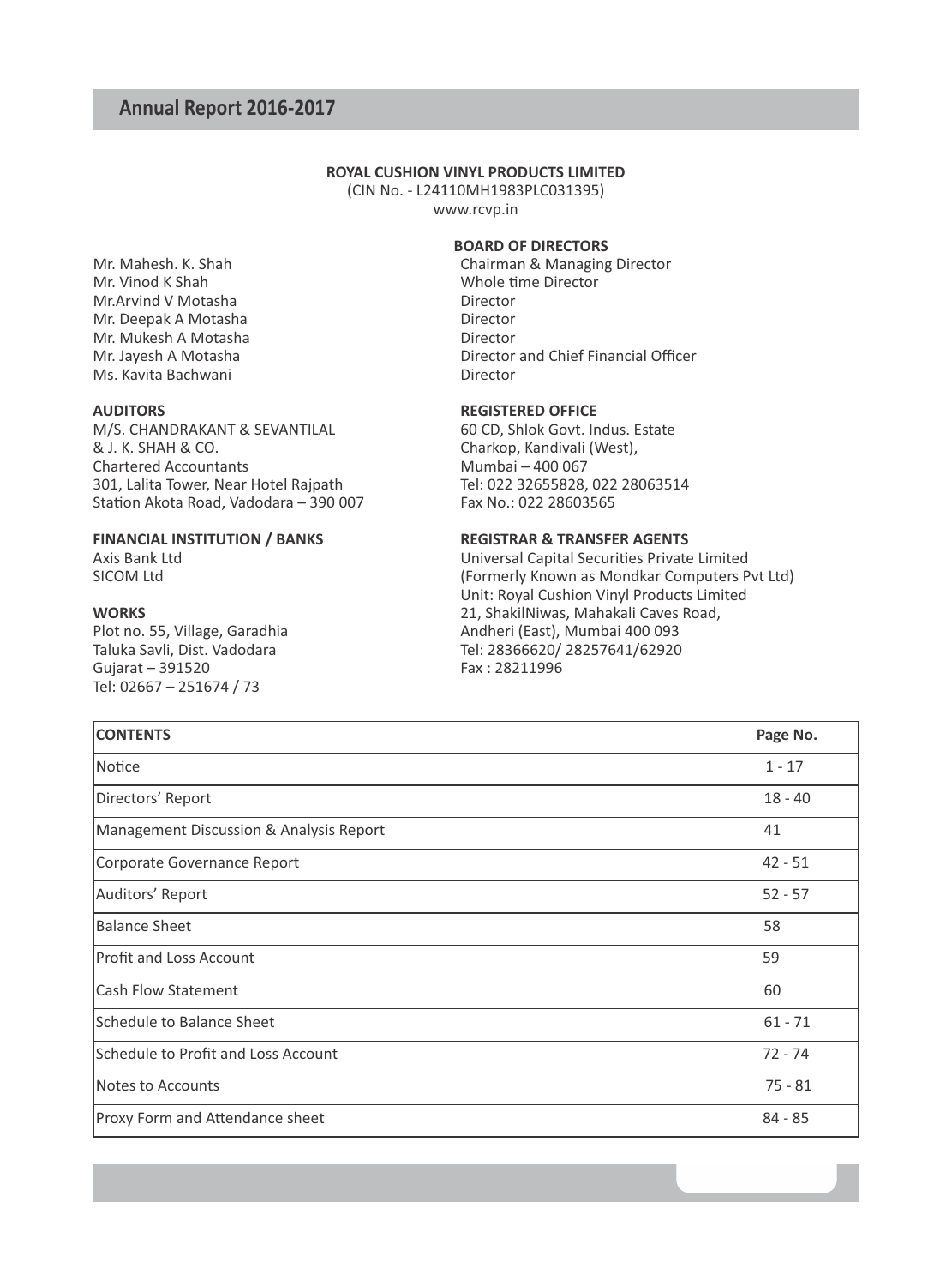#### **ROYAL CUSHION VINYL PRODUCTS LIMITED**

(CIN No. - L24110MH1983PLC031395) www.rcvp.in

#### **BOARD OF DIRECTORS**

Mr. Mahesh. K. Shah Chairman & Managing Director<br>
Mr. Vinod K Shah Chairman & Managing Director<br>
Whole time Director Whole time Director<br>Director Director and Chief Financial Officer<br>Director

Charkop, Kandivali (West),

Axis Bank Ltd<br>SICOM Ltd Universal Capital Securities Private Limited<br>(Formerly Known as Mondkar Computers P (Formerly Known as Mondkar Computers Pvt Ltd) Unit: Royal Cushion Vinyl Products Limited **WORKS** 21, ShakilNiwas, Mahakali Caves Road,<br>
21, ShakilNiwas, Mahakali Caves Road,<br>
21, ShakilNiwas, Mahakali Caves Road, Andheri (East), Mumbai 400 093 Taluka Savli, Dist. Vadodara (G. 28366620) Tel: 28366620/ 28257641/62920<br>Gujarat – 391520 Gujarat (G. 28211996)

| <b>CONTENTS</b>                         | Page No.  |
|-----------------------------------------|-----------|
| Notice                                  | $1 - 17$  |
| Directors' Report                       | $18 - 40$ |
| Management Discussion & Analysis Report | 41        |
| Corporate Governance Report             | $42 - 51$ |
| Auditors' Report                        | $52 - 57$ |
| Balance Sheet                           | 58        |
| <b>Profit and Loss Account</b>          | 59        |
| <b>Cash Flow Statement</b>              | 60        |
| Schedule to Balance Sheet               | $61 - 71$ |
| Schedule to Profit and Loss Account     | $72 - 74$ |
| Notes to Accounts                       | $75 - 81$ |
| <b>Proxy Form and Attendance sheet</b>  | $84 - 85$ |

Mr.Arvind V Motasha<br>
Mr. Deenak A Motasha<br>
Director Mr. Deepak A Motasha Mr. Mukesh A Motasha<br>Mr. Javesh A Motasha<br>Director Ms. Kavita Bachwani

**AUDITORS**<br>
M/S. CHANDRAKANT & SEVANTILAI **REGISTERED OFFICE**<br>
60 CD. Shlok Govt. Indus. Estate M/S. CHANDRAKANT & SEVANTILAL & J. K. SHAH & CO. Chartered Accountants<br>
301. Lalita Tower. Near Hotel Raipath<br>
Tel: 022 32655828. 022 28063514 301, Lalita Tower, Near Hotel Rajpath  $\frac{1}{2}$  Tel: 022 32655828, 022 35613565 Station Akota Road, Vadodara - 390 007

## **FINANCIAL INSTITUTION / BANKS**<br>Axis Bank Ltd<br>Universal Capital Securities Private

Gujarat – 391520 Tel: 02667 – 251674 / 73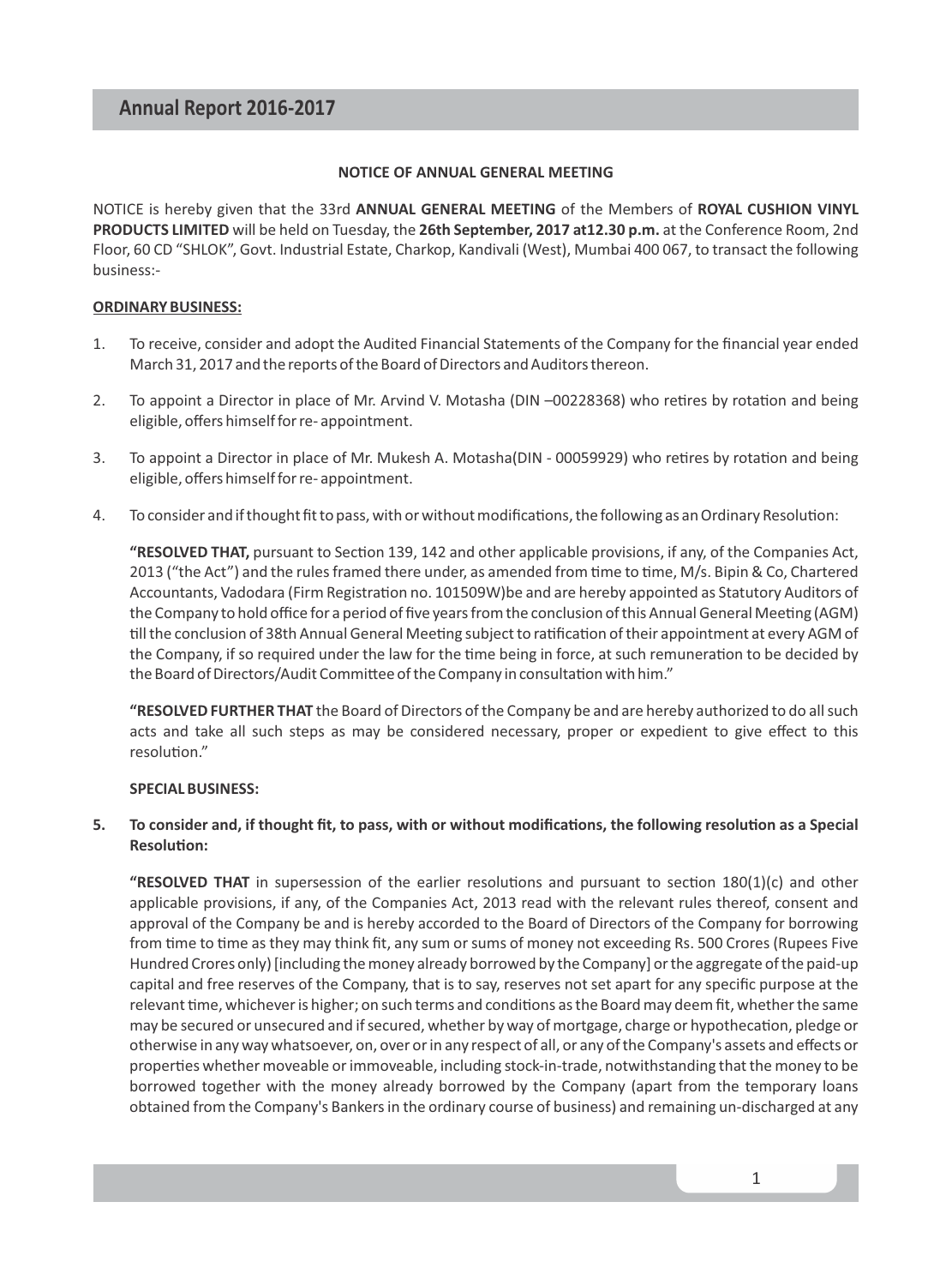#### **NOTICE OF ANNUAL GENERAL MEETING**

NOTICE is hereby given that the 33rd **ANNUAL GENERAL MEETING** of the Members of **ROYAL CUSHION VINYL PRODUCTS LIMITED** will be held on Tuesday, the **26th September, 2017 at12.30 p.m.** at the Conference Room, 2nd Floor, 60 CD "SHLOK", Govt. Industrial Estate, Charkop, Kandivali (West), Mumbai 400 067, to transact the following business:-

#### **ORDINARY BUSINESS:**

- 1. To receive, consider and adopt the Audited Financial Statements of the Company for the financial year ended March 31, 2017 and the reports of the Board of Directors and Auditors thereon.
- 2. To appoint a Director in place of Mr. Arvind V. Motasha (DIN -00228368) who retires by rotation and being eligible, offers himself for re- appointment.
- 3. To appoint a Director in place of Mr. Mukesh A. Motasha(DIN 00059929) who retires by rotation and being eligible, offers himself for re- appointment.
- 4. To consider and if thought fit to pass, with or without modifications, the following as an Ordinary Resolution:

"RESOLVED THAT, pursuant to Section 139, 142 and other applicable provisions, if any, of the Companies Act, 2013 ("the Act") and the rules framed there under, as amended from time to time, M/s. Bipin & Co, Chartered Accountants, Vadodara (Firm Registration no. 101509W)be and are hereby appointed as Statutory Auditors of the Company to hold office for a period of five years from the conclusion of this Annual General Meeting (AGM) till the conclusion of 38th Annual General Meeting subject to ratification of their appointment at every AGM of the Company, if so required under the law for the time being in force, at such remuneration to be decided by the Board of Directors/Audit Committee of the Company in consultation with him."

**"RESOLVED FURTHER THAT** the Board of Directors of the Company be and are hereby authorized to do all such acts and take all such steps as may be considered necessary, proper or expedient to give effect to this resolution."

#### **SPECIAL BUSINESS:**

#### **5.** To consider and, if thought fit, to pass, with or without modifications, the following resolution as a Special **Resolution:**

"RESOLVED THAT in supersession of the earlier resolutions and pursuant to section  $180(1)(c)$  and other applicable provisions, if any, of the Companies Act, 2013 read with the relevant rules thereof, consent and approval of the Company be and is hereby accorded to the Board of Directors of the Company for borrowing from time to time as they may think fit, any sum or sums of money not exceeding Rs. 500 Crores (Rupees Five Hundred Crores only) [including the money already borrowed by the Company] or the aggregate of the paid-up capital and free reserves of the Company, that is to say, reserves not set apart for any specific purpose at the relevant time, whichever is higher; on such terms and conditions as the Board may deem fit, whether the same may be secured or unsecured and if secured, whether by way of mortgage, charge or hypothecation, pledge or otherwise in any way whatsoever, on, over or in any respect of all, or any of the Company's assets and effects or properties whether moveable or immoveable, including stock-in-trade, notwithstanding that the money to be borrowed together with the money already borrowed by the Company (apart from the temporary loans obtained from the Company's Bankers in the ordinary course of business) and remaining un-discharged at any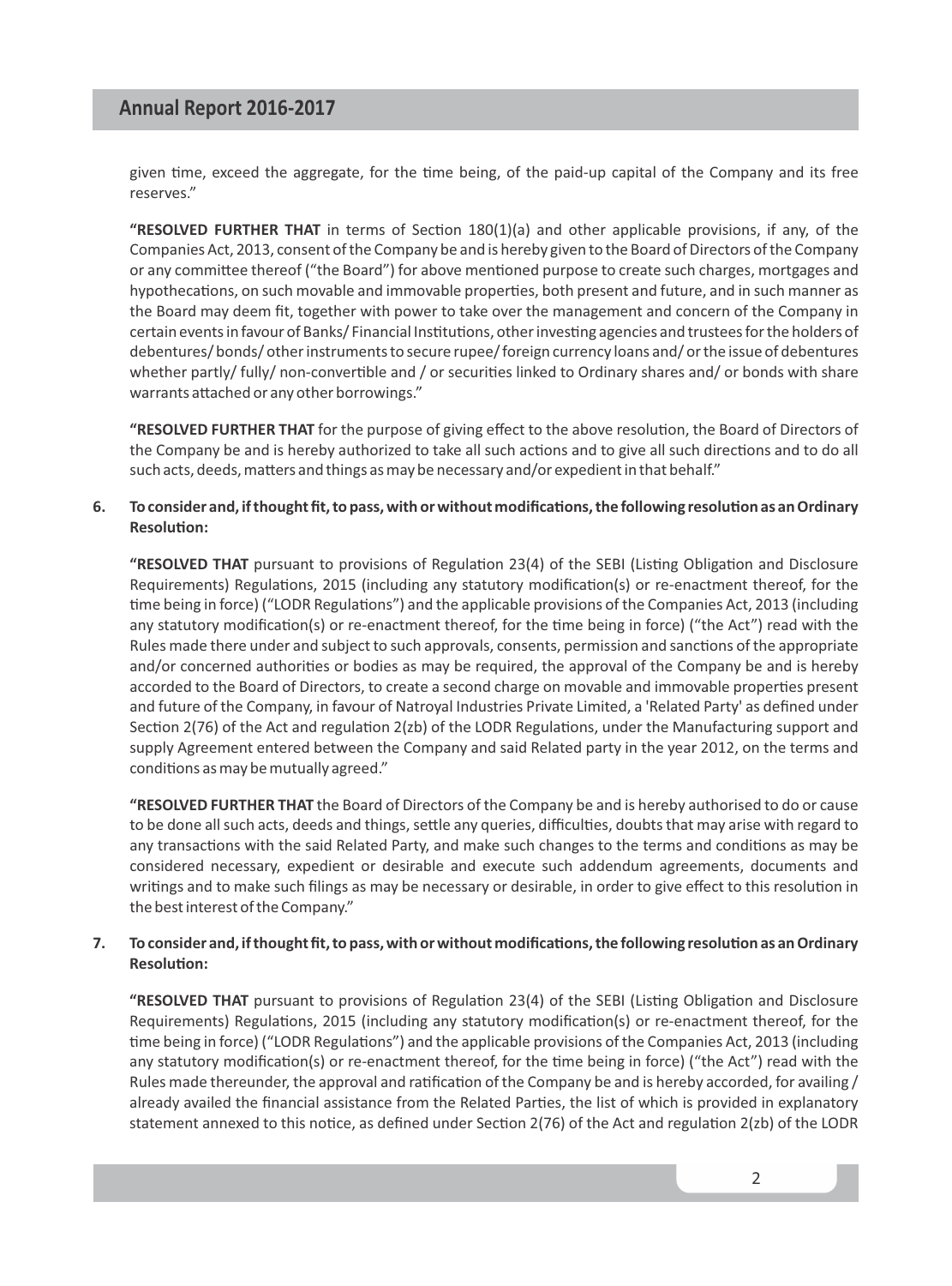given time, exceed the aggregate, for the time being, of the paid-up capital of the Company and its free reserves."

"RESOLVED FURTHER THAT in terms of Section 180(1)(a) and other applicable provisions, if any, of the Companies Act, 2013, consent of the Company be and is hereby given to the Board of Directors of the Company or any committee thereof ("the Board") for above mentioned purpose to create such charges, mortgages and hypothecations, on such movable and immovable properties, both present and future, and in such manner as the Board may deem fit, together with power to take over the management and concern of the Company in certain events in favour of Banks/Financial Institutions, other investing agencies and trustees for the holders of debentures/ bonds/ other instruments to secure rupee/ foreign currency loans and/ or the issue of debentures whether partly/ fully/ non-convertible and / or securities linked to Ordinary shares and/ or bonds with share warrants attached or any other borrowings."

"RESOLVED FURTHER THAT for the purpose of giving effect to the above resolution, the Board of Directors of the Company be and is hereby authorized to take all such actions and to give all such directions and to do all such acts, deeds, matters and things as may be necessary and/or expedient in that behalf."

#### 6. To consider and, if thought fit, to pass, with or without modifications, the following resolution as an Ordinary **Resolution:**

"RESOLVED THAT pursuant to provisions of Regulation 23(4) of the SEBI (Listing Obligation and Disclosure Requirements) Regulations, 2015 (including any statutory modification(s) or re-enactment thereof, for the time being in force) ("LODR Regulations") and the applicable provisions of the Companies Act, 2013 (including any statutory modification(s) or re-enactment thereof, for the time being in force) ("the Act") read with the Rules made there under and subject to such approvals, consents, permission and sanctions of the appropriate and/or concerned authorities or bodies as may be required, the approval of the Company be and is hereby accorded to the Board of Directors, to create a second charge on movable and immovable properties present and future of the Company, in favour of Natroyal Industries Private Limited, a 'Related Party' as defined under Section 2(76) of the Act and regulation 2(zb) of the LODR Regulations, under the Manufacturing support and supply Agreement entered between the Company and said Related party in the year 2012, on the terms and conditions as may be mutually agreed."

**"RESOLVED FURTHER THAT** the Board of Directors of the Company be and is hereby authorised to do or cause to be done all such acts, deeds and things, settle any queries, difficulties, doubts that may arise with regard to any transactions with the said Related Party, and make such changes to the terms and conditions as may be considered necessary, expedient or desirable and execute such addendum agreements, documents and writings and to make such filings as may be necessary or desirable, in order to give effect to this resolution in the best interest of the Company."

#### 7. To consider and, if thought fit, to pass, with or without modifications, the following resolution as an Ordinary **Resolution:**

"RESOLVED THAT pursuant to provisions of Regulation 23(4) of the SEBI (Listing Obligation and Disclosure Requirements) Regulations, 2015 (including any statutory modification(s) or re-enactment thereof, for the time being in force) ("LODR Regulations") and the applicable provisions of the Companies Act, 2013 (including any statutory modification(s) or re-enactment thereof, for the time being in force) ("the Act") read with the Rules made thereunder, the approval and ratification of the Company be and is hereby accorded, for availing  $/$ already availed the financial assistance from the Related Parties, the list of which is provided in explanatory statement annexed to this notice, as defined under Section 2(76) of the Act and regulation 2(zb) of the LODR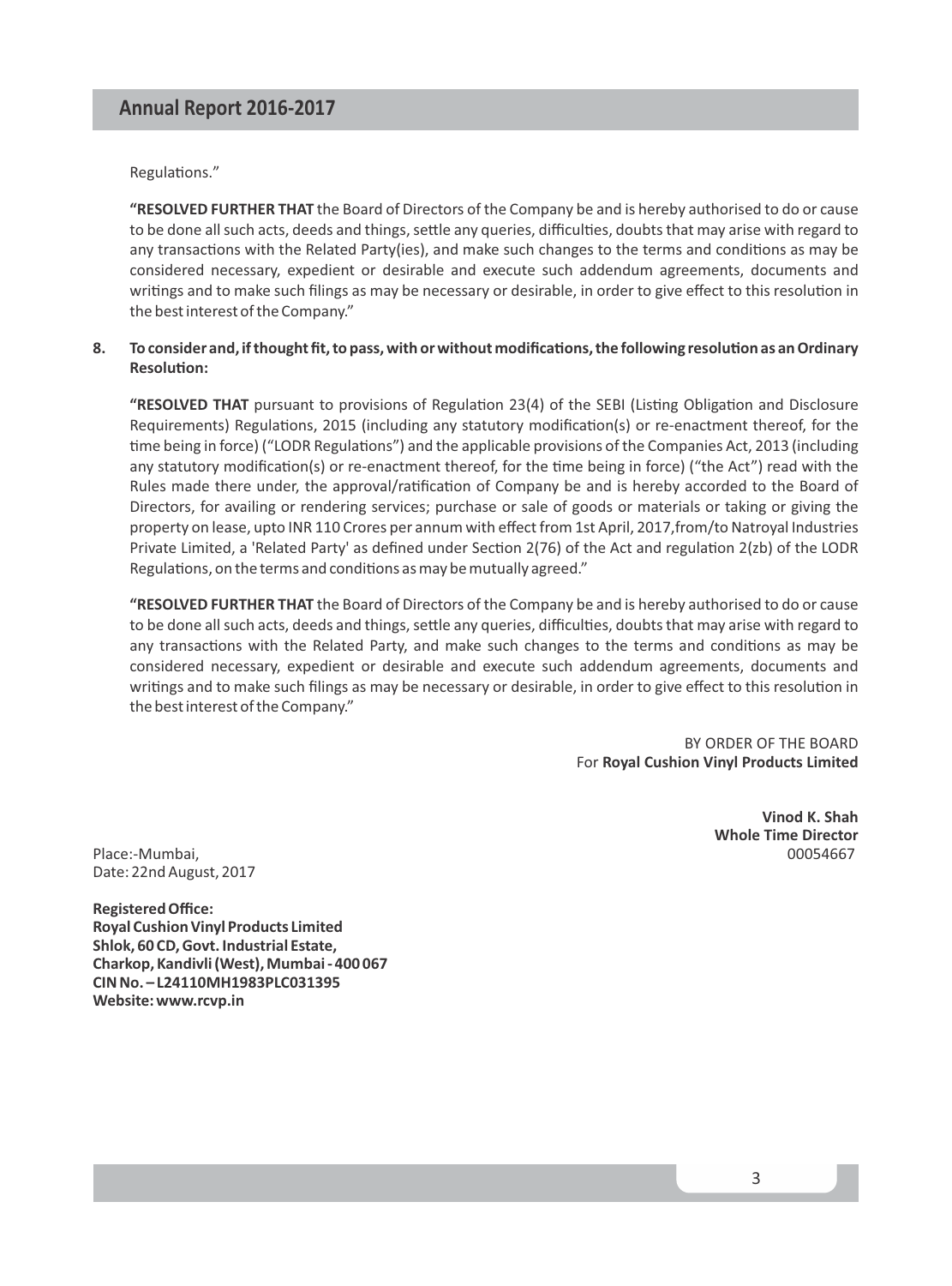Regulations."

**"RESOLVED FURTHER THAT** the Board of Directors of the Company be and is hereby authorised to do or cause to be done all such acts, deeds and things, settle any queries, difficulties, doubts that may arise with regard to any transactions with the Related Party(ies), and make such changes to the terms and conditions as may be considered necessary, expedient or desirable and execute such addendum agreements, documents and writings and to make such filings as may be necessary or desirable, in order to give effect to this resolution in the best interest of the Company."

#### 8. To consider and, if thought fit, to pass, with or without modifications, the following resolution as an Ordinary **Resolution:**

"RESOLVED THAT pursuant to provisions of Regulation 23(4) of the SEBI (Listing Obligation and Disclosure Requirements) Regulations, 2015 (including any statutory modification(s) or re-enactment thereof, for the time being in force) ("LODR Regulations") and the applicable provisions of the Companies Act, 2013 (including any statutory modification(s) or re-enactment thereof, for the time being in force) ("the Act") read with the Rules made there under, the approval/ratification of Company be and is hereby accorded to the Board of Directors, for availing or rendering services; purchase or sale of goods or materials or taking or giving the property on lease, upto INR 110 Crores per annum with effect from 1st April, 2017,from/to Natroyal Industries Private Limited, a 'Related Party' as defined under Section 2(76) of the Act and regulation 2(zb) of the LODR Regulations, on the terms and conditions as may be mutually agreed."

**"RESOLVED FURTHER THAT** the Board of Directors of the Company be and is hereby authorised to do or cause to be done all such acts, deeds and things, settle any queries, difficulties, doubts that may arise with regard to any transactions with the Related Party, and make such changes to the terms and conditions as may be considered necessary, expedient or desirable and execute such addendum agreements, documents and writings and to make such filings as may be necessary or desirable, in order to give effect to this resolution in the best interest of the Company."

> BY ORDER OF THE BOARD For **Royal Cushion Vinyl Products Limited**

Place:-Mumbai. Date: 22nd August, 2017

**Registered Office: Royal Cushion Vinyl Products Limited Shlok, 60 CD, Govt. Industrial Estate, Charkop, Kandivli (West), Mumbai - 400 067 CIN No. – L24110MH1983PLC031395 Website: www.rcvp.in**

**Vinod K. Shah Whole Time Director**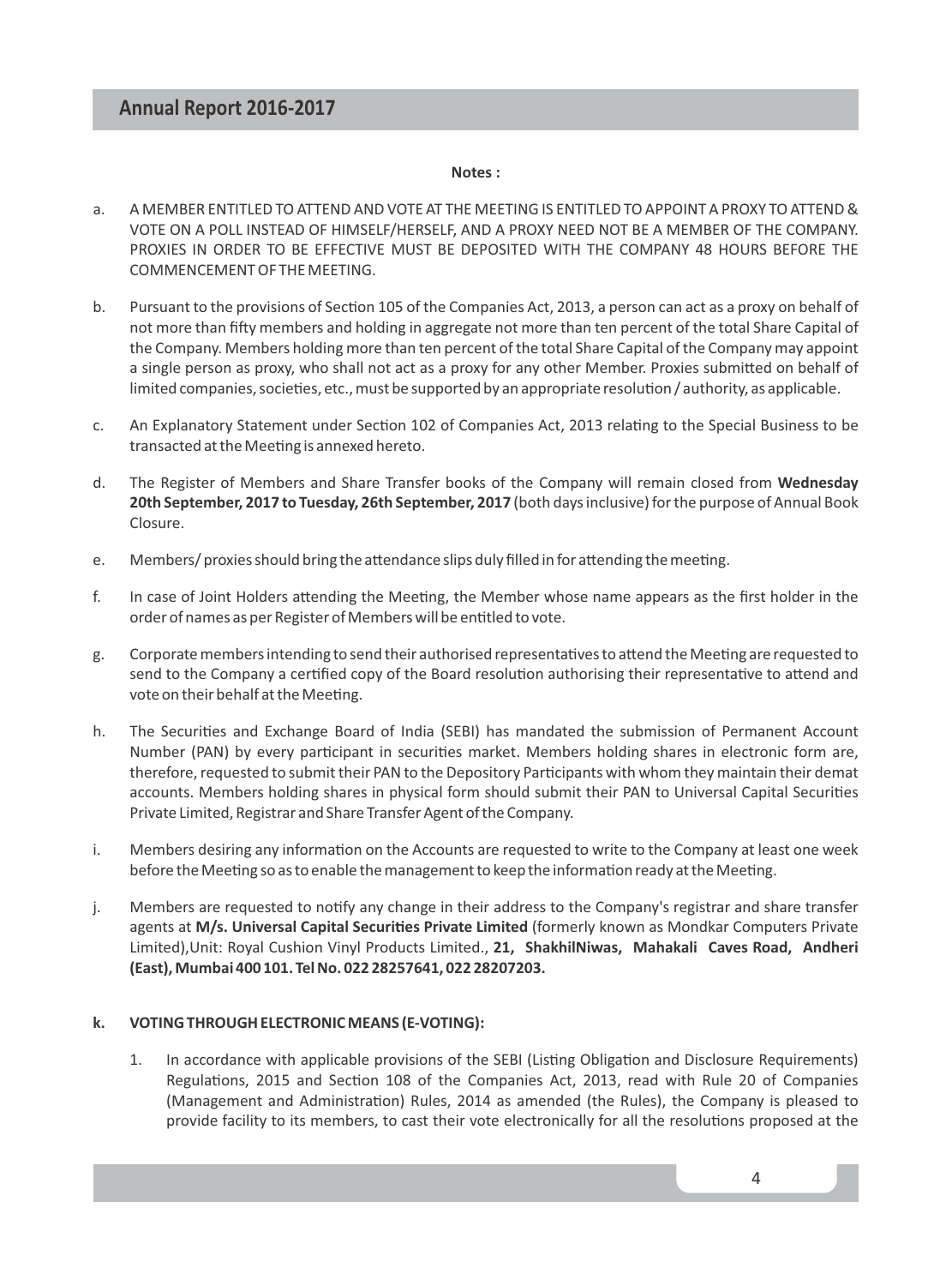#### **Notes :**

- a. A MEMBER ENTITLED TO ATTEND AND VOTE AT THE MEETING IS ENTITLED TO APPOINT A PROXY TO ATTEND & VOTE ON A POLL INSTEAD OF HIMSELF/HERSELF, AND A PROXY NEED NOT BE A MEMBER OF THE COMPANY. PROXIES IN ORDER TO BE EFFECTIVE MUST BE DEPOSITED WITH THE COMPANY 48 HOURS BEFORE THE COMMENCEMENT OF THE MEETING.
- b. Pursuant to the provisions of Section 105 of the Companies Act, 2013, a person can act as a proxy on behalf of not more than fifty members and holding in aggregate not more than ten percent of the total Share Capital of the Company. Members holding more than ten percent of the total Share Capital of the Company may appoint a single person as proxy, who shall not act as a proxy for any other Member. Proxies submitted on behalf of limited companies, societies, etc., must be supported by an appropriate resolution / authority, as applicable.
- c. An Explanatory Statement under Section 102 of Companies Act, 2013 relating to the Special Business to be transacted at the Meeting is annexed hereto.
- d. The Register of Members and Share Transfer books of the Company will remain closed from **Wednesday 20th September, 2017 to Tuesday, 26th September, 2017** (both days inclusive) for the purpose of Annual Book Closure.
- e. Members/ proxies should bring the attendance slips duly filled in for attending the meeting.
- f. In case of Joint Holders attending the Meeting, the Member whose name appears as the first holder in the order of names as per Register of Members will be entitled to vote.
- g. Corporate members intending to send their authorised representatives to attend the Meeting are requested to send to the Company a certified copy of the Board resolution authorising their representative to attend and vote on their behalf at the Meeting.
- h. The Securities and Exchange Board of India (SEBI) has mandated the submission of Permanent Account Number (PAN) by every participant in securities market. Members holding shares in electronic form are, therefore, requested to submit their PAN to the Depository Parcipants with whom they maintain their demat accounts. Members holding shares in physical form should submit their PAN to Universal Capital Securities Private Limited, Registrar and Share Transfer Agent of the Company.
- i. Members desiring any information on the Accounts are requested to write to the Company at least one week before the Meeting so as to enable the management to keep the information ready at the Meeting.
- j. Members are requested to notify any change in their address to the Company's registrar and share transfer agents at M/s. Universal Capital Securities Private Limited (formerly known as Mondkar Computers Private Limited),Unit: Royal Cushion Vinyl Products Limited., **21, ShakhilNiwas, Mahakali Caves Road, Andheri (East), Mumbai 400 101. Tel No. 022 28257641, 022 28207203.**

#### **k. VOTING THROUGH ELECTRONIC MEANS (E-VOTING):**

1. In accordance with applicable provisions of the SEBI (Listing Obligation and Disclosure Requirements) Regulations, 2015 and Section 108 of the Companies Act, 2013, read with Rule 20 of Companies (Management and Administration) Rules, 2014 as amended (the Rules), the Company is pleased to provide facility to its members, to cast their vote electronically for all the resolutions proposed at the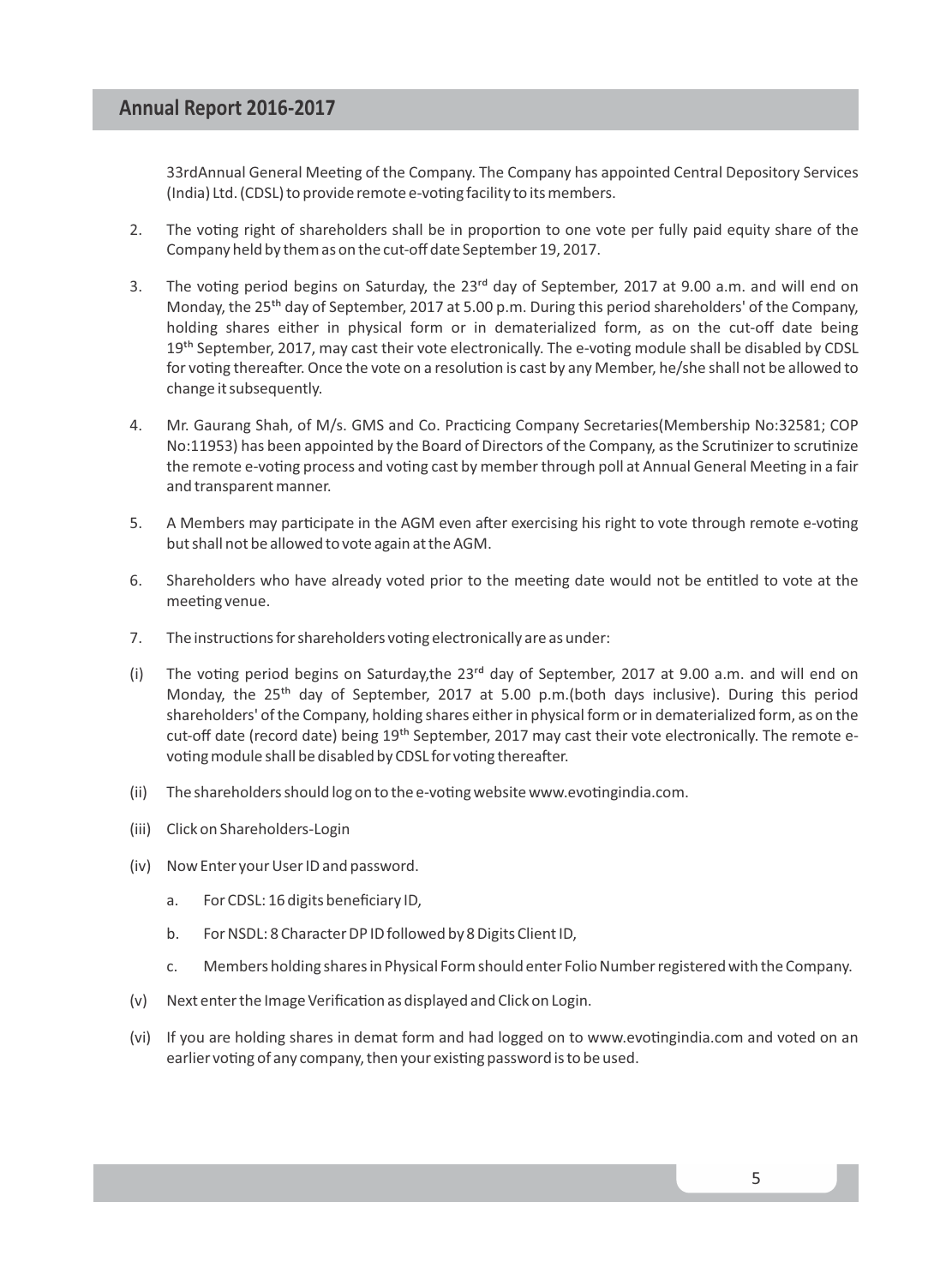33rdAnnual General Meeting of the Company. The Company has appointed Central Depository Services (India) Ltd. (CDSL) to provide remote e-voting facility to its members.

- 2. The voting right of shareholders shall be in proportion to one vote per fully paid equity share of the Company held by them as on the cut-off date September 19, 2017.
- 3. The voting period begins on Saturday, the 23<sup>rd</sup> day of September, 2017 at 9.00 a.m. and will end on Monday, the 25<sup>th</sup> day of September, 2017 at 5.00 p.m. During this period shareholders' of the Company, holding shares either in physical form or in dematerialized form, as on the cut-off date being 19<sup>th</sup> September, 2017, may cast their vote electronically. The e-voting module shall be disabled by CDSL for voting thereafter. Once the vote on a resolution is cast by any Member, he/she shall not be allowed to change it subsequently.
- 4. Mr. Gaurang Shah, of M/s. GMS and Co. Practicing Company Secretaries(Membership No:32581; COP No:11953) has been appointed by the Board of Directors of the Company, as the Scrutinizer to scrutinize the remote e-voting process and voting cast by member through poll at Annual General Meeting in a fair and transparent manner.
- 5. A Members may participate in the AGM even after exercising his right to vote through remote e-voting but shall not be allowed to vote again at the AGM.
- 6. Shareholders who have already voted prior to the meeting date would not be entitled to vote at the meeting venue.
- 7. The instructions for shareholders voting electronically are as under:
- (i) The voting period begins on Saturday, the  $23<sup>rd</sup>$  day of September, 2017 at 9.00 a.m. and will end on Monday, the  $25<sup>th</sup>$  day of September, 2017 at 5.00 p.m.(both days inclusive). During this period shareholders' of the Company, holding shares either in physical form or in dematerialized form, as on the cut-off date (record date) being 19<sup>th</sup> September, 2017 may cast their vote electronically. The remote evoting module shall be disabled by CDSL for voting thereafter.
- (ii) The shareholders should log on to the e-voting website www.evotingindia.com.
- (iii) Click on Shareholders-Login
- (iv) Now Enter your User ID and password.
	- a. For CDSL: 16 digits beneficiary ID,
	- b. For NSDL: 8 Character DP ID followed by 8 Digits Client ID,
	- c. Members holding shares in Physical Form should enter Folio Number registered with the Company.
- (v) Next enter the Image Verification as displayed and Click on Login.
- (vi) If you are holding shares in demat form and had logged on to www.evotingindia.com and voted on an earlier voting of any company, then your existing password is to be used.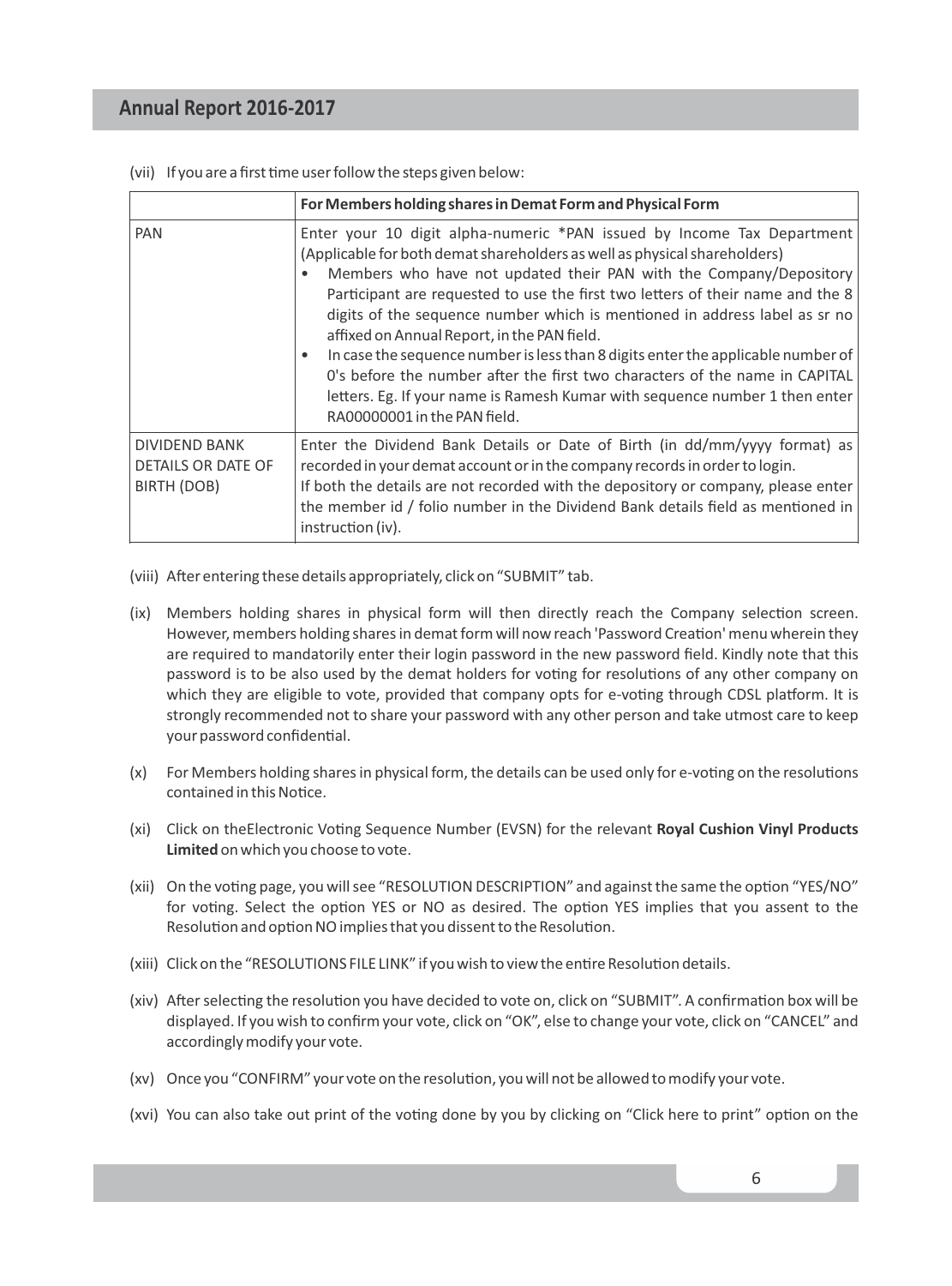|                                                    | For Members holding shares in Demat Form and Physical Form                                                                                                                                                                                                                                                                                                                                                                                                                                                                                                                                                                                                                                                                 |
|----------------------------------------------------|----------------------------------------------------------------------------------------------------------------------------------------------------------------------------------------------------------------------------------------------------------------------------------------------------------------------------------------------------------------------------------------------------------------------------------------------------------------------------------------------------------------------------------------------------------------------------------------------------------------------------------------------------------------------------------------------------------------------------|
| <b>PAN</b>                                         | Enter your 10 digit alpha-numeric *PAN issued by Income Tax Department<br>(Applicable for both demat shareholders as well as physical shareholders)<br>Members who have not updated their PAN with the Company/Depository<br>Participant are requested to use the first two letters of their name and the 8<br>digits of the sequence number which is mentioned in address label as sr no<br>affixed on Annual Report, in the PAN field.<br>In case the sequence number is less than 8 digits enter the applicable number of<br>O's before the number after the first two characters of the name in CAPITAL<br>letters. Eg. If your name is Ramesh Kumar with sequence number 1 then enter<br>RA00000001 in the PAN field. |
| DIVIDEND BANK<br>DETAILS OR DATE OF<br>BIRTH (DOB) | Enter the Dividend Bank Details or Date of Birth (in dd/mm/yyyy format) as<br>recorded in your demat account or in the company records in order to login.<br>If both the details are not recorded with the depository or company, please enter<br>the member id / folio number in the Dividend Bank details field as mentioned in<br>instruction (iv).                                                                                                                                                                                                                                                                                                                                                                     |

(vii) If you are a first time user follow the steps given below:

- (viii) After entering these details appropriately, click on "SUBMIT" tab.
- (ix) Members holding shares in physical form will then directly reach the Company selection screen. However, members holding shares in demat form will now reach 'Password Creation' menu wherein they are required to mandatorily enter their login password in the new password field. Kindly note that this password is to be also used by the demat holders for voting for resolutions of any other company on which they are eligible to vote, provided that company opts for e-voting through CDSL platform. It is strongly recommended not to share your password with any other person and take utmost care to keep your password confidential.
- $(x)$  For Members holding shares in physical form, the details can be used only for e-voting on the resolutions contained in this Notice.
- (xi) Click on theElectronic Vong Sequence Number (EVSN) for the relevant **Royal Cushion Vinyl Products Limited** on which you choose to vote.
- (xii) On the voting page, you will see "RESOLUTION DESCRIPTION" and against the same the option "YES/NO" for voting. Select the option YES or NO as desired. The option YES implies that you assent to the Resolution and option NO implies that you dissent to the Resolution.
- (xiii) Click on the "RESOLUTIONS FILE LINK" if you wish to view the entire Resolution details.
- (xiv) After selecting the resolution you have decided to vote on, click on "SUBMIT". A confirmation box will be displayed. If you wish to confirm your vote, click on "OK", else to change your vote, click on "CANCEL" and accordingly modify your vote.
- (xv) Once you "CONFIRM" your vote on the resolution, you will not be allowed to modify your vote.
- (xvi) You can also take out print of the voting done by you by clicking on "Click here to print" option on the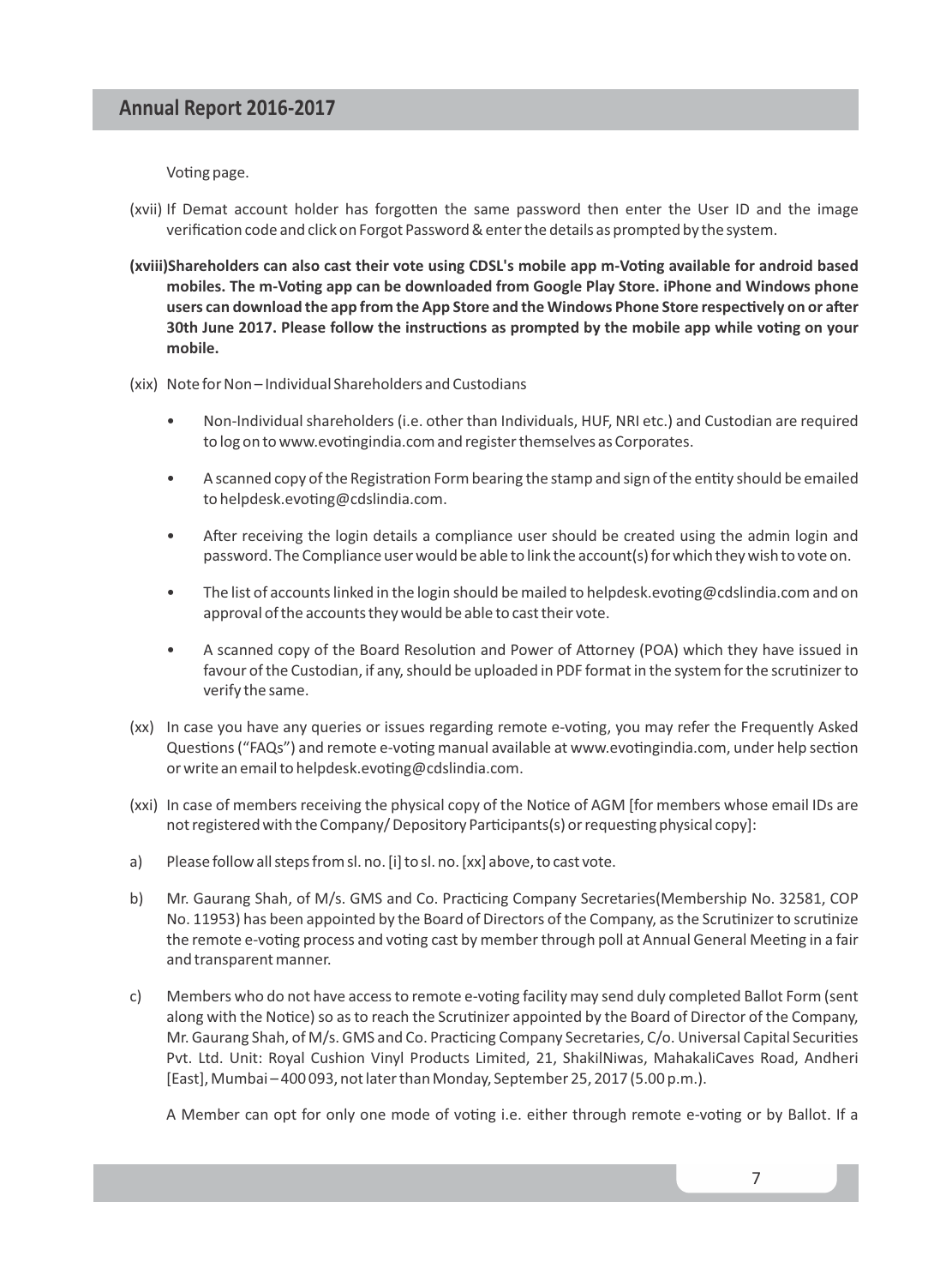Voting page.

- (xvii) If Demat account holder has forgotten the same password then enter the User ID and the image verification code and click on Forgot Password & enter the details as prompted by the system.
- (xviii)Shareholders can also cast their vote using CDSL's mobile app m-Voting available for android based mobiles. The m-Voting app can be downloaded from Google Play Store. iPhone and Windows phone users can download the app from the App Store and the Windows Phone Store respectively on or after 30th June 2017. Please follow the instructions as prompted by the mobile app while voting on your **mobile.**
- (xix) Note for Non Individual Shareholders and Custodians
	- Non-Individual shareholders (i.e. other than Individuals, HUF, NRI etc.) and Custodian are required to log on to www.evotingindia.com and register themselves as Corporates.
	- A scanned copy of the Registration Form bearing the stamp and sign of the entity should be emailed to helpdesk.evoting@cdslindia.com.
	- After receiving the login details a compliance user should be created using the admin login and password. The Compliance user would be able to link the account(s) for which they wish to vote on.
	- The list of accounts linked in the login should be mailed to helpdesk.evoting@cdslindia.com and on approval of the accounts they would be able to cast their vote.
	- A scanned copy of the Board Resolution and Power of Attorney (POA) which they have issued in favour of the Custodian, if any, should be uploaded in PDF format in the system for the scrutinizer to verify the same.
- (xx) In case you have any queries or issues regarding remote e-voting, you may refer the Frequently Asked Questions ("FAQs") and remote e-voting manual available at www.evotingindia.com, under help section or write an email to helpdesk.evoting@cdslindia.com.
- (xxi) In case of members receiving the physical copy of the Notice of AGM [for members whose email IDs are not registered with the Company/ Depository Participants(s) or requesting physical copy]:
- a) Please follow all steps from sl. no. [i] to sl. no. [xx] above, to cast vote.
- b) Mr. Gaurang Shah, of M/s. GMS and Co. Practicing Company Secretaries (Membership No. 32581, COP No. 11953) has been appointed by the Board of Directors of the Company, as the Scrutinizer to scrutinize the remote e-voting process and voting cast by member through poll at Annual General Meeting in a fair and transparent manner.
- c) Members who do not have access to remote e-voting facility may send duly completed Ballot Form (sent along with the Notice) so as to reach the Scrutinizer appointed by the Board of Director of the Company, Mr. Gaurang Shah, of M/s. GMS and Co. Practicing Company Secretaries, C/o. Universal Capital Securities Pvt. Ltd. Unit: Royal Cushion Vinyl Products Limited, 21, ShakilNiwas, MahakaliCaves Road, Andheri [East], Mumbai – 400 093, not later than Monday, September 25, 2017 (5.00 p.m.).

A Member can opt for only one mode of voting i.e. either through remote e-voting or by Ballot. If a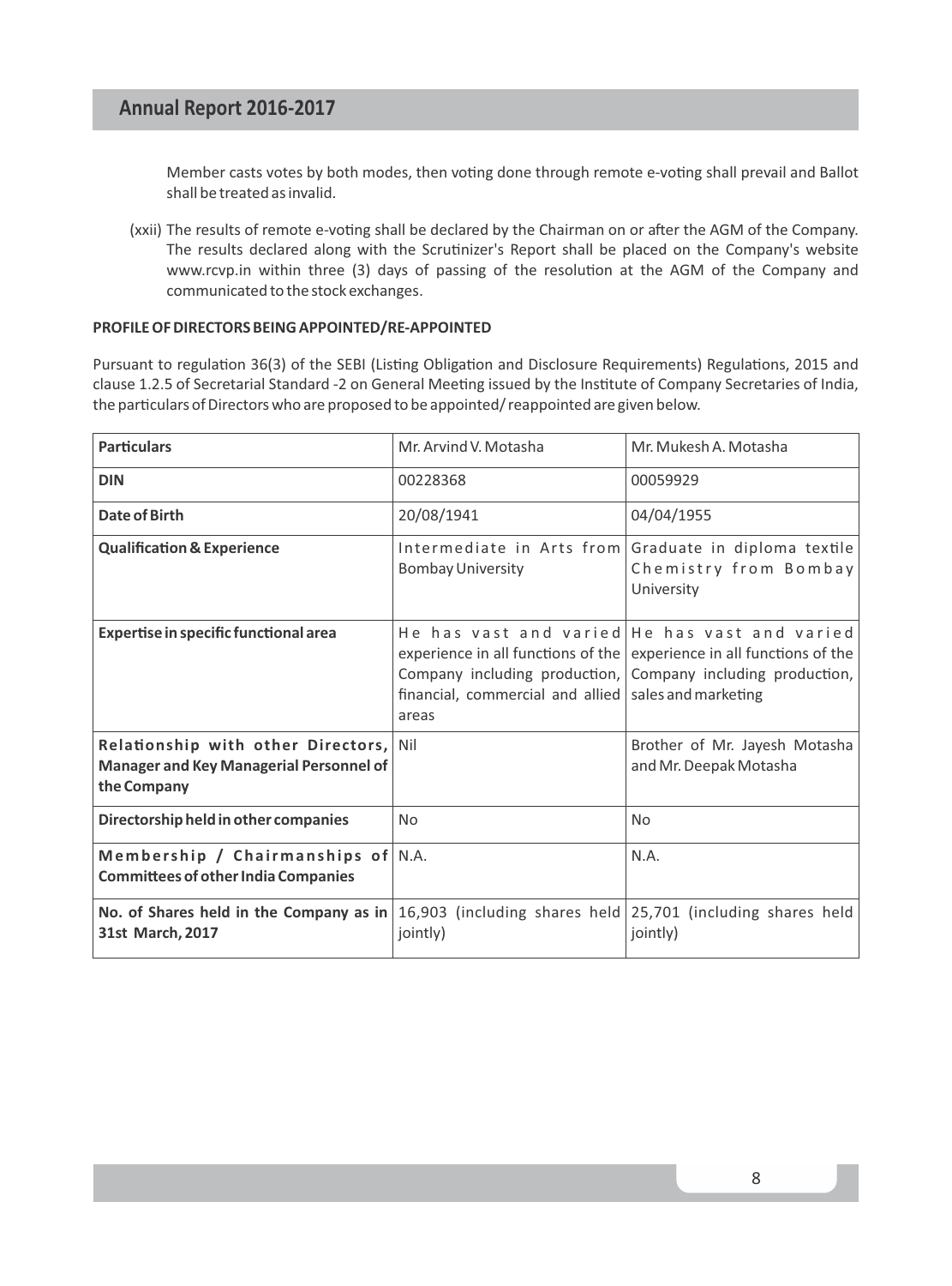Member casts votes by both modes, then voting done through remote e-voting shall prevail and Ballot shall be treated as invalid.

(xxii) The results of remote e-voting shall be declared by the Chairman on or after the AGM of the Company. The results declared along with the Scrutinizer's Report shall be placed on the Company's website www.rcvp.in within three (3) days of passing of the resolution at the AGM of the Company and communicated to the stock exchanges.

#### **PROFILE OF DIRECTORS BEING APPOINTED/RE-APPOINTED**

Pursuant to regulation 36(3) of the SEBI (Listing Obligation and Disclosure Requirements) Regulations, 2015 and clause 1.2.5 of Secretarial Standard -2 on General Meeting issued by the Institute of Company Secretaries of India, the particulars of Directors who are proposed to be appointed/ reappointed are given below.

| <b>Particulars</b>                                                                                                        | Mr. Arvind V. Motasha                                         | Mr. Mukesh A. Motasha                                                                                                                                                                 |
|---------------------------------------------------------------------------------------------------------------------------|---------------------------------------------------------------|---------------------------------------------------------------------------------------------------------------------------------------------------------------------------------------|
| <b>DIN</b>                                                                                                                | 00228368                                                      | 00059929                                                                                                                                                                              |
| Date of Birth                                                                                                             | 20/08/1941                                                    | 04/04/1955                                                                                                                                                                            |
| <b>Qualification &amp; Experience</b>                                                                                     | <b>Bombay University</b>                                      | Intermediate in Arts from Graduate in diploma textile<br>Chemistry from Bombay<br>University                                                                                          |
| Expertise in specific functional area                                                                                     | financial, commercial and allied sales and marketing<br>areas | He has vast and varied He has vast and varied<br>experience in all functions of the experience in all functions of the<br>Company including production, Company including production, |
| Relationship with other Directors, Nil<br>Manager and Key Managerial Personnel of<br>the Company                          |                                                               | Brother of Mr. Jayesh Motasha<br>and Mr. Deepak Motasha                                                                                                                               |
| Directorship held in other companies                                                                                      | No                                                            | <b>No</b>                                                                                                                                                                             |
| Membership / Chairmanships of $N.A$ .<br><b>Committees of other India Companies</b>                                       |                                                               | N.A.                                                                                                                                                                                  |
| No. of Shares held in the Company as in $16,903$ (including shares held 25,701 (including shares held<br>31st March, 2017 | jointly)                                                      | jointly)                                                                                                                                                                              |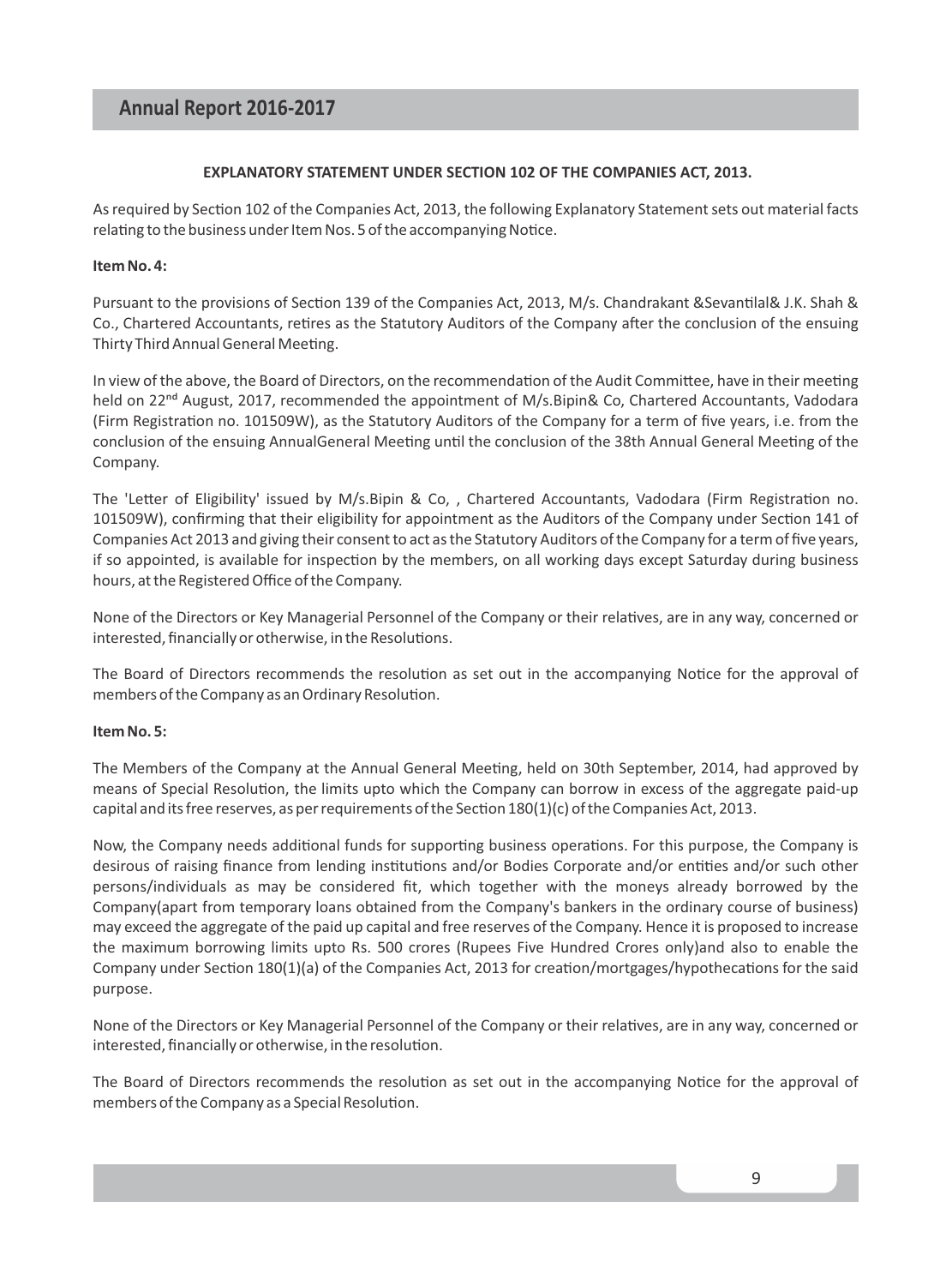#### **EXPLANATORY STATEMENT UNDER SECTION 102 OF THE COMPANIES ACT, 2013.**

As required by Section 102 of the Companies Act, 2013, the following Explanatory Statement sets out material facts relating to the business under Item Nos. 5 of the accompanying Notice.

#### **Item No. 4:**

Pursuant to the provisions of Section 139 of the Companies Act, 2013, M/s. Chandrakant &Sevantilal& J.K. Shah & Co., Chartered Accountants, retires as the Statutory Auditors of the Company after the conclusion of the ensuing Thirty Third Annual General Meeting.

In view of the above, the Board of Directors, on the recommendation of the Audit Committee, have in their meeting held on 22<sup>nd</sup> August, 2017, recommended the appointment of M/s.Bipin& Co, Chartered Accountants, Vadodara (Firm Registration no. 101509W), as the Statutory Auditors of the Company for a term of five years, i.e. from the conclusion of the ensuing AnnualGeneral Meeting until the conclusion of the 38th Annual General Meeting of the Company.

The 'Letter of Eligibility' issued by M/s.Bipin & Co, , Chartered Accountants, Vadodara (Firm Registration no. 101509W), confirming that their eligibility for appointment as the Auditors of the Company under Section 141 of Companies Act 2013 and giving their consent to act as the Statutory Auditors of the Company for a term of five years, if so appointed, is available for inspection by the members, on all working days except Saturday during business hours, at the Registered Office of the Company.

None of the Directors or Key Managerial Personnel of the Company or their relatives, are in any way, concerned or interested, financially or otherwise, in the Resolutions.

The Board of Directors recommends the resolution as set out in the accompanying Notice for the approval of members of the Company as an Ordinary Resolution.

#### **Item No. 5:**

The Members of the Company at the Annual General Meeting, held on 30th September, 2014, had approved by means of Special Resolution, the limits upto which the Company can borrow in excess of the aggregate paid-up capital and its free reserves, as per requirements of the Section  $180(1)(c)$  of the Companies Act, 2013.

Now, the Company needs additional funds for supporting business operations. For this purpose, the Company is desirous of raising finance from lending institutions and/or Bodies Corporate and/or entities and/or such other persons/individuals as may be considered fit, which together with the moneys already borrowed by the Company(apart from temporary loans obtained from the Company's bankers in the ordinary course of business) may exceed the aggregate of the paid up capital and free reserves of the Company. Hence it is proposed to increase the maximum borrowing limits upto Rs. 500 crores (Rupees Five Hundred Crores only)and also to enable the Company under Section 180(1)(a) of the Companies Act, 2013 for creation/mortgages/hypothecations for the said purpose.

None of the Directors or Key Managerial Personnel of the Company or their relatives, are in any way, concerned or interested, financially or otherwise, in the resolution.

The Board of Directors recommends the resolution as set out in the accompanying Notice for the approval of members of the Company as a Special Resolution.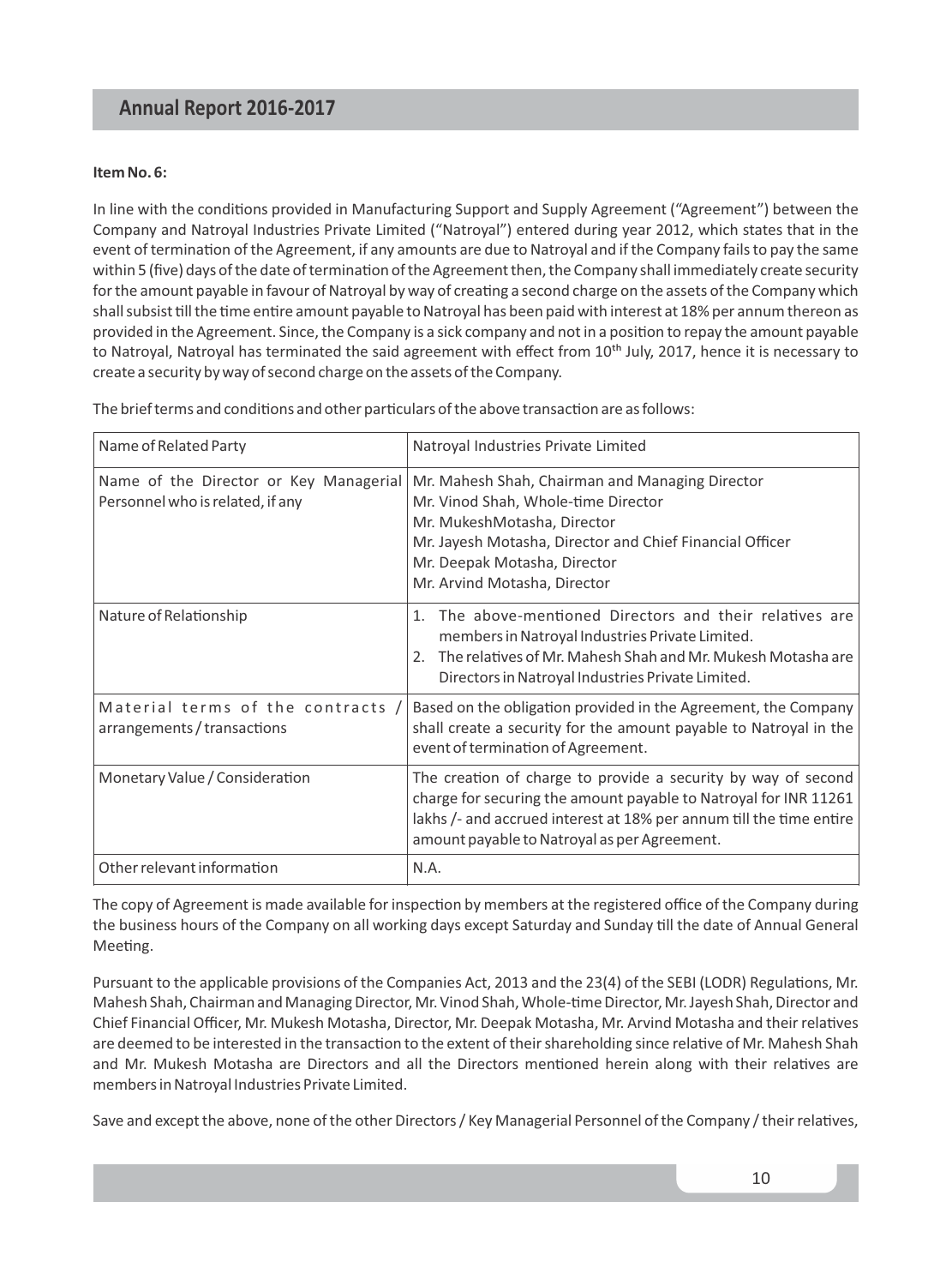#### **Item No. 6:**

In line with the conditions provided in Manufacturing Support and Supply Agreement ("Agreement") between the Company and Natroyal Industries Private Limited ("Natroyal") entered during year 2012, which states that in the event of termination of the Agreement, if any amounts are due to Natroyal and if the Company fails to pay the same within 5 (five) days of the date of termination of the Agreement then, the Company shall immediately create security for the amount payable in favour of Natroyal by way of creating a second charge on the assets of the Company which shall subsist till the time entire amount payable to Natroyal has been paid with interest at 18% per annum thereon as provided in the Agreement. Since, the Company is a sick company and not in a position to repay the amount payable to Natroyal, Natroyal has terminated the said agreement with effect from 10<sup>th</sup> July, 2017, hence it is necessary to create a security by way of second charge on the assets of the Company.

The brief terms and conditions and other particulars of the above transaction are as follows:

| Name of Related Party                                                      | Natroyal Industries Private Limited                                                                                                                                                                                                                      |
|----------------------------------------------------------------------------|----------------------------------------------------------------------------------------------------------------------------------------------------------------------------------------------------------------------------------------------------------|
| Name of the Director or Key Managerial<br>Personnel who is related, if any | Mr. Mahesh Shah, Chairman and Managing Director<br>Mr. Vinod Shah, Whole-time Director<br>Mr. MukeshMotasha, Director<br>Mr. Jayesh Motasha, Director and Chief Financial Officer<br>Mr. Deepak Motasha, Director<br>Mr. Arvind Motasha, Director        |
| Nature of Relationship                                                     | 1. The above-mentioned Directors and their relatives are<br>members in Natroyal Industries Private Limited.<br>The relatives of Mr. Mahesh Shah and Mr. Mukesh Motasha are<br>$\mathcal{P}$<br>Directors in Natroyal Industries Private Limited.         |
| Material terms of the contracts /<br>arrangements / transactions           | Based on the obligation provided in the Agreement, the Company<br>shall create a security for the amount payable to Natroyal in the<br>event of termination of Agreement.                                                                                |
| Monetary Value / Consideration                                             | The creation of charge to provide a security by way of second<br>charge for securing the amount payable to Natroyal for INR 11261<br>lakhs /- and accrued interest at 18% per annum till the time entire<br>amount payable to Natroyal as per Agreement. |
| Other relevant information                                                 | N.A.                                                                                                                                                                                                                                                     |

The copy of Agreement is made available for inspection by members at the registered office of the Company during the business hours of the Company on all working days except Saturday and Sunday till the date of Annual General Meeting.

Pursuant to the applicable provisions of the Companies Act, 2013 and the 23(4) of the SEBI (LODR) Regulations, Mr. Mahesh Shah, Chairman and Managing Director, Mr. Vinod Shah, Whole-time Director, Mr. Jayesh Shah, Director and Chief Financial Officer, Mr. Mukesh Motasha, Director, Mr. Deepak Motasha, Mr. Arvind Motasha and their relatives are deemed to be interested in the transaction to the extent of their shareholding since relative of Mr. Mahesh Shah and Mr. Mukesh Motasha are Directors and all the Directors mentioned herein along with their relatives are members in Natroyal Industries Private Limited.

Save and except the above, none of the other Directors / Key Managerial Personnel of the Company / their relatives,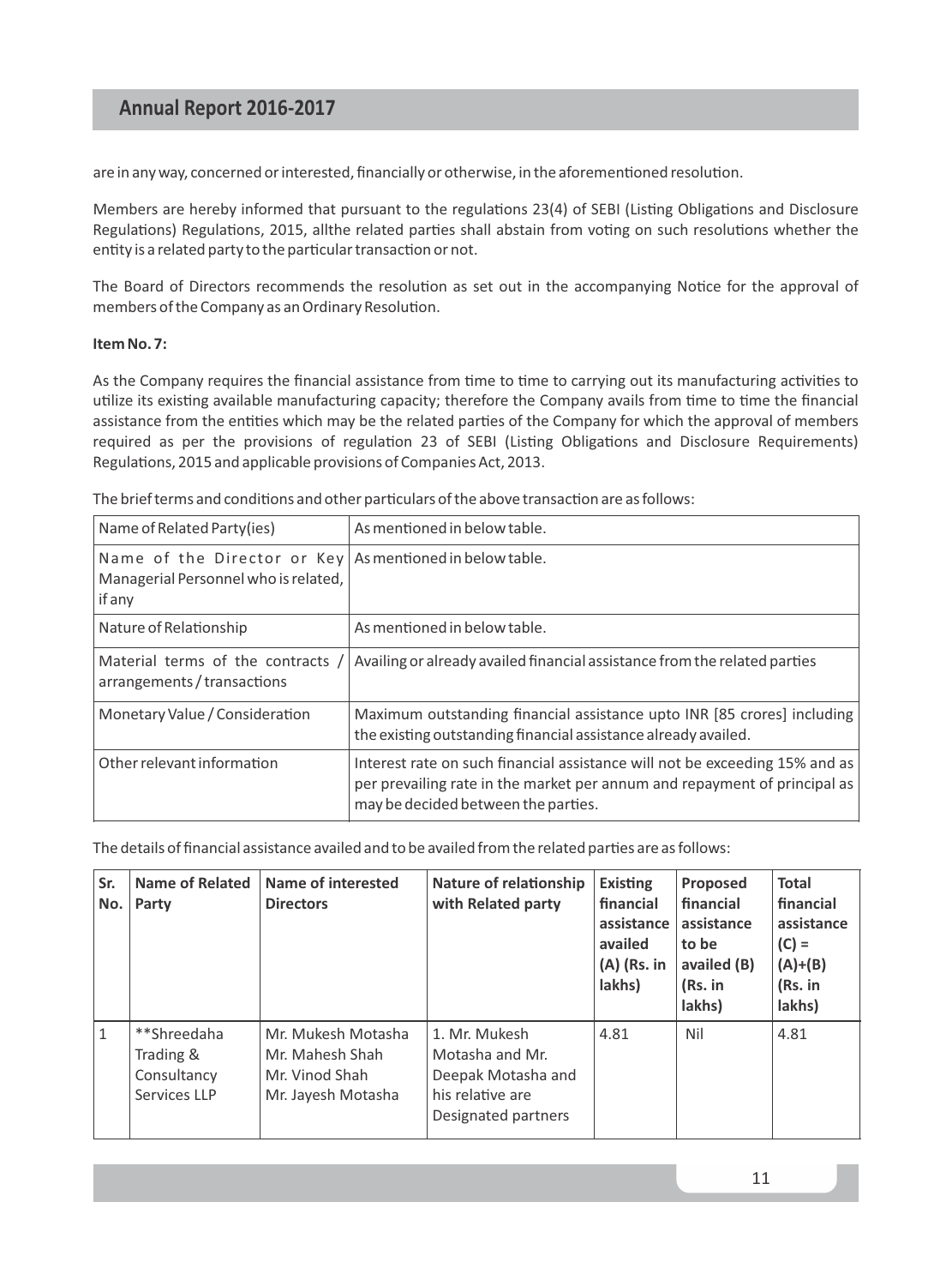are in any way, concerned or interested, financially or otherwise, in the aforementioned resolution.

Members are hereby informed that pursuant to the regulations 23(4) of SEBI (Listing Obligations and Disclosure Regulations) Regulations, 2015, allthe related parties shall abstain from voting on such resolutions whether the entity is a related party to the particular transaction or not.

The Board of Directors recommends the resolution as set out in the accompanying Notice for the approval of members of the Company as an Ordinary Resolution.

#### **Item No. 7:**

As the Company requires the financial assistance from time to time to carrying out its manufacturing activities to utilize its existing available manufacturing capacity; therefore the Company avails from time to time the financial assistance from the entities which may be the related parties of the Company for which the approval of members required as per the provisions of regulation 23 of SEBI (Listing Obligations and Disclosure Requirements) Regulations, 2015 and applicable provisions of Companies Act, 2013.

The brief terms and conditions and other particulars of the above transaction are as follows:

| Name of Related Party(ies)                                                                                   | As mentioned in below table.                                                                                                                                                                    |
|--------------------------------------------------------------------------------------------------------------|-------------------------------------------------------------------------------------------------------------------------------------------------------------------------------------------------|
| Name of the Director or $Key As$ mentioned in below table.<br>Managerial Personnel who is related,<br>if any |                                                                                                                                                                                                 |
| Nature of Relationship                                                                                       | As mentioned in below table.                                                                                                                                                                    |
| Material terms of the contracts /<br>arrangements / transactions                                             | Availing or already availed financial assistance from the related parties                                                                                                                       |
| Monetary Value / Consideration                                                                               | Maximum outstanding financial assistance upto INR [85 crores] including<br>the existing outstanding financial assistance already availed.                                                       |
| Other relevant information                                                                                   | Interest rate on such financial assistance will not be exceeding 15% and as<br>per prevailing rate in the market per annum and repayment of principal as<br>may be decided between the parties. |

The details of financial assistance availed and to be availed from the related parties are as follows:

| Sr.<br>No. | <b>Name of Related</b><br>Party                         | Name of interested<br><b>Directors</b>                                        | Nature of relationship<br>with Related party                                                      | <b>Existing</b><br>financial<br>assistance  <br>availed<br>$(A)$ (Rs. in<br>lakhs) | Proposed<br>financial<br>assistance<br>to be<br>availed (B)<br>(Rs. in<br>lakhs) | <b>Total</b><br>financial<br>assistance<br>$(C) =$<br>$(A)+(B)$<br>(Rs. in<br>lakhs) |
|------------|---------------------------------------------------------|-------------------------------------------------------------------------------|---------------------------------------------------------------------------------------------------|------------------------------------------------------------------------------------|----------------------------------------------------------------------------------|--------------------------------------------------------------------------------------|
| 1          | **Shreedaha<br>Trading &<br>Consultancy<br>Services LLP | Mr. Mukesh Motasha<br>Mr. Mahesh Shah<br>Mr. Vinod Shah<br>Mr. Jayesh Motasha | 1. Mr. Mukesh<br>Motasha and Mr.<br>Deepak Motasha and<br>his relative are<br>Designated partners | 4.81                                                                               | Nil                                                                              | 4.81                                                                                 |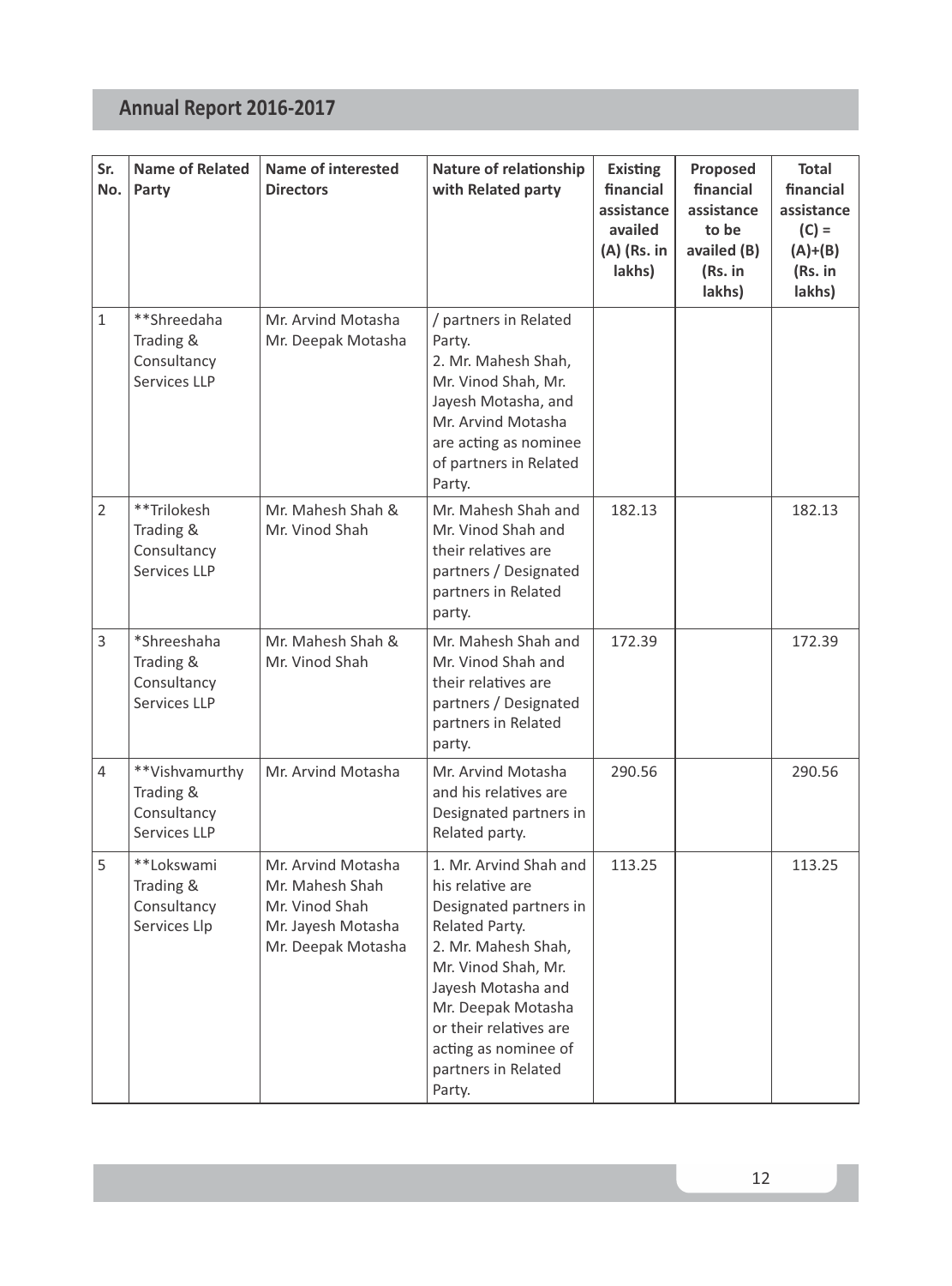| Sr.<br>No.     | <b>Name of Related</b><br>Party                            | <b>Name of interested</b><br><b>Directors</b>                                                       | Nature of relationship<br>with Related party                                                                                                                                                                                                                        | Existing<br>financial<br>assistance<br>availed<br>(A) (Rs. in<br>lakhs) | Proposed<br>financial<br>assistance<br>to be<br>availed (B)<br>(Rs. in<br>lakhs) | Total<br>financial<br>assistance<br>$(C) =$<br>$(A)+(B)$<br>(Rs. in<br>lakhs) |
|----------------|------------------------------------------------------------|-----------------------------------------------------------------------------------------------------|---------------------------------------------------------------------------------------------------------------------------------------------------------------------------------------------------------------------------------------------------------------------|-------------------------------------------------------------------------|----------------------------------------------------------------------------------|-------------------------------------------------------------------------------|
| $\mathbf{1}$   | **Shreedaha<br>Trading &<br>Consultancy<br>Services LLP    | Mr. Arvind Motasha<br>Mr. Deepak Motasha                                                            | / partners in Related<br>Party.<br>2. Mr. Mahesh Shah,<br>Mr. Vinod Shah, Mr.<br>Jayesh Motasha, and<br>Mr. Arvind Motasha<br>are acting as nominee<br>of partners in Related<br>Party.                                                                             |                                                                         |                                                                                  |                                                                               |
| $\overline{2}$ | **Trilokesh<br>Trading &<br>Consultancy<br>Services LLP    | Mr. Mahesh Shah &<br>Mr. Vinod Shah                                                                 | Mr. Mahesh Shah and<br>Mr. Vinod Shah and<br>their relatives are<br>partners / Designated<br>partners in Related<br>party.                                                                                                                                          | 182.13                                                                  |                                                                                  | 182.13                                                                        |
| 3              | *Shreeshaha<br>Trading &<br>Consultancy<br>Services LLP    | Mr. Mahesh Shah &<br>Mr. Vinod Shah                                                                 | Mr. Mahesh Shah and<br>Mr. Vinod Shah and<br>their relatives are<br>partners / Designated<br>partners in Related<br>party.                                                                                                                                          | 172.39                                                                  |                                                                                  | 172.39                                                                        |
| 4              | **Vishvamurthy<br>Trading &<br>Consultancy<br>Services LLP | Mr. Arvind Motasha                                                                                  | Mr. Arvind Motasha<br>and his relatives are<br>Designated partners in<br>Related party.                                                                                                                                                                             | 290.56                                                                  |                                                                                  | 290.56                                                                        |
| 5              | **Lokswami<br>Trading &<br>Consultancy<br>Services Llp     | Mr. Arvind Motasha<br>Mr. Mahesh Shah<br>Mr. Vinod Shah<br>Mr. Jayesh Motasha<br>Mr. Deepak Motasha | 1. Mr. Arvind Shah and<br>his relative are<br>Designated partners in<br>Related Party.<br>2. Mr. Mahesh Shah,<br>Mr. Vinod Shah, Mr.<br>Jayesh Motasha and<br>Mr. Deepak Motasha<br>or their relatives are<br>acting as nominee of<br>partners in Related<br>Party. | 113.25                                                                  |                                                                                  | 113.25                                                                        |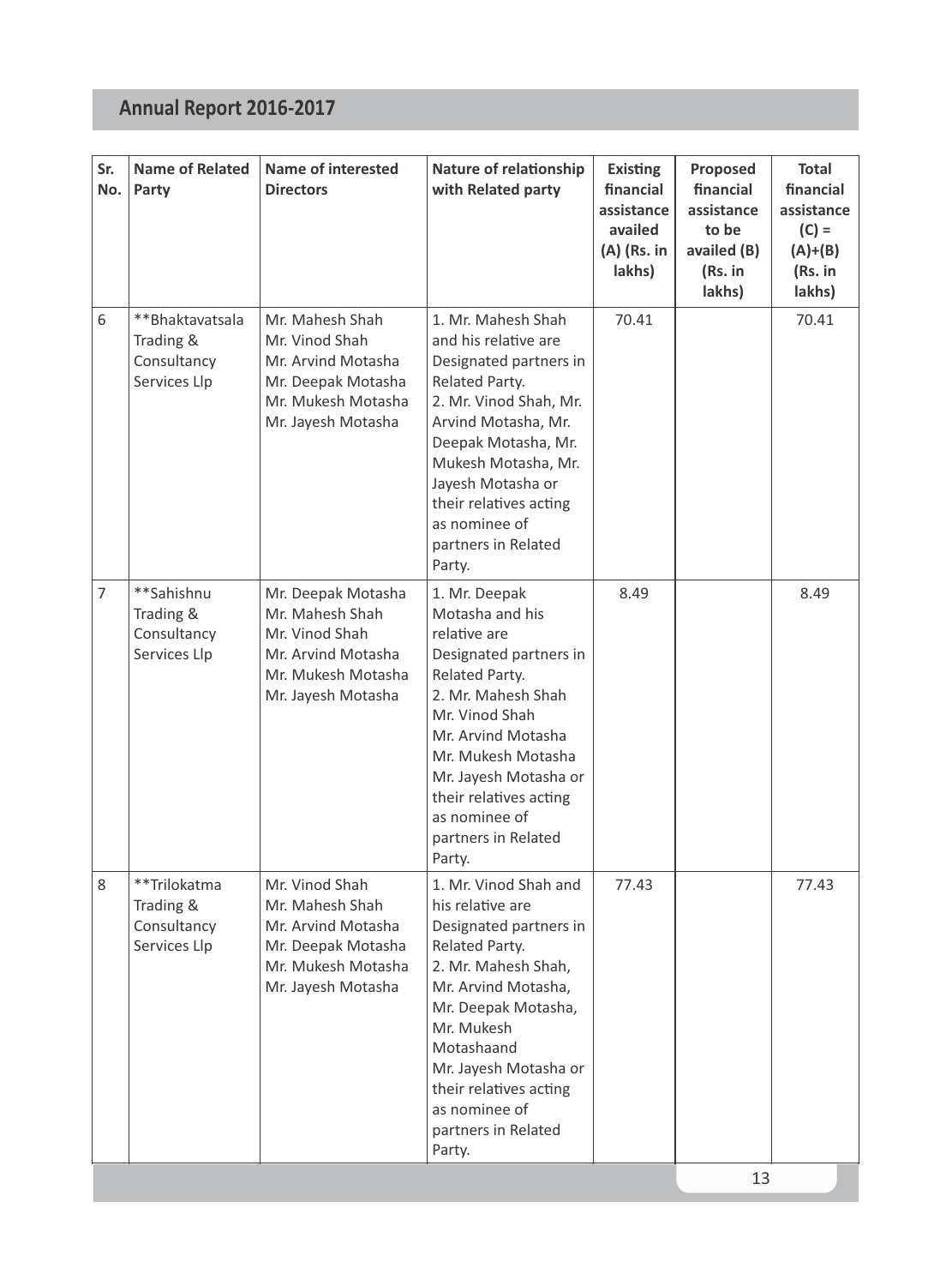| Sr.<br>No.     | <b>Name of Related</b><br>Party                             | <b>Name of interested</b><br><b>Directors</b>                                                                             | Nature of relationship<br>with Related party                                                                                                                                                                                                                                                | <b>Existing</b><br>financial<br>assistance<br>availed<br>(A) (Rs. in<br>lakhs) | Proposed<br>financial<br>assistance<br>to be<br>availed (B)<br>(Rs. in<br>lakhs) | Total<br>financial<br>assistance<br>$(C) =$<br>$(A)+(B)$<br>(Rs. in<br>lakhs) |
|----------------|-------------------------------------------------------------|---------------------------------------------------------------------------------------------------------------------------|---------------------------------------------------------------------------------------------------------------------------------------------------------------------------------------------------------------------------------------------------------------------------------------------|--------------------------------------------------------------------------------|----------------------------------------------------------------------------------|-------------------------------------------------------------------------------|
| 6              | **Bhaktavatsala<br>Trading &<br>Consultancy<br>Services Llp | Mr. Mahesh Shah<br>Mr. Vinod Shah<br>Mr. Arvind Motasha<br>Mr. Deepak Motasha<br>Mr. Mukesh Motasha<br>Mr. Jayesh Motasha | 1. Mr. Mahesh Shah<br>and his relative are<br>Designated partners in<br>Related Party.<br>2. Mr. Vinod Shah, Mr.<br>Arvind Motasha, Mr.<br>Deepak Motasha, Mr.<br>Mukesh Motasha, Mr.<br>Jayesh Motasha or<br>their relatives acting<br>as nominee of<br>partners in Related<br>Party.      | 70.41                                                                          |                                                                                  | 70.41                                                                         |
| $\overline{7}$ | **Sahishnu<br>Trading &<br>Consultancy<br>Services Llp      | Mr. Deepak Motasha<br>Mr. Mahesh Shah<br>Mr. Vinod Shah<br>Mr. Arvind Motasha<br>Mr. Mukesh Motasha<br>Mr. Jayesh Motasha | 1. Mr. Deepak<br>Motasha and his<br>relative are<br>Designated partners in<br>Related Party.<br>2. Mr. Mahesh Shah<br>Mr. Vinod Shah<br>Mr. Arvind Motasha<br>Mr. Mukesh Motasha<br>Mr. Jayesh Motasha or<br>their relatives acting<br>as nominee of<br>partners in Related<br>Party.       | 8.49                                                                           |                                                                                  | 8.49                                                                          |
| 8              | **Trilokatma<br>Trading &<br>Consultancy<br>Services Llp    | Mr. Vinod Shah<br>Mr. Mahesh Shah<br>Mr. Arvind Motasha<br>Mr. Deepak Motasha<br>Mr. Mukesh Motasha<br>Mr. Jayesh Motasha | 1. Mr. Vinod Shah and<br>his relative are<br>Designated partners in<br>Related Party.<br>2. Mr. Mahesh Shah,<br>Mr. Arvind Motasha,<br>Mr. Deepak Motasha,<br>Mr. Mukesh<br>Motashaand<br>Mr. Jayesh Motasha or<br>their relatives acting<br>as nominee of<br>partners in Related<br>Party. | 77.43                                                                          |                                                                                  | 77.43                                                                         |
|                |                                                             |                                                                                                                           |                                                                                                                                                                                                                                                                                             |                                                                                | 13                                                                               |                                                                               |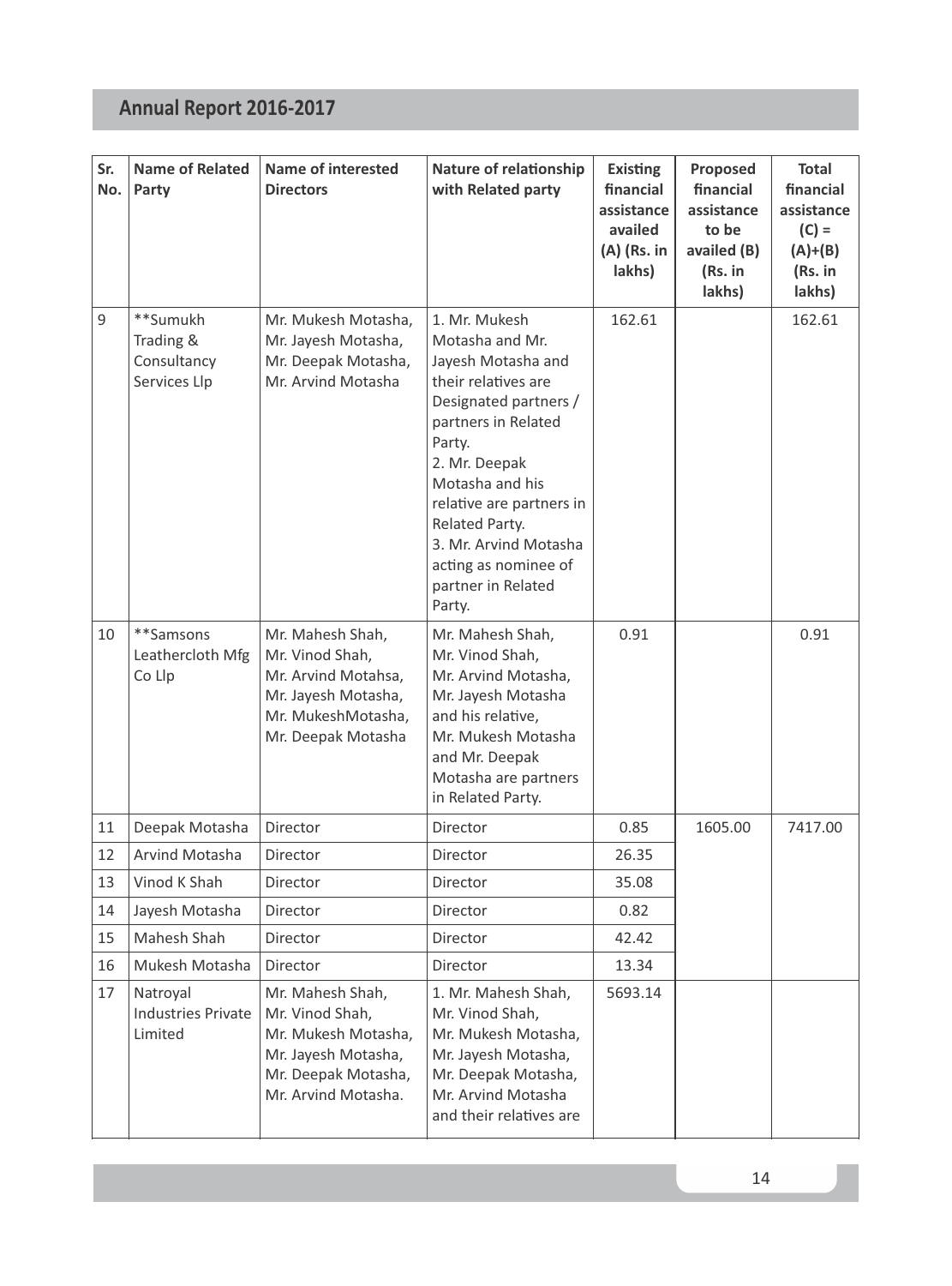| Sr.<br>No. | <b>Name of Related</b><br>Party                      | <b>Name of interested</b><br><b>Directors</b>                                                                                   | Nature of relationship<br>with Related party                                                                                                                                                                                                                                                               | <b>Existing</b><br>financial<br>assistance<br>availed<br>(A) (Rs. in<br>lakhs) | Proposed<br>financial<br>assistance<br>to be<br>availed (B)<br>(Rs. in<br>lakhs) | Total<br>financial<br>assistance<br>$(C) =$<br>$(A)+(B)$<br>(Rs. in<br>lakhs) |
|------------|------------------------------------------------------|---------------------------------------------------------------------------------------------------------------------------------|------------------------------------------------------------------------------------------------------------------------------------------------------------------------------------------------------------------------------------------------------------------------------------------------------------|--------------------------------------------------------------------------------|----------------------------------------------------------------------------------|-------------------------------------------------------------------------------|
| 9          | **Sumukh<br>Trading &<br>Consultancy<br>Services Llp | Mr. Mukesh Motasha,<br>Mr. Jayesh Motasha,<br>Mr. Deepak Motasha,<br>Mr. Arvind Motasha                                         | 1. Mr. Mukesh<br>Motasha and Mr.<br>Jayesh Motasha and<br>their relatives are<br>Designated partners /<br>partners in Related<br>Party.<br>2. Mr. Deepak<br>Motasha and his<br>relative are partners in<br>Related Party.<br>3. Mr. Arvind Motasha<br>acting as nominee of<br>partner in Related<br>Party. | 162.61                                                                         |                                                                                  | 162.61                                                                        |
| 10         | **Samsons<br>Leathercloth Mfg<br>Co Llp              | Mr. Mahesh Shah,<br>Mr. Vinod Shah,<br>Mr. Arvind Motahsa,<br>Mr. Jayesh Motasha,<br>Mr. MukeshMotasha,<br>Mr. Deepak Motasha   | Mr. Mahesh Shah,<br>Mr. Vinod Shah.<br>Mr. Arvind Motasha,<br>Mr. Jayesh Motasha<br>and his relative,<br>Mr. Mukesh Motasha<br>and Mr. Deepak<br>Motasha are partners<br>in Related Party.                                                                                                                 | 0.91                                                                           |                                                                                  | 0.91                                                                          |
| 11         | Deepak Motasha                                       | <b>Director</b>                                                                                                                 | Director                                                                                                                                                                                                                                                                                                   | 0.85                                                                           | 1605.00                                                                          | 7417.00                                                                       |
| 12         | Arvind Motasha                                       | Director                                                                                                                        | Director                                                                                                                                                                                                                                                                                                   | 26.35                                                                          |                                                                                  |                                                                               |
| 13         | Vinod K Shah                                         | Director                                                                                                                        | Director                                                                                                                                                                                                                                                                                                   | 35.08                                                                          |                                                                                  |                                                                               |
| 14         | Jayesh Motasha                                       | Director                                                                                                                        | Director                                                                                                                                                                                                                                                                                                   | 0.82                                                                           |                                                                                  |                                                                               |
| 15         | Mahesh Shah                                          | Director                                                                                                                        | Director                                                                                                                                                                                                                                                                                                   | 42.42                                                                          |                                                                                  |                                                                               |
| 16         | Mukesh Motasha                                       | Director                                                                                                                        | Director                                                                                                                                                                                                                                                                                                   | 13.34                                                                          |                                                                                  |                                                                               |
| 17         | Natroyal<br><b>Industries Private</b><br>Limited     | Mr. Mahesh Shah,<br>Mr. Vinod Shah,<br>Mr. Mukesh Motasha,<br>Mr. Jayesh Motasha,<br>Mr. Deepak Motasha,<br>Mr. Arvind Motasha. | 1. Mr. Mahesh Shah,<br>Mr. Vinod Shah,<br>Mr. Mukesh Motasha,<br>Mr. Jayesh Motasha,<br>Mr. Deepak Motasha,<br>Mr. Arvind Motasha<br>and their relatives are                                                                                                                                               | 5693.14                                                                        |                                                                                  |                                                                               |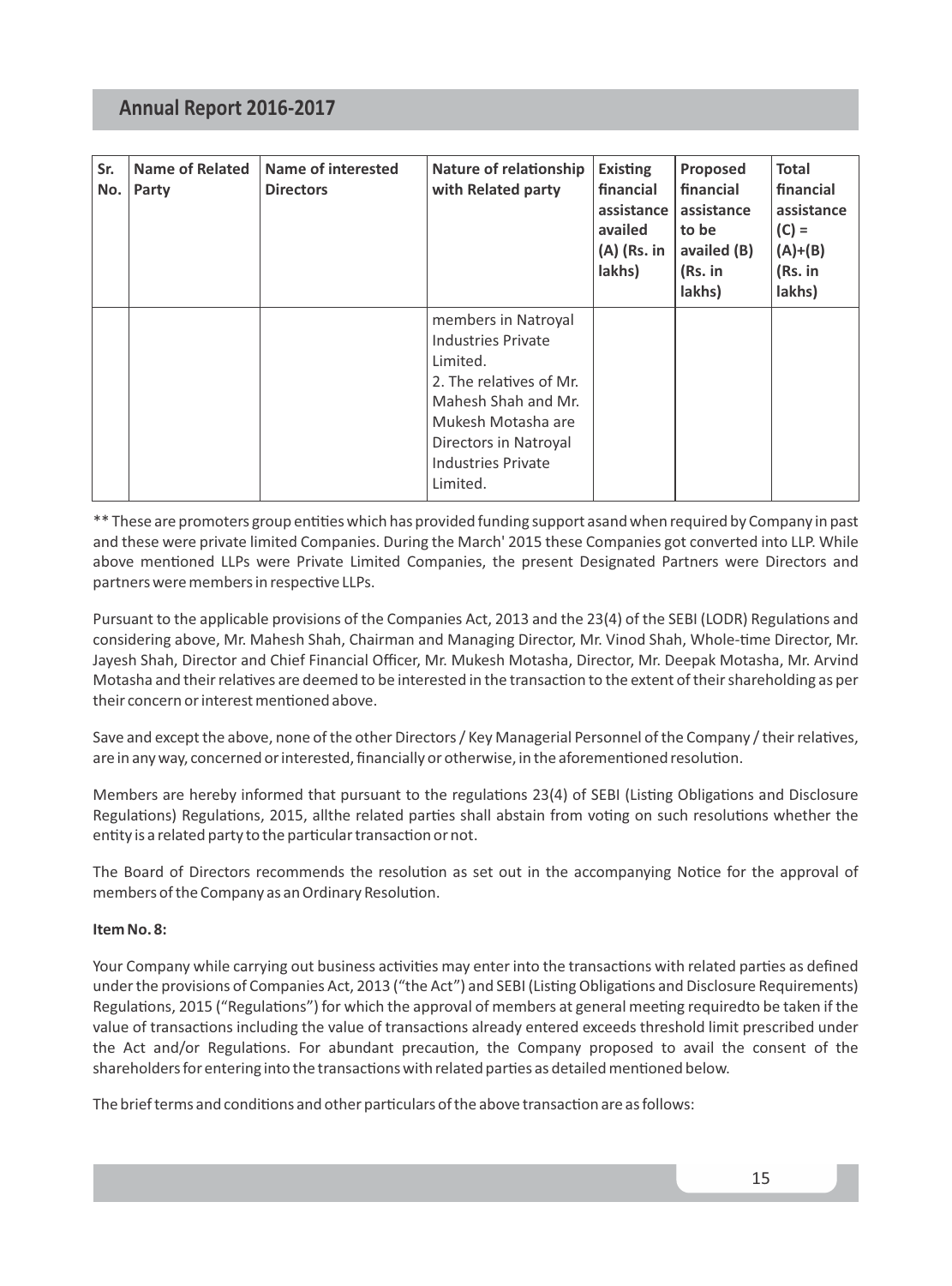| Sr.<br>No. | <b>Name of Related</b><br>Party | Name of interested<br><b>Directors</b> | Nature of relationship<br>with Related party                                                                                                                                                           | Existing<br>financial<br>assistance  <br>availed<br>$(A)$ (Rs. in<br>lakhs) | Proposed<br>financial<br>assistance<br>to be<br>availed (B)<br>(Rs. in<br>lakhs) | <b>Total</b><br>financial<br>assistance<br>$(C) =$<br>$(A)+(B)$<br>(Rs. in<br>lakhs) |
|------------|---------------------------------|----------------------------------------|--------------------------------------------------------------------------------------------------------------------------------------------------------------------------------------------------------|-----------------------------------------------------------------------------|----------------------------------------------------------------------------------|--------------------------------------------------------------------------------------|
|            |                                 |                                        | members in Natroyal<br><b>Industries Private</b><br>Limited.<br>2. The relatives of Mr.<br>Mahesh Shah and Mr.<br>Mukesh Motasha are<br>Directors in Natroyal<br><b>Industries Private</b><br>Limited. |                                                                             |                                                                                  |                                                                                      |

\*\* These are promoters group entities which has provided funding support asand when required by Company in past and these were private limited Companies. During the March' 2015 these Companies got converted into LLP. While above mentioned LLPs were Private Limited Companies, the present Designated Partners were Directors and partners were members in respective LLPs.

Pursuant to the applicable provisions of the Companies Act, 2013 and the 23(4) of the SEBI (LODR) Regulations and considering above, Mr. Mahesh Shah, Chairman and Managing Director, Mr. Vinod Shah, Whole-time Director, Mr. Jayesh Shah, Director and Chief Financial Officer, Mr. Mukesh Motasha, Director, Mr. Deepak Motasha, Mr. Arvind Motasha and their relatives are deemed to be interested in the transaction to the extent of their shareholding as per their concern or interest mentioned above

Save and except the above, none of the other Directors / Key Managerial Personnel of the Company / their relatives, are in any way, concerned or interested, financially or otherwise, in the aforementioned resolution.

Members are hereby informed that pursuant to the regulations 23(4) of SEBI (Listing Obligations and Disclosure Regulations) Regulations, 2015, allthe related parties shall abstain from voting on such resolutions whether the entity is a related party to the particular transaction or not.

The Board of Directors recommends the resolution as set out in the accompanying Notice for the approval of members of the Company as an Ordinary Resolution.

#### **Item No. 8:**

Your Company while carrying out business activities may enter into the transactions with related parties as defined under the provisions of Companies Act, 2013 ("the Act") and SEBI (Listing Obligations and Disclosure Requirements) Regulations, 2015 ("Regulations") for which the approval of members at general meeting requiredto be taken if the value of transactions including the value of transactions already entered exceeds threshold limit prescribed under the Act and/or Regulations. For abundant precaution, the Company proposed to avail the consent of the shareholders for entering into the transactions with related parties as detailed mentioned below.

The brief terms and conditions and other particulars of the above transaction are as follows: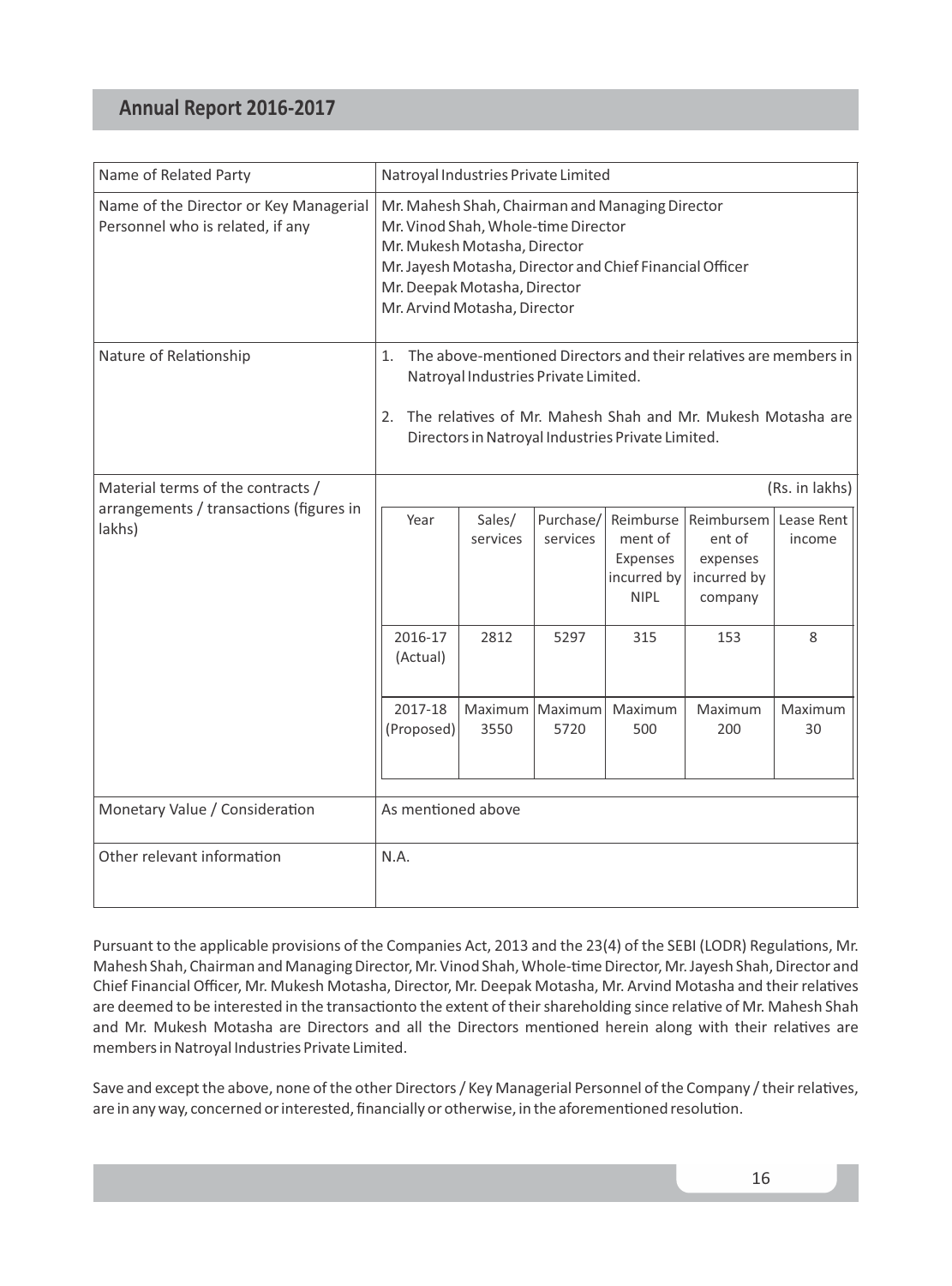| Name of Related Party                                                      | Natroyal Industries Private Limited                                                                                                                                                                                                                |                         |                       |                                                                |                                                            |                      |
|----------------------------------------------------------------------------|----------------------------------------------------------------------------------------------------------------------------------------------------------------------------------------------------------------------------------------------------|-------------------------|-----------------------|----------------------------------------------------------------|------------------------------------------------------------|----------------------|
| Name of the Director or Key Managerial<br>Personnel who is related, if any | Mr. Mahesh Shah, Chairman and Managing Director<br>Mr. Vinod Shah, Whole-time Director<br>Mr. Mukesh Motasha, Director<br>Mr. Jayesh Motasha, Director and Chief Financial Officer<br>Mr. Deepak Motasha, Director<br>Mr. Arvind Motasha, Director |                         |                       |                                                                |                                                            |                      |
| Nature of Relationship                                                     | The above-mentioned Directors and their relatives are members in<br>$1_{-}$<br>Natroyal Industries Private Limited.<br>The relatives of Mr. Mahesh Shah and Mr. Mukesh Motasha are<br>2.<br>Directors in Natroyal Industries Private Limited.      |                         |                       |                                                                |                                                            |                      |
| Material terms of the contracts /                                          | (Rs. in lakhs)                                                                                                                                                                                                                                     |                         |                       |                                                                |                                                            |                      |
| arrangements / transactions (figures in<br>lakhs)                          | Year                                                                                                                                                                                                                                               | Sales/<br>services      | Purchase/<br>services | Reimburse<br>ment of<br>Expenses<br>incurred by<br><b>NIPL</b> | Reimbursem<br>ent of<br>expenses<br>incurred by<br>company | Lease Rent<br>income |
|                                                                            | 2016-17<br>(Actual)                                                                                                                                                                                                                                | 2812                    | 5297                  | 315                                                            | 153                                                        | 8                    |
|                                                                            | 2017-18<br>(Proposed)                                                                                                                                                                                                                              | Maximum Maximum<br>3550 | 5720                  | Maximum<br>500                                                 | Maximum<br>200                                             | Maximum<br>30        |
| Monetary Value / Consideration                                             | As mentioned above                                                                                                                                                                                                                                 |                         |                       |                                                                |                                                            |                      |
| Other relevant information                                                 | N.A.                                                                                                                                                                                                                                               |                         |                       |                                                                |                                                            |                      |

Pursuant to the applicable provisions of the Companies Act, 2013 and the 23(4) of the SEBI (LODR) Regulations, Mr. Mahesh Shah, Chairman and Managing Director, Mr. Vinod Shah, Whole-time Director, Mr. Jayesh Shah, Director and Chief Financial Officer, Mr. Mukesh Motasha, Director, Mr. Deepak Motasha, Mr. Arvind Motasha and their relatives are deemed to be interested in the transactionto the extent of their shareholding since relative of Mr. Mahesh Shah and Mr. Mukesh Motasha are Directors and all the Directors mentioned herein along with their relatives are members in Natroyal Industries Private Limited.

Save and except the above, none of the other Directors / Key Managerial Personnel of the Company / their relatives, are in any way, concerned or interested, financially or otherwise, in the aforementioned resolution.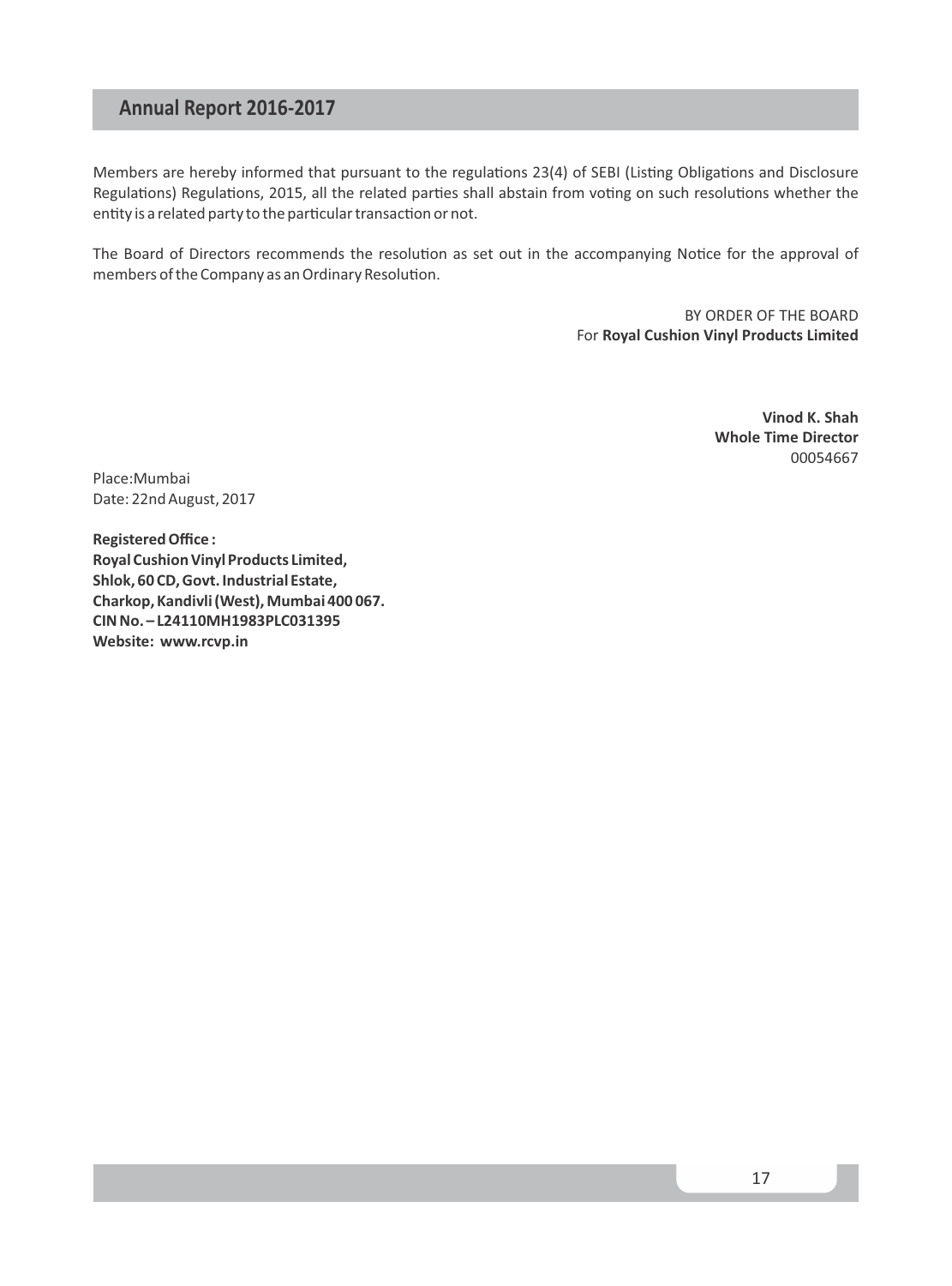Members are hereby informed that pursuant to the regulations 23(4) of SEBI (Listing Obligations and Disclosure Regulations) Regulations, 2015, all the related parties shall abstain from voting on such resolutions whether the entity is a related party to the particular transaction or not.

The Board of Directors recommends the resolution as set out in the accompanying Notice for the approval of members of the Company as an Ordinary Resolution.

> BY ORDER OF THE BOARD For **Royal Cushion Vinyl Products Limited**

> > **Vinod K. Shah Whole Time Director** 00054667

Place:Mumbai Date: 22nd August, 2017

**Registered Office : Royal Cushion Vinyl Products Limited, Shlok, 60 CD, Govt. Industrial Estate, Charkop, Kandivli (West), Mumbai 400 067. CIN No. – L24110MH1983PLC031395 Website: www.rcvp.in**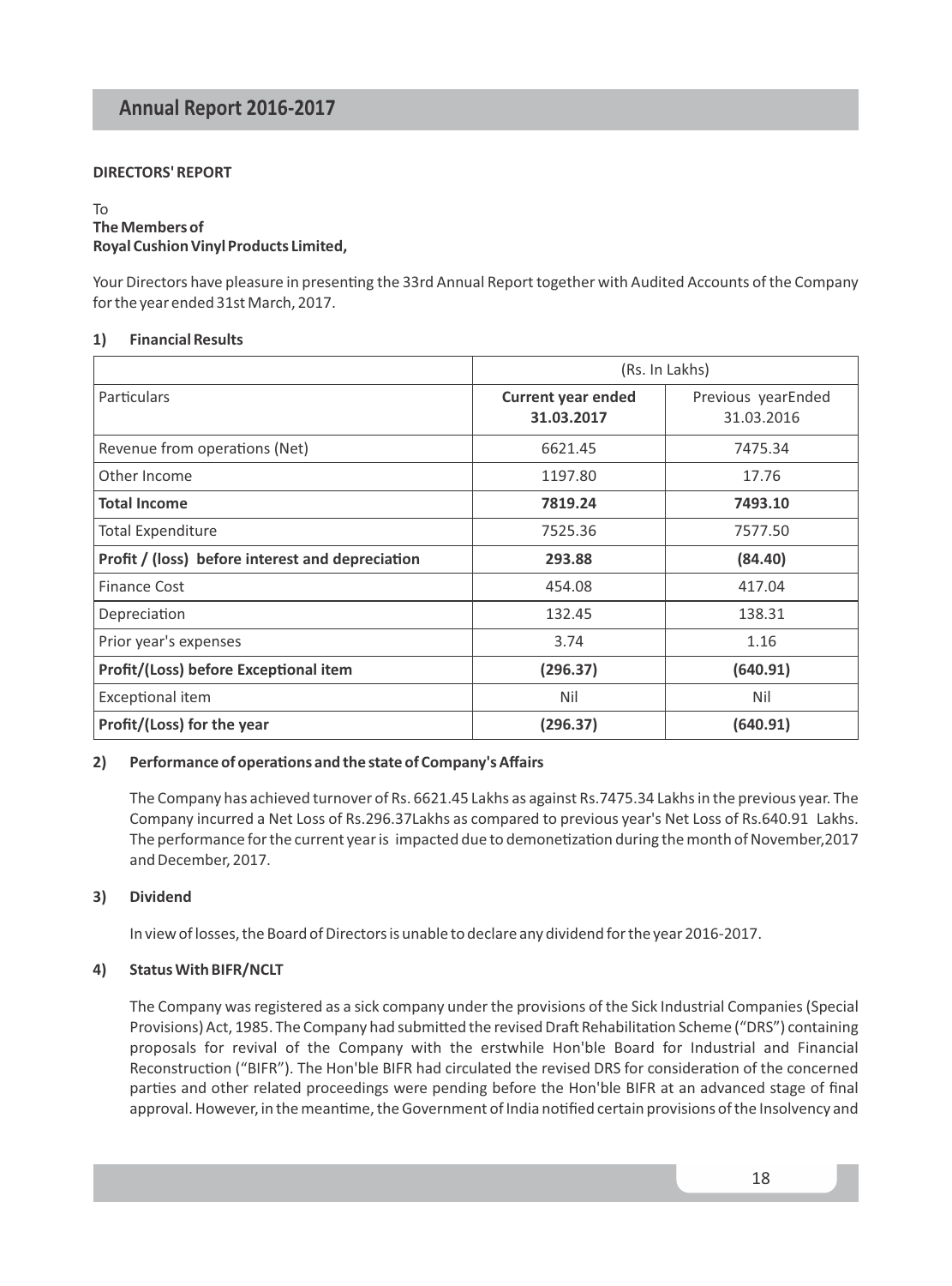#### **DIRECTORS' REPORT**

#### To **The Members of Royal Cushion Vinyl Products Limited,**

Your Directors have pleasure in presenting the 33rd Annual Report together with Audited Accounts of the Company for the year ended 31st March, 2017.

#### **1) Financial Results**

|                                                  | (Rs. In Lakhs)                          |                                  |  |
|--------------------------------------------------|-----------------------------------------|----------------------------------|--|
| <b>Particulars</b>                               | <b>Current year ended</b><br>31.03.2017 | Previous yearEnded<br>31.03.2016 |  |
| Revenue from operations (Net)                    | 6621.45                                 | 7475.34                          |  |
| Other Income                                     | 1197.80                                 | 17.76                            |  |
| <b>Total Income</b>                              | 7819.24                                 | 7493.10                          |  |
| <b>Total Expenditure</b>                         | 7525.36                                 | 7577.50                          |  |
| Profit / (loss) before interest and depreciation | 293.88                                  | (84.40)                          |  |
| <b>Finance Cost</b>                              | 454.08                                  | 417.04                           |  |
| Depreciation                                     | 132.45                                  | 138.31                           |  |
| Prior year's expenses                            | 3.74                                    | 1.16                             |  |
| Profit/(Loss) before Exceptional item            | (296.37)                                | (640.91)                         |  |
| Exceptional item                                 | Nil                                     | Nil                              |  |
| Profit/(Loss) for the year                       | (296.37)                                | (640.91)                         |  |

#### 2) Performance of operations and the state of Company's Affairs

The Company has achieved turnover of Rs. 6621.45 Lakhs as against Rs.7475.34 Lakhs in the previous year. The Company incurred a Net Loss of Rs.296.37Lakhs as compared to previous year's Net Loss of Rs.640.91 Lakhs. The performance for the current year is impacted due to demonetization during the month of November, 2017 and December, 2017.

#### **3) Dividend**

In view of losses, the Board of Directors is unable to declare any dividend for the year 2016-2017.

#### **4) Status With BIFR/NCLT**

The Company was registered as a sick company under the provisions of the Sick Industrial Companies (Special Provisions) Act, 1985. The Company had submitted the revised Draft Rehabilitation Scheme ("DRS") containing proposals for revival of the Company with the erstwhile Hon'ble Board for Industrial and Financial Reconstruction ("BIFR"). The Hon'ble BIFR had circulated the revised DRS for consideration of the concerned parties and other related proceedings were pending before the Hon'ble BIFR at an advanced stage of final approval. However, in the meantime, the Government of India notified certain provisions of the Insolvency and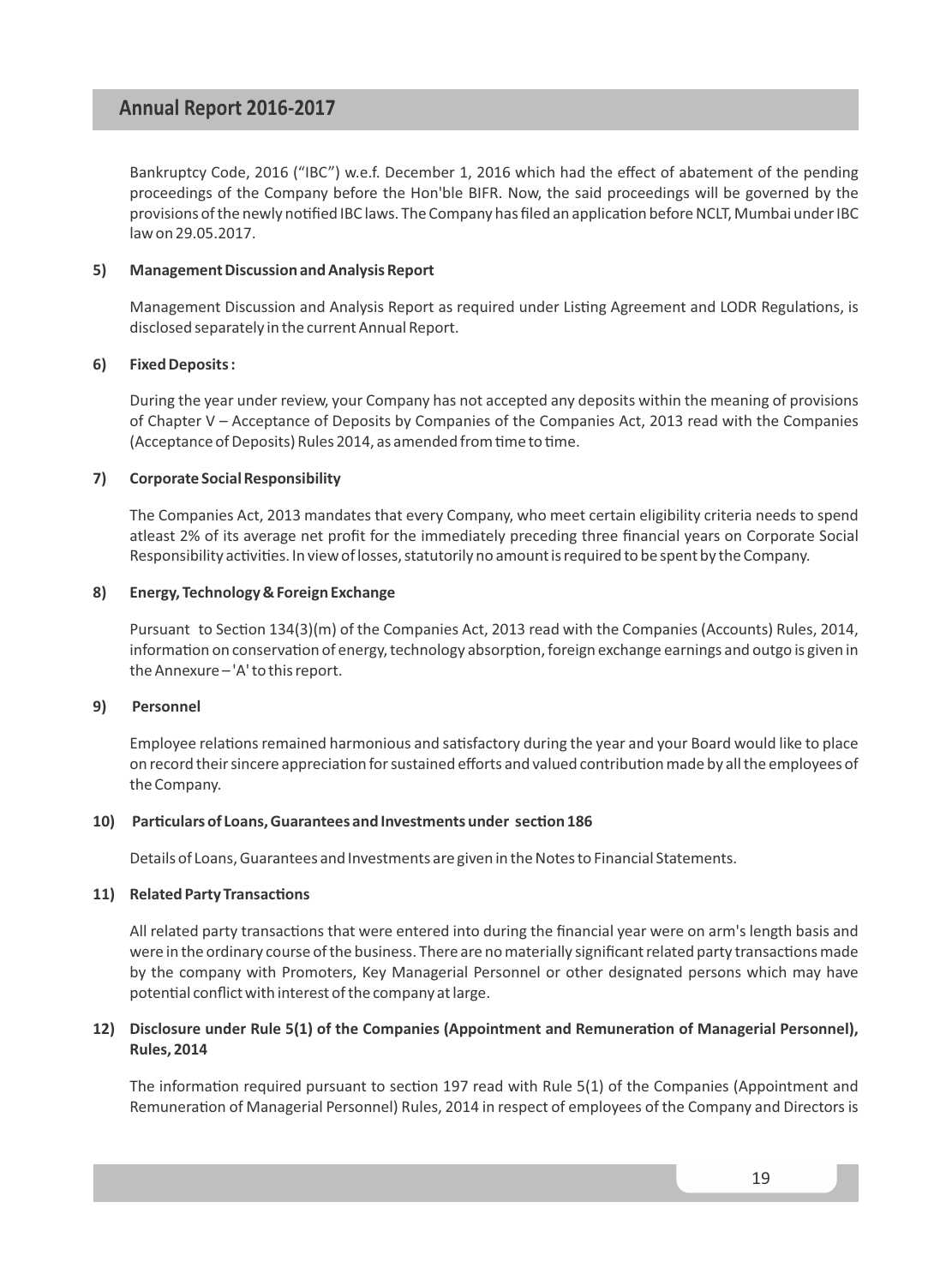Bankruptcy Code, 2016 ("IBC") w.e.f. December 1, 2016 which had the effect of abatement of the pending proceedings of the Company before the Hon'ble BIFR. Now, the said proceedings will be governed by the provisions of the newly notified IBC laws. The Company has filed an application before NCLT, Mumbai under IBC law on 29.05.2017.

#### **5) Management Discussion and Analysis Report**

Management Discussion and Analysis Report as required under Listing Agreement and LODR Regulations, is disclosed separately in the current Annual Report.

#### **6) Fixed Deposits :**

During the year under review, your Company has not accepted any deposits within the meaning of provisions of Chapter V – Acceptance of Deposits by Companies of the Companies Act, 2013 read with the Companies (Acceptance of Deposits) Rules 2014, as amended from time to time.

#### **7) Corporate Social Responsibility**

The Companies Act, 2013 mandates that every Company, who meet certain eligibility criteria needs to spend atleast 2% of its average net profit for the immediately preceding three financial years on Corporate Social Responsibility activities. In view of losses, statutorily no amount is required to be spent by the Company.

#### **8) Energy, Technology & Foreign Exchange**

Pursuant to Section 134(3)(m) of the Companies Act, 2013 read with the Companies (Accounts) Rules, 2014, information on conservation of energy, technology absorption, foreign exchange earnings and outgo is given in the Annexure – 'A' to this report.

#### **9) Personnel**

Employee relations remained harmonious and satisfactory during the year and your Board would like to place on record their sincere appreciation for sustained efforts and valued contribution made by all the employees of the Company.

#### 10) Particulars of Loans, Guarantees and Investments under section 186

Details of Loans, Guarantees and Investments are given in the Notes to Financial Statements.

#### **11)** Related Party Transactions

All related party transactions that were entered into during the financial year were on arm's length basis and were in the ordinary course of the business. There are no materially significant related party transactions made by the company with Promoters, Key Managerial Personnel or other designated persons which may have potential conflict with interest of the company at large.

#### **12)** Disclosure under Rule 5(1) of the Companies (Appointment and Remuneration of Managerial Personnel), **Rules, 2014**

The information required pursuant to section 197 read with Rule 5(1) of the Companies (Appointment and Remuneration of Managerial Personnel) Rules, 2014 in respect of employees of the Company and Directors is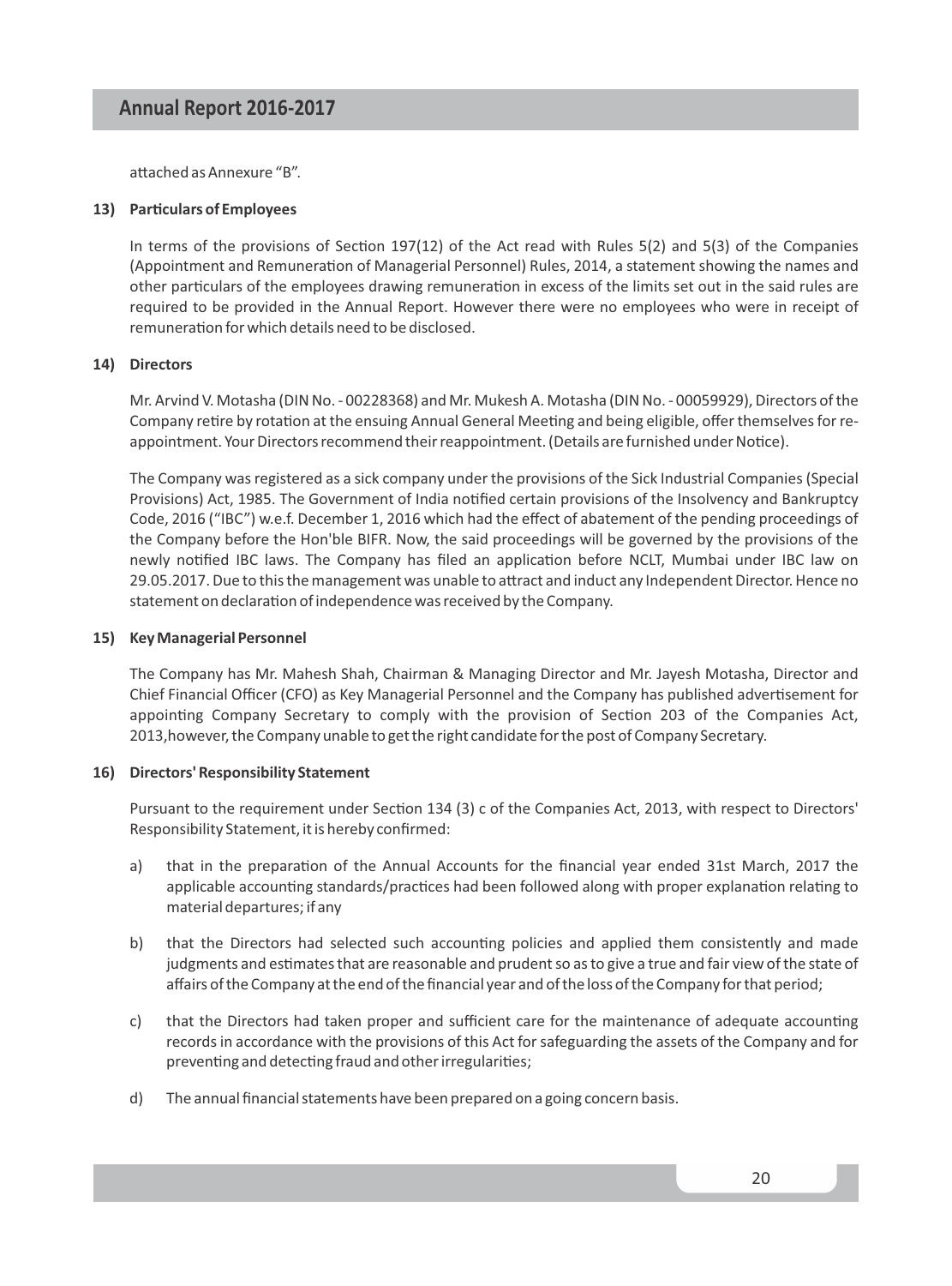attached as Annexure "B".

#### **13)** Particulars of Employees

In terms of the provisions of Section 197(12) of the Act read with Rules  $5(2)$  and  $5(3)$  of the Companies (Appointment and Remuneration of Managerial Personnel) Rules, 2014, a statement showing the names and other particulars of the employees drawing remuneration in excess of the limits set out in the said rules are required to be provided in the Annual Report. However there were no employees who were in receipt of remuneration for which details need to be disclosed.

#### **14) Directors**

Mr. Arvind V. Motasha (DIN No. - 00228368) and Mr. Mukesh A. Motasha (DIN No. - 00059929), Directors of the Company retire by rotation at the ensuing Annual General Meeting and being eligible, offer themselves for reappointment. Your Directors recommend their reappointment. (Details are furnished under Notice).

The Company was registered as a sick company under the provisions of the Sick Industrial Companies (Special Provisions) Act, 1985. The Government of India nofied certain provisions of the Insolvency and Bankruptcy Code, 2016 ("IBC") w.e.f. December 1, 2016 which had the effect of abatement of the pending proceedings of the Company before the Hon'ble BIFR. Now, the said proceedings will be governed by the provisions of the newly notified IBC laws. The Company has filed an application before NCLT, Mumbai under IBC law on 29.05.2017. Due to this the management was unable to attract and induct any Independent Director. Hence no statement on declaration of independence was received by the Company.

#### **15) Key Managerial Personnel**

The Company has Mr. Mahesh Shah, Chairman & Managing Director and Mr. Jayesh Motasha, Director and Chief Financial Officer (CFO) as Key Managerial Personnel and the Company has published advertisement for appointing Company Secretary to comply with the provision of Section 203 of the Companies Act. 2013,however, the Company unable to get the right candidate for the post of Company Secretary.

#### **16) Directors' Responsibility Statement**

Pursuant to the requirement under Section 134 (3) c of the Companies Act, 2013, with respect to Directors' Responsibility Statement, it is hereby confirmed:

- a) that in the preparation of the Annual Accounts for the financial year ended 31st March, 2017 the applicable accounting standards/practices had been followed along with proper explanation relating to material departures; if any
- b) that the Directors had selected such accounting policies and applied them consistently and made judgments and estimates that are reasonable and prudent so as to give a true and fair view of the state of affairs of the Company at the end of the financial year and of the loss of the Company for that period;
- c) that the Directors had taken proper and sufficient care for the maintenance of adequate accounting records in accordance with the provisions of this Act for safeguarding the assets of the Company and for preventing and detecting fraud and other irregularities;
- d) The annual financial statements have been prepared on a going concern basis.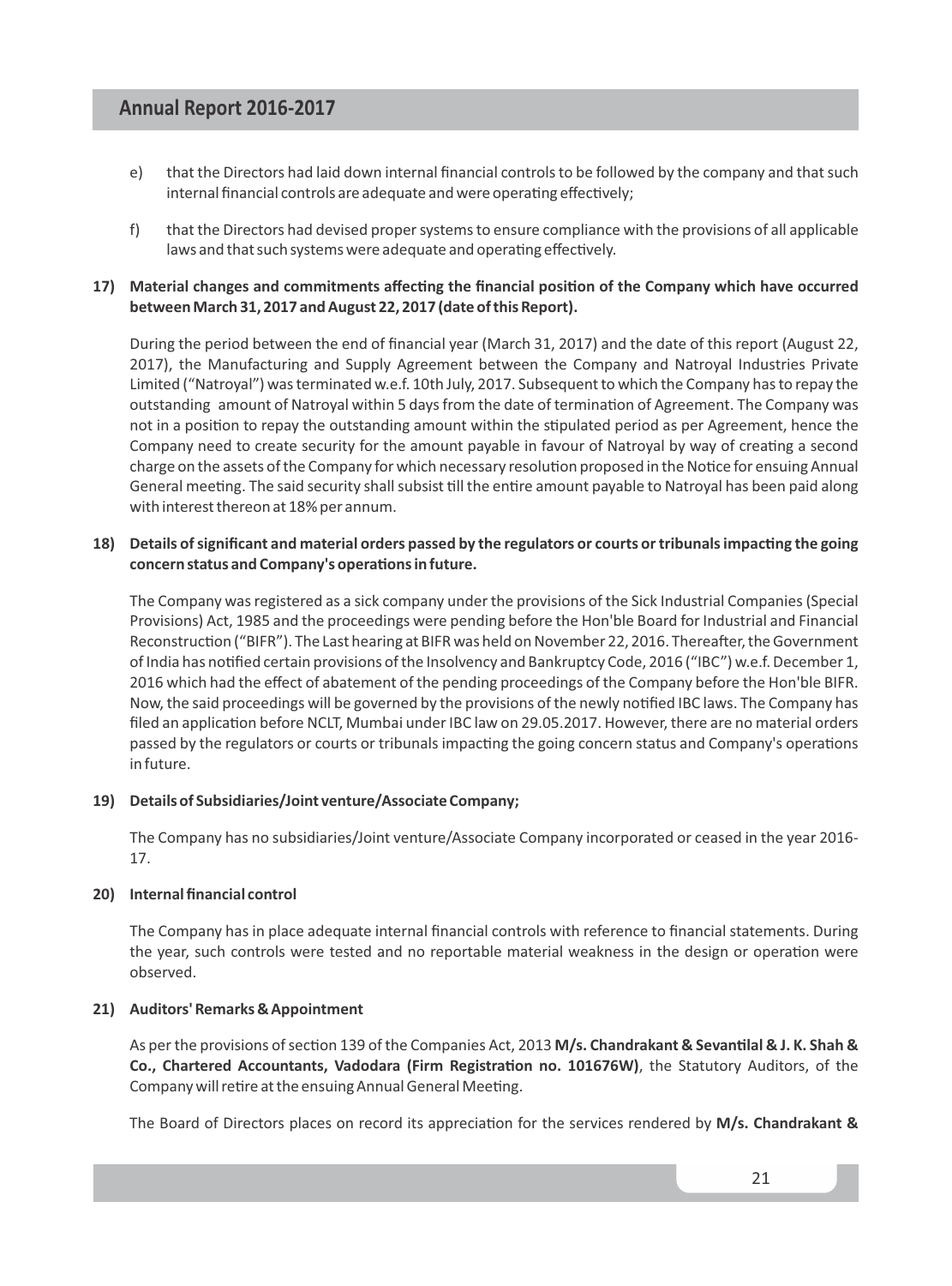- e) that the Directors had laid down internal financial controls to be followed by the company and that such internal financial controls are adequate and were operating effectively:
- f) that the Directors had devised proper systems to ensure compliance with the provisions of all applicable laws and that such systems were adequate and operating effectively.

#### 17) Material changes and commitments affecting the financial position of the Company which have occurred **between March 31, 2017 and August 22, 2017 (date of this Report).**

During the period between the end of financial year (March 31, 2017) and the date of this report (August 22, 2017), the Manufacturing and Supply Agreement between the Company and Natroyal Industries Private Limited ("Natroyal") was terminated w.e.f. 10th July, 2017. Subsequent to which the Company has to repay the outstanding amount of Natroyal within 5 days from the date of termination of Agreement. The Company was not in a position to repay the outstanding amount within the stipulated period as per Agreement, hence the Company need to create security for the amount payable in favour of Natroyal by way of creating a second charge on the assets of the Company for which necessary resolution proposed in the Notice for ensuing Annual General meeting. The said security shall subsist till the entire amount payable to Natroyal has been paid along with interest thereon at 18% per annum.

#### **18)** Details of significant and material orders passed by the regulators or courts or tribunals impacting the going concern status and Company's operations in future.

The Company was registered as a sick company under the provisions of the Sick Industrial Companies (Special Provisions) Act, 1985 and the proceedings were pending before the Hon'ble Board for Industrial and Financial Reconstruction ("BIFR"). The Last hearing at BIFR was held on November 22, 2016. Thereafter, the Government of India has nofied certain provisions of the Insolvency and Bankruptcy Code, 2016 ("IBC") w.e.f. December 1, 2016 which had the effect of abatement of the pending proceedings of the Company before the Hon'ble BIFR. Now, the said proceedings will be governed by the provisions of the newly notified IBC laws. The Company has filed an application before NCLT, Mumbai under IBC law on 29.05.2017. However, there are no material orders passed by the regulators or courts or tribunals impacting the going concern status and Company's operations in future.

#### **19) Details of Subsidiaries/Joint venture/Associate Company;**

The Company has no subsidiaries/Joint venture/Associate Company incorporated or ceased in the year 2016- 17.

#### **20) Internal financial control**

The Company has in place adequate internal financial controls with reference to financial statements. During the year, such controls were tested and no reportable material weakness in the design or operation were observed.

#### **21) Auditors' Remarks & Appointment**

As per the provisions of section 139 of the Companies Act, 2013 M/s. Chandrakant & Sevantilal & J. K. Shah & Co., Chartered Accountants, Vadodara (Firm Registration no. 101676W), the Statutory Auditors, of the Company will retire at the ensuing Annual General Meeting.

The Board of Directors places on record its appreciation for the services rendered by M/s. Chandrakant &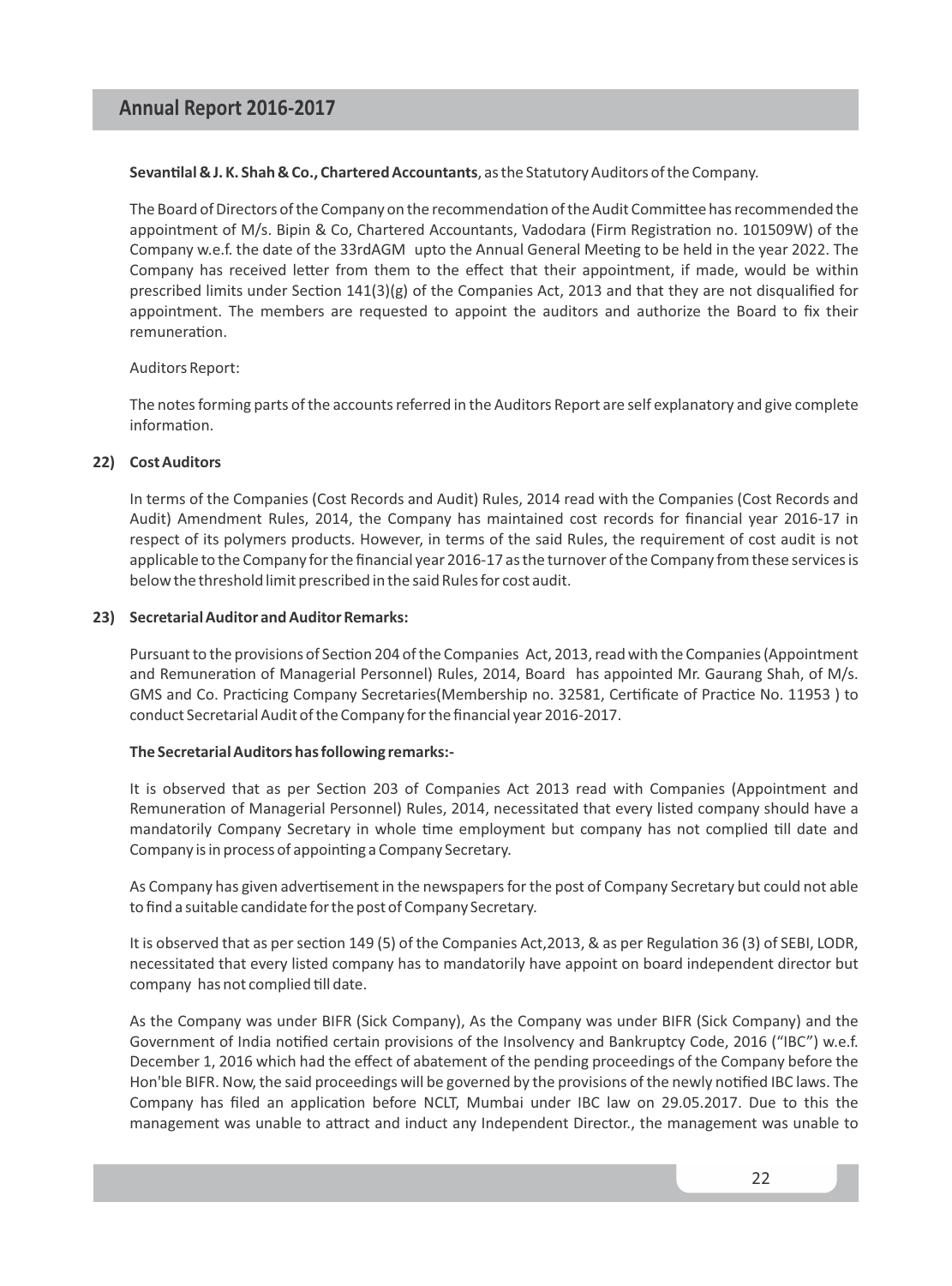#### Sevantilal & J. K. Shah & Co., Chartered Accountants, as the Statutory Auditors of the Company.

The Board of Directors of the Company on the recommendation of the Audit Committee has recommended the appointment of M/s. Bipin & Co, Chartered Accountants, Vadodara (Firm Registration no. 101509W) of the Company w.e.f. the date of the 33rdAGM upto the Annual General Meeting to be held in the year 2022. The Company has received letter from them to the effect that their appointment, if made, would be within prescribed limits under Section  $141(3)(g)$  of the Companies Act, 2013 and that they are not disqualified for appointment. The members are requested to appoint the auditors and authorize the Board to fix their remuneration

#### Auditors Report:

The notes forming parts of the accounts referred in the Auditors Report are self explanatory and give complete information.

#### **22) Cost Auditors**

In terms of the Companies (Cost Records and Audit) Rules, 2014 read with the Companies (Cost Records and Audit) Amendment Rules, 2014, the Company has maintained cost records for financial year 2016-17 in respect of its polymers products. However, in terms of the said Rules, the requirement of cost audit is not applicable to the Company for the financial year 2016-17 as the turnover of the Company from these services is below the threshold limit prescribed in the said Rules for cost audit.

#### **23) Secretarial Auditor and Auditor Remarks:**

Pursuant to the provisions of Section 204 of the Companies Act, 2013, read with the Companies (Appointment and Remuneration of Managerial Personnel) Rules, 2014, Board has appointed Mr. Gaurang Shah, of M/s. GMS and Co. Practicing Company Secretaries(Membership no. 32581, Certificate of Practice No. 11953) to conduct Secretarial Audit of the Company for the financial year 2016-2017.

#### **The Secretarial Auditors has following remarks:-**

It is observed that as per Section 203 of Companies Act 2013 read with Companies (Appointment and Remuneration of Managerial Personnel) Rules, 2014, necessitated that every listed company should have a mandatorily Company Secretary in whole time employment but company has not complied till date and Company is in process of appointing a Company Secretary.

As Company has given advertisement in the newspapers for the post of Company Secretary but could not able to find a suitable candidate for the post of Company Secretary.

It is observed that as per section 149 (5) of the Companies Act, 2013, & as per Regulation 36 (3) of SEBI, LODR, necessitated that every listed company has to mandatorily have appoint on board independent director but company has not complied till date.

As the Company was under BIFR (Sick Company), As the Company was under BIFR (Sick Company) and the Government of India nofied certain provisions of the Insolvency and Bankruptcy Code, 2016 ("IBC") w.e.f. December 1, 2016 which had the effect of abatement of the pending proceedings of the Company before the Hon'ble BIFR. Now, the said proceedings will be governed by the provisions of the newly nofied IBC laws. The Company has filed an application before NCLT, Mumbai under IBC law on 29.05.2017. Due to this the management was unable to attract and induct any Independent Director., the management was unable to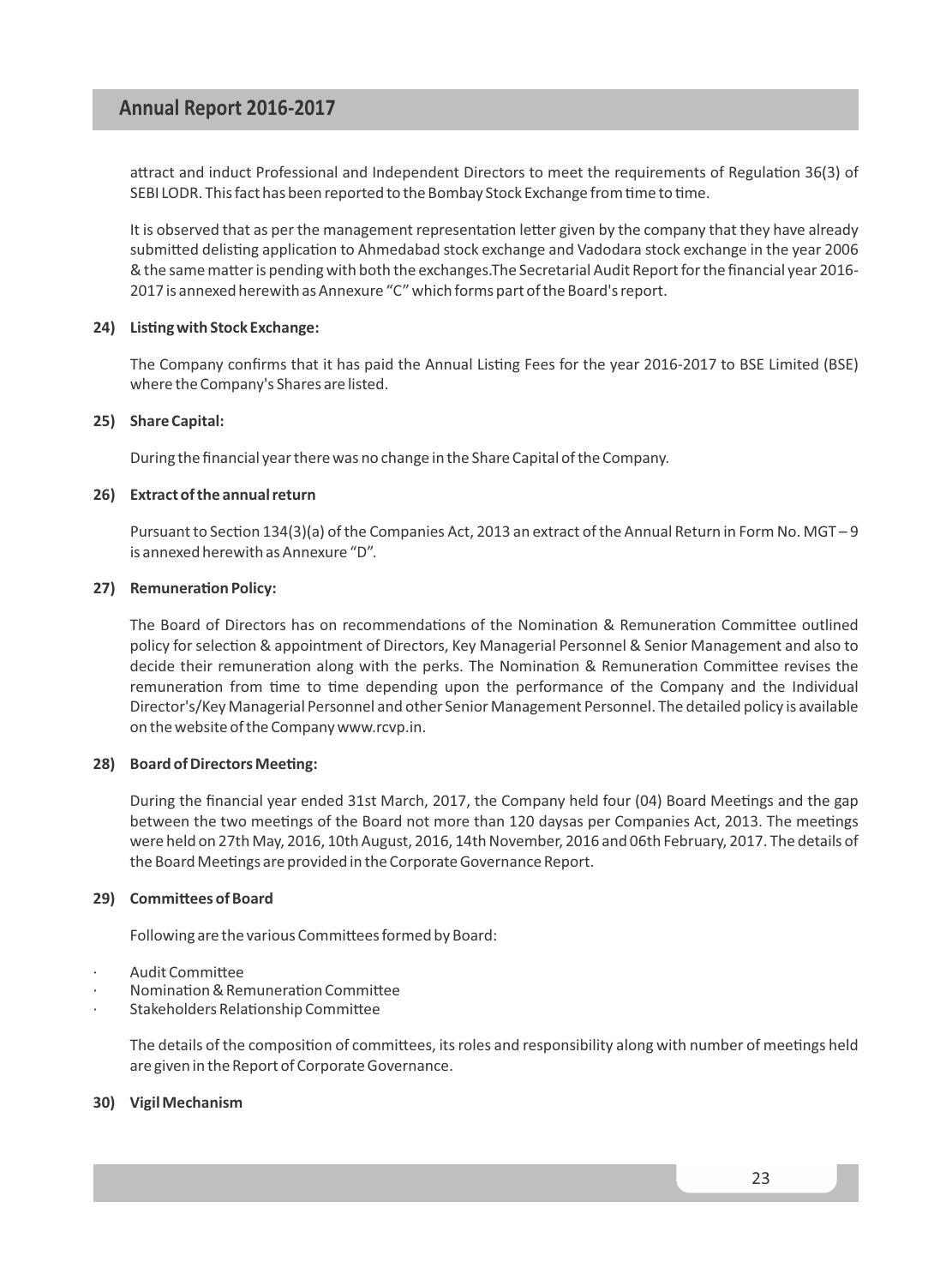attract and induct Professional and Independent Directors to meet the requirements of Regulation 36(3) of SEBI LODR. This fact has been reported to the Bombay Stock Exchange from time to time.

It is observed that as per the management representation letter given by the company that they have already submitted delisting application to Ahmedabad stock exchange and Vadodara stock exchange in the year 2006 & the same matter is pending with both the exchanges. The Secretarial Audit Report for the financial year 2016-2017 is annexed herewith as Annexure "C" which forms part of the Board's report.

#### **24)** Listing with Stock Exchange:

The Company confirms that it has paid the Annual Listing Fees for the year 2016-2017 to BSE Limited (BSE) where the Company's Shares are listed.

#### **25) Share Capital:**

During the financial year there was no change in the Share Capital of the Company.

#### **26) Extract of the annual return**

Pursuant to Section 134(3)(a) of the Companies Act, 2013 an extract of the Annual Return in Form No. MGT-9 is annexed herewith as Annexure "D".

#### **27)** Remuneration Policy:

The Board of Directors has on recommendations of the Nomination & Remuneration Committee outlined policy for selection & appointment of Directors, Key Managerial Personnel & Senior Management and also to decide their remuneration along with the perks. The Nomination & Remuneration Committee revises the remuneration from time to time depending upon the performance of the Company and the Individual Director's/Key Managerial Personnel and other Senior Management Personnel. The detailed policy is available on the website of the Company www.rcvp.in.

#### **28)** Board of Directors Meeting:

During the financial year ended 31st March, 2017, the Company held four (04) Board Meetings and the gap between the two meetings of the Board not more than 120 daysas per Companies Act, 2013. The meetings were held on 27th May, 2016, 10th August, 2016, 14th November, 2016 and 06th February, 2017. The details of the Board Meetings are provided in the Corporate Governance Report.

#### **29)** Committees of Board

Following are the various Committees formed by Board:

- Audit Committee
- Nomination & Remuneration Committee
- Stakeholders Relationship Committee

The details of the composition of committees, its roles and responsibility along with number of meetings held are given in the Report of Corporate Governance.

#### **30) Vigil Mechanism**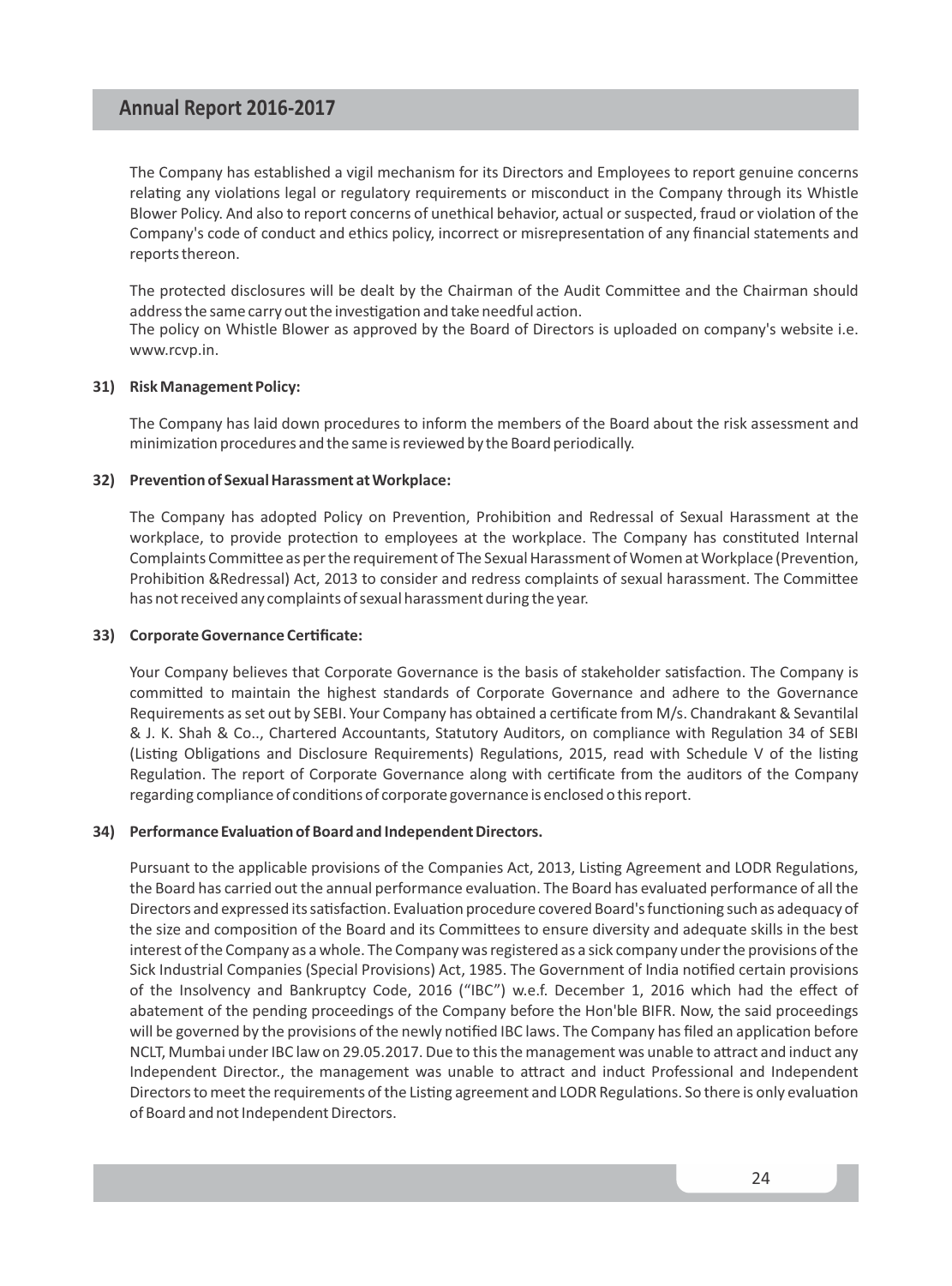The Company has established a vigil mechanism for its Directors and Employees to report genuine concerns relating any violations legal or regulatory requirements or misconduct in the Company through its Whistle Blower Policy. And also to report concerns of unethical behavior, actual or suspected, fraud or violation of the Company's code of conduct and ethics policy, incorrect or misrepresentation of any financial statements and reports thereon.

The protected disclosures will be dealt by the Chairman of the Audit Committee and the Chairman should address the same carry out the investigation and take needful action.

The policy on Whistle Blower as approved by the Board of Directors is uploaded on company's website i.e. www.rcvp.in.

#### **31) Risk Management Policy:**

The Company has laid down procedures to inform the members of the Board about the risk assessment and minimization procedures and the same is reviewed by the Board periodically.

#### **32)** Prevention of Sexual Harassment at Workplace:

The Company has adopted Policy on Prevention, Prohibition and Redressal of Sexual Harassment at the workplace, to provide protection to employees at the workplace. The Company has constituted Internal Complaints Committee as per the requirement of The Sexual Harassment of Women at Workplace (Prevention, Prohibition &Redressal) Act, 2013 to consider and redress complaints of sexual harassment. The Committee has not received any complaints of sexual harassment during the year.

#### **33) Corporate Governance Cerficate:**

Your Company believes that Corporate Governance is the basis of stakeholder satisfaction. The Company is committed to maintain the highest standards of Corporate Governance and adhere to the Governance Requirements as set out by SEBI. Your Company has obtained a certificate from M/s. Chandrakant & Sevantilal & J. K. Shah & Co.., Chartered Accountants, Statutory Auditors, on compliance with Regulation 34 of SEBI (Listing Obligations and Disclosure Requirements) Regulations, 2015, read with Schedule V of the listing Regulation. The report of Corporate Governance along with certificate from the auditors of the Company regarding compliance of conditions of corporate governance is enclosed o this report.

#### **34)** Performance Evaluation of Board and Independent Directors.

Pursuant to the applicable provisions of the Companies Act, 2013, Listing Agreement and LODR Regulations, the Board has carried out the annual performance evaluation. The Board has evaluated performance of all the Directors and expressed its satisfaction. Evaluation procedure covered Board's functioning such as adequacy of the size and composition of the Board and its Committees to ensure diversity and adequate skills in the best interest of the Company as a whole. The Company was registered as a sick company under the provisions of the Sick Industrial Companies (Special Provisions) Act, 1985. The Government of India nofied certain provisions of the Insolvency and Bankruptcy Code, 2016 ("IBC") w.e.f. December 1, 2016 which had the effect of abatement of the pending proceedings of the Company before the Hon'ble BIFR. Now, the said proceedings will be governed by the provisions of the newly notified IBC laws. The Company has filed an application before NCLT, Mumbai under IBC law on 29.05.2017. Due to this the management was unable to attract and induct any Independent Director., the management was unable to attract and induct Professional and Independent Directors to meet the requirements of the Listing agreement and LODR Regulations. So there is only evaluation of Board and not Independent Directors.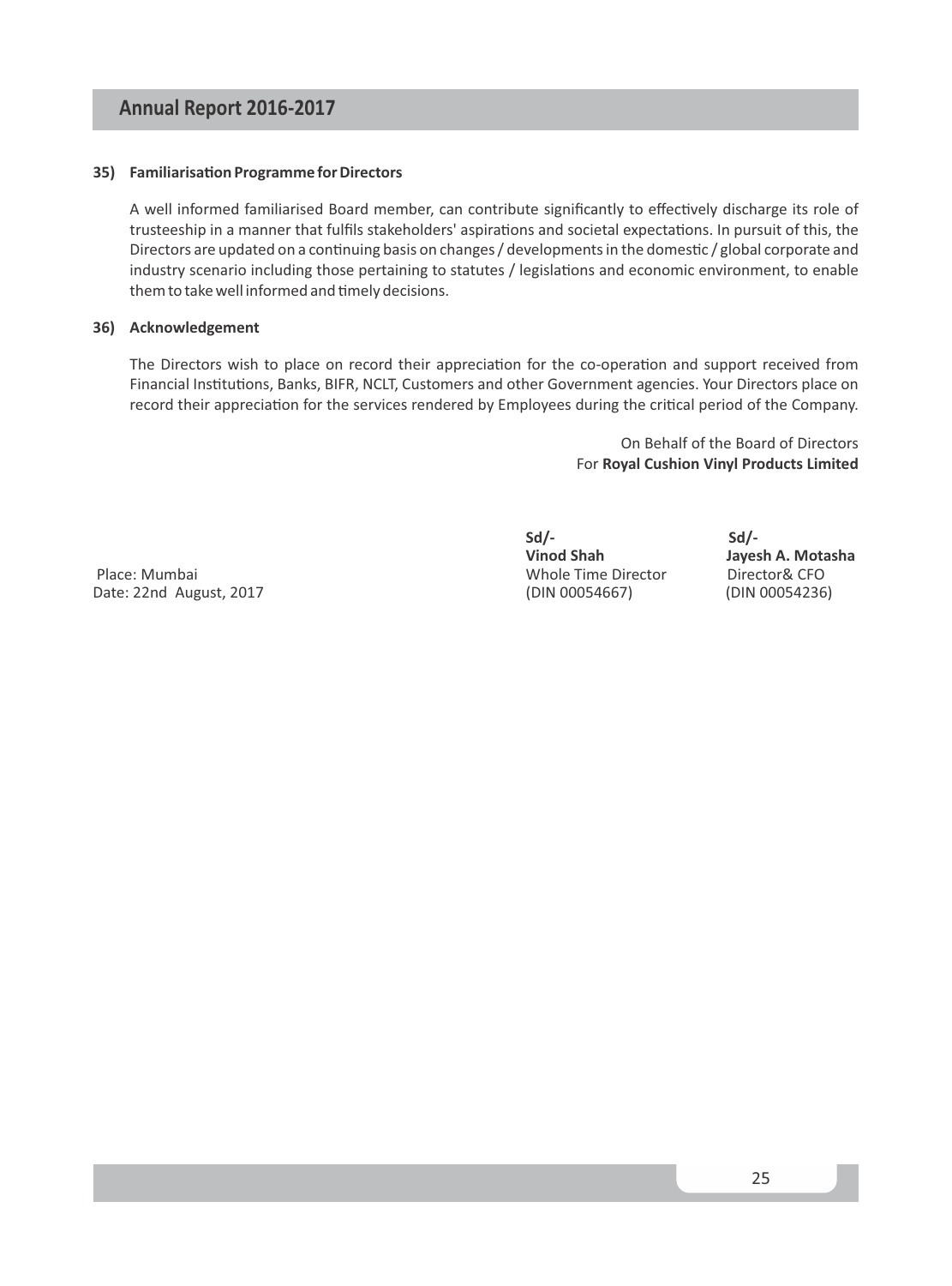#### **35)** Familiarisation Programme for Directors

A well informed familiarised Board member, can contribute significantly to effectively discharge its role of trusteeship in a manner that fulfils stakeholders' aspirations and societal expectations. In pursuit of this, the Directors are updated on a continuing basis on changes / developments in the domestic / global corporate and industry scenario including those pertaining to statutes / legislations and economic environment, to enable them to take well informed and timely decisions.

#### **36) Acknowledgement**

The Directors wish to place on record their appreciation for the co-operation and support received from Financial Institutions, Banks, BIFR, NCLT, Customers and other Government agencies. Your Directors place on record their appreciation for the services rendered by Employees during the critical period of the Company.

> On Behalf of the Board of Directors For **Royal Cushion Vinyl Products Limited**

 Place: Mumbai Whole Time Director Director& CFO Date: 22nd August, 2017 (DIN 00054667) (DIN 00054236)

**Sd/- Sd/-** 

**Jayesh A. Motasha**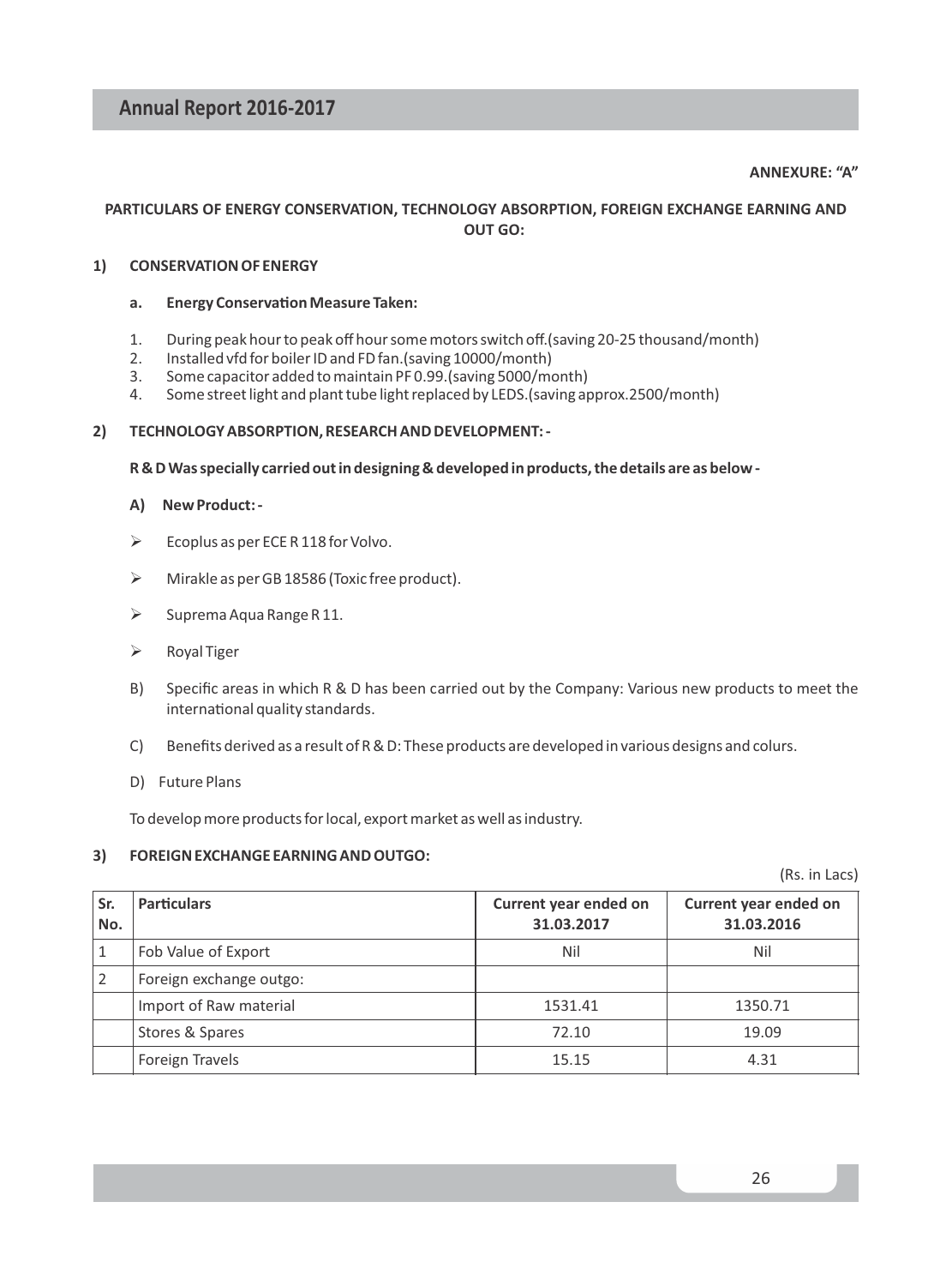#### **ANNEXURE: "A"**

#### **PARTICULARS OF ENERGY CONSERVATION, TECHNOLOGY ABSORPTION, FOREIGN EXCHANGE EARNING AND OUT GO:**

#### **1) CONSERVATION OF ENERGY**

#### **a.** Energy Conservation Measure Taken:

- 1. During peak hour to peak off hour some motors switch off.(saving 20-25 thousand/month)
- 2. Installed vfd for boiler ID and FD fan. (saving 10000/month)<br>3. Some capacitor added to maintain PF 0.99. (saving 5000/mo
- 3. Some capacitor added to maintain PF 0.99.(saving 5000/month)
- 4. Some street light and plant tube light replaced by LEDS.(saving approx.2500/month)

#### **2) TECHNOLOGY ABSORPTION, RESEARCH AND DEVELOPMENT: -**

#### **R & D Was specially carried out in designing & developed in products, the details are as below -**

#### **A) New Product: -**

- $\triangleright$  Ecoplus as per ECE R 118 for Volvo.
- $\triangleright$  Mirakle as per GB 18586 (Toxic free product).
- $\triangleright$  Suprema Aqua Range R 11.
- $\triangleright$  Royal Tiger
- B) Specific areas in which R & D has been carried out by the Company: Various new products to meet the international quality standards.
- C) Benefits derived as a result of R & D: These products are developed in various designs and colurs.
- D) Future Plans

To develop more products for local, export market as well as industry.

#### **3) FOREIGN EXCHANGE EARNING AND OUTGO:**

(Rs. in Lacs)

| Sr.<br>No. | <b>Particulars</b>      | Current year ended on<br>31.03.2017 | Current year ended on<br>31.03.2016 |
|------------|-------------------------|-------------------------------------|-------------------------------------|
|            | Fob Value of Export     | Nil                                 | Nil                                 |
|            | Foreign exchange outgo: |                                     |                                     |
|            | Import of Raw material  | 1531.41                             | 1350.71                             |
|            | Stores & Spares         | 72.10                               | 19.09                               |
|            | <b>Foreign Travels</b>  | 15.15                               | 4.31                                |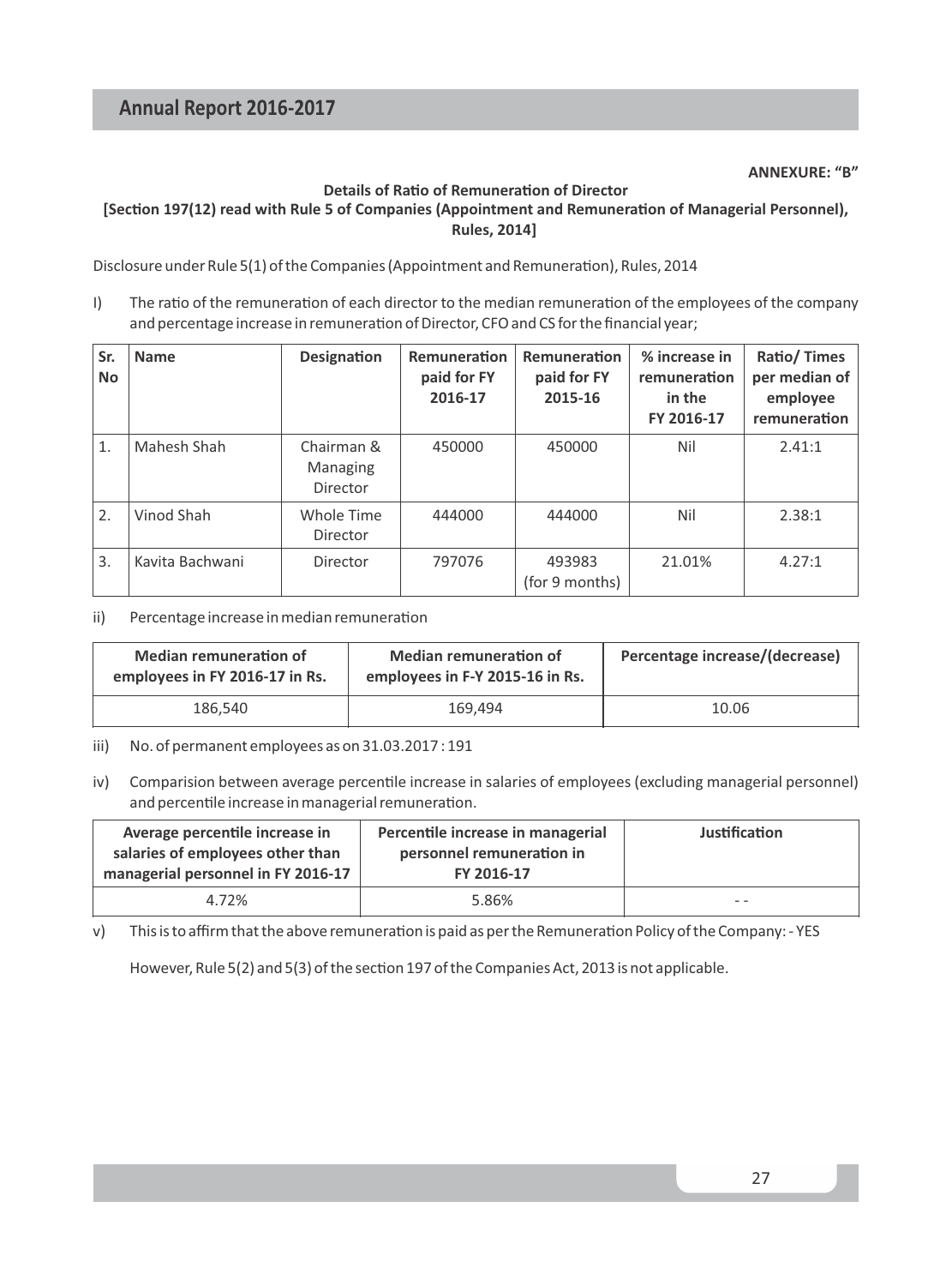#### **Details of Ratio of Remuneration of Director**

#### [Section 197(12) read with Rule 5 of Companies (Appointment and Remuneration of Managerial Personnel), **Rules, 2014]**

Disclosure under Rule 5(1) of the Companies (Appointment and Remuneration), Rules, 2014

I) The ratio of the remuneration of each director to the median remuneration of the employees of the company and percentage increase in remuneration of Director, CFO and CS for the financial year;

| Sr.<br>No. | <b>Name</b>     | Designation                        |        | Remuneration<br>paid for FY<br>2015-16 | % increase in<br>remuneration<br>in the<br>FY 2016-17 | Ratio/Times<br>per median of<br>employee<br>remuneration |  |
|------------|-----------------|------------------------------------|--------|----------------------------------------|-------------------------------------------------------|----------------------------------------------------------|--|
| 1.         | Mahesh Shah     | Chairman &<br>Managing<br>Director | 450000 | 450000                                 | Nil                                                   | 2.41:1                                                   |  |
| 2.         | Vinod Shah      | Whole Time<br>Director             | 444000 | 444000                                 | Nil                                                   | 2.38:1                                                   |  |
| 3.         | Kavita Bachwani | Director                           | 797076 | 493983<br>(for 9 months)               | 21.01%                                                | 4.27:1                                                   |  |

#### ii) Percentage increase in median remuneration

| <b>Median remuneration of</b><br>employees in FY 2016-17 in Rs. | <b>Median remuneration of</b><br>employees in F-Y 2015-16 in Rs. | Percentage increase/(decrease) |
|-----------------------------------------------------------------|------------------------------------------------------------------|--------------------------------|
| 186.540                                                         | 169.494                                                          | 10.06                          |

iii) No. of permanent employees as on 31.03.2017 : 191

iv) Comparision between average percentile increase in salaries of employees (excluding managerial personnel) and percentile increase in managerial remuneration.

| Average percentile increase in<br>salaries of employees other than<br>managerial personnel in FY 2016-17 | Percentile increase in managerial<br>personnel remuneration in<br>FY 2016-17 | Justification |
|----------------------------------------------------------------------------------------------------------|------------------------------------------------------------------------------|---------------|
| 4.72%                                                                                                    | 5.86%                                                                        | $ -$          |

v) This is to affirm that the above remuneration is paid as per the Remuneration Policy of the Company: - YES

However, Rule  $5(2)$  and  $5(3)$  of the section 197 of the Companies Act, 2013 is not applicable.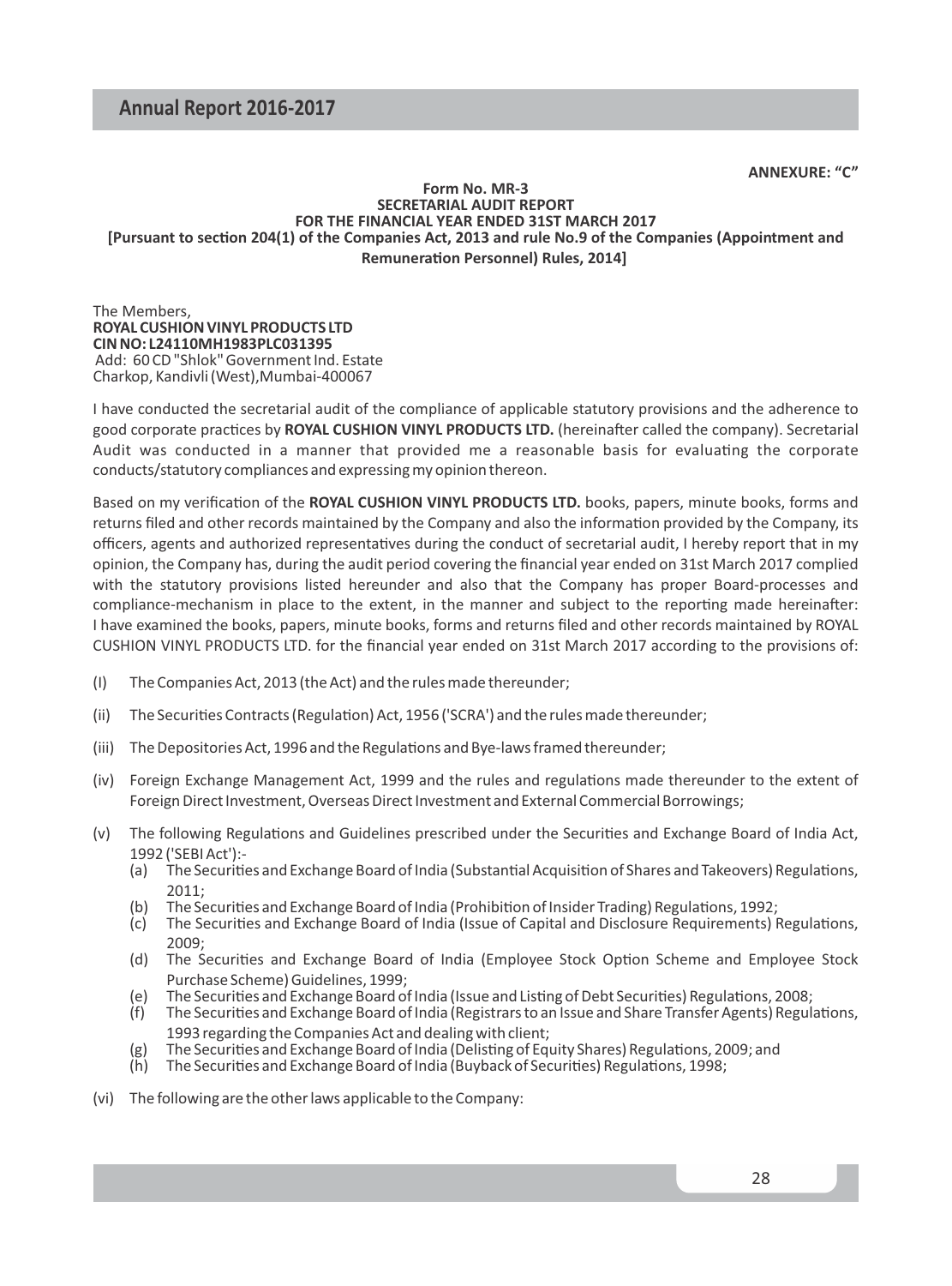**ANNEXURE: "C"**

#### **Form No. MR-3 SECRETARIAL AUDIT REPORT FOR THE FINANCIAL YEAR ENDED 31ST MARCH 2017** [Pursuant to section 204(1) of the Companies Act, 2013 and rule No.9 of the Companies (Appointment and **Remuneration Personnel) Rules, 2014]**

The Members, **ROYAL CUSHION VINYL PRODUCTS LTD CIN NO: L24110MH1983PLC031395** Add: 60 CD "Shlok" Government Ind. Estate Charkop, Kandivli (West),Mumbai-400067

I have conducted the secretarial audit of the compliance of applicable statutory provisions and the adherence to good corporate practices by **ROYAL CUSHION VINYL PRODUCTS LTD.** (hereinafter called the company). Secretarial Audit was conducted in a manner that provided me a reasonable basis for evaluating the corporate conducts/statutory compliances and expressing my opinion thereon.

Based on my verification of the ROYAL CUSHION VINYL PRODUCTS LTD. books, papers, minute books, forms and returns filed and other records maintained by the Company and also the information provided by the Company, its officers, agents and authorized representatives during the conduct of secretarial audit. I hereby report that in my opinion, the Company has, during the audit period covering the financial year ended on 31st March 2017 complied with the statutory provisions listed hereunder and also that the Company has proper Board-processes and compliance-mechanism in place to the extent, in the manner and subject to the reporting made hereinafter: I have examined the books, papers, minute books, forms and returns filed and other records maintained by ROYAL CUSHION VINYL PRODUCTS LTD. for the financial year ended on 31st March 2017 according to the provisions of:

- (I) The Companies Act, 2013 (the Act) and the rules made thereunder;
- (ii) The Securities Contracts (Regulation) Act, 1956 ('SCRA') and the rules made thereunder;
- (iii) The Depositories Act, 1996 and the Regulations and Bye-laws framed thereunder;
- (iv) Foreign Exchange Management Act, 1999 and the rules and regulations made thereunder to the extent of Foreign Direct Investment, Overseas Direct Investment and External Commercial Borrowings;
- (v) The following Regulations and Guidelines prescribed under the Securities and Exchange Board of India Act, 1992 ('SEBI Act'):-
	- (a) The Securities and Exchange Board of India (Substantial Acquisition of Shares and Takeovers) Regulations, 2011;
	- (b) The Securities and Exchange Board of India (Prohibition of Insider Trading) Regulations, 1992;
	- (c) The Securities and Exchange Board of India (Issue of Capital and Disclosure Requirements) Regulations, 2009;
	- (d) The Securities and Exchange Board of India (Employee Stock Option Scheme and Employee Stock Purchase Scheme) Guidelines, 1999;
	- (e) The Securities and Exchange Board of India (Issue and Listing of Debt Securities) Regulations, 2008;
	- (f) The Securities and Exchange Board of India (Registrars to an Issue and Share Transfer Agents) Regulations, 1993 regarding the Companies Act and dealing with client;
	- $(g)$  The Securities and Exchange Board of India (Delisting of Equity Shares) Regulations, 2009; and
	- (h) The Securities and Exchange Board of India (Buyback of Securities) Regulations, 1998;
- (vi) The following are the other laws applicable to the Company: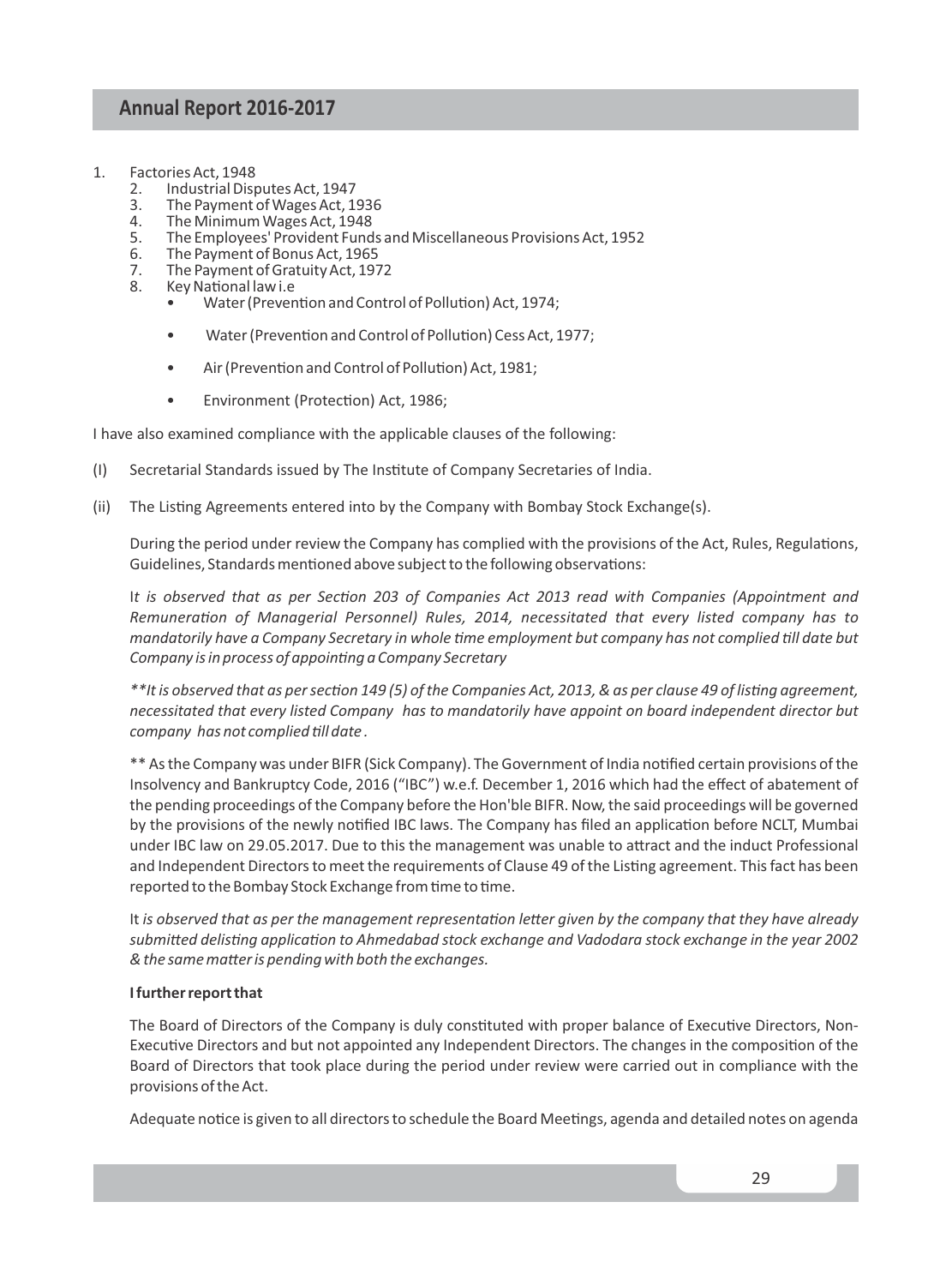- 1. Factories Act, 1948<br>2. Industrial Disc
	- 2. Industrial Disputes Act, 1947<br>3. The Payment of Wages Act. 1
	- 3. The Payment of Wages Act, 1936
	- 4. The Minimum Wages Act, 1948
	- 5. The Employees' Provident Funds and Miscellaneous Provisions Act, 1952
	- 6. The Payment of Bonus Act, 1965<br>7. The Payment of Gratuity Act, 197
	- 7. The Payment of Gratuity Act, 1972<br>8. Key National law i.e
	- Key National law i.e
		- Water (Prevention and Control of Pollution) Act, 1974;
		- Water (Prevention and Control of Pollution) Cess Act, 1977;
		- Air (Prevention and Control of Pollution) Act, 1981;
		- Environment (Protection) Act, 1986;

I have also examined compliance with the applicable clauses of the following:

- (I) Secretarial Standards issued by The Instute of Company Secretaries of India.
- (ii) The Listing Agreements entered into by the Company with Bombay Stock Exchange(s).

During the period under review the Company has complied with the provisions of the Act, Rules, Regulations, Guidelines, Standards mentioned above subject to the following observations:

It is observed that as per Section 203 of Companies Act 2013 read with Companies (Appointment and *Remuneration of Managerial Personnel) Rules, 2014, necessitated that every listed company has to* mandatorily have a Company Secretary in whole time employment but company has not complied till date but *Company is in process of appointing a Company Secretary* 

*\*\*It is observed that as per section 149 (5) of the Companies Act, 2013, & as per clause 49 of listing agreement, necessitated that every listed Company has to mandatorily have appoint on board independent director but company has not complied till date.* 

\*\* As the Company was under BIFR (Sick Company). The Government of India nofied certain provisions of the Insolvency and Bankruptcy Code, 2016 ("IBC") w.e.f. December 1, 2016 which had the effect of abatement of the pending proceedings of the Company before the Hon'ble BIFR. Now, the said proceedings will be governed by the provisions of the newly notified IBC laws. The Company has filed an application before NCLT, Mumbai under IBC law on 29.05.2017. Due to this the management was unable to attract and the induct Professional and Independent Directors to meet the requirements of Clause 49 of the Listing agreement. This fact has been reported to the Bombay Stock Exchange from time to time.

It is observed that as per the management representation letter given by the company that they have already submitted delisting application to Ahmedabad stock exchange and Vadodara stock exchange in the year 2002  $&$  the same matter is pending with both the exchanges.

#### **I further report that**

The Board of Directors of the Company is duly constituted with proper balance of Executive Directors, Non-Executive Directors and but not appointed any Independent Directors. The changes in the composition of the Board of Directors that took place during the period under review were carried out in compliance with the provisions of the Act.

Adequate notice is given to all directors to schedule the Board Meetings, agenda and detailed notes on agenda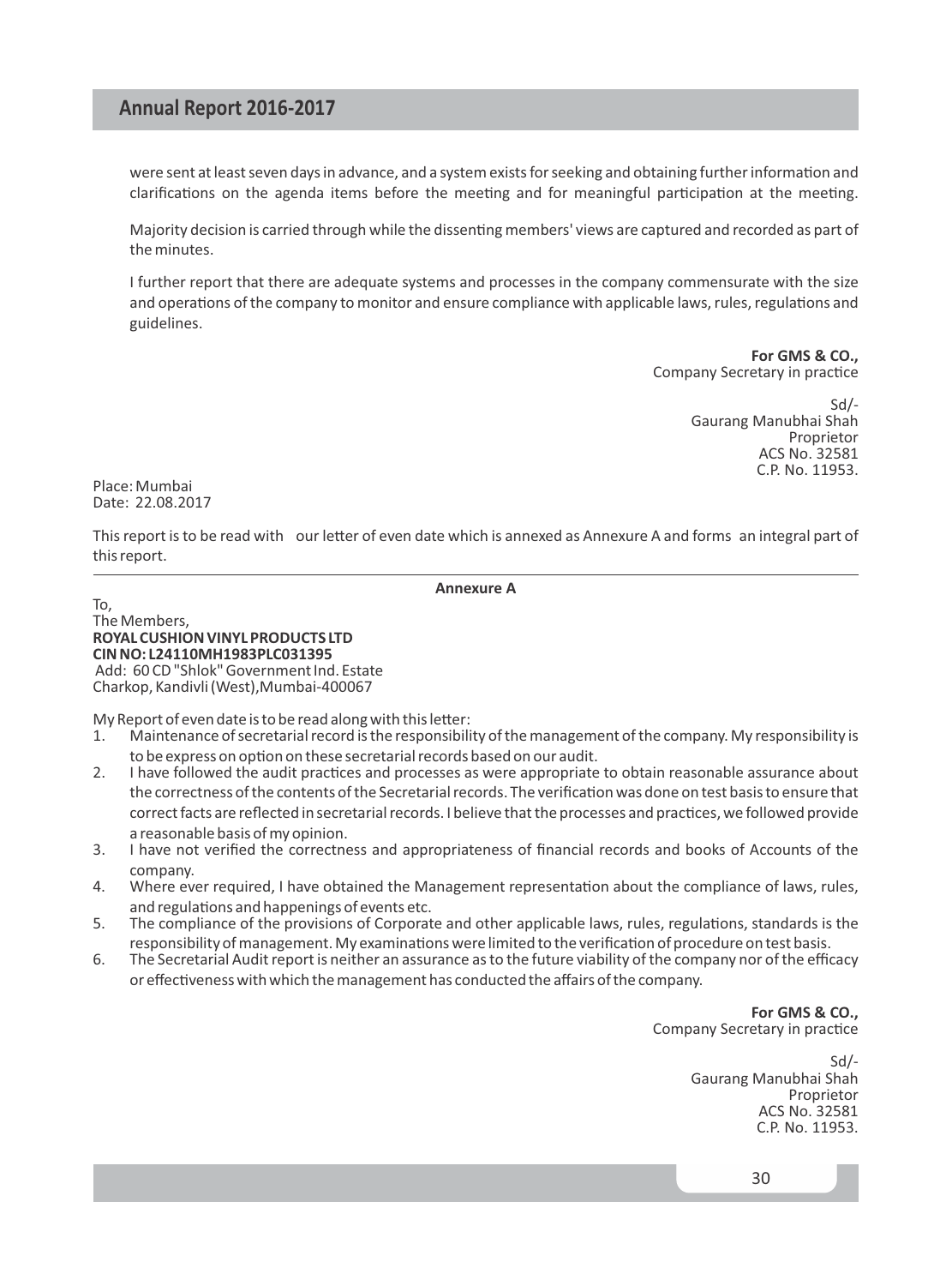were sent at least seven days in advance, and a system exists for seeking and obtaining further information and clarifications on the agenda items before the meeting and for meaningful participation at the meeting.

Majority decision is carried through while the dissenting members' views are captured and recorded as part of the minutes.

I further report that there are adequate systems and processes in the company commensurate with the size and operations of the company to monitor and ensure compliance with applicable laws, rules, regulations and guidelines.

> **For GMS & CO.,** Company Secretary in practice

> > Sd/- Gaurang Manubhai Shah Proprietor ACS No. 32581 C.P. No. 11953.

Place: Mumbai Date: 22.08.2017

This report is to be read with our letter of even date which is annexed as Annexure A and forms an integral part of this report.

**Annexure A**

To,

The Members, **ROYAL CUSHION VINYL PRODUCTS LTD CIN NO: L24110MH1983PLC031395** Add: 60 CD "Shlok" Government Ind. Estate Charkop, Kandivli (West),Mumbai-400067

My Report of even date is to be read along with this letter:

- 1. Maintenance of secretarial record is the responsibility of the management of the company. My responsibility is to be express on option on these secretarial records based on our audit.
- 2. I have followed the audit practices and processes as were appropriate to obtain reasonable assurance about the correctness of the contents of the Secretarial records. The verification was done on test basis to ensure that correct facts are reflected in secretarial records. I believe that the processes and practices, we followed provide a reasonable basis of my opinion.
- 3. I have not verified the correctness and appropriateness of financial records and books of Accounts of the company.
- 4. Where ever required, I have obtained the Management representation about the compliance of laws, rules, and regulations and happenings of events etc.
- 5. The compliance of the provisions of Corporate and other applicable laws, rules, regulations, standards is the responsibility of management. My examinations were limited to the verification of procedure on test basis.
- 6. The Secretarial Audit report is neither an assurance as to the future viability of the company nor of the efficacy or effectiveness with which the management has conducted the affairs of the company.

**For GMS & CO.,** Company Secretary in practice

> Sd/- Gaurang Manubhai Shah Proprietor ACS No. 32581 C.P. No. 11953.

> > 30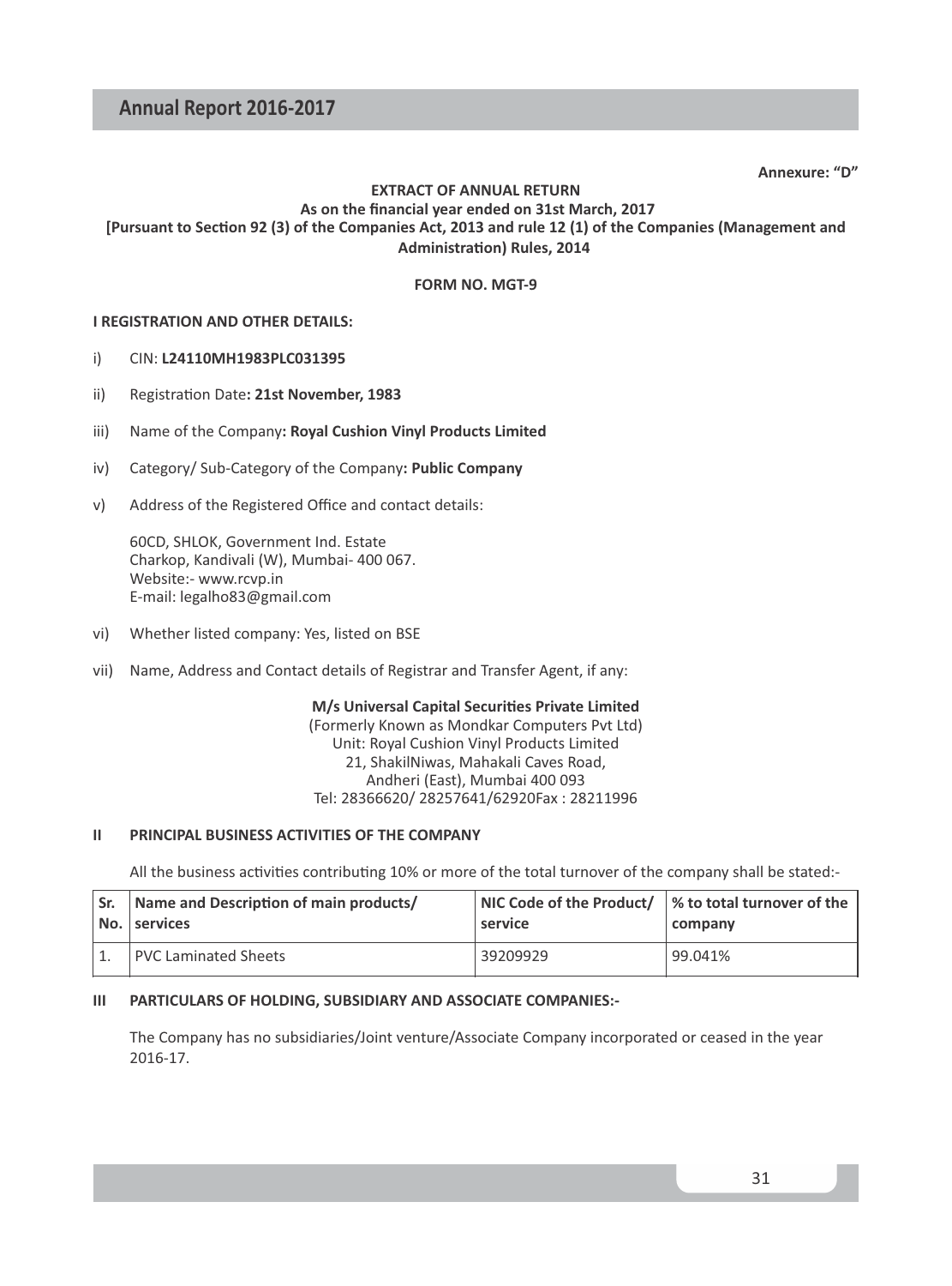**Annexure: "D"**

#### **EXTRACT OF ANNUAL RETURN As on the financial year ended on 31st March, 2017** [Pursuant to Section 92 (3) of the Companies Act, 2013 and rule 12 (1) of the Companies (Management and **Administration) Rules, 2014**

#### **FORM NO. MGT-9**

#### **I REGISTRATION AND OTHER DETAILS:**

#### i) CIN: **L24110MH1983PLC031395**

- ii) Registration Date: 21st November, 1983
- iii) Name of the Company**: Royal Cushion Vinyl Products Limited**
- iv) Category/ Sub-Category of the Company**: Public Company**
- v) Address of the Registered Office and contact details:

60CD, SHLOK, Government Ind. Estate Charkop, Kandivali (W), Mumbai- 400 067. Website:- www.rcvp.in E-mail: legalho83@gmail.com

- vi) Whether listed company: Yes, listed on BSE
- vii) Name, Address and Contact details of Registrar and Transfer Agent, if any:

**M/s Universal Capital Securities Private Limited** (Formerly Known as Mondkar Computers Pvt Ltd) Unit: Royal Cushion Vinyl Products Limited 21, ShakilNiwas, Mahakali Caves Road, Andheri (East), Mumbai 400 093 Tel: 28366620/ 28257641/62920Fax : 28211996

#### **II PRINCIPAL BUSINESS ACTIVITIES OF THE COMPANY**

All the business activities contributing 10% or more of the total turnover of the company shall be stated:-

| ' Sr. | Name and Description of main products/<br>No. services | $\vert$ NIC Code of the Product/ $\vert\%$ to total turnover of the<br>service | company |  |  |
|-------|--------------------------------------------------------|--------------------------------------------------------------------------------|---------|--|--|
|       | PVC Laminated Sheets                                   | 39209929                                                                       | 99.041% |  |  |

#### **III PARTICULARS OF HOLDING, SUBSIDIARY AND ASSOCIATE COMPANIES:-**

The Company has no subsidiaries/Joint venture/Associate Company incorporated or ceased in the year 2016-17.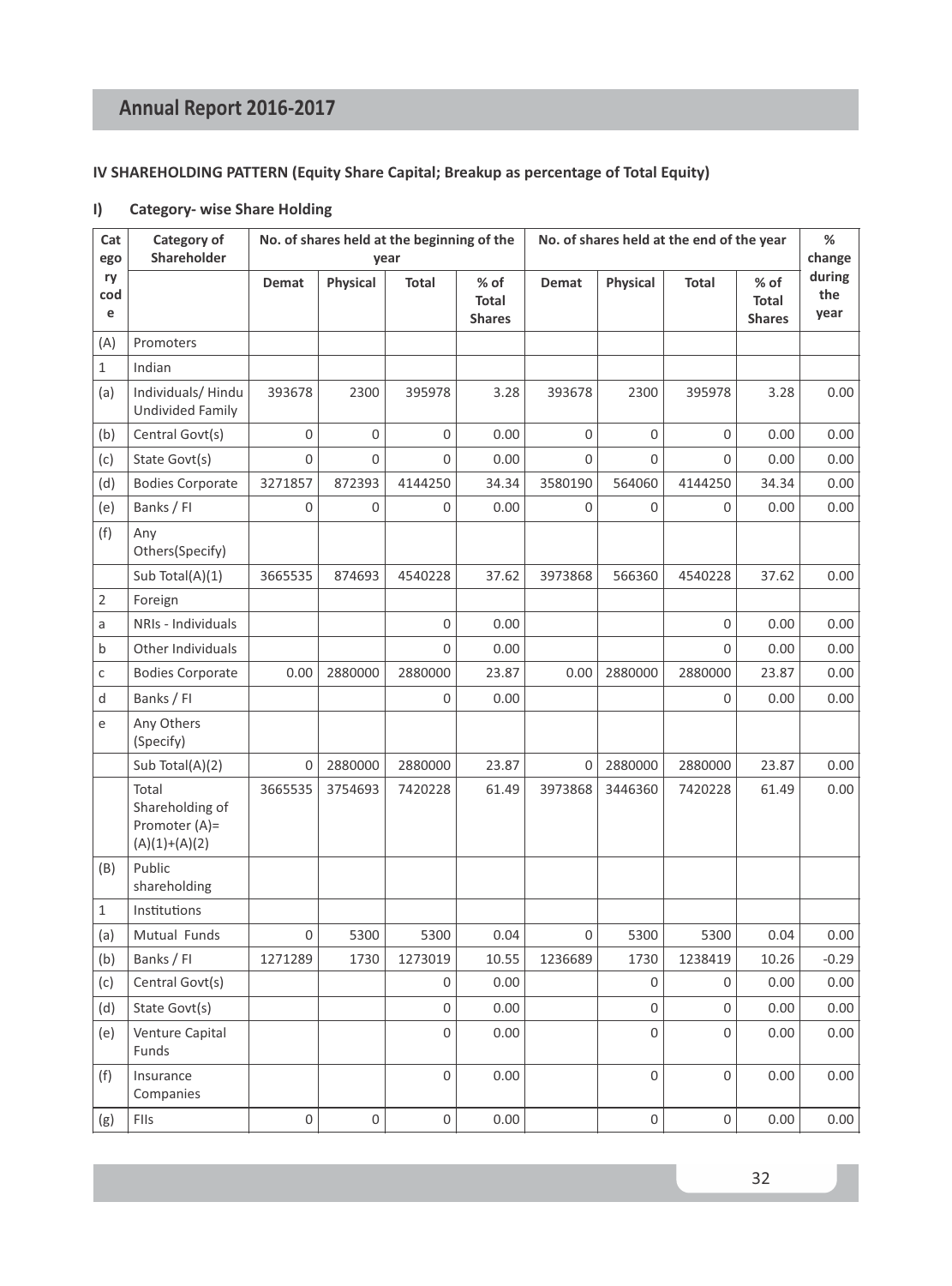#### **IV SHAREHOLDING PATTERN (Equity Share Capital; Breakup as percentage of Total Equity)**

#### **I) Category- wise Share Holding**

| Cat<br>ego     | Category of<br>Shareholder                                   |                | No. of shares held at the beginning of the<br>year |             |                                  |         | No. of shares held at the end of the year |              |                                |                       |
|----------------|--------------------------------------------------------------|----------------|----------------------------------------------------|-------------|----------------------------------|---------|-------------------------------------------|--------------|--------------------------------|-----------------------|
| ry<br>cod<br>e |                                                              | Demat          | Physical                                           | Total       | $%$ of<br>Total<br><b>Shares</b> | Demat   | Physical                                  | <b>Total</b> | % of<br>Total<br><b>Shares</b> | during<br>the<br>year |
| (A)            | Promoters                                                    |                |                                                    |             |                                  |         |                                           |              |                                |                       |
| $\mathbf{1}$   | Indian                                                       |                |                                                    |             |                                  |         |                                           |              |                                |                       |
| (a)            | Individuals/Hindu<br><b>Undivided Family</b>                 | 393678         | 2300                                               | 395978      | 3.28                             | 393678  | 2300                                      | 395978       | 3.28                           | 0.00                  |
| (b)            | Central Govt(s)                                              | $\mathbf 0$    | 0                                                  | $\mathsf 0$ | 0.00                             | 0       | $\mathsf 0$                               | $\Omega$     | 0.00                           | 0.00                  |
| (c)            | State Govt(s)                                                | $\overline{0}$ | 0                                                  | $\mathbf 0$ | 0.00                             | 0       | $\Omega$                                  | $\Omega$     | 0.00                           | 0.00                  |
| (d)            | <b>Bodies Corporate</b>                                      | 3271857        | 872393                                             | 4144250     | 34.34                            | 3580190 | 564060                                    | 4144250      | 34.34                          | 0.00                  |
| (e)            | Banks / FI                                                   | 0              | 0                                                  | $\mathbf 0$ | 0.00                             | 0       | $\mathbf 0$                               | $\mathbf 0$  | 0.00                           | 0.00                  |
| (f)            | Any<br>Others(Specify)                                       |                |                                                    |             |                                  |         |                                           |              |                                |                       |
|                | Sub Total(A)(1)                                              | 3665535        | 874693                                             | 4540228     | 37.62                            | 3973868 | 566360                                    | 4540228      | 37.62                          | 0.00                  |
| $\overline{2}$ | Foreign                                                      |                |                                                    |             |                                  |         |                                           |              |                                |                       |
| a              | NRIs - Individuals                                           |                |                                                    | $\mathbf 0$ | 0.00                             |         |                                           | 0            | 0.00                           | 0.00                  |
| b              | Other Individuals                                            |                |                                                    | 0           | 0.00                             |         |                                           | 0            | 0.00                           | 0.00                  |
| C              | <b>Bodies Corporate</b>                                      | 0.00           | 2880000                                            | 2880000     | 23.87                            | 0.00    | 2880000                                   | 2880000      | 23.87                          | 0.00                  |
| d              | Banks / Fl                                                   |                |                                                    | $\mathbf 0$ | 0.00                             |         |                                           | $\Omega$     | 0.00                           | 0.00                  |
| e              | Any Others<br>(Specify)                                      |                |                                                    |             |                                  |         |                                           |              |                                |                       |
|                | Sub Total(A)(2)                                              | 0              | 2880000                                            | 2880000     | 23.87                            | 0       | 2880000                                   | 2880000      | 23.87                          | 0.00                  |
|                | Total<br>Shareholding of<br>Promoter (A)=<br>$(A)(1)+(A)(2)$ | 3665535        | 3754693                                            | 7420228     | 61.49                            | 3973868 | 3446360                                   | 7420228      | 61.49                          | 0.00                  |
| (B)            | Public<br>shareholding                                       |                |                                                    |             |                                  |         |                                           |              |                                |                       |
| 1              | Institutions                                                 |                |                                                    |             |                                  |         |                                           |              |                                |                       |
| (a)            | Mutual Funds                                                 | 0              | 5300                                               | 5300        | 0.04                             | 0       | 5300                                      | 5300         | 0.04                           | 0.00                  |
| (b)            | Banks / Fl                                                   | 1271289        | 1730                                               | 1273019     | 10.55                            | 1236689 | 1730                                      | 1238419      | 10.26                          | $-0.29$               |
| (c)            | Central Govt(s)                                              |                |                                                    | $\mathbf 0$ | 0.00                             |         | $\Omega$                                  | 0            | 0.00                           | 0.00                  |
| (d)            | State Govt(s)                                                |                |                                                    | 0           | 0.00                             |         | $\mathbf 0$                               | 0            | 0.00                           | 0.00                  |
| (e)            | Venture Capital<br>Funds                                     |                |                                                    | 0           | 0.00                             |         | $\mathbf 0$                               | 0            | 0.00                           | 0.00                  |
| (f)            | Insurance<br>Companies                                       |                |                                                    | $\mathsf 0$ | 0.00                             |         | $\mathbf 0$                               | $\mathbf 0$  | 0.00                           | 0.00                  |
| (g)            | FIIs                                                         | $\mathbf 0$    | 0                                                  | $\mathsf 0$ | 0.00                             |         | $\mathsf 0$                               | $\mathsf 0$  | 0.00                           | 0.00                  |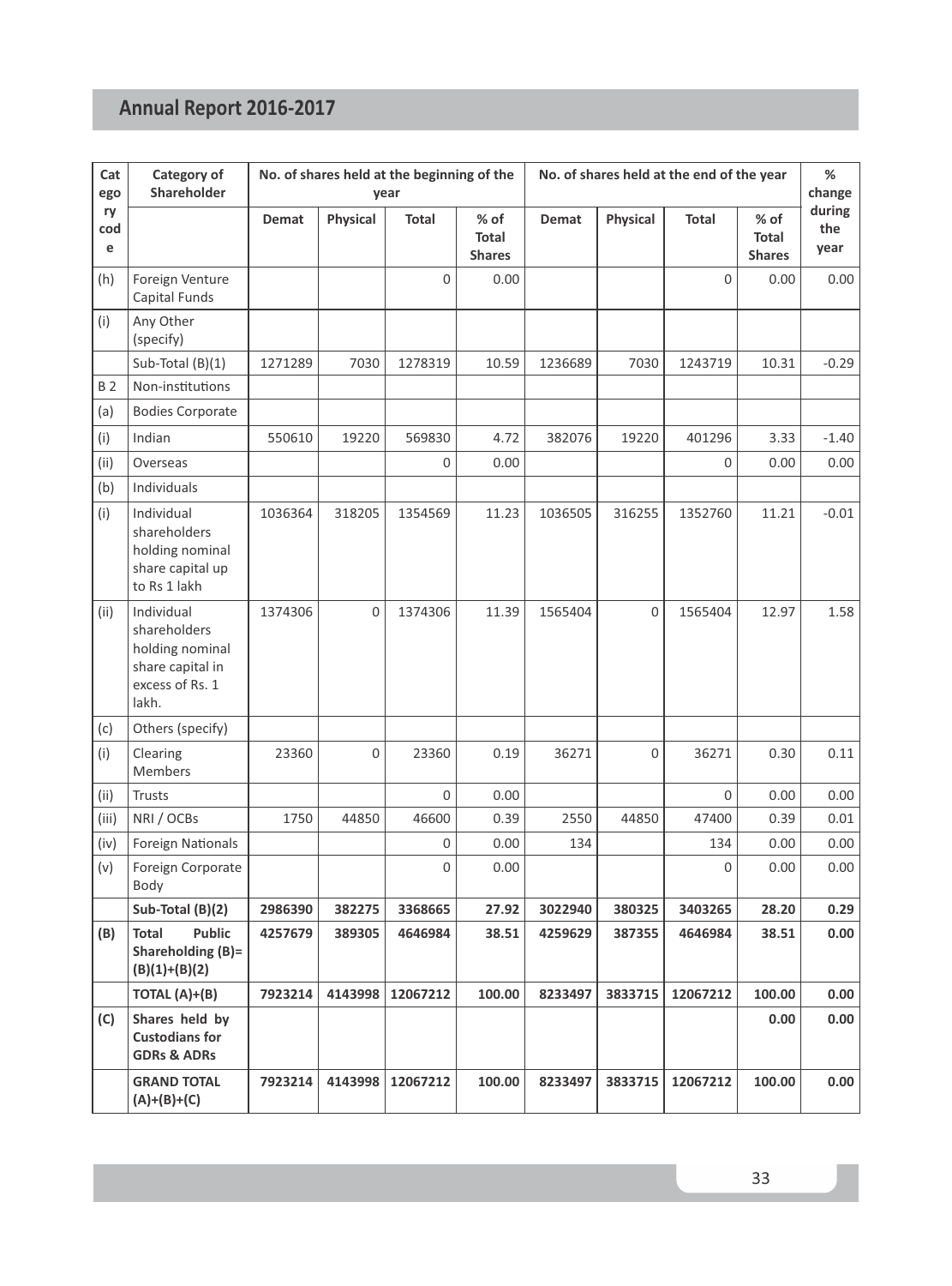| Cat<br>ego     | Category of<br><b>Shareholder</b>                                                             | No. of shares held at the beginning of the<br>year |             |             |                                  | No. of shares held at the end of the year |          |             |                                | $\%$<br>change        |
|----------------|-----------------------------------------------------------------------------------------------|----------------------------------------------------|-------------|-------------|----------------------------------|-------------------------------------------|----------|-------------|--------------------------------|-----------------------|
| ry<br>cod<br>e |                                                                                               | Demat                                              | Physical    | Total       | $%$ of<br>Total<br><b>Shares</b> | Demat                                     | Physical | Total       | % of<br>Total<br><b>Shares</b> | during<br>the<br>year |
| (h)            | Foreign Venture<br>Capital Funds                                                              |                                                    |             | $\mathbf 0$ | 0.00                             |                                           |          | $\Omega$    | 0.00                           | 0.00                  |
| (i)            | Any Other<br>(specify)                                                                        |                                                    |             |             |                                  |                                           |          |             |                                |                       |
|                | Sub-Total (B)(1)                                                                              | 1271289                                            | 7030        | 1278319     | 10.59                            | 1236689                                   | 7030     | 1243719     | 10.31                          | $-0.29$               |
| <b>B2</b>      | Non-institutions                                                                              |                                                    |             |             |                                  |                                           |          |             |                                |                       |
| (a)            | <b>Bodies Corporate</b>                                                                       |                                                    |             |             |                                  |                                           |          |             |                                |                       |
| (i)            | Indian                                                                                        | 550610                                             | 19220       | 569830      | 4.72                             | 382076                                    | 19220    | 401296      | 3.33                           | $-1.40$               |
| (ii)           | Overseas                                                                                      |                                                    |             | $\mathbf 0$ | 0.00                             |                                           |          | $\Omega$    | 0.00                           | 0.00                  |
| (b)            | Individuals                                                                                   |                                                    |             |             |                                  |                                           |          |             |                                |                       |
| (i)            | Individual<br>shareholders<br>holding nominal<br>share capital up<br>to Rs 1 lakh             | 1036364                                            | 318205      | 1354569     | 11.23                            | 1036505                                   | 316255   | 1352760     | 11.21                          | $-0.01$               |
| (ii)           | Individual<br>shareholders<br>holding nominal<br>share capital in<br>excess of Rs. 1<br>lakh. | 1374306                                            | $\mathbf 0$ | 1374306     | 11.39                            | 1565404                                   | 0        | 1565404     | 12.97                          | 1.58                  |
| (c)            | Others (specify)                                                                              |                                                    |             |             |                                  |                                           |          |             |                                |                       |
| (i)            | Clearing<br>Members                                                                           | 23360                                              | 0           | 23360       | 0.19                             | 36271                                     | 0        | 36271       | 0.30                           | 0.11                  |
| (ii)           | <b>Trusts</b>                                                                                 |                                                    |             | $\Omega$    | 0.00                             |                                           |          | $\Omega$    | 0.00                           | 0.00                  |
| (iii)          | NRI / OCBs                                                                                    | 1750                                               | 44850       | 46600       | 0.39                             | 2550                                      | 44850    | 47400       | 0.39                           | 0.01                  |
| (iv)           | <b>Foreign Nationals</b>                                                                      |                                                    |             | $\mathbf 0$ | 0.00                             | 134                                       |          | 134         | 0.00                           | 0.00                  |
| (v)            | Foreign Corporate<br>Body                                                                     |                                                    |             | $\mathbf 0$ | 0.00                             |                                           |          | $\mathbf 0$ | 0.00                           | 0.00                  |
|                | Sub-Total (B)(2)                                                                              | 2986390                                            | 382275      | 3368665     | 27.92                            | 3022940                                   | 380325   | 3403265     | 28.20                          | 0.29                  |
| (B)            | Public<br>Total<br>Shareholding (B)=<br>$(B)(1)+(B)(2)$                                       | 4257679                                            | 389305      | 4646984     | 38.51                            | 4259629                                   | 387355   | 4646984     | 38.51                          | 0.00                  |
|                | TOTAL (A)+(B)                                                                                 | 7923214                                            | 4143998     | 12067212    | 100.00                           | 8233497                                   | 3833715  | 12067212    | 100.00                         | 0.00                  |
| (C)            | Shares held by<br><b>Custodians for</b><br><b>GDRs &amp; ADRs</b>                             |                                                    |             |             |                                  |                                           |          |             | 0.00                           | 0.00                  |
|                | <b>GRAND TOTAL</b><br>$(A)+(B)+(C)$                                                           | 7923214                                            | 4143998     | 12067212    | 100.00                           | 8233497                                   | 3833715  | 12067212    | 100.00                         | 0.00                  |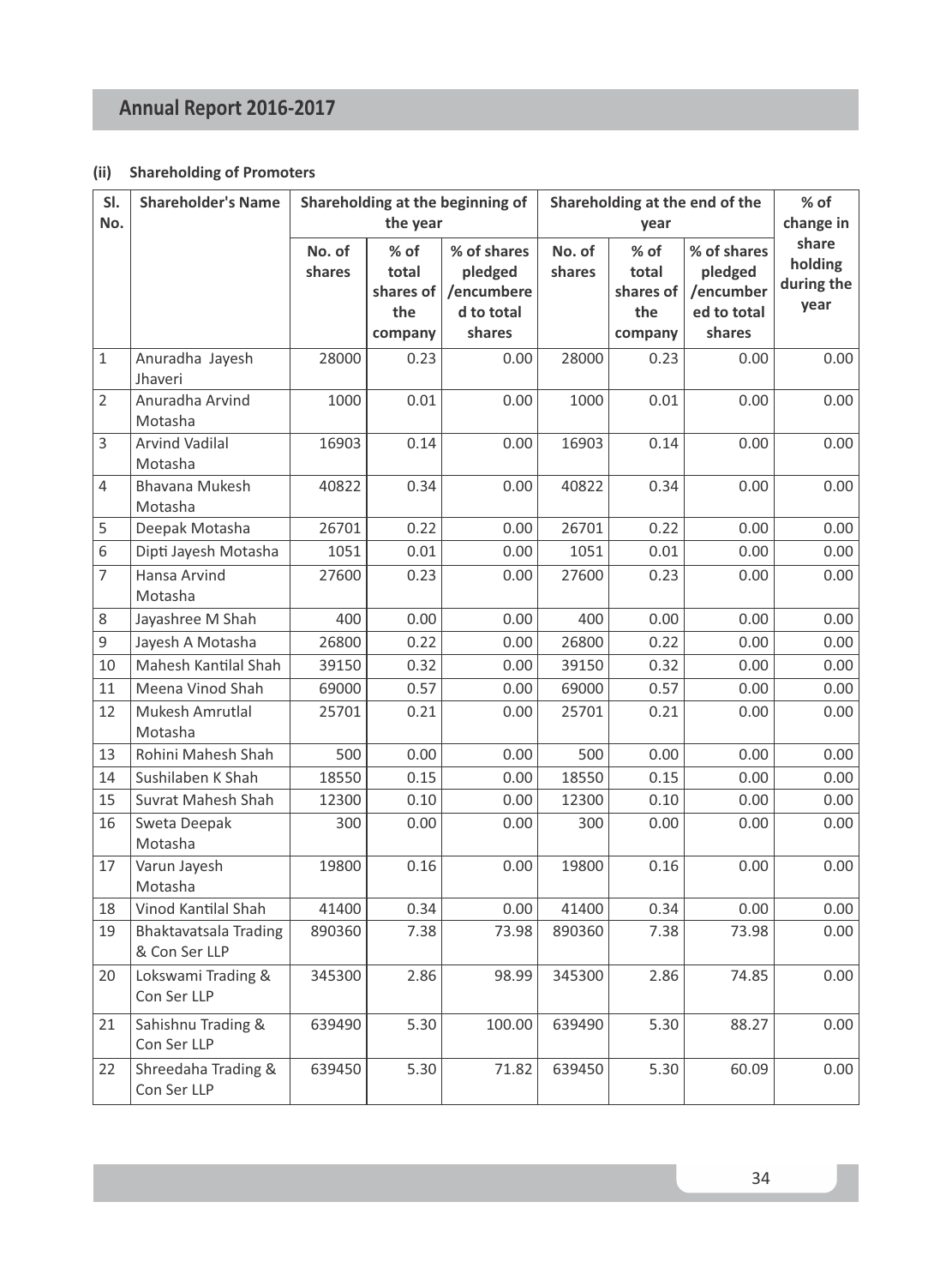#### **(ii) Shareholding of Promoters**

| SI.<br>No.     | <b>Shareholder's Name</b>              |                  | the year                                     | Shareholding at the beginning of                             | Shareholding at the end of the<br>year |                                              |                                                              | % of<br>change in                      |
|----------------|----------------------------------------|------------------|----------------------------------------------|--------------------------------------------------------------|----------------------------------------|----------------------------------------------|--------------------------------------------------------------|----------------------------------------|
|                |                                        | No. of<br>shares | % of<br>total<br>shares of<br>the<br>company | % of shares<br>pledged<br>/encumbere<br>d to total<br>shares | No. of<br>shares                       | % of<br>total<br>shares of<br>the<br>company | % of shares<br>pledged<br>/encumber<br>ed to total<br>shares | share<br>holding<br>during the<br>year |
| 1              | Anuradha Jayesh<br>Jhaveri             | 28000            | 0.23                                         | 0.00                                                         | 28000                                  | 0.23                                         | 0.00                                                         | 0.00                                   |
| $\overline{2}$ | Anuradha Arvind<br>Motasha             | 1000             | 0.01                                         | 0.00                                                         | 1000                                   | 0.01                                         | 0.00                                                         | 0.00                                   |
| 3              | <b>Arvind Vadilal</b><br>Motasha       | 16903            | 0.14                                         | 0.00                                                         | 16903                                  | 0.14                                         | 0.00                                                         | 0.00                                   |
| 4              | Bhavana Mukesh<br>Motasha              | 40822            | 0.34                                         | 0.00                                                         | 40822                                  | 0.34                                         | 0.00                                                         | 0.00                                   |
| 5              | Deepak Motasha                         | 26701            | 0.22                                         | 0.00                                                         | 26701                                  | 0.22                                         | 0.00                                                         | 0.00                                   |
| 6              | Dipti Jayesh Motasha                   | 1051             | 0.01                                         | 0.00                                                         | 1051                                   | 0.01                                         | 0.00                                                         | 0.00                                   |
| $\overline{7}$ | Hansa Arvind<br>Motasha                | 27600            | 0.23                                         | 0.00                                                         | 27600                                  | 0.23                                         | 0.00                                                         | 0.00                                   |
| 8              | Jayashree M Shah                       | 400              | 0.00                                         | 0.00                                                         | 400                                    | 0.00                                         | 0.00                                                         | 0.00                                   |
| 9              | Jayesh A Motasha                       | 26800            | 0.22                                         | 0.00                                                         | 26800                                  | 0.22                                         | 0.00                                                         | 0.00                                   |
| 10             | Mahesh Kantilal Shah                   | 39150            | 0.32                                         | 0.00                                                         | 39150                                  | 0.32                                         | 0.00                                                         | 0.00                                   |
| 11             | Meena Vinod Shah                       | 69000            | 0.57                                         | 0.00                                                         | 69000                                  | 0.57                                         | 0.00                                                         | 0.00                                   |
| 12             | Mukesh Amrutlal<br>Motasha             | 25701            | 0.21                                         | 0.00                                                         | 25701                                  | 0.21                                         | 0.00                                                         | 0.00                                   |
| 13             | Rohini Mahesh Shah                     | 500              | 0.00                                         | 0.00                                                         | 500                                    | 0.00                                         | 0.00                                                         | 0.00                                   |
| 14             | Sushilaben K Shah                      | 18550            | 0.15                                         | 0.00                                                         | 18550                                  | 0.15                                         | 0.00                                                         | 0.00                                   |
| 15             | Suvrat Mahesh Shah                     | 12300            | 0.10                                         | 0.00                                                         | 12300                                  | 0.10                                         | 0.00                                                         | 0.00                                   |
| 16             | Sweta Deepak<br>Motasha                | 300              | 0.00                                         | 0.00                                                         | 300                                    | 0.00                                         | 0.00                                                         | 0.00                                   |
| 17             | Varun Jayesh<br>Motasha                | 19800            | 0.16                                         | 0.00                                                         | 19800                                  | 0.16                                         | 0.00                                                         | 0.00                                   |
| 18             | Vinod Kantilal Shah                    | 41400            | 0.34                                         | 0.00                                                         | 41400                                  | 0.34                                         | 0.00                                                         | 0.00                                   |
| 19             | Bhaktavatsala Trading<br>& Con Ser LLP | 890360           | 7.38                                         | 73.98                                                        | 890360                                 | 7.38                                         | 73.98                                                        | 0.00                                   |
| 20             | Lokswami Trading &<br>Con Ser LLP      | 345300           | 2.86                                         | 98.99                                                        | 345300                                 | 2.86                                         | 74.85                                                        | 0.00                                   |
| 21             | Sahishnu Trading &<br>Con Ser LLP      | 639490           | 5.30                                         | 100.00                                                       | 639490                                 | 5.30                                         | 88.27                                                        | 0.00                                   |
| 22             | Shreedaha Trading &<br>Con Ser LLP     | 639450           | 5.30                                         | 71.82                                                        | 639450                                 | 5.30                                         | 60.09                                                        | 0.00                                   |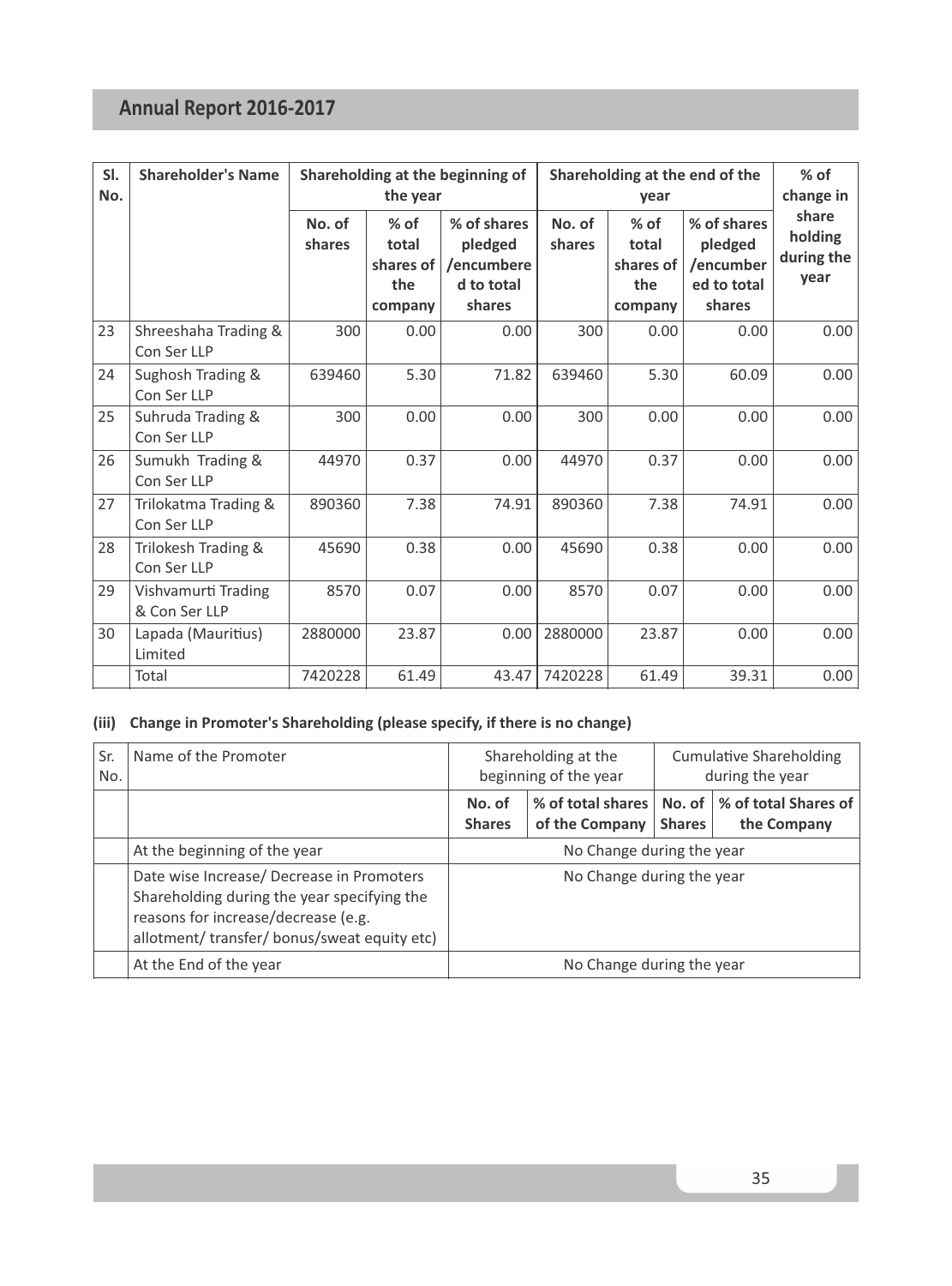| SI.<br>No. | <b>Shareholder's Name</b>            |                  | the year                                       | Shareholding at the beginning of                             | Shareholding at the end of the<br>year |                                                |                                                              | $%$ of<br>change in                    |
|------------|--------------------------------------|------------------|------------------------------------------------|--------------------------------------------------------------|----------------------------------------|------------------------------------------------|--------------------------------------------------------------|----------------------------------------|
|            |                                      | No. of<br>shares | $%$ of<br>total<br>shares of<br>the<br>company | % of shares<br>pledged<br>/encumbere<br>d to total<br>shares | No. of<br>shares                       | $%$ of<br>total<br>shares of<br>the<br>company | % of shares<br>pledged<br>/encumber<br>ed to total<br>shares | share<br>holding<br>during the<br>vear |
| 23         | Shreeshaha Trading &<br>Con Ser LLP  | 300              | 0.00                                           | 0.00                                                         | 300                                    | 0.00                                           | 0.00                                                         | 0.00                                   |
| 24         | Sughosh Trading &<br>Con Ser LLP     | 639460           | 5.30                                           | 71.82                                                        | 639460                                 | 5.30                                           | 60.09                                                        | 0.00                                   |
| 25         | Suhruda Trading &<br>Con Ser LLP     | 300              | 0.00                                           | 0.00                                                         | 300                                    | 0.00                                           | 0.00                                                         | 0.00                                   |
| 26         | Sumukh Trading &<br>Con Ser LLP      | 44970            | 0.37                                           | 0.00                                                         | 44970                                  | 0.37                                           | 0.00                                                         | 0.00                                   |
| 27         | Trilokatma Trading &<br>Con Ser LLP  | 890360           | 7.38                                           | 74.91                                                        | 890360                                 | 7.38                                           | 74.91                                                        | 0.00                                   |
| 28         | Trilokesh Trading &<br>Con Ser LLP   | 45690            | 0.38                                           | 0.00                                                         | 45690                                  | 0.38                                           | 0.00                                                         | 0.00                                   |
| 29         | Vishvamurti Trading<br>& Con Ser LLP | 8570             | 0.07                                           | 0.00                                                         | 8570                                   | 0.07                                           | 0.00                                                         | 0.00                                   |
| 30         | Lapada (Mauritius)<br>Limited        | 2880000          | 23.87                                          | 0.00                                                         | 2880000                                | 23.87                                          | 0.00                                                         | 0.00                                   |
|            | Total                                | 7420228          | 61.49                                          | 43.47                                                        | 7420228                                | 61.49                                          | 39.31                                                        | 0.00                                   |

## **(iii) Change in Promoter's Shareholding (please specify, if there is no change)**

| Sr.<br>No. | Name of the Promoter                                                                                                                                                          |                                                                                                | Shareholding at the<br>beginning of the year | <b>Cumulative Shareholding</b><br>during the year |             |  |
|------------|-------------------------------------------------------------------------------------------------------------------------------------------------------------------------------|------------------------------------------------------------------------------------------------|----------------------------------------------|---------------------------------------------------|-------------|--|
|            |                                                                                                                                                                               | % of total shares   No. of   % of total Shares of<br>No. of<br>of the Company<br><b>Shares</b> |                                              | <b>Shares</b>                                     | the Company |  |
|            | At the beginning of the year                                                                                                                                                  | No Change during the year                                                                      |                                              |                                                   |             |  |
|            | Date wise Increase/ Decrease in Promoters<br>Shareholding during the year specifying the<br>reasons for increase/decrease (e.g.<br>allotment/transfer/bonus/sweat equity etc) | No Change during the year                                                                      |                                              |                                                   |             |  |
|            | At the End of the year                                                                                                                                                        |                                                                                                | No Change during the year                    |                                                   |             |  |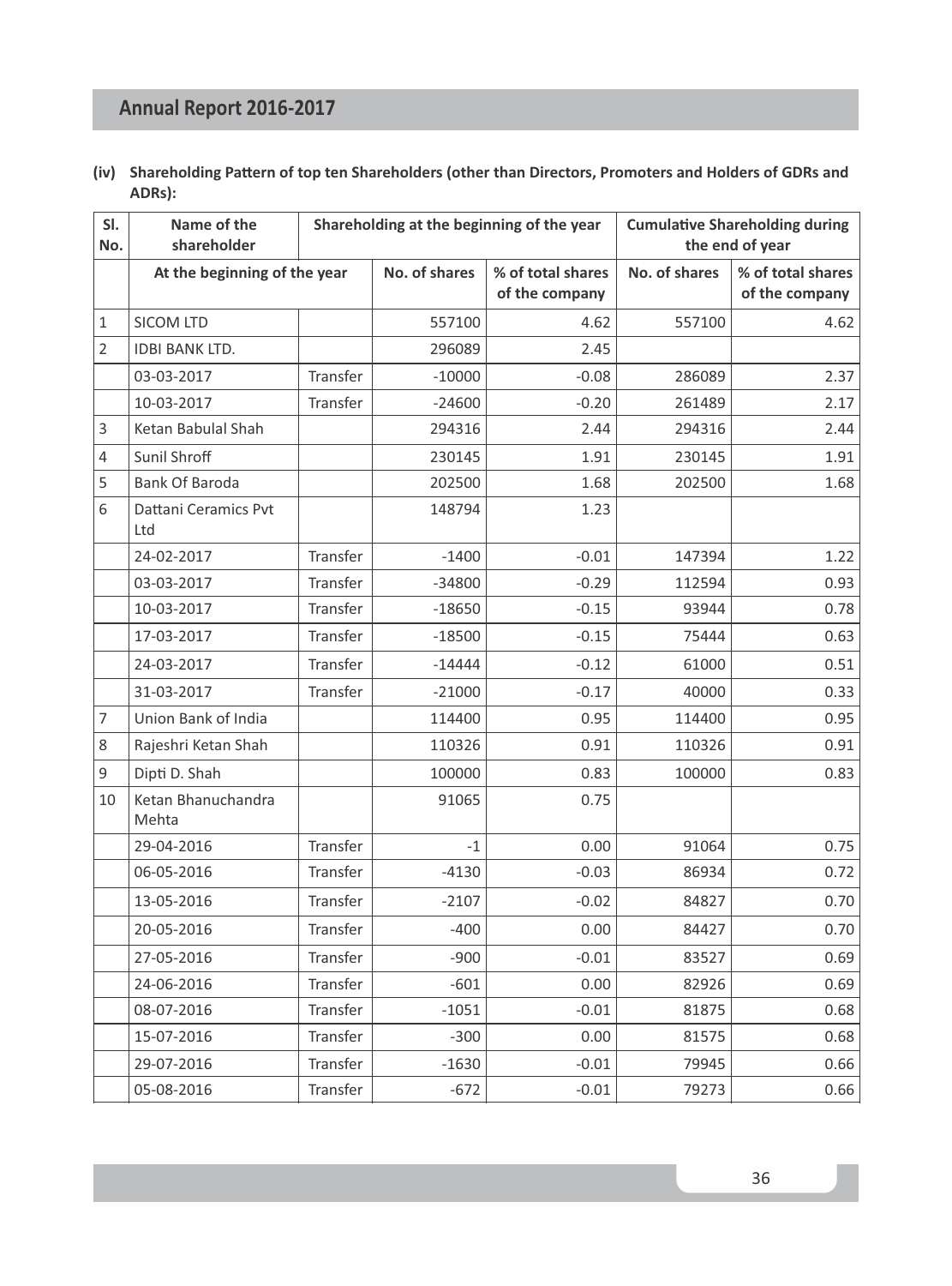| (iv) Shareholding Pattern of top ten Shareholders (other than Directors, Promoters and Holders of GDRs and |
|------------------------------------------------------------------------------------------------------------|
| ADRs):                                                                                                     |

| SI.<br>No.     | Name of the<br>shareholder   |                 | Shareholding at the beginning of the year |                                     |               | <b>Cumulative Shareholding during</b><br>the end of year |  |  |
|----------------|------------------------------|-----------------|-------------------------------------------|-------------------------------------|---------------|----------------------------------------------------------|--|--|
|                | At the beginning of the year |                 | No. of shares                             | % of total shares<br>of the company | No. of shares | % of total shares<br>of the company                      |  |  |
| $\mathbf{1}$   | <b>SICOM LTD</b>             |                 | 557100                                    | 4.62                                | 557100        | 4.62                                                     |  |  |
| $\overline{2}$ | <b>IDBI BANK LTD.</b>        |                 | 296089                                    | 2.45                                |               |                                                          |  |  |
|                | 03-03-2017                   | <b>Transfer</b> | $-10000$                                  | $-0.08$                             | 286089        | 2.37                                                     |  |  |
|                | 10-03-2017                   | Transfer        | $-24600$                                  | $-0.20$                             | 261489        | 2.17                                                     |  |  |
| 3              | Ketan Babulal Shah           |                 | 294316                                    | 2.44                                | 294316        | 2.44                                                     |  |  |
| 4              | Sunil Shroff                 |                 | 230145                                    | 1.91                                | 230145        | 1.91                                                     |  |  |
| 5              | <b>Bank Of Baroda</b>        |                 | 202500                                    | 1.68                                | 202500        | 1.68                                                     |  |  |
| 6              | Dattani Ceramics Pvt<br>Ltd  |                 | 148794                                    | 1.23                                |               |                                                          |  |  |
|                | 24-02-2017                   | Transfer        | $-1400$                                   | $-0.01$                             | 147394        | 1.22                                                     |  |  |
|                | 03-03-2017                   | Transfer        | $-34800$                                  | $-0.29$                             | 112594        | 0.93                                                     |  |  |
|                | 10-03-2017                   | <b>Transfer</b> | $-18650$                                  | $-0.15$                             | 93944         | 0.78                                                     |  |  |
|                | 17-03-2017                   | Transfer        | $-18500$                                  | $-0.15$                             | 75444         | 0.63                                                     |  |  |
|                | 24-03-2017                   | Transfer        | $-14444$                                  | $-0.12$                             | 61000         | 0.51                                                     |  |  |
|                | 31-03-2017                   | Transfer        | $-21000$                                  | $-0.17$                             | 40000         | 0.33                                                     |  |  |
| 7              | Union Bank of India          |                 | 114400                                    | 0.95                                | 114400        | 0.95                                                     |  |  |
| 8              | Rajeshri Ketan Shah          |                 | 110326                                    | 0.91                                | 110326        | 0.91                                                     |  |  |
| 9              | Dipti D. Shah                |                 | 100000                                    | 0.83                                | 100000        | 0.83                                                     |  |  |
| 10             | Ketan Bhanuchandra<br>Mehta  |                 | 91065                                     | 0.75                                |               |                                                          |  |  |
|                | 29-04-2016                   | Transfer        | $-1$                                      | 0.00                                | 91064         | 0.75                                                     |  |  |
|                | 06-05-2016                   | Transfer        | $-4130$                                   | $-0.03$                             | 86934         | 0.72                                                     |  |  |
|                | 13-05-2016                   | Transfer        | $-2107$                                   | $-0.02$                             | 84827         | 0.70                                                     |  |  |
|                | 20-05-2016                   | Transfer        | $-400$                                    | 0.00                                | 84427         | 0.70                                                     |  |  |
|                | 27-05-2016                   | Transfer        | $-900$                                    | $-0.01$                             | 83527         | 0.69                                                     |  |  |
|                | 24-06-2016                   | Transfer        | $-601$                                    | 0.00                                | 82926         | 0.69                                                     |  |  |
|                | 08-07-2016                   | Transfer        | $-1051$                                   | $-0.01$                             | 81875         | 0.68                                                     |  |  |
|                | 15-07-2016                   | Transfer        | $-300$                                    | 0.00                                | 81575         | 0.68                                                     |  |  |
|                | 29-07-2016                   | Transfer        | $-1630$                                   | $-0.01$                             | 79945         | 0.66                                                     |  |  |
|                | 05-08-2016                   | Transfer        | $-672$                                    | $-0.01$                             | 79273         | 0.66                                                     |  |  |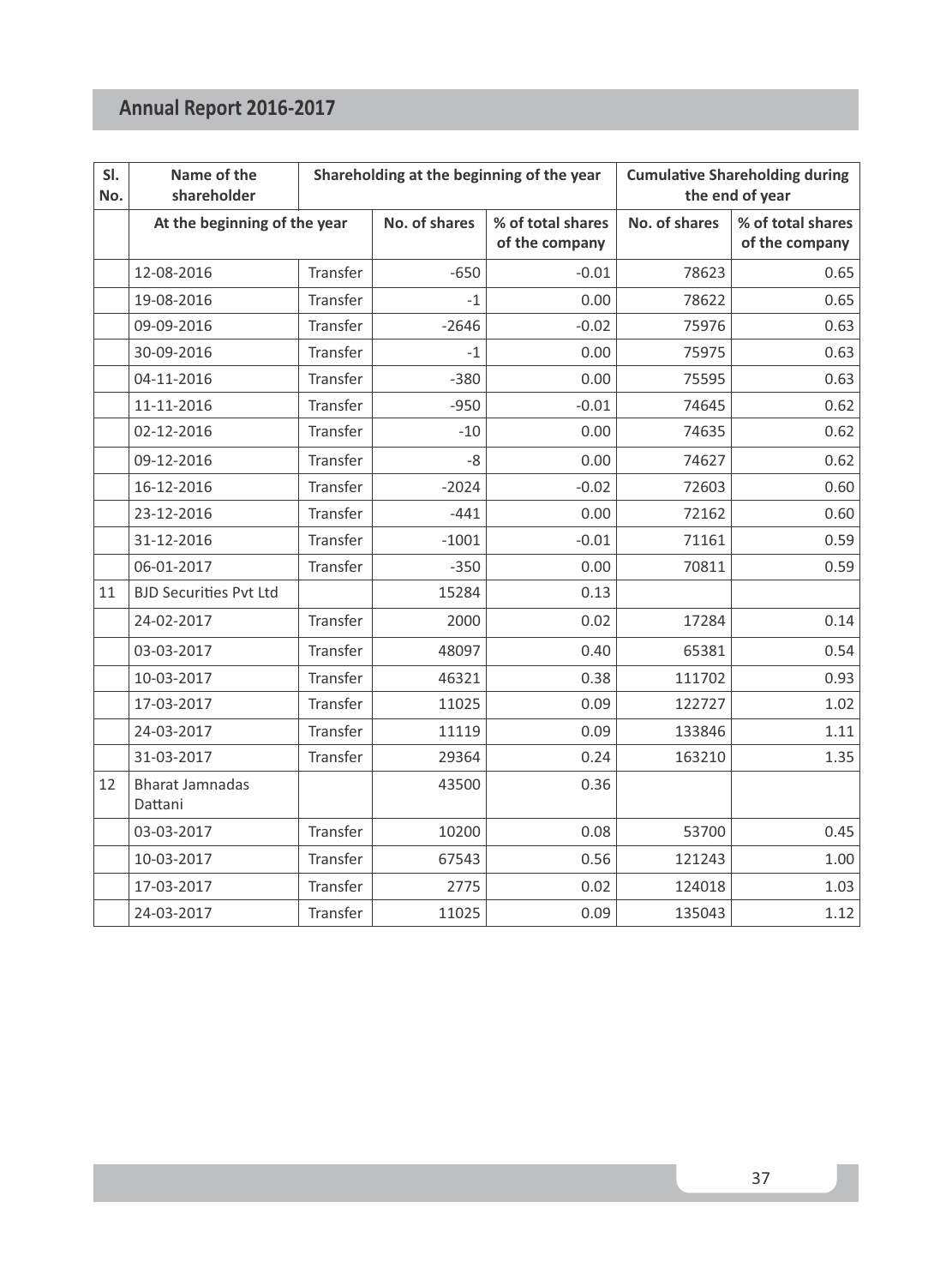| SI.<br>No. | Name of the<br>shareholder        |          | Shareholding at the beginning of the year |                                     |               | <b>Cumulative Shareholding during</b><br>the end of year |
|------------|-----------------------------------|----------|-------------------------------------------|-------------------------------------|---------------|----------------------------------------------------------|
|            | At the beginning of the year      |          | No. of shares                             | % of total shares<br>of the company | No. of shares | % of total shares<br>of the company                      |
|            | 12-08-2016                        | Transfer | $-650$                                    | $-0.01$                             | 78623         | 0.65                                                     |
|            | 19-08-2016                        | Transfer | $-1$                                      | 0.00                                | 78622         | 0.65                                                     |
|            | 09-09-2016                        | Transfer | $-2646$                                   | $-0.02$                             | 75976         | 0.63                                                     |
|            | 30-09-2016                        | Transfer | $-1$                                      | 0.00                                | 75975         | 0.63                                                     |
|            | 04-11-2016                        | Transfer | $-380$                                    | 0.00                                | 75595         | 0.63                                                     |
|            | 11-11-2016                        | Transfer | $-950$                                    | $-0.01$                             | 74645         | 0.62                                                     |
|            | 02-12-2016                        | Transfer | $-10$                                     | 0.00                                | 74635         | 0.62                                                     |
|            | 09-12-2016                        | Transfer | $-8$                                      | 0.00                                | 74627         | 0.62                                                     |
|            | 16-12-2016                        | Transfer | $-2024$                                   | $-0.02$                             | 72603         | 0.60                                                     |
|            | 23-12-2016                        | Transfer | $-441$                                    | 0.00                                | 72162         | 0.60                                                     |
|            | 31-12-2016                        | Transfer | $-1001$                                   | $-0.01$                             | 71161         | 0.59                                                     |
|            | 06-01-2017                        | Transfer | $-350$                                    | 0.00                                | 70811         | 0.59                                                     |
| 11         | <b>BJD Securities Pyt Ltd</b>     |          | 15284                                     | 0.13                                |               |                                                          |
|            | 24-02-2017                        | Transfer | 2000                                      | 0.02                                | 17284         | 0.14                                                     |
|            | 03-03-2017                        | Transfer | 48097                                     | 0.40                                | 65381         | 0.54                                                     |
|            | 10-03-2017                        | Transfer | 46321                                     | 0.38                                | 111702        | 0.93                                                     |
|            | 17-03-2017                        | Transfer | 11025                                     | 0.09                                | 122727        | 1.02                                                     |
|            | 24-03-2017                        | Transfer | 11119                                     | 0.09                                | 133846        | 1.11                                                     |
|            | 31-03-2017                        | Transfer | 29364                                     | 0.24                                | 163210        | 1.35                                                     |
| 12         | <b>Bharat Jamnadas</b><br>Dattani |          | 43500                                     | 0.36                                |               |                                                          |
|            | 03-03-2017                        | Transfer | 10200                                     | 0.08                                | 53700         | 0.45                                                     |
|            | 10-03-2017                        | Transfer | 67543                                     | 0.56                                | 121243        | 1.00                                                     |
|            | 17-03-2017                        | Transfer | 2775                                      | 0.02                                | 124018        | 1.03                                                     |
|            | 24-03-2017                        | Transfer | 11025                                     | 0.09                                | 135043        | 1.12                                                     |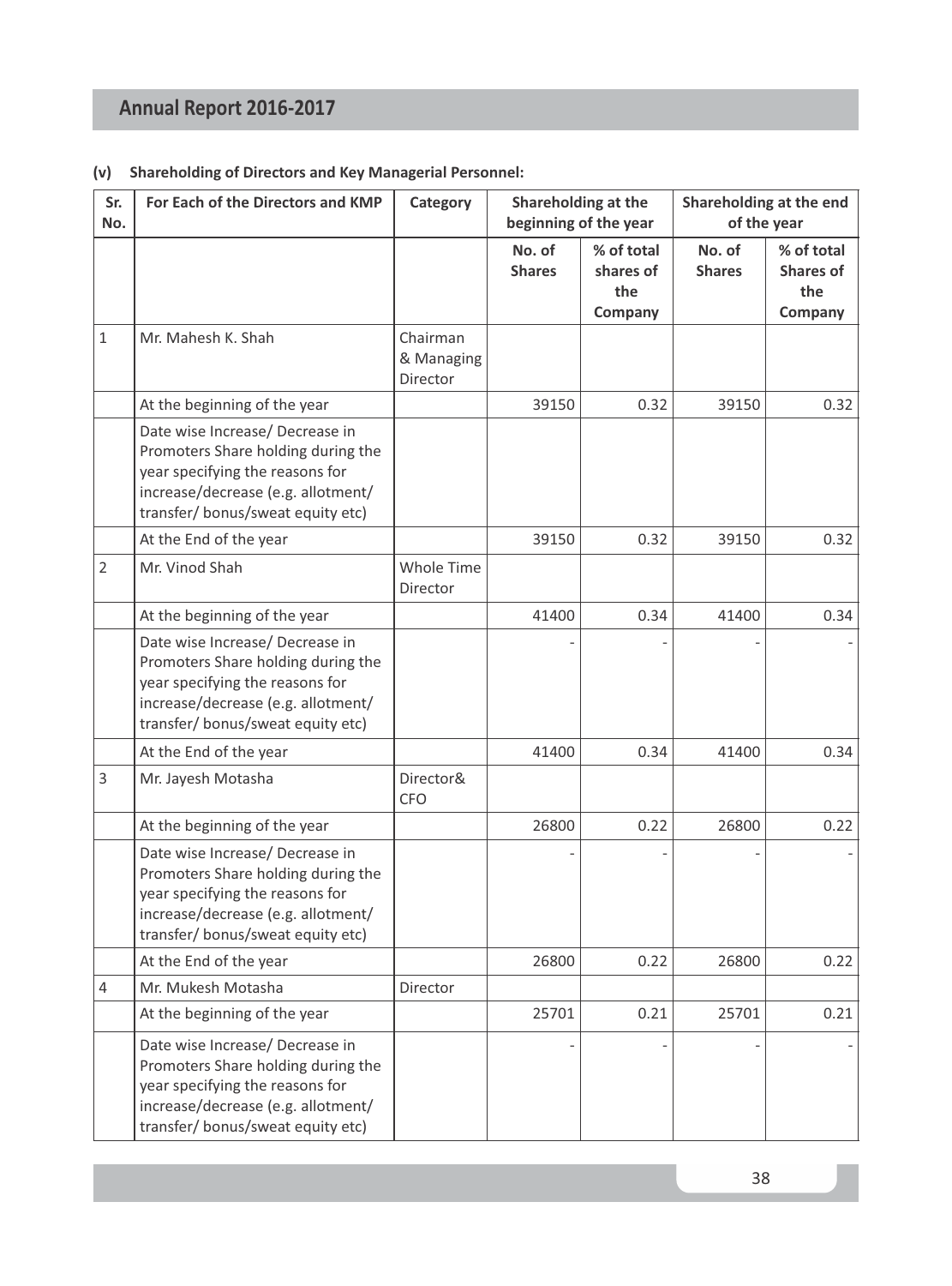### **(v) Shareholding of Directors and Key Managerial Personnel:**

| Sr.<br>No.     | For Each of the Directors and KMP                                                                                                                                                   | Category                           | Shareholding at the<br>beginning of the year |                                           |                         | Shareholding at the end<br>of the year           |
|----------------|-------------------------------------------------------------------------------------------------------------------------------------------------------------------------------------|------------------------------------|----------------------------------------------|-------------------------------------------|-------------------------|--------------------------------------------------|
|                |                                                                                                                                                                                     |                                    | No. of<br><b>Shares</b>                      | % of total<br>shares of<br>the<br>Company | No. of<br><b>Shares</b> | % of total<br><b>Shares of</b><br>the<br>Company |
| $\mathbf{1}$   | Mr. Mahesh K. Shah                                                                                                                                                                  | Chairman<br>& Managing<br>Director |                                              |                                           |                         |                                                  |
|                | At the beginning of the year                                                                                                                                                        |                                    | 39150                                        | 0.32                                      | 39150                   | 0.32                                             |
|                | Date wise Increase/ Decrease in<br>Promoters Share holding during the<br>year specifying the reasons for<br>increase/decrease (e.g. allotment/<br>transfer/ bonus/sweat equity etc) |                                    |                                              |                                           |                         |                                                  |
|                | At the End of the year                                                                                                                                                              |                                    | 39150                                        | 0.32                                      | 39150                   | 0.32                                             |
| $\overline{2}$ | Mr. Vinod Shah                                                                                                                                                                      | Whole Time<br><b>Director</b>      |                                              |                                           |                         |                                                  |
|                | At the beginning of the year                                                                                                                                                        |                                    | 41400                                        | 0.34                                      | 41400                   | 0.34                                             |
|                | Date wise Increase/ Decrease in<br>Promoters Share holding during the<br>year specifying the reasons for<br>increase/decrease (e.g. allotment/<br>transfer/ bonus/sweat equity etc) |                                    |                                              |                                           |                         |                                                  |
|                | At the End of the year                                                                                                                                                              |                                    | 41400                                        | 0.34                                      | 41400                   | 0.34                                             |
| 3              | Mr. Jayesh Motasha                                                                                                                                                                  | Director&<br><b>CFO</b>            |                                              |                                           |                         |                                                  |
|                | At the beginning of the year                                                                                                                                                        |                                    | 26800                                        | 0.22                                      | 26800                   | 0.22                                             |
|                | Date wise Increase/ Decrease in<br>Promoters Share holding during the<br>year specifying the reasons for<br>increase/decrease (e.g. allotment/<br>transfer/ bonus/sweat equity etc) |                                    |                                              |                                           |                         |                                                  |
|                | At the End of the year                                                                                                                                                              |                                    | 26800                                        | 0.22                                      | 26800                   | 0.22                                             |
| 4              | Mr. Mukesh Motasha                                                                                                                                                                  | Director                           |                                              |                                           |                         |                                                  |
|                | At the beginning of the year                                                                                                                                                        |                                    | 25701                                        | 0.21                                      | 25701                   | 0.21                                             |
|                | Date wise Increase/ Decrease in<br>Promoters Share holding during the<br>year specifying the reasons for<br>increase/decrease (e.g. allotment/<br>transfer/ bonus/sweat equity etc) |                                    |                                              |                                           |                         |                                                  |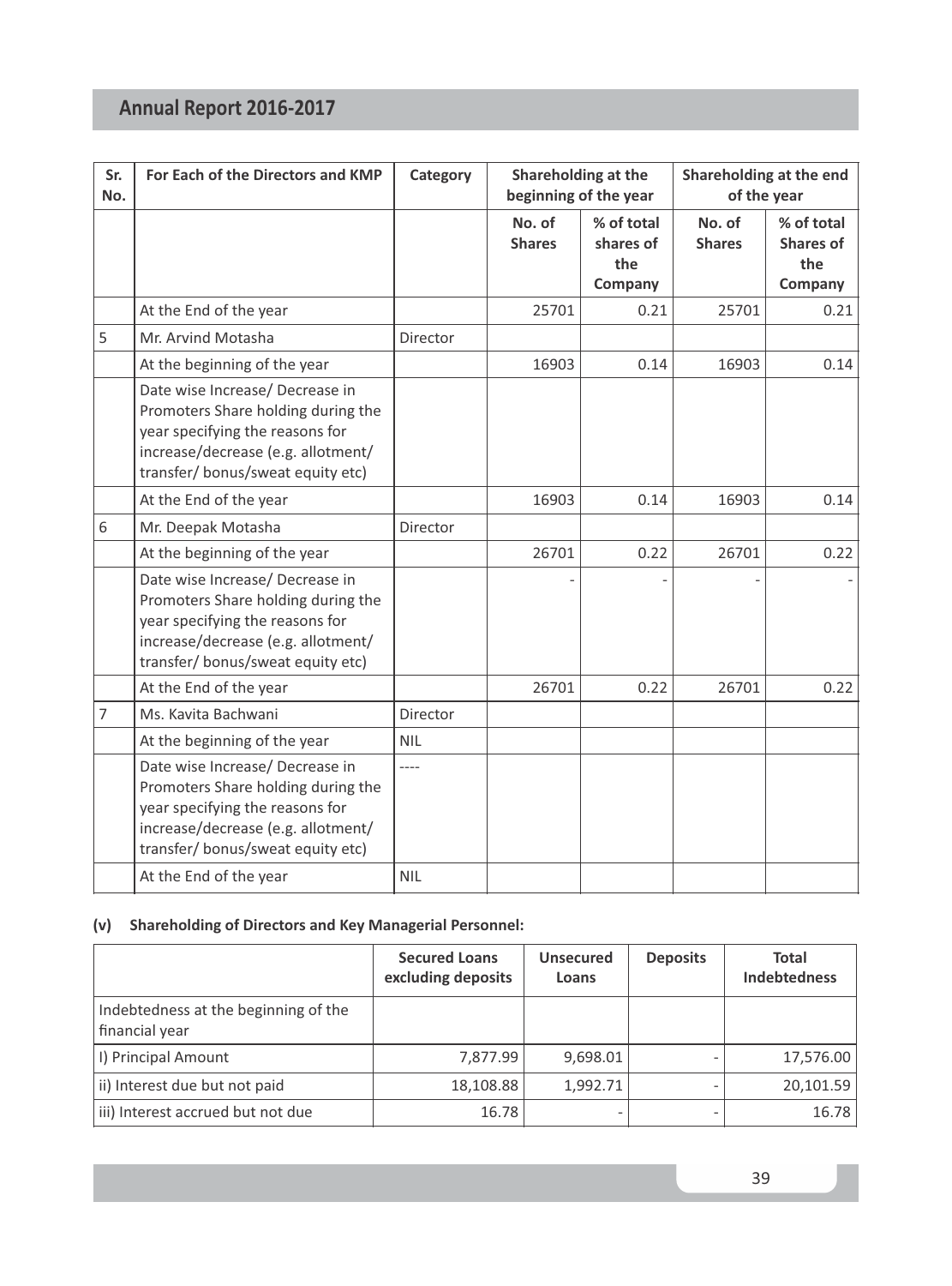| Sr.<br>No.     | For Each of the Directors and KMP                                                                                                                                                   | Category            | Shareholding at the<br>beginning of the year |                                           |                         | Shareholding at the end<br>of the year           |  |
|----------------|-------------------------------------------------------------------------------------------------------------------------------------------------------------------------------------|---------------------|----------------------------------------------|-------------------------------------------|-------------------------|--------------------------------------------------|--|
|                |                                                                                                                                                                                     |                     | No. of<br><b>Shares</b>                      | % of total<br>shares of<br>the<br>Company | No. of<br><b>Shares</b> | % of total<br><b>Shares of</b><br>the<br>Company |  |
|                | At the End of the year                                                                                                                                                              |                     | 25701                                        | 0.21                                      | 25701                   | 0.21                                             |  |
| 5              | Mr. Arvind Motasha                                                                                                                                                                  | Director            |                                              |                                           |                         |                                                  |  |
|                | At the beginning of the year                                                                                                                                                        |                     | 16903                                        | 0.14                                      | 16903                   | 0.14                                             |  |
|                | Date wise Increase/ Decrease in<br>Promoters Share holding during the<br>year specifying the reasons for<br>increase/decrease (e.g. allotment/<br>transfer/ bonus/sweat equity etc) |                     |                                              |                                           |                         |                                                  |  |
|                | At the End of the year                                                                                                                                                              |                     | 16903                                        | 0.14                                      | 16903                   | 0.14                                             |  |
| 6              | Mr. Deepak Motasha                                                                                                                                                                  | Director            |                                              |                                           |                         |                                                  |  |
|                | At the beginning of the year                                                                                                                                                        |                     | 26701                                        | 0.22                                      | 26701                   | 0.22                                             |  |
|                | Date wise Increase/ Decrease in<br>Promoters Share holding during the<br>year specifying the reasons for<br>increase/decrease (e.g. allotment/<br>transfer/ bonus/sweat equity etc) |                     |                                              |                                           |                         |                                                  |  |
|                | At the End of the year                                                                                                                                                              |                     | 26701                                        | 0.22                                      | 26701                   | 0.22                                             |  |
| $\overline{7}$ | Ms. Kavita Bachwani                                                                                                                                                                 | Director            |                                              |                                           |                         |                                                  |  |
|                | At the beginning of the year                                                                                                                                                        | <b>NIL</b>          |                                              |                                           |                         |                                                  |  |
|                | Date wise Increase/ Decrease in<br>Promoters Share holding during the<br>year specifying the reasons for<br>increase/decrease (e.g. allotment/<br>transfer/ bonus/sweat equity etc) | $---$<br><b>NIL</b> |                                              |                                           |                         |                                                  |  |
|                | At the End of the year                                                                                                                                                              |                     |                                              |                                           |                         |                                                  |  |

## **(v) Shareholding of Directors and Key Managerial Personnel:**

|                                                        | <b>Secured Loans</b><br>excluding deposits | <b>Unsecured</b><br>Loans | <b>Deposits</b> | <b>Total</b><br><b>Indebtedness</b> |
|--------------------------------------------------------|--------------------------------------------|---------------------------|-----------------|-------------------------------------|
| Indebtedness at the beginning of the<br>financial year |                                            |                           |                 |                                     |
| I) Principal Amount                                    | 7,877.99                                   | 9,698.01                  |                 | 17,576.00                           |
| ii) Interest due but not paid                          | 18,108.88                                  | 1,992.71                  |                 | 20,101.59                           |
| iii) Interest accrued but not due                      | 16.78                                      |                           |                 | 16.78                               |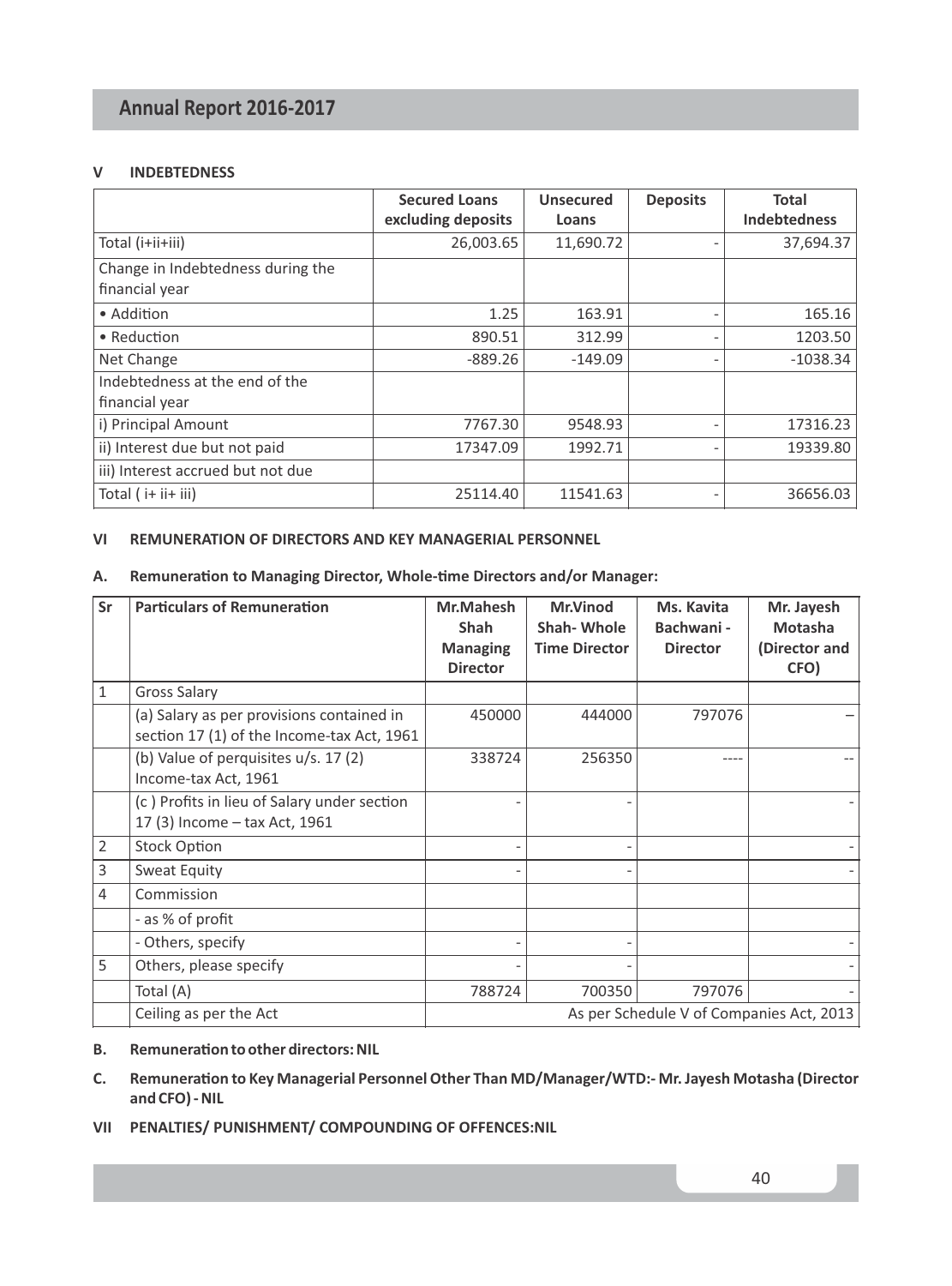#### **V INDEBTEDNESS**

|                                                     | <b>Secured Loans</b><br>excluding deposits | <b>Unsecured</b><br>Loans | <b>Deposits</b> | <b>Total</b><br><b>Indebtedness</b> |
|-----------------------------------------------------|--------------------------------------------|---------------------------|-----------------|-------------------------------------|
| Total (i+ii+iii)                                    | 26,003.65                                  | 11,690.72                 |                 | 37,694.37                           |
| Change in Indebtedness during the<br>financial year |                                            |                           |                 |                                     |
| • Addition                                          | 1.25                                       | 163.91                    |                 | 165.16                              |
| • Reduction                                         | 890.51                                     | 312.99                    |                 | 1203.50                             |
| Net Change                                          | $-889.26$                                  | $-149.09$                 |                 | $-1038.34$                          |
| Indebtedness at the end of the                      |                                            |                           |                 |                                     |
| financial year                                      |                                            |                           |                 |                                     |
| i) Principal Amount                                 | 7767.30                                    | 9548.93                   |                 | 17316.23                            |
| ii) Interest due but not paid                       | 17347.09                                   | 1992.71                   |                 | 19339.80                            |
| iii) Interest accrued but not due                   |                                            |                           |                 |                                     |
| Total (i+ ii+ iii)                                  | 25114.40                                   | 11541.63                  |                 | 36656.03                            |

### **VI REMUNERATION OF DIRECTORS AND KEY MANAGERIAL PERSONNEL**

#### A. Remuneration to Managing Director, Whole-time Directors and/or Manager:

| Sr             | <b>Particulars of Remuneration</b>                                                      | Mr.Mahesh<br><b>Shah</b><br><b>Managing</b><br><b>Director</b> | Mr.Vinod<br>Shah-Whole<br><b>Time Director</b> | Ms. Kavita<br>Bachwani -<br><b>Director</b> | Mr. Jayesh<br>Motasha<br>(Director and<br>CFO) |
|----------------|-----------------------------------------------------------------------------------------|----------------------------------------------------------------|------------------------------------------------|---------------------------------------------|------------------------------------------------|
| 1              | Gross Salary                                                                            |                                                                |                                                |                                             |                                                |
|                | (a) Salary as per provisions contained in<br>section 17 (1) of the Income-tax Act, 1961 | 450000                                                         | 444000                                         | 797076                                      |                                                |
|                | (b) Value of perquisites u/s. 17 (2)<br>Income-tax Act, 1961                            | 338724                                                         | 256350                                         |                                             |                                                |
|                | (c) Profits in lieu of Salary under section<br>17 (3) Income - tax Act, 1961            |                                                                |                                                |                                             |                                                |
| $\overline{2}$ | <b>Stock Option</b>                                                                     |                                                                |                                                |                                             |                                                |
| 3              | Sweat Equity                                                                            |                                                                |                                                |                                             |                                                |
| 4              | Commission                                                                              |                                                                |                                                |                                             |                                                |
|                | - as % of profit                                                                        |                                                                |                                                |                                             |                                                |
|                | - Others, specify                                                                       |                                                                |                                                |                                             |                                                |
| 5              | Others, please specify                                                                  |                                                                |                                                |                                             |                                                |
|                | Total (A)                                                                               | 788724                                                         | 700350                                         | 797076                                      |                                                |
|                | Ceiling as per the Act                                                                  |                                                                |                                                | As per Schedule V of Companies Act, 2013    |                                                |

#### **B.** Remuneration to other directors: NIL

- C. Remuneration to Key Managerial Personnel Other Than MD/Manager/WTD:- Mr. Jayesh Motasha (Director **and CFO) - NIL**
- **VII PENALTIES/ PUNISHMENT/ COMPOUNDING OF OFFENCES:NIL**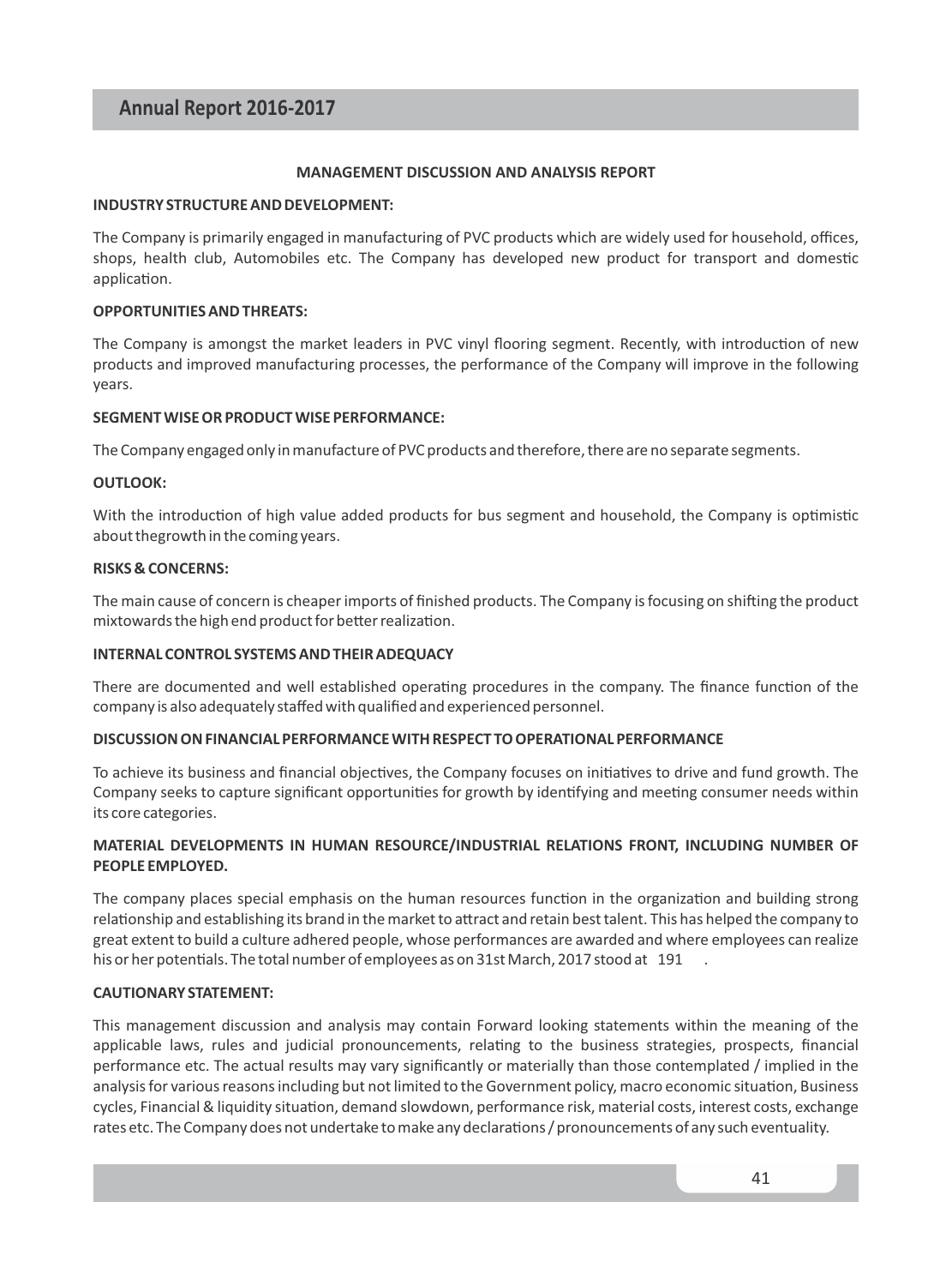#### **MANAGEMENT DISCUSSION AND ANALYSIS REPORT**

#### **INDUSTRY STRUCTURE AND DEVELOPMENT:**

The Company is primarily engaged in manufacturing of PVC products which are widely used for household, offices, shops, health club, Automobiles etc. The Company has developed new product for transport and domestic application.

#### **OPPORTUNITIES AND THREATS:**

The Company is amongst the market leaders in PVC vinyl flooring segment. Recently, with introduction of new products and improved manufacturing processes, the performance of the Company will improve in the following years.

#### **SEGMENT WISE OR PRODUCT WISE PERFORMANCE:**

The Company engaged only in manufacture of PVC products and therefore, there are no separate segments.

#### **OUTLOOK:**

With the introduction of high value added products for bus segment and household, the Company is optimistic about thegrowth in the coming years.

#### **RISKS & CONCERNS:**

The main cause of concern is cheaper imports of finished products. The Company is focusing on shifting the product mixtowards the high end product for better realization.

#### **INTERNAL CONTROL SYSTEMS AND THEIR ADEQUACY**

There are documented and well established operating procedures in the company. The finance function of the company is also adequately staffed with qualified and experienced personnel.

#### **DISCUSSION ON FINANCIAL PERFORMANCE WITH RESPECT TO OPERATIONAL PERFORMANCE**

To achieve its business and financial objectives, the Company focuses on initiatives to drive and fund growth. The Company seeks to capture significant opportunities for growth by identifying and meeting consumer needs within its core categories.

#### **MATERIAL DEVELOPMENTS IN HUMAN RESOURCE/INDUSTRIAL RELATIONS FRONT, INCLUDING NUMBER OF PEOPLE EMPLOYED.**

The company places special emphasis on the human resources function in the organization and building strong relationship and establishing its brand in the market to attract and retain best talent. This has helped the company to great extent to build a culture adhered people, whose performances are awarded and where employees can realize his or her potentials. The total number of employees as on 31st March, 2017 stood at 191

#### **CAUTIONARY STATEMENT:**

This management discussion and analysis may contain Forward looking statements within the meaning of the applicable laws, rules and judicial pronouncements, relating to the business strategies, prospects, financial performance etc. The actual results may vary significantly or materially than those contemplated / implied in the analysis for various reasons including but not limited to the Government policy, macro economic situation, Business cycles, Financial & liquidity situation, demand slowdown, performance risk, material costs, interest costs, exchange rates etc. The Company does not undertake to make any declarations / pronouncements of any such eventuality.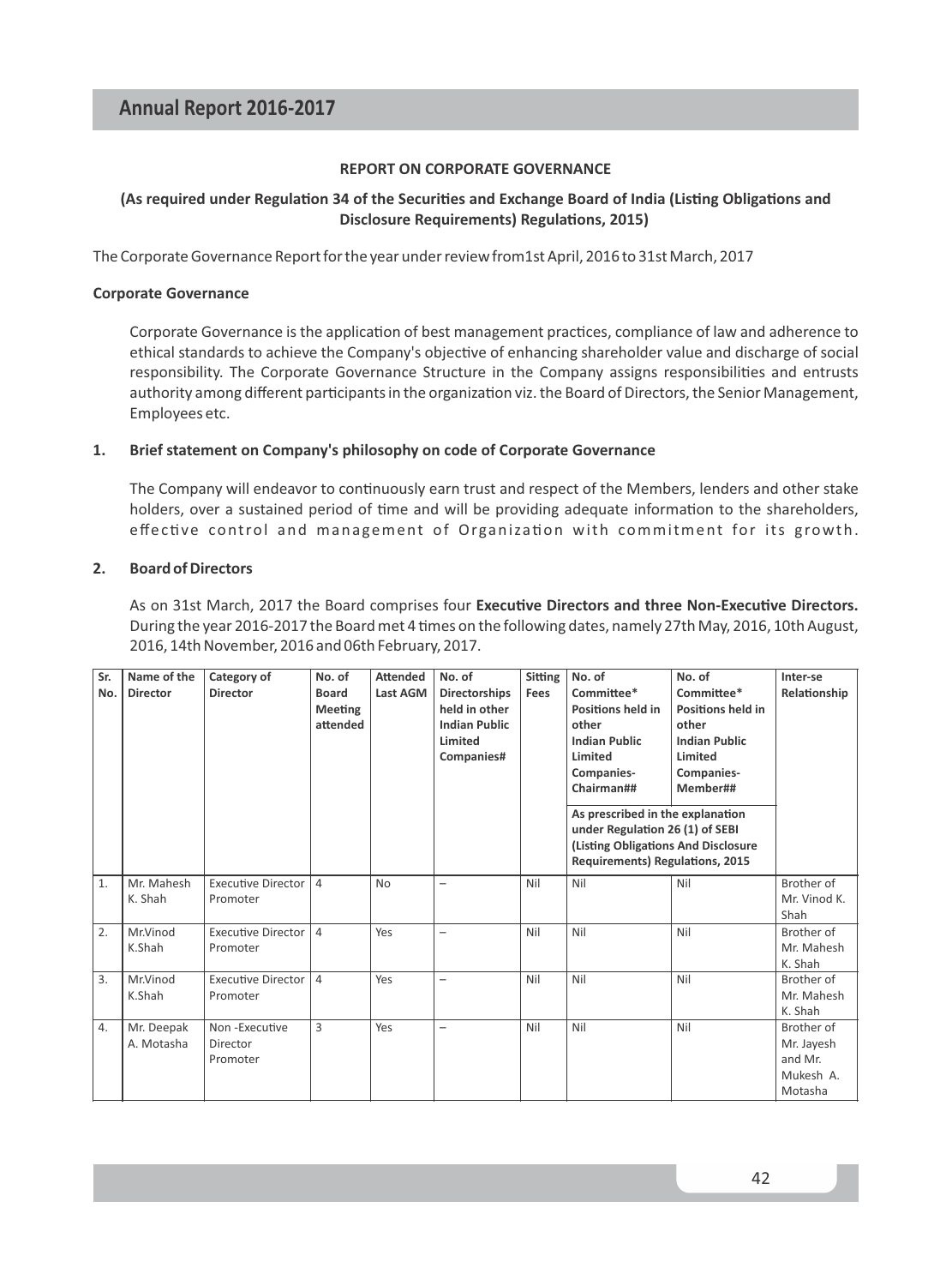#### **REPORT ON CORPORATE GOVERNANCE**

#### (As required under Regulation 34 of the Securities and Exchange Board of India (Listing Obligations and **Disclosure Requirements) Regulations, 2015)**

The Corporate Governance Report for the year under review from1st April, 2016 to 31st March, 2017

#### **Corporate Governance**

Corporate Governance is the application of best management practices, compliance of law and adherence to ethical standards to achieve the Company's objective of enhancing shareholder value and discharge of social responsibility. The Corporate Governance Structure in the Company assigns responsibilities and entrusts authority among different participants in the organization viz. the Board of Directors, the Senior Management, Employees etc.

#### **1. Brief statement on Company's philosophy on code of Corporate Governance**

The Company will endeavor to continuously earn trust and respect of the Members, lenders and other stake holders, over a sustained period of time and will be providing adequate information to the shareholders, effective control and management of Organization with commitment for its growth.

#### **2. Board of Directors**

As on 31st March, 2017 the Board comprises four Executive Directors and three Non-Executive Directors. During the year 2016-2017 the Board met 4 times on the following dates, namely 27th May, 2016, 10th August, 2016, 14th November, 2016 and 06th February, 2017.

| Sr.<br>No.       | Name of the<br><b>Director</b> | Category of<br><b>Director</b>        | No. of<br>Board<br><b>Meeting</b><br>attended | <b>Attended</b><br>Last AGM | No. of<br><b>Directorships</b><br>held in other<br><b>Indian Public</b><br>Limited<br>Companies# | <b>Sitting</b><br>Fees | No. of<br>Committee*<br><b>Positions held in</b><br>other<br><b>Indian Public</b><br>Limited<br>Companies-<br>Chairman##<br>As prescribed in the explanation<br>under Regulation 26 (1) of SEBI<br>(Listing Obligations And Disclosure<br><b>Requirements) Regulations, 2015</b> | No. of<br>Committee*<br>Positions held in<br>other<br><b>Indian Public</b><br>Limited<br>Companies-<br>Member## | Inter-se<br>Relationship                                    |
|------------------|--------------------------------|---------------------------------------|-----------------------------------------------|-----------------------------|--------------------------------------------------------------------------------------------------|------------------------|----------------------------------------------------------------------------------------------------------------------------------------------------------------------------------------------------------------------------------------------------------------------------------|-----------------------------------------------------------------------------------------------------------------|-------------------------------------------------------------|
| 1.               | Mr. Mahesh<br>K. Shah          | <b>Executive Director</b><br>Promoter | $\overline{4}$                                | <b>No</b>                   | $\overline{\phantom{0}}$                                                                         | Nil                    | Nil                                                                                                                                                                                                                                                                              | Nil                                                                                                             | Brother of<br>Mr. Vinod K.<br>Shah                          |
| 2.               | Mr.Vinod<br>K.Shah             | Executive Director<br>Promoter        | $\overline{4}$                                | Yes                         | $\overline{\phantom{0}}$                                                                         | Nil                    | Nil                                                                                                                                                                                                                                                                              | Nil                                                                                                             | Brother of<br>Mr. Mahesh<br>K. Shah                         |
| 3.               | Mr.Vinod<br>K.Shah             | <b>Executive Director</b><br>Promoter | $\overline{4}$                                | Yes                         | $\overline{\phantom{0}}$                                                                         | Nil                    | Nil                                                                                                                                                                                                                                                                              | Nil                                                                                                             | Brother of<br>Mr. Mahesh<br>K. Shah                         |
| $\overline{4}$ . | Mr. Deepak<br>A. Motasha       | Non-Executive<br>Director<br>Promoter | 3                                             | Yes                         | $\overline{\phantom{0}}$                                                                         | Nil                    | Nil                                                                                                                                                                                                                                                                              | Nil                                                                                                             | Brother of<br>Mr. Jayesh<br>and Mr.<br>Mukesh A.<br>Motasha |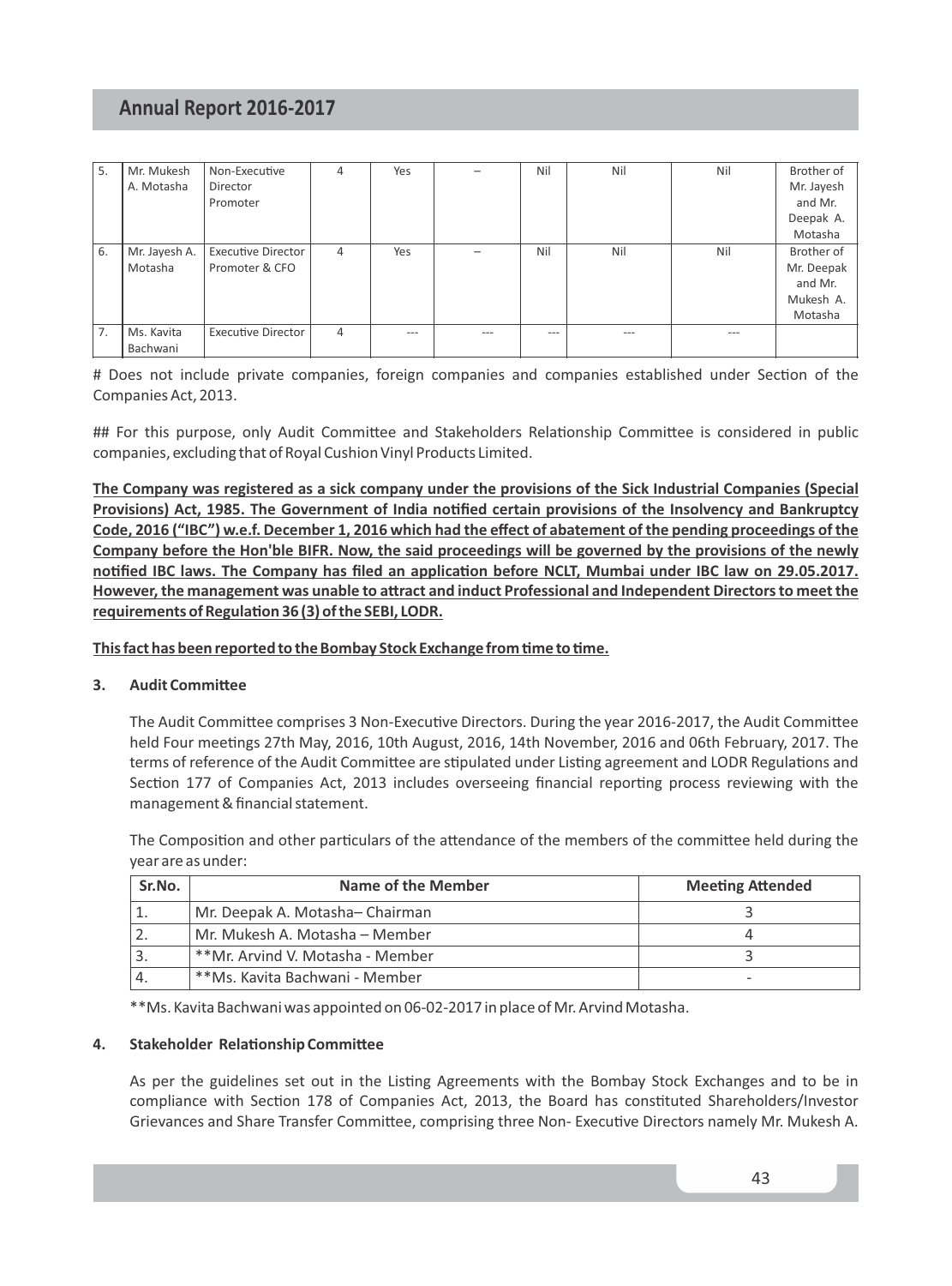| 5. | Mr. Mukesh    | Non-Executive             | 4 | Yes |     | Nil     | Nil     | Nil   | Brother of |
|----|---------------|---------------------------|---|-----|-----|---------|---------|-------|------------|
|    | A. Motasha    | Director                  |   |     |     |         |         |       | Mr. Jayesh |
|    |               | Promoter                  |   |     |     |         |         |       | and Mr.    |
|    |               |                           |   |     |     |         |         |       | Deepak A.  |
|    |               |                           |   |     |     |         |         |       | Motasha    |
| 6. | Mr. Jayesh A. | <b>Executive Director</b> | 4 | Yes |     | Nil     | Nil     | Nil   | Brother of |
|    | Motasha       | Promoter & CFO            |   |     |     |         |         |       | Mr. Deepak |
|    |               |                           |   |     |     |         |         |       | and Mr.    |
|    |               |                           |   |     |     |         |         |       | Mukesh A.  |
|    |               |                           |   |     |     |         |         |       | Motasha    |
| 7. | Ms. Kavita    | <b>Executive Director</b> | 4 | --- | --- | $- - -$ | $- - -$ | $---$ |            |
|    | Bachwani      |                           |   |     |     |         |         |       |            |

# Does not include private companies, foreign companies and companies established under Section of the Companies Act, 2013.

## For this purpose, only Audit Committee and Stakeholders Relationship Committee is considered in public companies, excluding that of Royal Cushion Vinyl Products Limited.

**The Company was registered as a sick company under the provisions of the Sick Industrial Companies (Special Provisions) Act, 1985. The Government of India nofied certain provisions of the Insolvency and Bankruptcy Code, 2016 ("IBC") w.e.f. December 1, 2016 which had the effect of abatement of the pending proceedings of the Company before the Hon'ble BIFR. Now, the said proceedings will be governed by the provisions of the newly**  notified IBC laws. The Company has filed an application before NCLT, Mumbai under IBC law on 29.05.2017. However, the management was unable to attract and induct Professional and Independent Directors to meet the requirements of Regulation 36 (3) of the SEBI, LODR.

This fact has been reported to the Bombay Stock Exchange from time to time.

#### **3.** Audit Committee

The Audit Committee comprises 3 Non-Executive Directors. During the year 2016-2017, the Audit Committee held Four meetings 27th May, 2016, 10th August, 2016, 14th November, 2016 and 06th February, 2017. The terms of reference of the Audit Committee are stipulated under Listing agreement and LODR Regulations and Section 177 of Companies Act, 2013 includes overseeing financial reporting process reviewing with the management & financial statement.

The Composition and other particulars of the attendance of the members of the committee held during the year are as under:

| Sr.No. | Name of the Member               | <b>Meeting Attended</b> |
|--------|----------------------------------|-------------------------|
|        | Mr. Deepak A. Motasha-Chairman   |                         |
|        | Mr. Mukesh A. Motasha - Member   |                         |
|        | **Mr. Arvind V. Motasha - Member |                         |
|        | **Ms. Kavita Bachwani - Member   |                         |

\*\*Ms. Kavita Bachwani was appointed on 06-02-2017 in place of Mr. Arvind Motasha.

#### **4.** Stakeholder Relationship Committee

As per the guidelines set out in the Listing Agreements with the Bombay Stock Exchanges and to be in compliance with Section 178 of Companies Act, 2013, the Board has constituted Shareholders/Investor Grievances and Share Transfer Committee, comprising three Non- Executive Directors namely Mr. Mukesh A.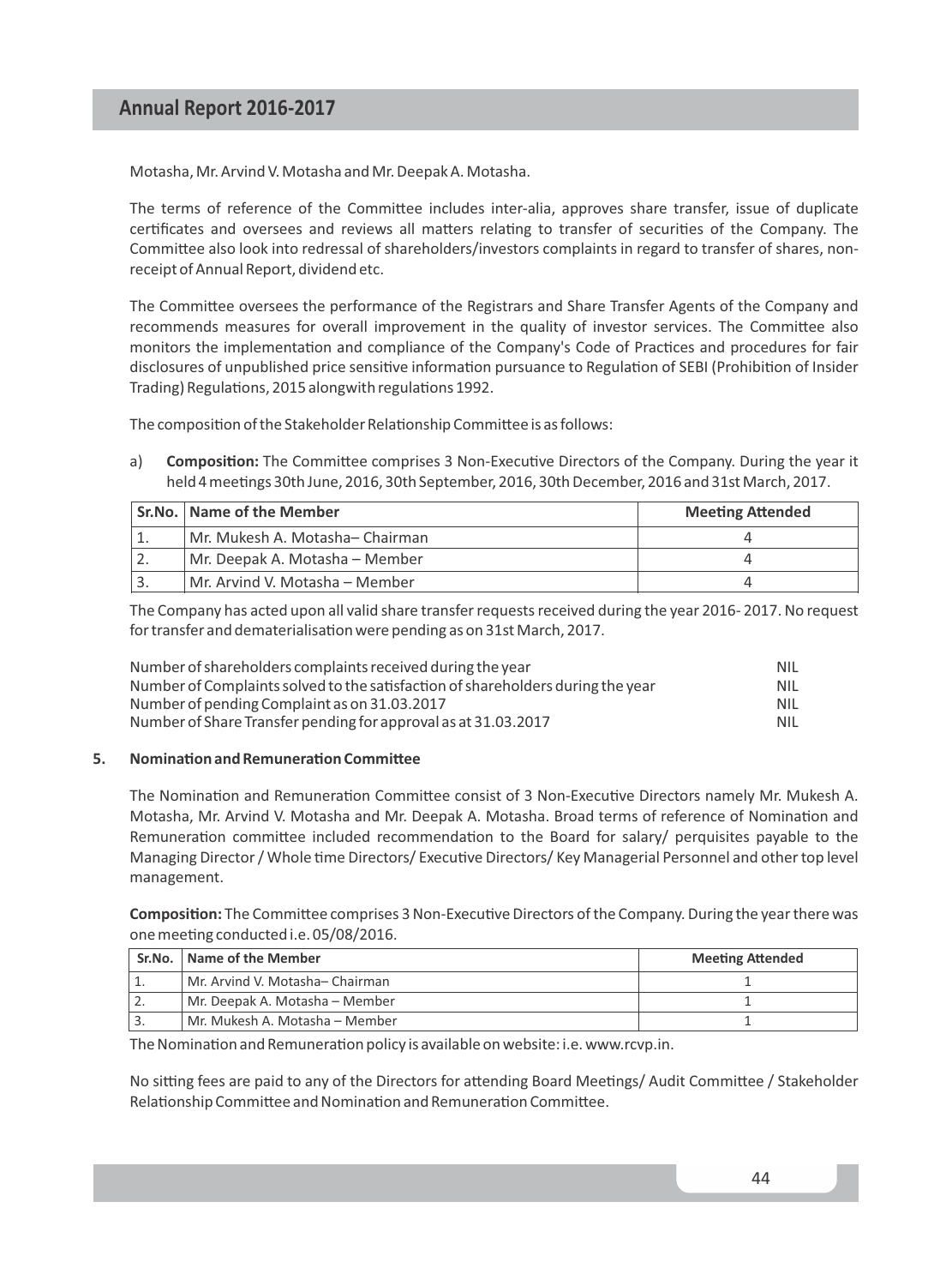Motasha, Mr. Arvind V. Motasha and Mr. Deepak A. Motasha.

The terms of reference of the Committee includes inter-alia, approves share transfer, issue of duplicate certificates and oversees and reviews all matters relating to transfer of securities of the Company. The Committee also look into redressal of shareholders/investors complaints in regard to transfer of shares, nonreceipt of Annual Report, dividend etc.

The Committee oversees the performance of the Registrars and Share Transfer Agents of the Company and recommends measures for overall improvement in the quality of investor services. The Committee also monitors the implementation and compliance of the Company's Code of Practices and procedures for fair disclosures of unpublished price sensitive information pursuance to Regulation of SEBI (Prohibition of Insider Trading) Regulations, 2015 alongwith regulations 1992.

The composition of the Stakeholder Relationship Committee is as follows:

a) **Composition:** The Committee comprises 3 Non-Executive Directors of the Company. During the year it held 4 meetings 30th June, 2016, 30th September, 2016, 30th December, 2016 and 31st March, 2017.

| Sr.No.   Name of the Member       | <b>Meeting Attended</b> |
|-----------------------------------|-------------------------|
| l Mr. Mukesh A. Motasha— Chairman |                         |
| Mr. Deepak A. Motasha – Member    |                         |
| Mr. Arvind V. Motasha – Member    |                         |

The Company has acted upon all valid share transfer requests received during the year 2016- 2017. No request for transfer and dematerialisation were pending as on 31st March, 2017.

| Number of shareholders complaints received during the year                      | NIL        |
|---------------------------------------------------------------------------------|------------|
| Number of Complaints solved to the satisfaction of shareholders during the year | <b>NIL</b> |
| Number of pending Complaint as on 31.03.2017                                    | <b>NIL</b> |
| Number of Share Transfer pending for approval as at 31.03.2017                  | <b>NIL</b> |

#### **5.** Nomination and Remuneration Committee

The Nomination and Remuneration Committee consist of 3 Non-Executive Directors namely Mr. Mukesh A. Motasha, Mr. Arvind V. Motasha and Mr. Deepak A. Motasha. Broad terms of reference of Nomination and Remuneration committee included recommendation to the Board for salary/ perquisites payable to the Managing Director / Whole time Directors/ Executive Directors/ Key Managerial Personnel and other top level management.

**Composition:** The Committee comprises 3 Non-Executive Directors of the Company. During the year there was one meeting conducted i.e. 05/08/2016.

| Sr.No.   Name of the Member      | <b>Meeting Attended</b> |
|----------------------------------|-------------------------|
| Mr. Arvind V. Motasha– Chairman  |                         |
| Mr. Deepak A. Motasha – Member   |                         |
| l Mr. Mukesh A. Motasha – Member |                         |

The Nomination and Remuneration policy is available on website: i.e. www.rcvp.in.

No sitting fees are paid to any of the Directors for attending Board Meetings/ Audit Committee / Stakeholder Relationship Committee and Nomination and Remuneration Committee.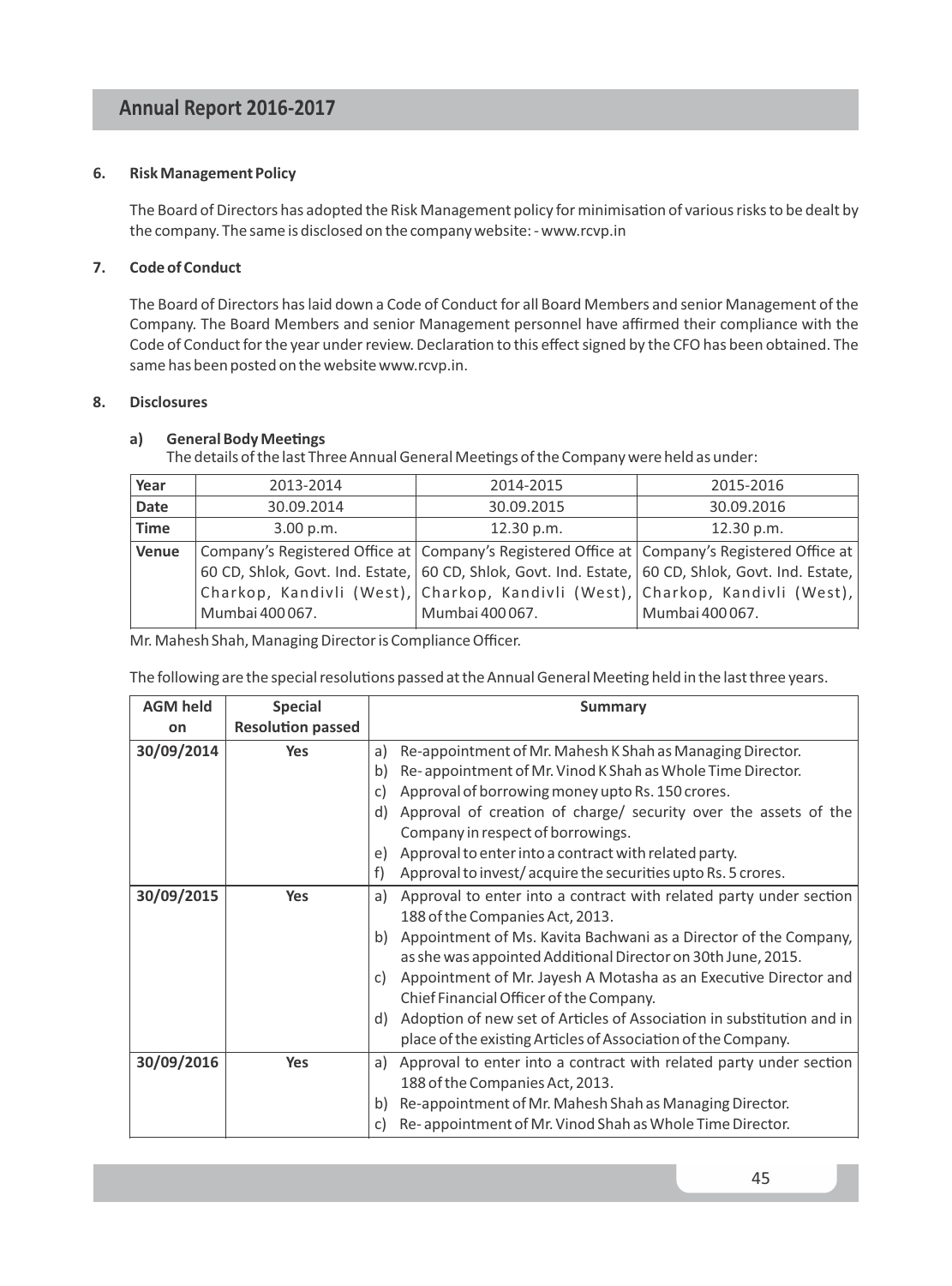#### **6. Risk Management Policy**

The Board of Directors has adopted the Risk Management policy for minimisation of various risks to be dealt by the company. The same is disclosed on the company website: - www.rcvp.in

#### **7. Code of Conduct**

The Board of Directors has laid down a Code of Conduct for all Board Members and senior Management of the Company. The Board Members and senior Management personnel have affirmed their compliance with the Code of Conduct for the year under review. Declaration to this effect signed by the CFO has been obtained. The same has been posted on the website www.rcvp.in.

#### **8. Disclosures**

#### a) General Body Meetings

The details of the last Three Annual General Meetings of the Company were held as under:

| Year         | 2013-2014       | 2014-2015                                                                                          | 2015-2016       |
|--------------|-----------------|----------------------------------------------------------------------------------------------------|-----------------|
| <b>Date</b>  | 30.09.2014      | 30.09.2015                                                                                         | 30.09.2016      |
| Time         | 3.00 p.m.       | 12.30 p.m.                                                                                         | 12.30 p.m.      |
| <b>Venue</b> |                 | Company's Registered Office at   Company's Registered Office at   Company's Registered Office at   |                 |
|              |                 | 60 CD, Shlok, Govt. Ind. Estate, 60 CD, Shlok, Govt. Ind. Estate, 60 CD, Shlok, Govt. Ind. Estate, |                 |
|              |                 | Charkop, Kandivli (West), Charkop, Kandivli (West), Charkop, Kandivli (West),                      |                 |
|              | Mumbai 400 067. | Mumbai 400 067.                                                                                    | Mumbai 400 067. |

Mr. Mahesh Shah, Managing Director is Compliance Officer.

The following are the special resolutions passed at the Annual General Meeting held in the last three years.

| <b>AGM held</b> | <b>Special</b>           | <b>Summary</b>                                                              |
|-----------------|--------------------------|-----------------------------------------------------------------------------|
| on              | <b>Resolution passed</b> |                                                                             |
| 30/09/2014      | <b>Yes</b>               | Re-appointment of Mr. Mahesh K Shah as Managing Director.<br>a)             |
|                 |                          | Re-appointment of Mr. Vinod K Shah as Whole Time Director.<br>b)            |
|                 |                          | Approval of borrowing money upto Rs. 150 crores.<br>c)                      |
|                 |                          | Approval of creation of charge/ security over the assets of the<br>d)       |
|                 |                          | Company in respect of borrowings.                                           |
|                 |                          | Approval to enter into a contract with related party.<br>e)                 |
|                 |                          | Approval to invest/acquire the securities upto Rs. 5 crores.<br>f)          |
| 30/09/2015      | <b>Yes</b>               | Approval to enter into a contract with related party under section<br>a)    |
|                 |                          | 188 of the Companies Act, 2013.                                             |
|                 |                          | Appointment of Ms. Kavita Bachwani as a Director of the Company,<br>b)      |
|                 |                          | as she was appointed Additional Director on 30th June, 2015.                |
|                 |                          | Appointment of Mr. Jayesh A Motasha as an Executive Director and<br>C)      |
|                 |                          | Chief Financial Officer of the Company.                                     |
|                 |                          | Adoption of new set of Articles of Association in substitution and in<br>d) |
|                 |                          | place of the existing Articles of Association of the Company.               |
| 30/09/2016      | Yes                      | Approval to enter into a contract with related party under section<br>a)    |
|                 |                          | 188 of the Companies Act, 2013.                                             |
|                 |                          | Re-appointment of Mr. Mahesh Shah as Managing Director.<br>b)               |
|                 |                          | Re-appointment of Mr. Vinod Shah as Whole Time Director.<br>c)              |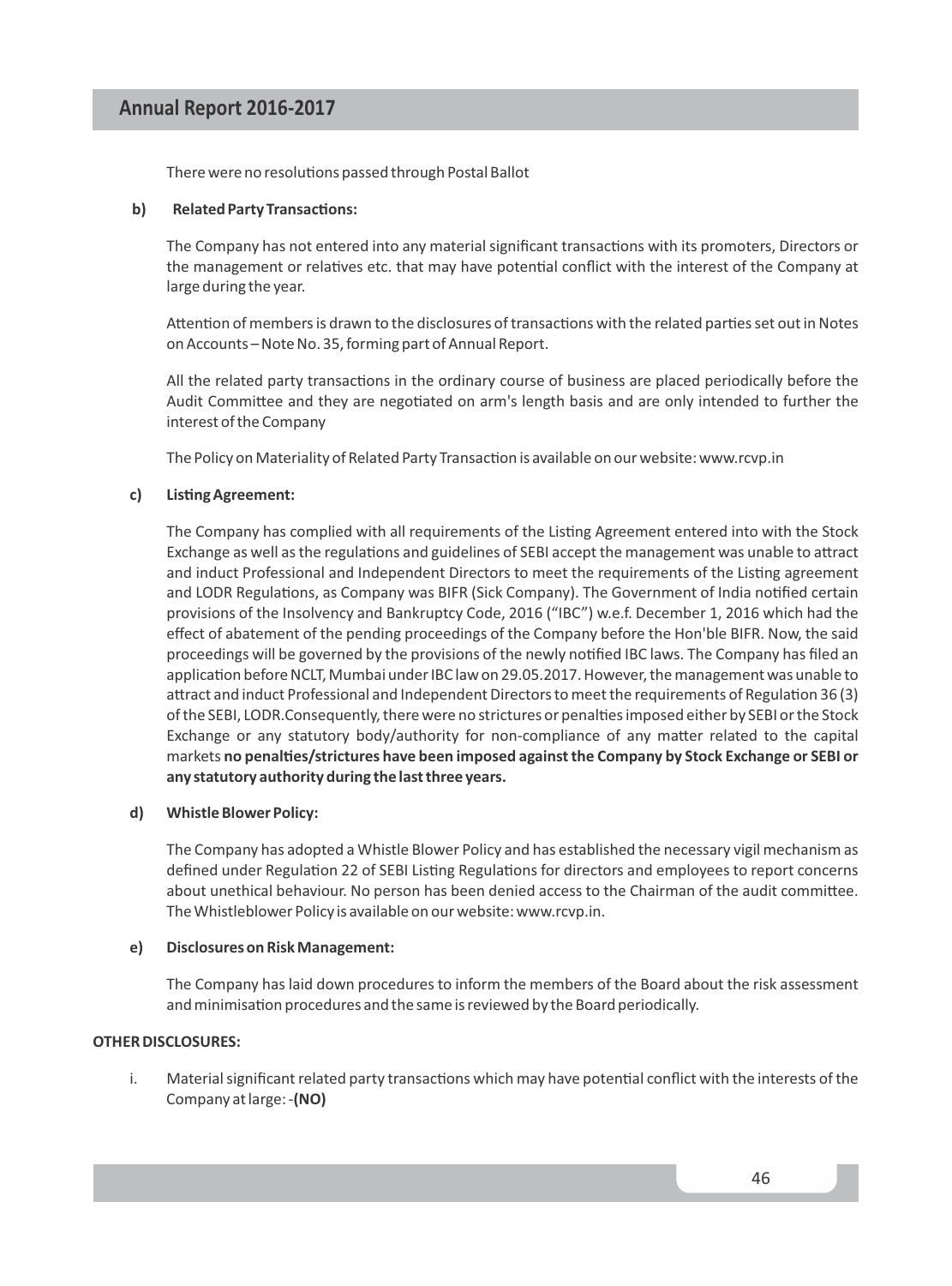There were no resolutions passed through Postal Ballot

#### **b)** Related Party Transactions:

The Company has not entered into any material significant transactions with its promoters, Directors or the management or relatives etc. that may have potential conflict with the interest of the Company at large during the year.

Attention of members is drawn to the disclosures of transactions with the related parties set out in Notes on Accounts – Note No. 35, forming part of Annual Report.

All the related party transactions in the ordinary course of business are placed periodically before the Audit Committee and they are negotiated on arm's length basis and are only intended to further the interest of the Company

The Policy on Materiality of Related Party Transaction is available on our website: www.rcvp.in

#### c) Listing Agreement:

The Company has complied with all requirements of the Listing Agreement entered into with the Stock Exchange as well as the regulations and guidelines of SEBI accept the management was unable to attract and induct Professional and Independent Directors to meet the requirements of the Listing agreement and LODR Regulations, as Company was BIFR (Sick Company). The Government of India notified certain provisions of the Insolvency and Bankruptcy Code, 2016 ("IBC") w.e.f. December 1, 2016 which had the effect of abatement of the pending proceedings of the Company before the Hon'ble BIFR. Now, the said proceedings will be governed by the provisions of the newly nofied IBC laws. The Company has filed an application before NCLT, Mumbai under IBC law on 29.05.2017. However, the management was unable to attract and induct Professional and Independent Directors to meet the requirements of Regulation 36 (3) of the SEBI, LODR.Consequently, there were no strictures or penalties imposed either by SEBI or the Stock Exchange or any statutory body/authority for non-compliance of any matter related to the capital markets no penalties/strictures have been imposed against the Company by Stock Exchange or SEBI or **any statutory authority during the last three years.**

#### **d) Whistle Blower Policy:**

The Company has adopted a Whistle Blower Policy and has established the necessary vigil mechanism as defined under Regulation 22 of SEBI Listing Regulations for directors and employees to report concerns about unethical behaviour. No person has been denied access to the Chairman of the audit committee. The Whistleblower Policy is available on our website: www.rcvp.in.

#### **e) Disclosures on Risk Management:**

The Company has laid down procedures to inform the members of the Board about the risk assessment and minimisation procedures and the same is reviewed by the Board periodically.

#### **OTHER DISCLOSURES:**

i. Material significant related party transactions which may have potential conflict with the interests of the Company at large: -**(NO)**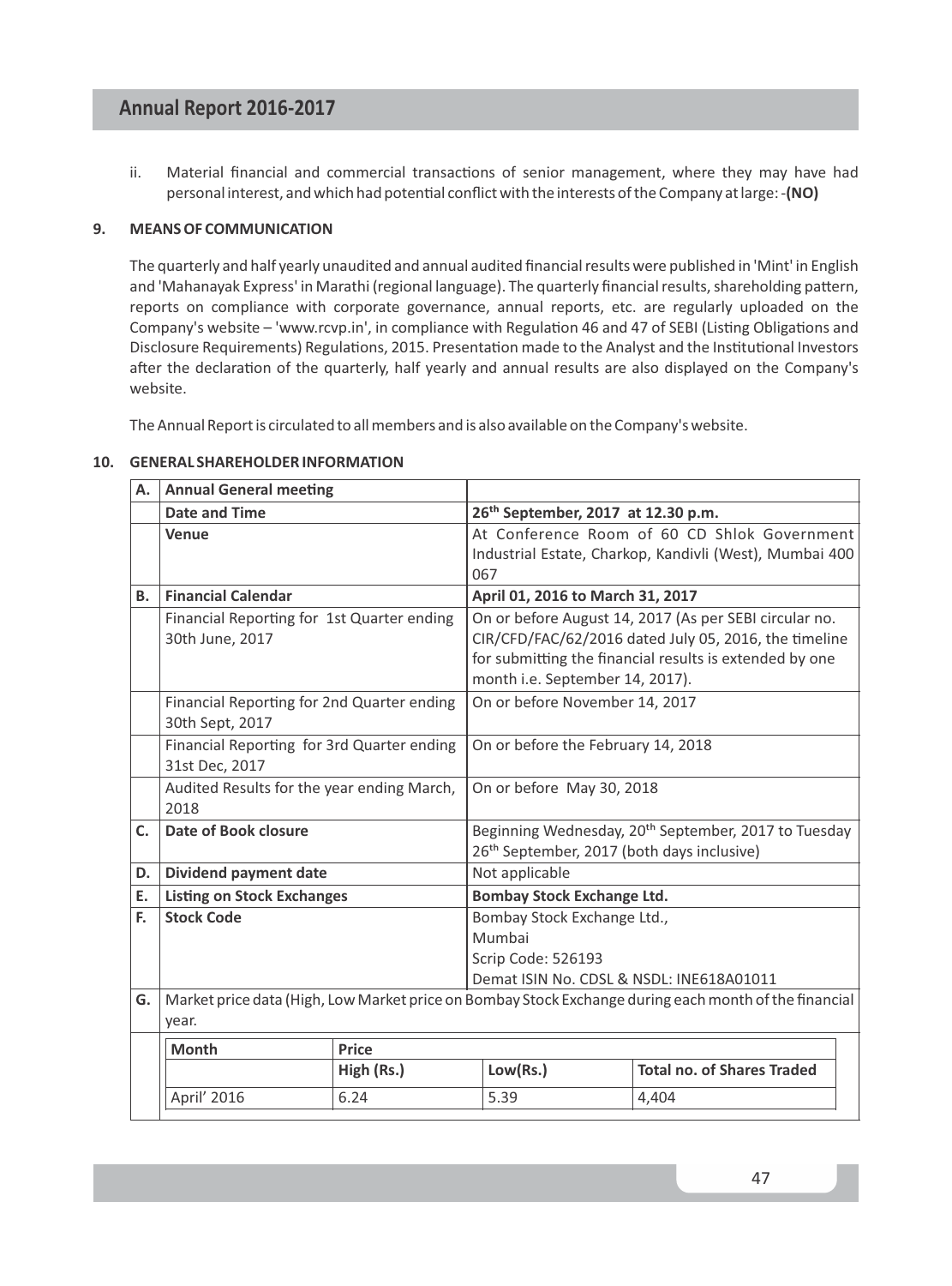ii. Material financial and commercial transactions of senior management, where they may have had personal interest, and which had potenal conflict with the interests of the Company at large: -**(NO)**

#### **9. MEANS OF COMMUNICATION**

The quarterly and half yearly unaudited and annual audited financial results were published in 'Mint' in English and 'Mahanayak Express' in Marathi (regional language). The quarterly financial results, shareholding pattern, reports on compliance with corporate governance, annual reports, etc. are regularly uploaded on the Company's website - 'www.rcvp.in', in compliance with Regulation 46 and 47 of SEBI (Listing Obligations and Disclosure Requirements) Regulations, 2015. Presentation made to the Analyst and the Institutional Investors after the declaration of the quarterly, half yearly and annual results are also displayed on the Company's website.

The Annual Report is circulated to all members and is also available on the Company's website.

| А.        | <b>Annual General meeting</b>                                 |            |                                                                                                                                                                                                               |                                                                                                       |  |
|-----------|---------------------------------------------------------------|------------|---------------------------------------------------------------------------------------------------------------------------------------------------------------------------------------------------------------|-------------------------------------------------------------------------------------------------------|--|
|           | <b>Date and Time</b>                                          |            | 26 <sup>th</sup> September, 2017 at 12.30 p.m.                                                                                                                                                                |                                                                                                       |  |
|           | Venue                                                         |            | At Conference Room of 60 CD Shlok Government<br>Industrial Estate, Charkop, Kandivli (West), Mumbai 400<br>067                                                                                                |                                                                                                       |  |
| <b>B.</b> | <b>Financial Calendar</b>                                     |            | April 01, 2016 to March 31, 2017                                                                                                                                                                              |                                                                                                       |  |
|           | Financial Reporting for 1st Quarter ending<br>30th June, 2017 |            | On or before August 14, 2017 (As per SEBI circular no.<br>CIR/CFD/FAC/62/2016 dated July 05, 2016, the timeline<br>for submitting the financial results is extended by one<br>month i.e. September 14, 2017). |                                                                                                       |  |
|           | Financial Reporting for 2nd Quarter ending<br>30th Sept, 2017 |            | On or before November 14, 2017                                                                                                                                                                                |                                                                                                       |  |
|           | Financial Reporting for 3rd Quarter ending<br>31st Dec, 2017  |            | On or before the February 14, 2018                                                                                                                                                                            |                                                                                                       |  |
|           | Audited Results for the year ending March,<br>2018            |            | On or before May 30, 2018                                                                                                                                                                                     |                                                                                                       |  |
| C.        | Date of Book closure                                          |            | Beginning Wednesday, 20 <sup>th</sup> September, 2017 to Tuesday<br>26 <sup>th</sup> September, 2017 (both days inclusive)                                                                                    |                                                                                                       |  |
| D.        | Dividend payment date                                         |            | Not applicable                                                                                                                                                                                                |                                                                                                       |  |
| E.        | <b>Listing on Stock Exchanges</b>                             |            | <b>Bombay Stock Exchange Ltd.</b>                                                                                                                                                                             |                                                                                                       |  |
| E.        | <b>Stock Code</b>                                             |            | Bombay Stock Exchange Ltd.,                                                                                                                                                                                   |                                                                                                       |  |
|           |                                                               |            | Mumbai                                                                                                                                                                                                        |                                                                                                       |  |
|           |                                                               |            | Scrip Code: 526193                                                                                                                                                                                            |                                                                                                       |  |
|           |                                                               |            | Demat ISIN No. CDSL & NSDL: INE618A01011                                                                                                                                                                      |                                                                                                       |  |
| G.        | year.                                                         |            |                                                                                                                                                                                                               | Market price data (High, Low Market price on Bombay Stock Exchange during each month of the financial |  |
|           | <b>Month</b>                                                  | Price      |                                                                                                                                                                                                               |                                                                                                       |  |
|           |                                                               | High (Rs.) | Low(Rs.)                                                                                                                                                                                                      | <b>Total no. of Shares Traded</b>                                                                     |  |
|           | April' 2016                                                   | 6.24       | 5.39                                                                                                                                                                                                          | 4,404                                                                                                 |  |

#### **10. GENERAL SHAREHOLDER INFORMATION**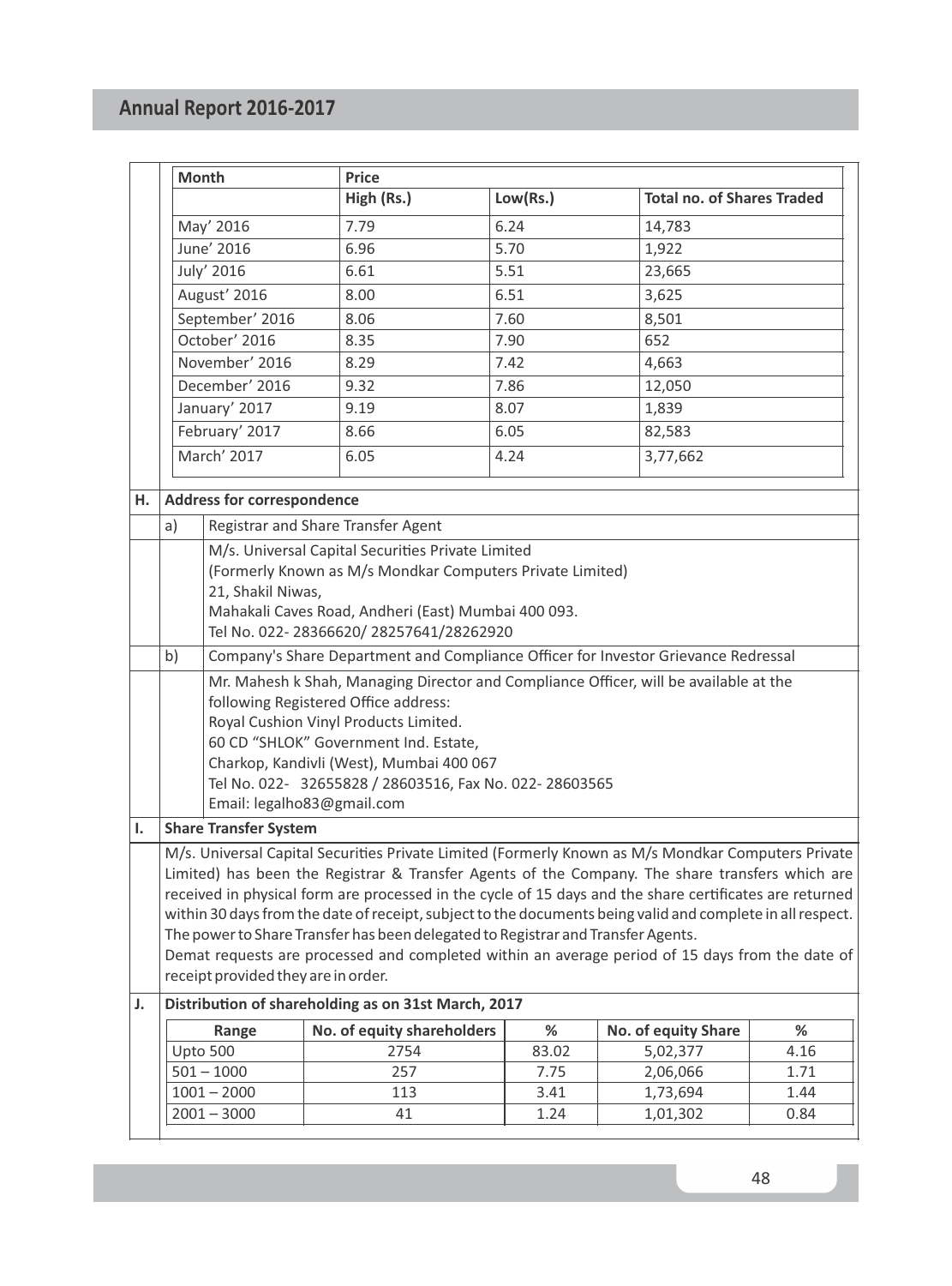|                                                                                                                                        |                                                                                          | <b>Month</b>                      | Price                                                                                                      |          |                                   |      |
|----------------------------------------------------------------------------------------------------------------------------------------|------------------------------------------------------------------------------------------|-----------------------------------|------------------------------------------------------------------------------------------------------------|----------|-----------------------------------|------|
|                                                                                                                                        |                                                                                          |                                   | High (Rs.)                                                                                                 | Low(Rs.) | <b>Total no. of Shares Traded</b> |      |
|                                                                                                                                        |                                                                                          | May' 2016                         | 7.79                                                                                                       | 6.24     | 14,783                            |      |
|                                                                                                                                        | June' 2016                                                                               |                                   | 6.96                                                                                                       | 5.70     | 1,922                             |      |
|                                                                                                                                        |                                                                                          | July' 2016                        | 6.61                                                                                                       | 5.51     | 23,665                            |      |
|                                                                                                                                        |                                                                                          | August' 2016                      | 8.00                                                                                                       | 6.51     | 3,625                             |      |
|                                                                                                                                        |                                                                                          | September' 2016                   | 8.06                                                                                                       | 7.60     | 8,501                             |      |
|                                                                                                                                        |                                                                                          | October' 2016                     | 8.35                                                                                                       | 7.90     | 652                               |      |
|                                                                                                                                        | November' 2016                                                                           |                                   | 8.29                                                                                                       | 7.42     | 4,663                             |      |
|                                                                                                                                        |                                                                                          | December' 2016                    | 9.32                                                                                                       | 7.86     | 12,050                            |      |
|                                                                                                                                        |                                                                                          | January' 2017                     | 9.19                                                                                                       | 8.07     | 1,839                             |      |
|                                                                                                                                        |                                                                                          | February' 2017                    | 8.66                                                                                                       | 6.05     | 82,583                            |      |
|                                                                                                                                        |                                                                                          | March' 2017                       | 6.05                                                                                                       | 4.24     | 3,77,662                          |      |
| н.                                                                                                                                     |                                                                                          | <b>Address for correspondence</b> |                                                                                                            |          |                                   |      |
|                                                                                                                                        | a)                                                                                       |                                   | Registrar and Share Transfer Agent                                                                         |          |                                   |      |
|                                                                                                                                        |                                                                                          |                                   | M/s. Universal Capital Securities Private Limited                                                          |          |                                   |      |
|                                                                                                                                        |                                                                                          |                                   | (Formerly Known as M/s Mondkar Computers Private Limited)                                                  |          |                                   |      |
|                                                                                                                                        |                                                                                          | 21, Shakil Niwas,                 |                                                                                                            |          |                                   |      |
|                                                                                                                                        | Mahakali Caves Road, Andheri (East) Mumbai 400 093.                                      |                                   |                                                                                                            |          |                                   |      |
|                                                                                                                                        |                                                                                          |                                   | Tel No. 022-28366620/28257641/28262920                                                                     |          |                                   |      |
|                                                                                                                                        | b)<br>Company's Share Department and Compliance Officer for Investor Grievance Redressal |                                   |                                                                                                            |          |                                   |      |
|                                                                                                                                        | Mr. Mahesh k Shah, Managing Director and Compliance Officer, will be available at the    |                                   |                                                                                                            |          |                                   |      |
|                                                                                                                                        | following Registered Office address:                                                     |                                   |                                                                                                            |          |                                   |      |
|                                                                                                                                        | Royal Cushion Vinyl Products Limited.<br>60 CD "SHLOK" Government Ind. Estate,           |                                   |                                                                                                            |          |                                   |      |
|                                                                                                                                        | Charkop, Kandivli (West), Mumbai 400 067                                                 |                                   |                                                                                                            |          |                                   |      |
|                                                                                                                                        |                                                                                          |                                   | Tel No. 022- 32655828 / 28603516, Fax No. 022-28603565                                                     |          |                                   |      |
|                                                                                                                                        |                                                                                          |                                   | Email: legalho83@gmail.com                                                                                 |          |                                   |      |
| ı.                                                                                                                                     |                                                                                          | <b>Share Transfer System</b>      |                                                                                                            |          |                                   |      |
|                                                                                                                                        |                                                                                          |                                   | M/s. Universal Capital Securities Private Limited (Formerly Known as M/s Mondkar Computers Private         |          |                                   |      |
|                                                                                                                                        |                                                                                          |                                   | Limited) has been the Registrar & Transfer Agents of the Company. The share transfers which are            |          |                                   |      |
|                                                                                                                                        |                                                                                          |                                   | received in physical form are processed in the cycle of 15 days and the share certificates are returned    |          |                                   |      |
|                                                                                                                                        |                                                                                          |                                   | within 30 days from the date of receipt, subject to the documents being valid and complete in all respect. |          |                                   |      |
|                                                                                                                                        |                                                                                          |                                   | The power to Share Transfer has been delegated to Registrar and Transfer Agents.                           |          |                                   |      |
| Demat requests are processed and completed within an average period of 15 days from the date of<br>receipt provided they are in order. |                                                                                          |                                   |                                                                                                            |          |                                   |      |
| J.                                                                                                                                     |                                                                                          |                                   | Distribution of shareholding as on 31st March, 2017                                                        |          |                                   |      |
|                                                                                                                                        |                                                                                          |                                   |                                                                                                            | %        |                                   | %    |
|                                                                                                                                        |                                                                                          | Range<br>Upto 500                 | No. of equity shareholders<br>2754                                                                         | 83.02    | No. of equity Share<br>5,02,377   | 4.16 |
|                                                                                                                                        |                                                                                          | $501 - 1000$                      | 257                                                                                                        | 7.75     | 2,06,066                          | 1.71 |
|                                                                                                                                        |                                                                                          | $1001 - 2000$                     | 113                                                                                                        | 3.41     | 1,73,694                          | 1.44 |
|                                                                                                                                        |                                                                                          | $2001 - 3000$                     | 41                                                                                                         | 1.24     | 1,01,302                          | 0.84 |
|                                                                                                                                        |                                                                                          |                                   |                                                                                                            |          |                                   |      |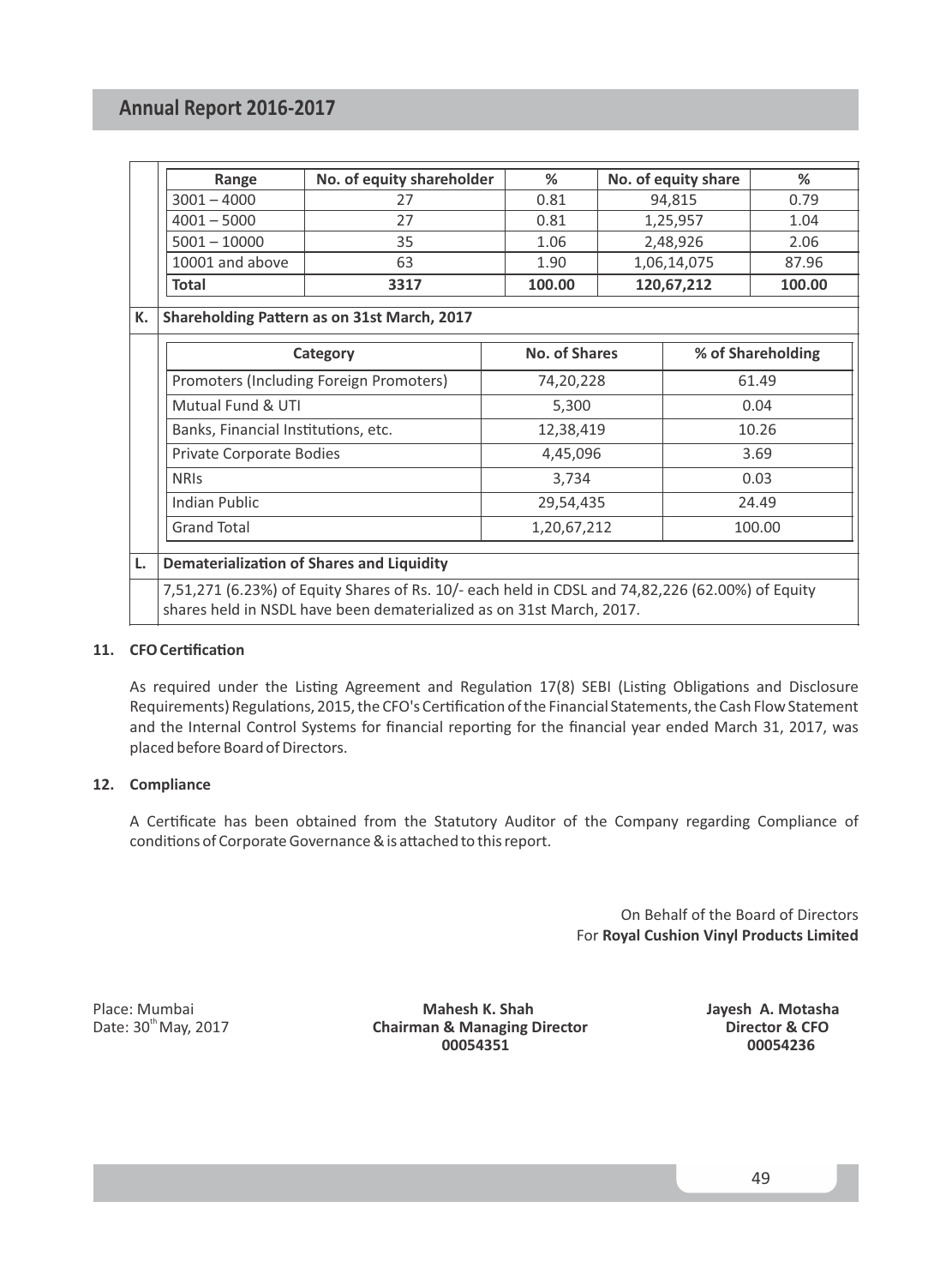| Range           | No. of equity shareholder | %      | No. of equity share | %      |
|-----------------|---------------------------|--------|---------------------|--------|
| $3001 - 4000$   |                           | 0.81   | 94.815              | 0.79   |
| $4001 - 5000$   |                           | 0.81   | 1,25,957            | 1.04   |
| $5001 - 10000$  | 35                        | 1.06   | 2,48,926            | 2.06   |
| 10001 and above | 63                        | 1.90   | 1,06,14,075         | 87.96  |
| <b>Total</b>    | 3317                      | 100.00 | 120,67,212          | 100.00 |

#### K. Shareholding Pattern as on 31st March, 2017

| Category                                | No. of Shares | % of Shareholding |
|-----------------------------------------|---------------|-------------------|
| Promoters (Including Foreign Promoters) | 74,20,228     | 61.49             |
| Mutual Fund & UTI                       | 5,300         | 0.04              |
| Banks, Financial Institutions, etc.     | 12,38,419     | 10.26             |
| <b>Private Corporate Bodies</b>         | 4,45,096      | 3.69              |
| <b>NRIS</b>                             | 3,734         | 0.03              |
| Indian Public                           | 29,54,435     | 24.49             |
| <b>Grand Total</b>                      | 1,20,67,212   | 100.00            |

#### **L.** Dematerialization of Shares and Liquidity

7,51,271 (6.23%) of Equity Shares of Rs. 10/- each held in CDSL and 74,82,226 (62.00%) of Equity shares held in NSDL have been dematerialized as on 31st March, 2017.

#### 11. CFO Certification

As required under the Listing Agreement and Regulation 17(8) SEBI (Listing Obligations and Disclosure Requirements) Regulations, 2015, the CFO's Certification of the Financial Statements, the Cash Flow Statement and the Internal Control Systems for financial reporting for the financial year ended March 31, 2017, was placed before Board of Directors.

#### **12. Compliance**

A Cerficate has been obtained from the Statutory Auditor of the Company regarding Compliance of conditions of Corporate Governance & is attached to this report.

> On Behalf of the Board of Directors For **Royal Cushion Vinyl Products Limited**

Place: Mumbai **Mahesh K. Shah Mahesh K. Shah Jayesh A. Motasha**<br>Date: 30<sup>th</sup> May, 2017 **Chairman & Managing Director Director & CFO** th Date: 30 May, 2017 **Chairman & Managing Director Director & CFO 00054351 00054236**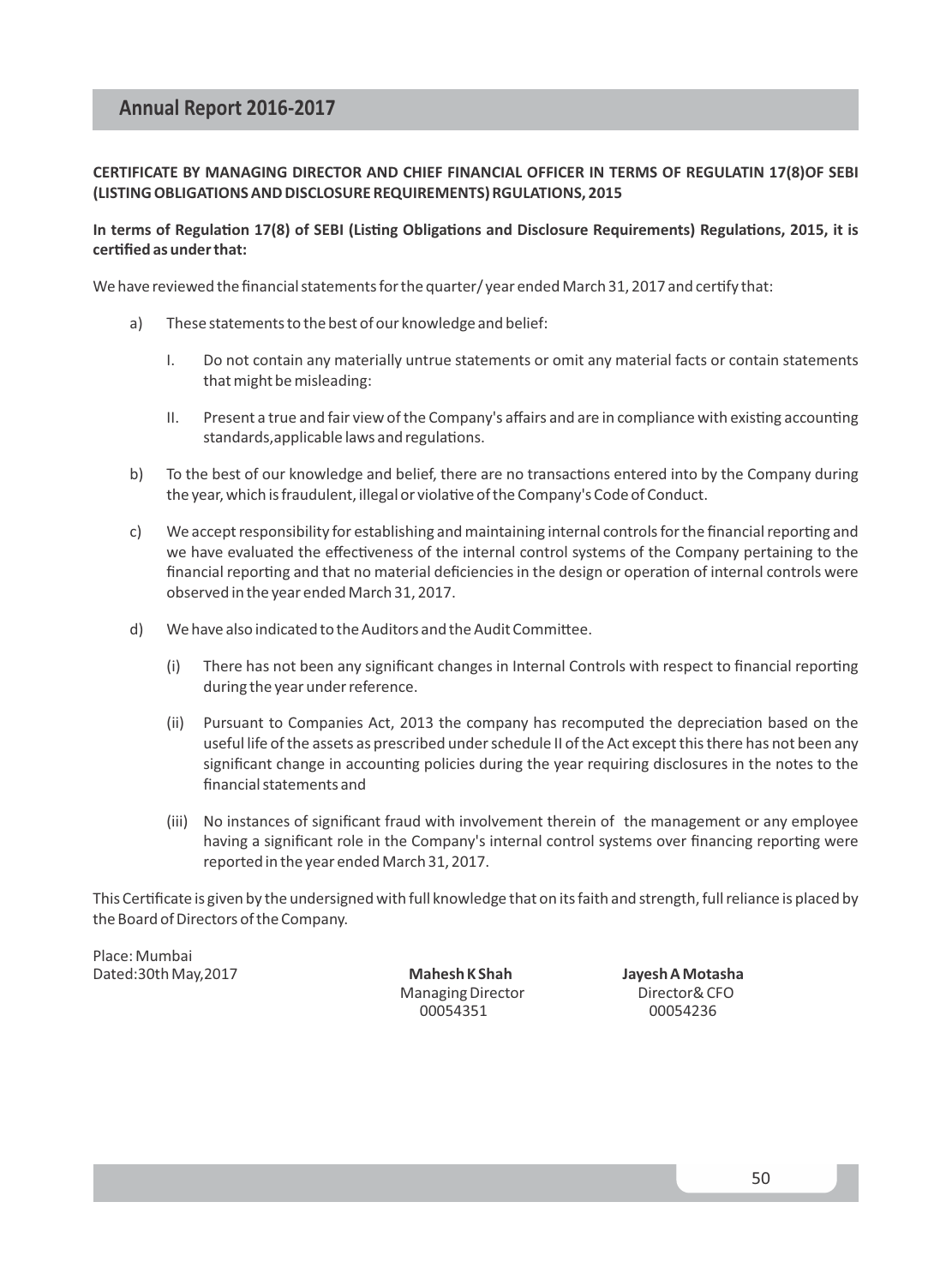#### **CERTIFICATE BY MANAGING DIRECTOR AND CHIEF FINANCIAL OFFICER IN TERMS OF REGULATIN 17(8)OF SEBI (LISTING OBLIGATIONS AND DISCLOSURE REQUIREMENTS) RGULATIONS, 2015**

#### In terms of Regulation 17(8) of SEBI (Listing Obligations and Disclosure Requirements) Regulations, 2015, it is **cerfied as under that:**

We have reviewed the financial statements for the quarter/ year ended March 31, 2017 and certify that:

- a) These statements to the best of our knowledge and belief:
	- I. Do not contain any materially untrue statements or omit any material facts or contain statements that might be misleading:
	- II. Present a true and fair view of the Company's affairs and are in compliance with existing accounting standards, applicable laws and regulations.
- b) To the best of our knowledge and belief, there are no transactions entered into by the Company during the year, which is fraudulent, illegal or violative of the Company's Code of Conduct.
- c) We accept responsibility for establishing and maintaining internal controls for the financial reporting and we have evaluated the effectiveness of the internal control systems of the Company pertaining to the financial reporting and that no material deficiencies in the design or operation of internal controls were observed in the year ended March 31, 2017.
- d) We have also indicated to the Auditors and the Audit Committee.
	- (i) There has not been any significant changes in Internal Controls with respect to financial reporting during the year under reference.
	- (ii) Pursuant to Companies Act, 2013 the company has recomputed the depreciation based on the useful life of the assets as prescribed under schedule II of the Act except this there has not been any significant change in accounting policies during the year requiring disclosures in the notes to the financial statements and
	- (iii) No instances of significant fraud with involvement therein of the management or any employee having a significant role in the Company's internal control systems over financing reporting were reported in the year ended March 31, 2017.

This Cerficate is given by the undersigned with full knowledge that on its faith and strength, full reliance is placed by the Board of Directors of the Company.

Place: Mumbai

Dated:30th May,2017 **Mahesh K Shah Jayesh A Motasha** Managing Director Director& CFO 00054351 00054236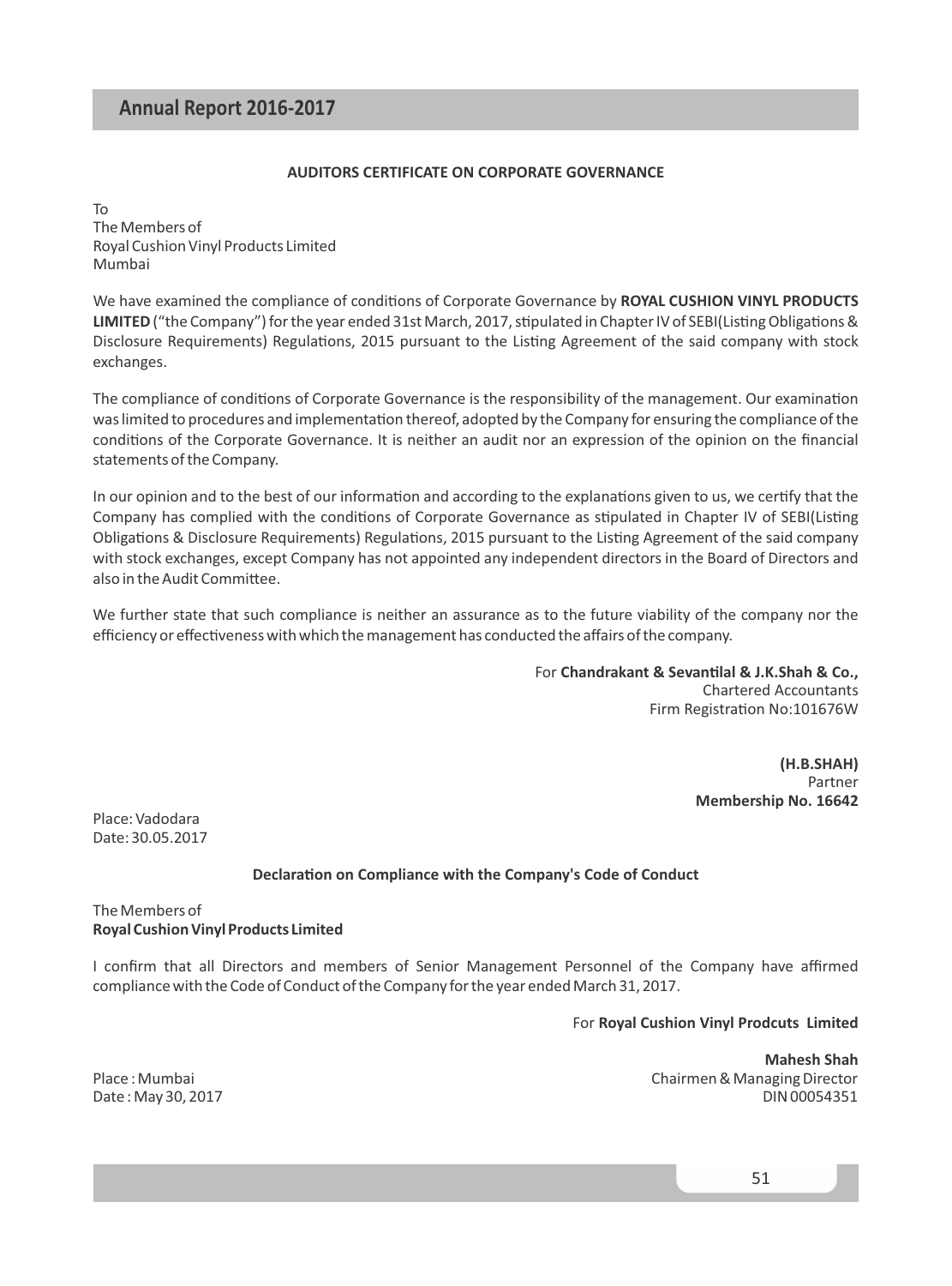#### **AUDITORS CERTIFICATE ON CORPORATE GOVERNANCE**

To The Members of Royal Cushion Vinyl Products Limited Mumbai

We have examined the compliance of conditions of Corporate Governance by **ROYAL CUSHION VINYL PRODUCTS** LIMITED ("the Company") for the year ended 31st March, 2017, stipulated in Chapter IV of SEBI(Listing Obligations & Disclosure Requirements) Regulations, 2015 pursuant to the Listing Agreement of the said company with stock exchanges.

The compliance of conditions of Corporate Governance is the responsibility of the management. Our examination was limited to procedures and implementation thereof, adopted by the Company for ensuring the compliance of the conditions of the Corporate Governance. It is neither an audit nor an expression of the opinion on the financial statements of the Company.

In our opinion and to the best of our information and according to the explanations given to us, we certify that the Company has complied with the conditions of Corporate Governance as stipulated in Chapter IV of SEBI(Listing Obligations & Disclosure Requirements) Regulations, 2015 pursuant to the Listing Agreement of the said company with stock exchanges, except Company has not appointed any independent directors in the Board of Directors and also in the Audit Committee.

We further state that such compliance is neither an assurance as to the future viability of the company nor the efficiency or effectiveness with which the management has conducted the affairs of the company.

> For Chandrakant & Sevantilal & J.K.Shah & Co., Chartered Accountants Firm Registration No:101676W

> > **(H.B.SHAH)**  Partner **Membership No. 16642**

Place: Vadodara Date: 30.05.2017

#### **Declaration on Compliance with the Company's Code of Conduct**

#### The Members of **Royal Cushion Vinyl Products Limited**

I confirm that all Directors and members of Senior Management Personnel of the Company have affirmed compliance with the Code of Conduct of the Company for the year ended March 31, 2017.

For **Royal Cushion Vinyl Prodcuts Limited**

**Mahesh Shah** Place : Mumbai Chairmen & Managing Director Date : May 30, 2017 DIN 00054351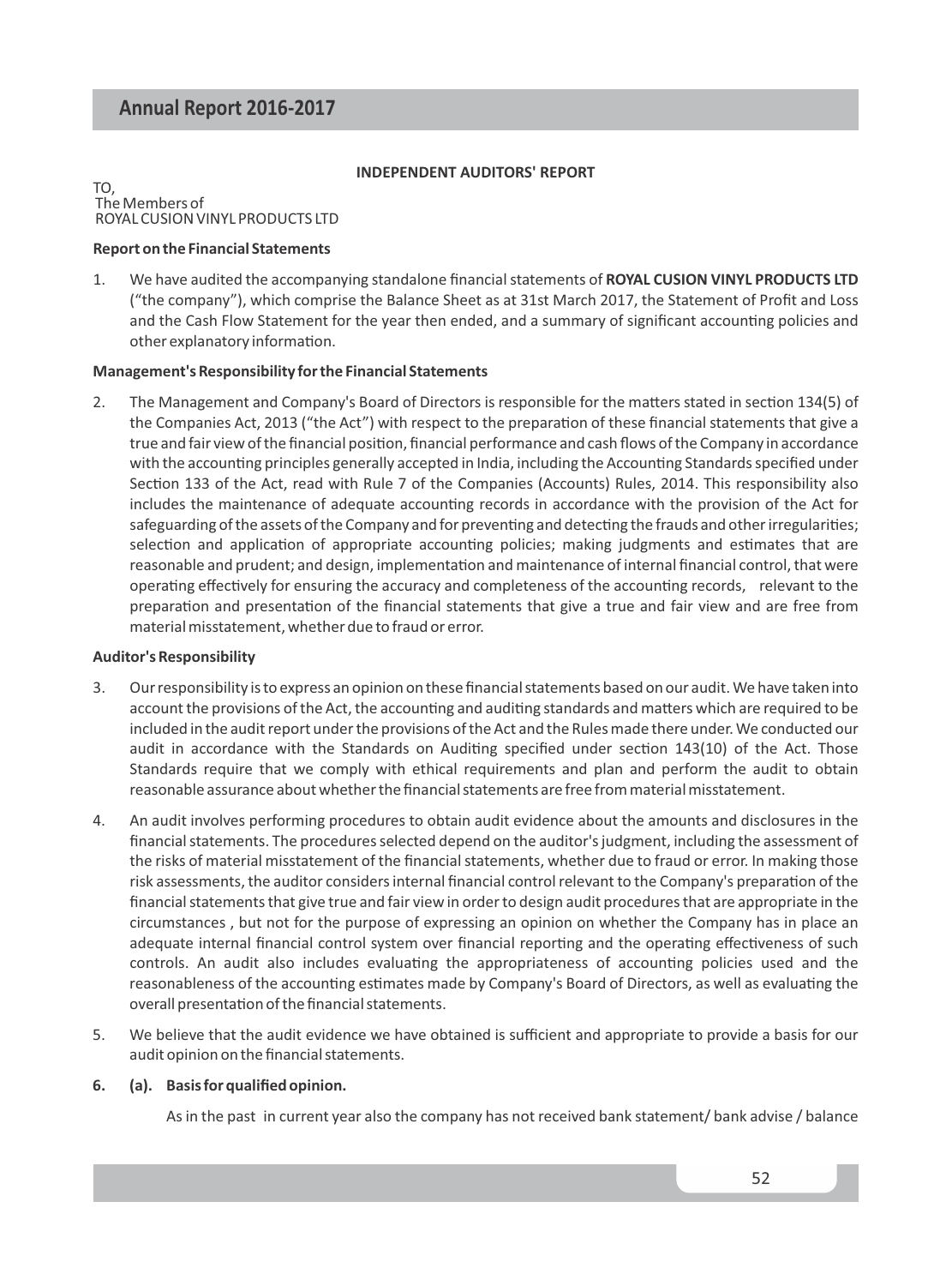#### **INDEPENDENT AUDITORS' REPORT**

#### TO, The Members of ROYAL CUSION VINYL PRODUCTS LTD

#### **Report on the Financial Statements**

1. We have audited the accompanying standalone financial statements of **ROYAL CUSION VINYL PRODUCTS LTD** ("the company"), which comprise the Balance Sheet as at 31st March 2017, the Statement of Profit and Loss and the Cash Flow Statement for the year then ended, and a summary of significant accounting policies and other explanatory information.

#### **Management's Responsibility for the Financial Statements**

2. The Management and Company's Board of Directors is responsible for the matters stated in section 134(5) of the Companies Act, 2013 ("the Act") with respect to the preparation of these financial statements that give a true and fair view of the financial position, financial performance and cash flows of the Company in accordance with the accounting principles generally accepted in India, including the Accounting Standards specified under Section 133 of the Act, read with Rule 7 of the Companies (Accounts) Rules, 2014. This responsibility also includes the maintenance of adequate accounting records in accordance with the provision of the Act for safeguarding of the assets of the Company and for preventing and detecting the frauds and other irregularities; selection and application of appropriate accounting policies; making judgments and estimates that are reasonable and prudent; and design, implementation and maintenance of internal financial control, that were operating effectively for ensuring the accuracy and completeness of the accounting records, relevant to the preparation and presentation of the financial statements that give a true and fair view and are free from material misstatement, whether due to fraud or error.

#### **Auditor's Responsibility**

- 3. Our responsibility is to express an opinion on these financial statements based on our audit. We have taken into account the provisions of the Act, the accounting and auditing standards and matters which are required to be included in the audit report under the provisions of the Act and the Rules made there under. We conducted our audit in accordance with the Standards on Auditing specified under section 143(10) of the Act. Those Standards require that we comply with ethical requirements and plan and perform the audit to obtain reasonable assurance about whether the financial statements are free from material misstatement.
- 4. An audit involves performing procedures to obtain audit evidence about the amounts and disclosures in the financial statements. The procedures selected depend on the auditor's judgment, including the assessment of the risks of material misstatement of the financial statements, whether due to fraud or error. In making those risk assessments, the auditor considers internal financial control relevant to the Company's preparation of the financial statements that give true and fair view in order to design audit procedures that are appropriate in the circumstances , but not for the purpose of expressing an opinion on whether the Company has in place an adequate internal financial control system over financial reporting and the operating effectiveness of such controls. An audit also includes evaluating the appropriateness of accounting policies used and the reasonableness of the accounting estimates made by Company's Board of Directors, as well as evaluating the overall presentation of the financial statements.
- 5. We believe that the audit evidence we have obtained is sufficient and appropriate to provide a basis for our audit opinion on the financial statements.

#### **6. (a). Basis for qualified opinion.**

As in the past in current year also the company has not received bank statement/ bank advise / balance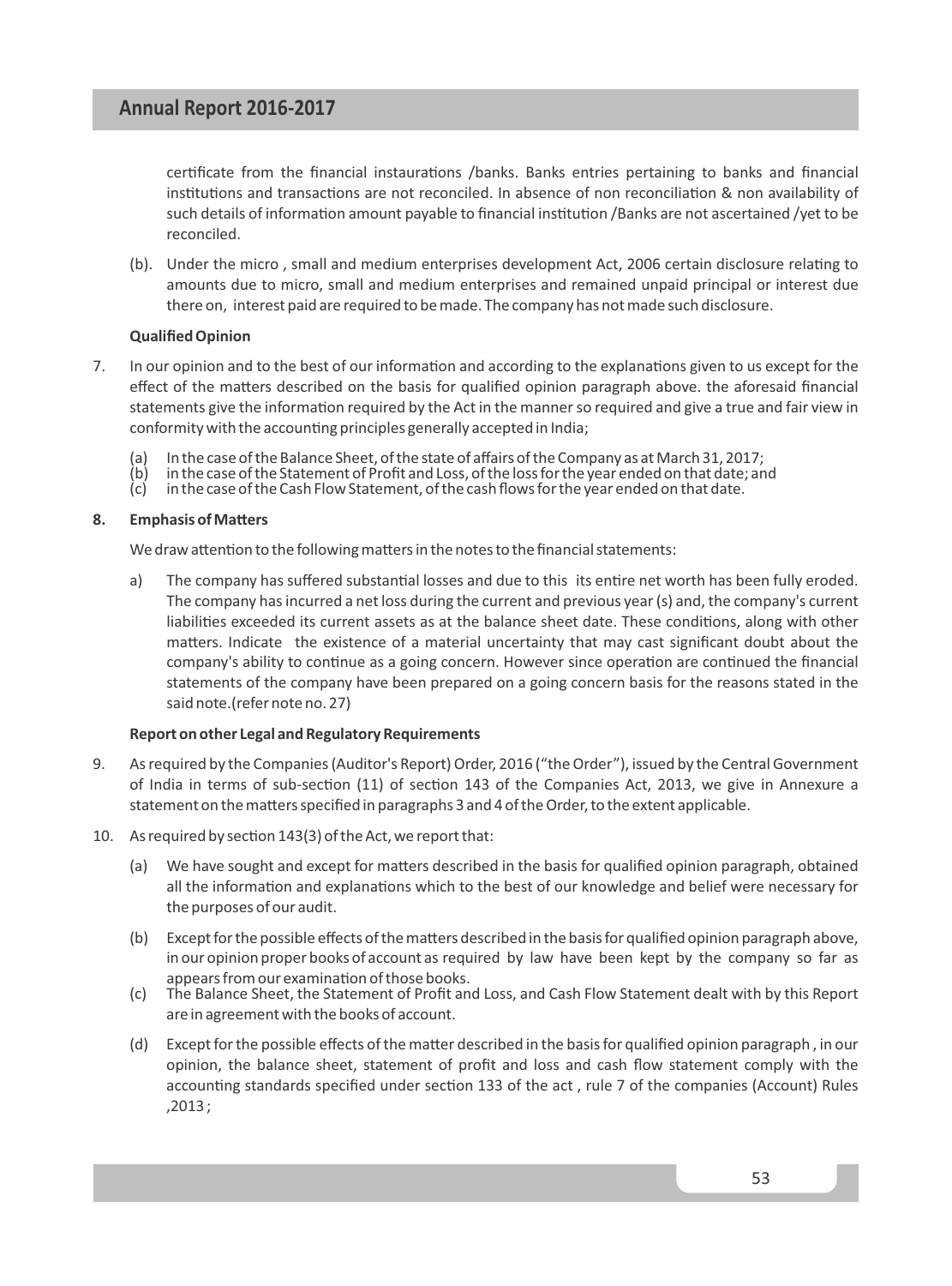certificate from the financial instaurations /banks. Banks entries pertaining to banks and financial institutions and transactions are not reconciled. In absence of non reconciliation & non availability of such details of information amount payable to financial institution /Banks are not ascertained /yet to be reconciled.

(b). Under the micro, small and medium enterprises development Act, 2006 certain disclosure relating to amounts due to micro, small and medium enterprises and remained unpaid principal or interest due there on, interest paid are required to be made. The company has not made such disclosure.

#### **Qualified Opinion**

- 7. In our opinion and to the best of our information and according to the explanations given to us except for the effect of the matters described on the basis for qualified opinion paragraph above. the aforesaid financial statements give the information required by the Act in the manner so required and give a true and fair view in conformity with the accounting principles generally accepted in India;
	- (a) In the case of the Balance Sheet, of the state of affairs of the Company as at March 31, 2017;
	- $\begin{pmatrix} b & b \end{pmatrix}$  in the case of the Statement of Profit and Loss, of the loss for the year ended on that date; and<br>(c) in the case of the Cash Flow Statement, of the cash flows for the year ended on that date.
	- in the case of the Cash Flow Statement, of the cash flows for the year ended on that date.

#### 8. Emphasis of Matters

We draw attention to the following matters in the notes to the financial statements:

a) The company has suffered substantial losses and due to this its entire net worth has been fully eroded. The company has incurred a net loss during the current and previous year (s) and, the company's current liabilities exceeded its current assets as at the balance sheet date. These conditions, along with other matters. Indicate the existence of a material uncertainty that may cast significant doubt about the company's ability to continue as a going concern. However since operation are continued the financial statements of the company have been prepared on a going concern basis for the reasons stated in the said note.(refer note no. 27)

#### **Report on other Legal and Regulatory Requirements**

- 9. As required by the Companies (Auditor's Report) Order, 2016 ("the Order"), issued by the Central Government of India in terms of sub-section (11) of section 143 of the Companies Act, 2013, we give in Annexure a statement on the matters specified in paragraphs 3 and 4 of the Order, to the extent applicable.
- 10. As required by section  $143(3)$  of the Act, we report that:
	- (a) We have sought and except for matters described in the basis for qualified opinion paragraph, obtained all the information and explanations which to the best of our knowledge and belief were necessary for the purposes of our audit.
	- (b) Except for the possible effects of the matters described in the basis for qualified opinion paragraph above, in our opinion proper books of account as required by law have been kept by the company so far as appears from our examination of those books.
	- (c) The Balance Sheet, the Statement of Profit and Loss, and Cash Flow Statement dealt with by this Report are in agreement with the books of account.
	- (d) Except for the possible effects of the matter described in the basis for qualified opinion paragraph, in our opinion, the balance sheet, statement of profit and loss and cash flow statement comply with the accounting standards specified under section 133 of the act, rule 7 of the companies (Account) Rules ,2013 ;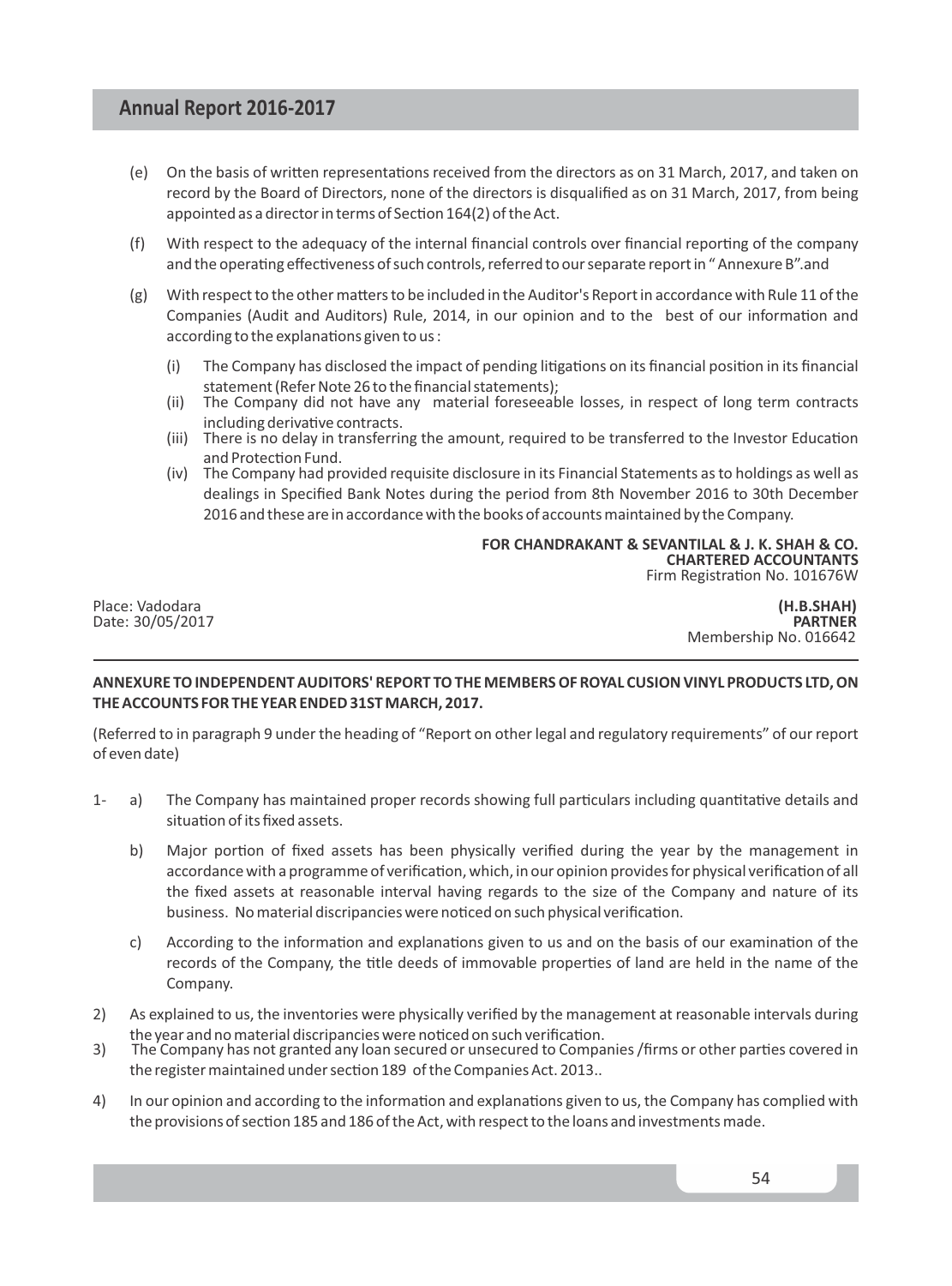- (e) On the basis of written representations received from the directors as on 31 March, 2017, and taken on record by the Board of Directors, none of the directors is disqualified as on 31 March, 2017, from being appointed as a director in terms of Section 164(2) of the Act.
- $(f)$  With respect to the adequacy of the internal financial controls over financial reporting of the company and the operating effectiveness of such controls, referred to our separate report in "Annexure B".and
- $(g)$  With respect to the other matters to be included in the Auditor's Report in accordance with Rule 11 of the Companies (Audit and Auditors) Rule, 2014, in our opinion and to the best of our information and according to the explanations given to us :
	- $(i)$  The Company has disclosed the impact of pending litigations on its financial position in its financial statement (Refer Note 26 to the financial statements);
	- (ii) The Company did not have any material foreseeable losses, in respect of long term contracts including derivative contracts.
	- (iii) There is no delay in transferring the amount, required to be transferred to the Investor Education and Protection Fund.
	- (iv) The Company had provided requisite disclosure in its Financial Statements as to holdings as well as dealings in Specified Bank Notes during the period from 8th November 2016 to 30th December 2016 and these are in accordance with the books of accounts maintained by the Company.

**FOR CHANDRAKANT & SEVANTILAL & J. K. SHAH & CO. CHARTERED ACCOUNTANTS** Firm Registration No. 101676W

Place: Vadodara **(H.B.SHAH)**  Date:30/05/2017 **PARTNER** Membership No. 016642

#### **ANNEXURE TO INDEPENDENT AUDITORS' REPORT TO THE MEMBERS OF ROYAL CUSION VINYL PRODUCTS LTD, ON THE ACCOUNTS FOR THE YEAR ENDED 31ST MARCH, 2017.**

(Referred to in paragraph 9 under the heading of "Report on other legal and regulatory requirements" of our report of even date)

- 1- a) The Company has maintained proper records showing full particulars including quantitative details and situation of its fixed assets.
	- b) Major portion of fixed assets has been physically verified during the year by the management in accordance with a programme of verification, which, in our opinion provides for physical verification of all the fixed assets at reasonable interval having regards to the size of the Company and nature of its business. No material discripancies were noticed on such physical verification.
	- c) According to the information and explanations given to us and on the basis of our examination of the records of the Company, the title deeds of immovable properties of land are held in the name of the Company.
- 2) As explained to us, the inventories were physically verified by the management at reasonable intervals during the year and no material discripancies were noticed on such verification.
- 3) The Company has not granted any loan secured or unsecured to Companies /firms or other parties covered in the register maintained under section 189 of the Companies Act. 2013..
- 4) In our opinion and according to the information and explanations given to us, the Company has complied with the provisions of section 185 and 186 of the Act, with respect to the loans and investments made.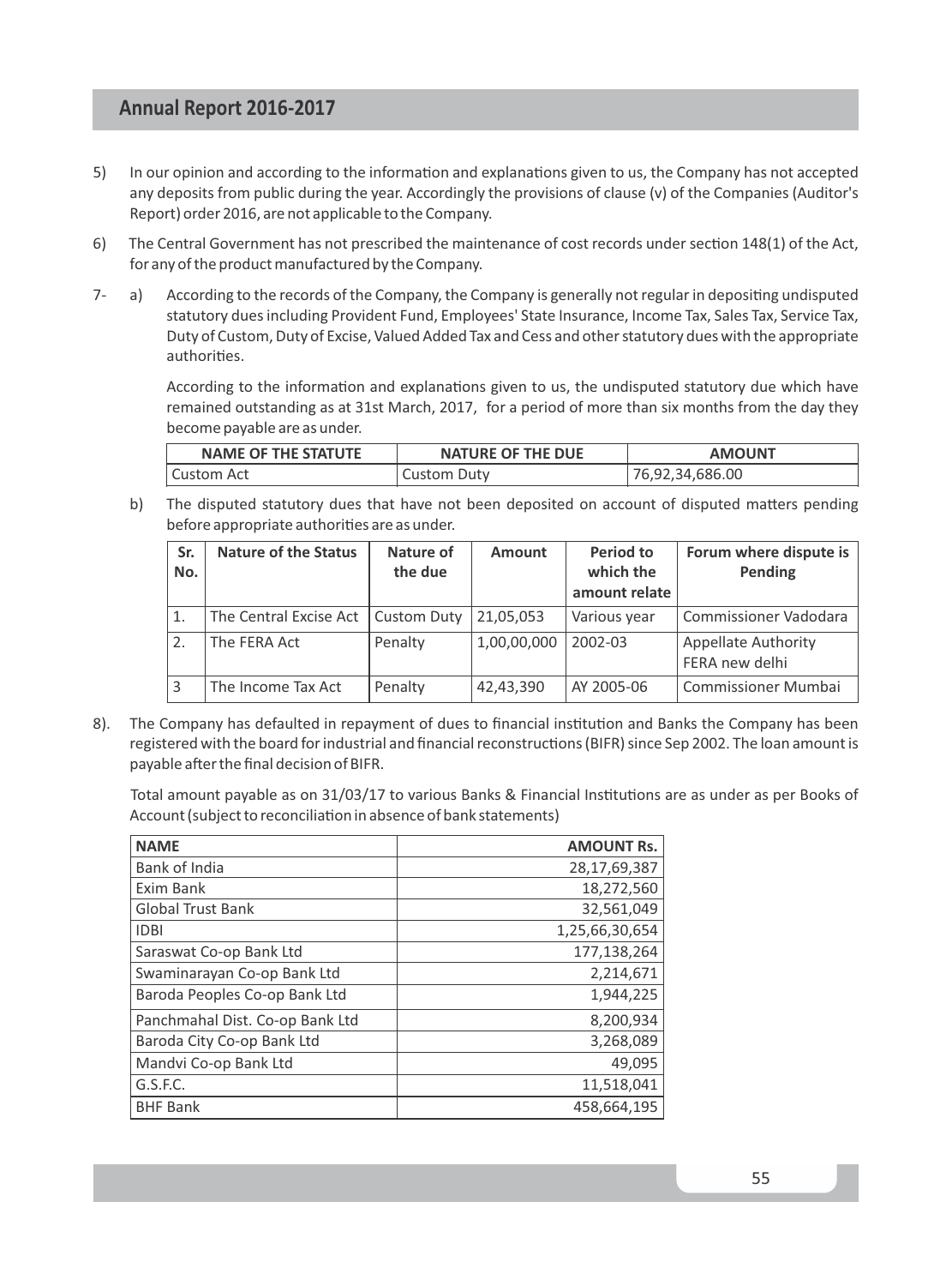- 5) In our opinion and according to the information and explanations given to us, the Company has not accepted any deposits from public during the year. Accordingly the provisions of clause (v) of the Companies (Auditor's Report) order 2016, are not applicable to the Company.
- 6) The Central Government has not prescribed the maintenance of cost records under secon 148(1) of the Act, for any of the product manufactured by the Company.
- 7- a) According to the records of the Company, the Company is generally not regular in depositing undisputed statutory dues including Provident Fund, Employees' State Insurance, Income Tax, Sales Tax, Service Tax, Duty of Custom, Duty of Excise, Valued Added Tax and Cess and other statutory dues with the appropriate authorities.

According to the information and explanations given to us, the undisputed statutory due which have remained outstanding as at 31st March, 2017, for a period of more than six months from the day they become payable are as under.

| NAME OF THE STATUTE | <b>NATURE OF THE DUE</b> | <b>AMOUNT</b>   |
|---------------------|--------------------------|-----------------|
| Custom Act          | Custom Duty              | 76,92,34,686.00 |

b) The disputed statutory dues that have not been deposited on account of disputed matters pending before appropriate authorities are as under.

| Sr.<br>No. | <b>Nature of the Status</b> | Nature of<br>the due | Amount      | Period to<br>which the<br>amount relate | Forum where dispute is  <br>Pending          |
|------------|-----------------------------|----------------------|-------------|-----------------------------------------|----------------------------------------------|
|            | The Central Excise Act      | <b>Custom Duty</b>   | 21,05,053   | Various year                            | Commissioner Vadodara                        |
| 2.         | The FERA Act                | Penalty              | 1,00,00,000 | 2002-03                                 | <b>Appellate Authority</b><br>FERA new delhi |
| 3          | The Income Tax Act          | Penalty              | 42,43,390   | AY 2005-06                              | <b>Commissioner Mumbai</b>                   |

8). The Company has defaulted in repayment of dues to financial institution and Banks the Company has been registered with the board for industrial and financial reconstructions (BIFR) since Sep 2002. The loan amount is payable after the final decision of BIFR.

Total amount payable as on 31/03/17 to various Banks & Financial Institutions are as under as per Books of Account (subject to reconciliation in absence of bank statements)

| <b>NAME</b>                     | <b>AMOUNT Rs.</b> |
|---------------------------------|-------------------|
| Bank of India                   | 28,17,69,387      |
| Exim Bank                       | 18,272,560        |
| <b>Global Trust Bank</b>        | 32,561,049        |
| <b>IDBI</b>                     | 1,25,66,30,654    |
| Saraswat Co-op Bank Ltd         | 177,138,264       |
| Swaminarayan Co-op Bank Ltd     | 2,214,671         |
| Baroda Peoples Co-op Bank Ltd   | 1,944,225         |
| Panchmahal Dist. Co-op Bank Ltd | 8,200,934         |
| Baroda City Co-op Bank Ltd      | 3,268,089         |
| Mandvi Co-op Bank Ltd           | 49.095            |
| G.S.F.C.                        | 11,518,041        |
| <b>BHF Bank</b>                 | 458,664,195       |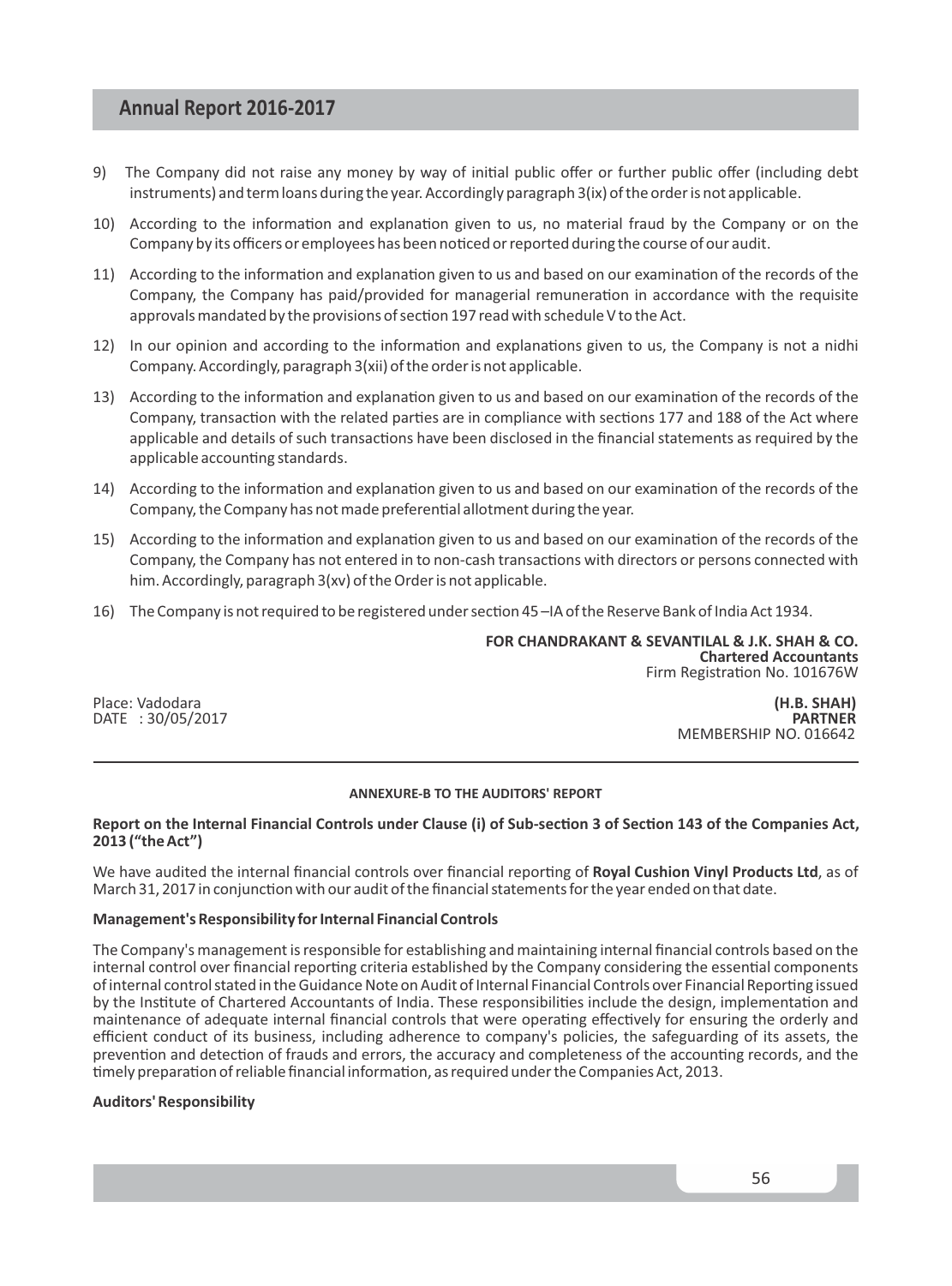- 9) The Company did not raise any money by way of initial public offer or further public offer (including debt instruments) and term loans during the year. Accordingly paragraph 3(ix) of the order is not applicable.
- 10) According to the information and explanation given to us, no material fraud by the Company or on the Company by its officers or employees has been noticed or reported during the course of our audit.
- 11) According to the information and explanation given to us and based on our examination of the records of the Company, the Company has paid/provided for managerial remuneration in accordance with the requisite approvals mandated by the provisions of section 197 read with schedule V to the Act.
- 12) In our opinion and according to the information and explanations given to us, the Company is not a nidhi Company. Accordingly, paragraph 3(xii) of the order is not applicable.
- 13) According to the information and explanation given to us and based on our examination of the records of the Company, transaction with the related parties are in compliance with sections 177 and 188 of the Act where applicable and details of such transactions have been disclosed in the financial statements as required by the applicable accounting standards.
- 14) According to the information and explanation given to us and based on our examination of the records of the Company, the Company has not made preferential allotment during the year.
- 15) According to the information and explanation given to us and based on our examination of the records of the Company, the Company has not entered in to non-cash transactions with directors or persons connected with him. Accordingly, paragraph 3(xv) of the Order is not applicable.
- 16) The Company is not required to be registered under section 45-IA of the Reserve Bank of India Act 1934.

**FOR CHANDRAKANT & SEVANTILAL & J.K. SHAH & CO. Chartered Accountants** Firm Registration No. 101676W

DATE : 30/05/2017

Place: Vadodara **(H.B. SHAH)**  MEMBERSHIP NO. 016642

#### **ANNEXURE-B TO THE AUDITORS' REPORT**

#### Report on the Internal Financial Controls under Clause (i) of Sub-section 3 of Section 143 of the Companies Act, **2013 ("the Act")**

We have audited the internal financial controls over financial reporting of **Royal Cushion Vinyl Products Ltd**, as of March 31, 2017 in conjunction with our audit of the financial statements for the year ended on that date.

#### **Management's Responsibility for Internal Financial Controls**

The Company's management is responsible for establishing and maintaining internal financial controls based on the internal control over financial reporting criteria established by the Company considering the essential components of internal control stated in the Guidance Note on Audit of Internal Financial Controls over Financial Reporting issued by the Institute of Chartered Accountants of India. These responsibilities include the design, implementation and maintenance of adequate internal financial controls that were operating effectively for ensuring the orderly and efficient conduct of its business, including adherence to company's policies, the safeguarding of its assets, the prevention and detection of frauds and errors, the accuracy and completeness of the accounting records, and the timely preparation of reliable financial information, as required under the Companies Act, 2013.

#### **Auditors' Responsibility**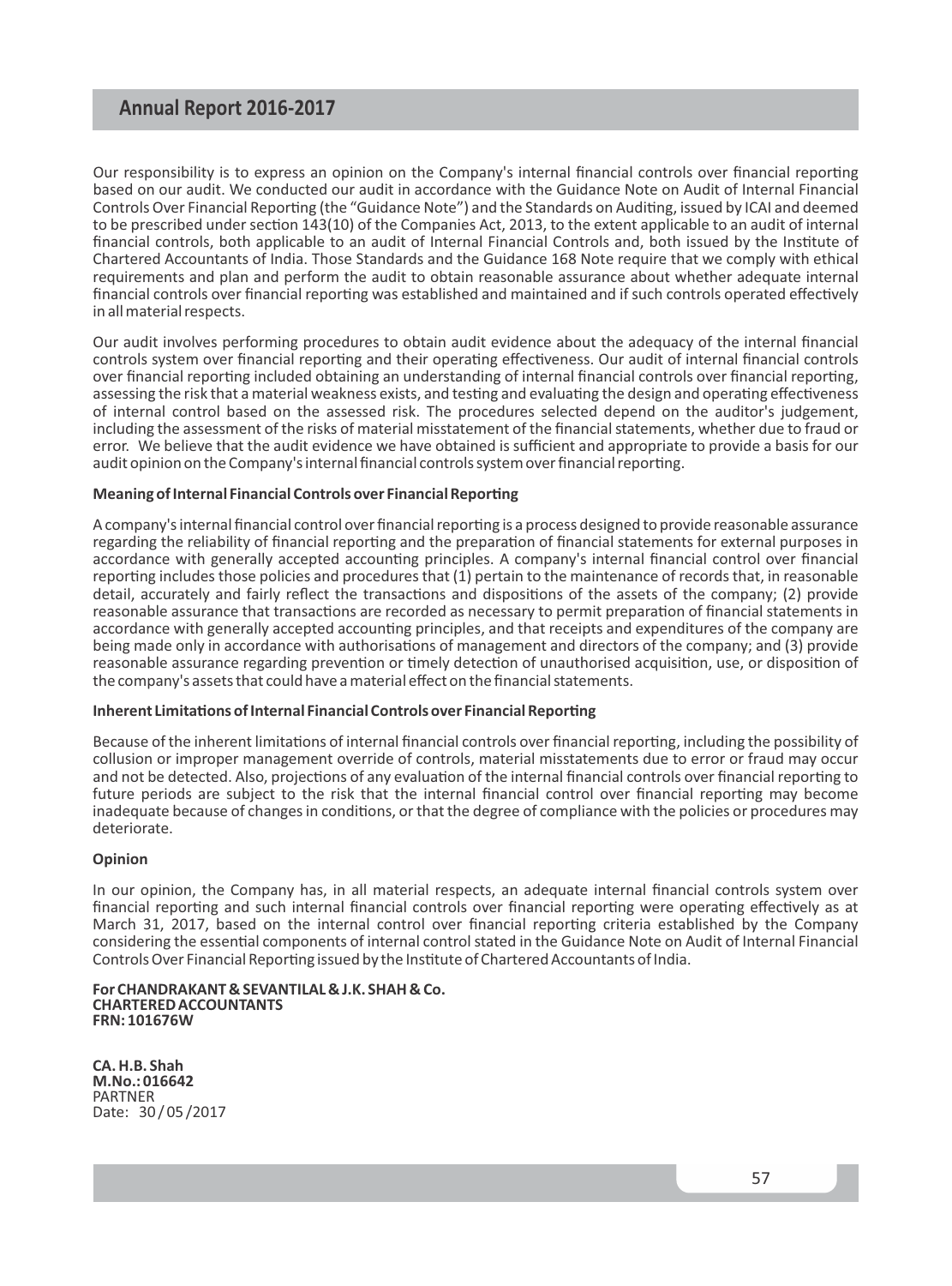Our responsibility is to express an opinion on the Company's internal financial controls over financial reporting based on our audit. We conducted our audit in accordance with the Guidance Note on Audit of Internal Financial Controls Over Financial Reporting (the "Guidance Note") and the Standards on Auditing, issued by ICAI and deemed to be prescribed under section 143(10) of the Companies Act, 2013, to the extent applicable to an audit of internal financial controls, both applicable to an audit of Internal Financial Controls and, both issued by the Institute of Chartered Accountants of India. Those Standards and the Guidance 168 Note require that we comply with ethical requirements and plan and perform the audit to obtain reasonable assurance about whether adequate internal financial controls over financial reporting was established and maintained and if such controls operated effectively in all material respects.

Our audit involves performing procedures to obtain audit evidence about the adequacy of the internal financial controls system over financial reporting and their operating effectiveness. Our audit of internal financial controls over financial reporting included obtaining an understanding of internal financial controls over financial reporting, assessing the risk that a material weakness exists, and testing and evaluating the design and operating effectiveness of internal control based on the assessed risk. The procedures selected depend on the auditor's judgement, including the assessment of the risks of material misstatement of the financial statements, whether due to fraud or error. We believe that the audit evidence we have obtained is sufficient and appropriate to provide a basis for our audit opinion on the Company's internal financial controls system over financial reporting.

#### **Meaning of Internal Financial Controls over Financial Reporting**

A company's internal financial control over financial reporting is a process designed to provide reasonable assurance regarding the reliability of financial reporting and the preparation of financial statements for external purposes in accordance with generally accepted accounting principles. A company's internal financial control over financial reporting includes those policies and procedures that (1) pertain to the maintenance of records that, in reasonable detail, accurately and fairly reflect the transactions and dispositions of the assets of the company; (2) provide reasonable assurance that transactions are recorded as necessary to permit preparation of financial statements in accordance with generally accepted accounting principles, and that receipts and expenditures of the company are being made only in accordance with authorisations of management and directors of the company; and (3) provide reasonable assurance regarding prevention or timely detection of unauthorised acquisition, use, or disposition of the company's assets that could have a material effect on the financial statements.

#### **Inherent Limitations of Internal Financial Controls over Financial Reporting**

Because of the inherent limitations of internal financial controls over financial reporting, including the possibility of collusion or improper management override of controls, material misstatements due to error or fraud may occur and not be detected. Also, projections of any evaluation of the internal financial controls over financial reporting to future periods are subject to the risk that the internal financial control over financial reporting may become inadequate because of changes in conditions, or that the degree of compliance with the policies or procedures may deteriorate.

#### **Opinion**

In our opinion, the Company has, in all material respects, an adequate internal financial controls system over financial reporting and such internal financial controls over financial reporting were operating effectively as at March 31, 2017, based on the internal control over financial reporting criteria established by the Company considering the essential components of internal control stated in the Guidance Note on Audit of Internal Financial Controls Over Financial Reporting issued by the Institute of Chartered Accountants of India.

**For CHANDRAKANT & SEVANTILAL & J.K. SHAH & Co. CHARTERED ACCOUNTANTS FRN: 101676W** 

**CA. H.B. Shah M.No.: 016642** PARTNER Date: 30 / 05 /2017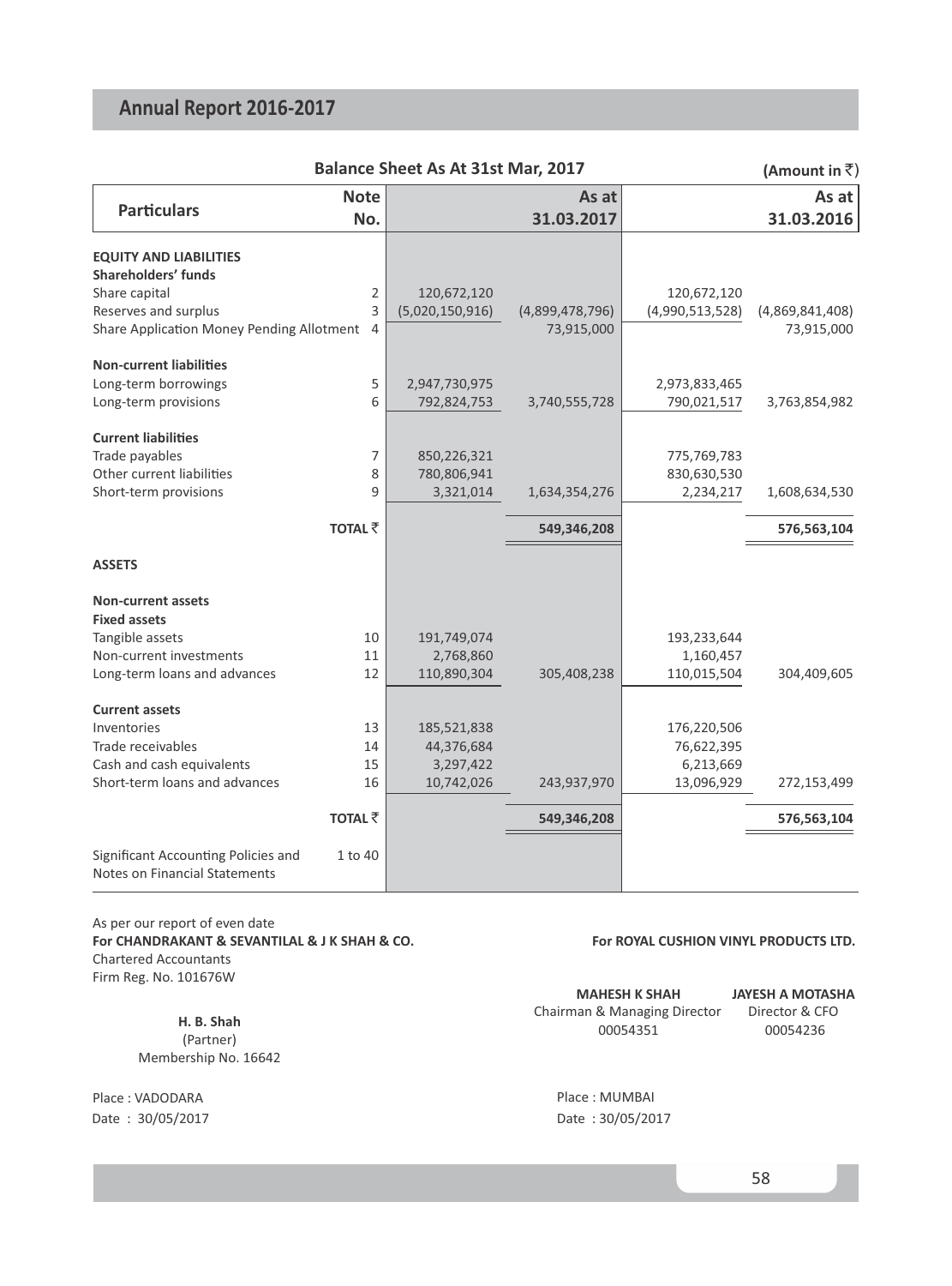|                                                                      |                | Balance Sheet As At 31st Mar, 2017 |                 |                 | (Amount in $\bar{z}$ ) |
|----------------------------------------------------------------------|----------------|------------------------------------|-----------------|-----------------|------------------------|
|                                                                      | <b>Note</b>    |                                    | As at           |                 | As at                  |
| <b>Particulars</b>                                                   | No.            |                                    | 31.03.2017      |                 | 31.03.2016             |
| <b>EQUITY AND LIABILITIES</b>                                        |                |                                    |                 |                 |                        |
| <b>Shareholders' funds</b>                                           |                |                                    |                 |                 |                        |
| Share capital                                                        | $\overline{2}$ | 120,672,120                        |                 | 120,672,120     |                        |
| Reserves and surplus                                                 | 3              | (5,020,150,916)                    | (4,899,478,796) | (4,990,513,528) | (4,869,841,408)        |
| Share Application Money Pending Allotment 4                          |                |                                    | 73,915,000      |                 | 73,915,000             |
| <b>Non-current liabilities</b>                                       |                |                                    |                 |                 |                        |
| Long-term borrowings                                                 | 5              | 2,947,730,975                      |                 | 2,973,833,465   |                        |
| Long-term provisions                                                 | 6              | 792,824,753                        | 3,740,555,728   | 790,021,517     | 3,763,854,982          |
| <b>Current liabilities</b>                                           |                |                                    |                 |                 |                        |
| Trade payables                                                       | $\overline{7}$ | 850,226,321                        |                 | 775,769,783     |                        |
| Other current liabilities                                            | 8              | 780,806,941                        |                 | 830,630,530     |                        |
| Short-term provisions                                                | 9              | 3,321,014                          | 1,634,354,276   | 2,234,217       | 1,608,634,530          |
|                                                                      | <b>TOTAL ₹</b> |                                    | 549,346,208     |                 | 576,563,104            |
| <b>ASSETS</b>                                                        |                |                                    |                 |                 |                        |
| <b>Non-current assets</b>                                            |                |                                    |                 |                 |                        |
| <b>Fixed assets</b>                                                  |                |                                    |                 |                 |                        |
| Tangible assets                                                      | 10             | 191,749,074                        |                 | 193,233,644     |                        |
| Non-current investments                                              | 11             | 2,768,860                          |                 | 1,160,457       |                        |
| Long-term loans and advances                                         | 12             | 110,890,304                        | 305,408,238     | 110,015,504     | 304,409,605            |
| <b>Current assets</b>                                                |                |                                    |                 |                 |                        |
| Inventories                                                          | 13             | 185,521,838                        |                 | 176,220,506     |                        |
| Trade receivables                                                    | 14             | 44,376,684                         |                 | 76,622,395      |                        |
| Cash and cash equivalents                                            | 15             | 3,297,422                          |                 | 6,213,669       |                        |
| Short-term loans and advances                                        | 16             | 10,742,026                         | 243,937,970     | 13,096,929      | 272,153,499            |
|                                                                      | <b>TOTAL ₹</b> |                                    | 549,346,208     |                 | 576,563,104            |
| Significant Accounting Policies and<br>Notes on Financial Statements | 1 to 40        |                                    |                 |                 |                        |

 Chartered Accountants As per our report of even date **For CHANDRAKANT & SEVANTILAL & J K SHAH & CO.** Firm Reg. No. 101676W

> (Partner) Membership No. 16642

Place : VADODARA Date : 30/05/2017 Date : 30/05/2017

#### **For ROYAL CUSHION VINYL PRODUCTS LTD.**

|            | <b>MAHESH K SHAH</b>         | JAYESH A MOTASHA |
|------------|------------------------------|------------------|
| H. B. Shah | Chairman & Managing Director | Director & CFO   |
| (Dartnar)  | 00054351                     | 00054236         |

Place : MUMBAI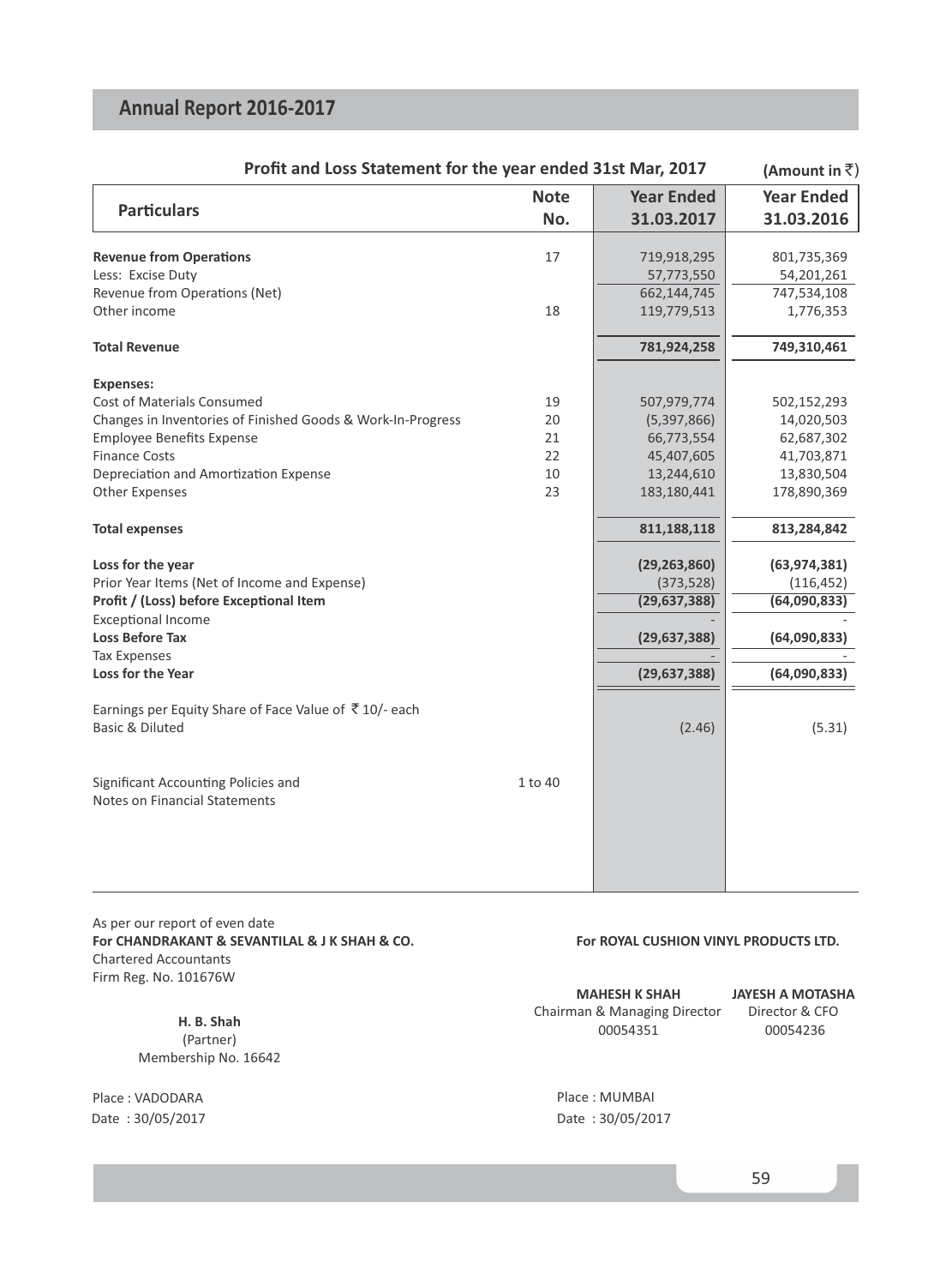| Profit and Loss Statement for the year ended 31st Mar, 2017                         | (Amount in $\bar{z}$ ) |                   |                   |
|-------------------------------------------------------------------------------------|------------------------|-------------------|-------------------|
|                                                                                     | <b>Note</b>            | <b>Year Ended</b> | <b>Year Ended</b> |
| <b>Particulars</b>                                                                  | No.                    | 31.03.2017        | 31.03.2016        |
| <b>Revenue from Operations</b>                                                      | 17                     | 719,918,295       | 801,735,369       |
| Less: Excise Duty                                                                   |                        | 57,773,550        | 54,201,261        |
| Revenue from Operations (Net)                                                       |                        | 662,144,745       | 747,534,108       |
| Other income                                                                        | 18                     | 119,779,513       | 1,776,353         |
| <b>Total Revenue</b>                                                                |                        | 781,924,258       | 749,310,461       |
| <b>Expenses:</b>                                                                    |                        |                   |                   |
| Cost of Materials Consumed                                                          | 19                     | 507,979,774       | 502,152,293       |
| Changes in Inventories of Finished Goods & Work-In-Progress                         | 20                     | (5,397,866)       | 14,020,503        |
| <b>Employee Benefits Expense</b>                                                    | 21                     | 66,773,554        | 62,687,302        |
| <b>Finance Costs</b>                                                                | 22                     | 45,407,605        | 41,703,871        |
| Depreciation and Amortization Expense                                               | 10                     | 13,244,610        | 13,830,504        |
| <b>Other Expenses</b>                                                               | 23                     | 183,180,441       | 178,890,369       |
| <b>Total expenses</b>                                                               |                        | 811,188,118       | 813,284,842       |
| Loss for the year                                                                   |                        | (29, 263, 860)    | (63, 974, 381)    |
| Prior Year Items (Net of Income and Expense)                                        |                        | (373, 528)        | (116, 452)        |
| Profit / (Loss) before Exceptional Item                                             |                        | (29, 637, 388)    | (64,090,833)      |
| <b>Exceptional Income</b>                                                           |                        |                   |                   |
| <b>Loss Before Tax</b>                                                              |                        | (29, 637, 388)    | (64,090,833)      |
| <b>Tax Expenses</b><br>Loss for the Year                                            |                        | (29, 637, 388)    | (64,090,833)      |
|                                                                                     |                        |                   |                   |
| Earnings per Equity Share of Face Value of ₹10/- each<br><b>Basic &amp; Diluted</b> |                        | (2.46)            | (5.31)            |
|                                                                                     |                        |                   |                   |
| Significant Accounting Policies and                                                 | 1 to 40                |                   |                   |
| <b>Notes on Financial Statements</b>                                                |                        |                   |                   |
|                                                                                     |                        |                   |                   |
|                                                                                     |                        |                   |                   |
|                                                                                     |                        |                   |                   |

 Chartered Accountants As per our report of even date **For CHANDRAKANT & SEVANTILAL & J K SHAH & CO.** Firm Reg. No. 101676W

> (Partner) Membership No. 16642

Place : VADODARA Date : 30/05/2017 Date : 30/05/2017

#### **For ROYAL CUSHION VINYL PRODUCTS LTD.**

|            | <b>MAHESH K SHAH</b>         | JAYESH A MOTASHA |
|------------|------------------------------|------------------|
| H. B. Shah | Chairman & Managing Director | Director & CFO   |
| (Partner)  | 00054351                     | 00054236         |

Place : MUMBAI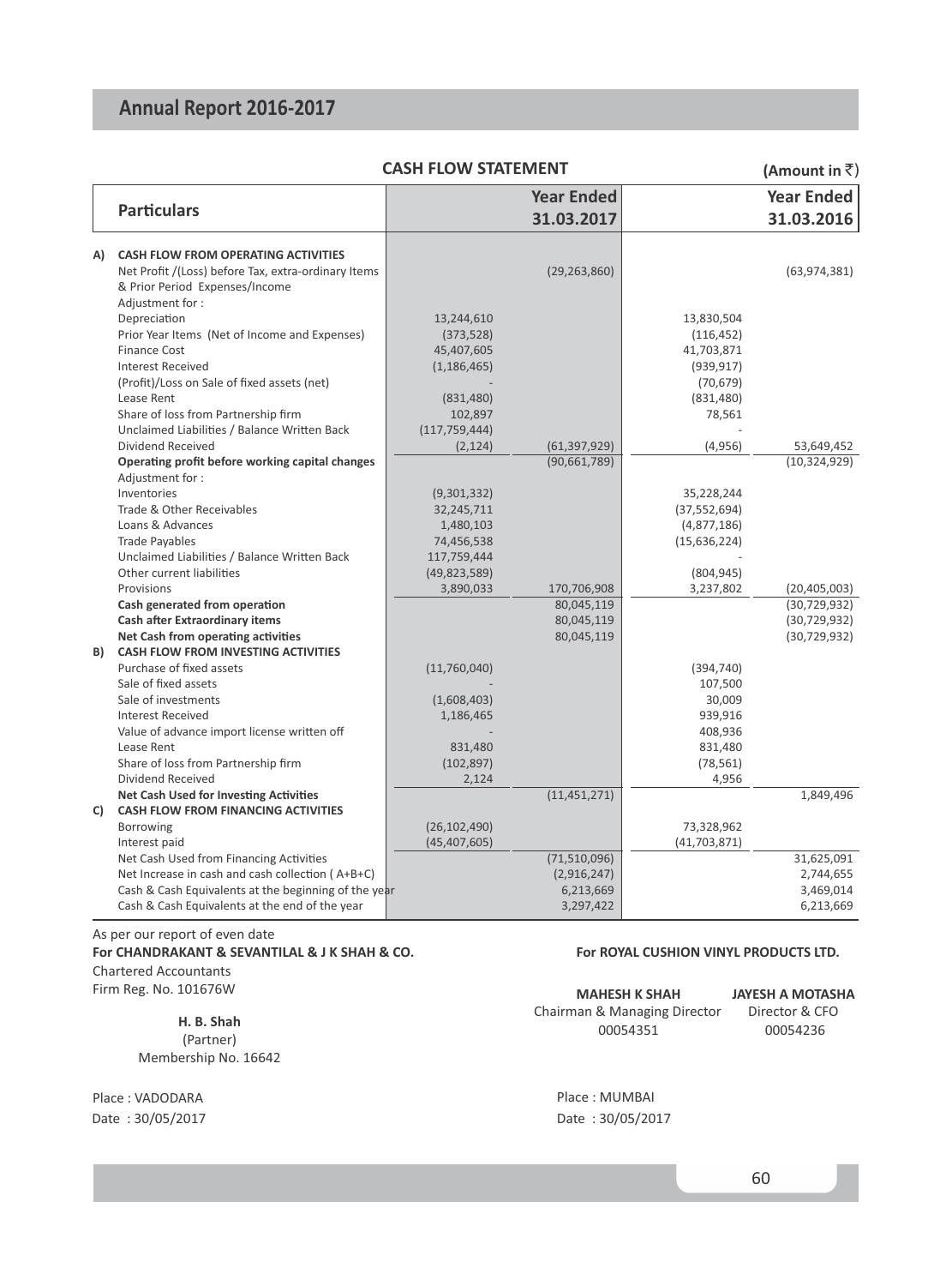|    |                                                                                             | <b>CASH FLOW STATEMENT</b> |                                |                | (Amount in $\bar{z}$ )       |
|----|---------------------------------------------------------------------------------------------|----------------------------|--------------------------------|----------------|------------------------------|
|    |                                                                                             |                            | <b>Year Ended</b>              |                | <b>Year Ended</b>            |
|    | <b>Particulars</b>                                                                          |                            | 31.03.2017                     |                | 31.03.2016                   |
| A) | <b>CASH FLOW FROM OPERATING ACTIVITIES</b>                                                  |                            |                                |                |                              |
|    | Net Profit /(Loss) before Tax, extra-ordinary Items                                         |                            | (29, 263, 860)                 |                | (63, 974, 381)               |
|    | & Prior Period Expenses/Income                                                              |                            |                                |                |                              |
|    | Adjustment for:                                                                             |                            |                                |                |                              |
|    | Depreciation                                                                                | 13,244,610                 |                                | 13,830,504     |                              |
|    | Prior Year Items (Net of Income and Expenses)                                               | (373, 528)                 |                                | (116, 452)     |                              |
|    | Finance Cost                                                                                | 45,407,605                 |                                | 41,703,871     |                              |
|    | <b>Interest Received</b>                                                                    | (1, 186, 465)              |                                | (939, 917)     |                              |
|    | (Profit)/Loss on Sale of fixed assets (net)                                                 |                            |                                | (70, 679)      |                              |
|    | Lease Rent                                                                                  | (831, 480)                 |                                | (831, 480)     |                              |
|    | Share of loss from Partnership firm                                                         | 102,897                    |                                | 78,561         |                              |
|    | Unclaimed Liabilities / Balance Written Back<br>Dividend Received                           | (117, 759, 444)            |                                |                |                              |
|    | Operating profit before working capital changes                                             | (2, 124)                   | (61, 397, 929)<br>(90,661,789) | (4,956)        | 53,649,452<br>(10, 324, 929) |
|    | Adjustment for:                                                                             |                            |                                |                |                              |
|    | Inventories                                                                                 | (9,301,332)                |                                | 35,228,244     |                              |
|    | Trade & Other Receivables                                                                   | 32,245,711                 |                                | (37, 552, 694) |                              |
|    | Loans & Advances                                                                            | 1,480,103                  |                                | (4,877,186)    |                              |
|    | <b>Trade Payables</b>                                                                       | 74,456,538                 |                                | (15, 636, 224) |                              |
|    | Unclaimed Liabilities / Balance Written Back                                                | 117,759,444                |                                |                |                              |
|    | Other current liabilities                                                                   | (49, 823, 589)             |                                | (804, 945)     |                              |
|    | Provisions                                                                                  | 3,890,033                  | 170,706,908                    | 3,237,802      | (20, 405, 003)               |
|    | Cash generated from operation                                                               |                            | 80,045,119                     |                | (30, 729, 932)               |
|    | <b>Cash after Extraordinary items</b>                                                       |                            | 80,045,119                     |                | (30, 729, 932)               |
|    | Net Cash from operating activities                                                          |                            | 80,045,119                     |                | (30, 729, 932)               |
| B) | <b>CASH FLOW FROM INVESTING ACTIVITIES</b>                                                  |                            |                                |                |                              |
|    | Purchase of fixed assets                                                                    | (11,760,040)               |                                | (394, 740)     |                              |
|    | Sale of fixed assets                                                                        |                            |                                | 107,500        |                              |
|    | Sale of investments                                                                         | (1,608,403)                |                                | 30,009         |                              |
|    | <b>Interest Received</b>                                                                    | 1,186,465                  |                                | 939,916        |                              |
|    | Value of advance import license written off                                                 |                            |                                | 408,936        |                              |
|    | Lease Rent                                                                                  | 831,480                    |                                | 831,480        |                              |
|    | Share of loss from Partnership firm                                                         | (102, 897)                 |                                | (78, 561)      |                              |
|    | Dividend Received                                                                           | 2,124                      |                                | 4,956          |                              |
|    | <b>Net Cash Used for Investing Activities</b><br><b>CASH FLOW FROM FINANCING ACTIVITIES</b> |                            | (11, 451, 271)                 |                | 1,849,496                    |
| C) | Borrowing                                                                                   | (26, 102, 490)             |                                | 73,328,962     |                              |
|    | Interest paid                                                                               | (45, 407, 605)             |                                | (41,703,871)   |                              |
|    | Net Cash Used from Financing Activities                                                     |                            | (71,510,096)                   |                | 31,625,091                   |
|    | Net Increase in cash and cash collection (A+B+C)                                            |                            | (2,916,247)                    |                | 2,744,655                    |
|    | Cash & Cash Equivalents at the beginning of the year                                        |                            | 6,213,669                      |                | 3,469,014                    |
|    | Cash & Cash Equivalents at the end of the year                                              |                            | 3,297,422                      |                | 6,213,669                    |

 Chartered Accountants As per our report of even date **For CHANDRAKANT & SEVANTILAL & J K SHAH & CO.** Firm Reg. No. 101676W

> (Partner) Membership No. 16642

Place : VADODARA

#### **For ROYAL CUSHION VINYL PRODUCTS LTD.**

| 101676W    | <b>MAHESH K SHAH</b>         | JAYESH A MOTASHA |
|------------|------------------------------|------------------|
| H. B. Shah | Chairman & Managing Director | Director & CFO   |
| (Partner)  | 00054351                     | 00054236         |

Date : 30/05/2017 Date : 30/05/2017 Place : MUMBAI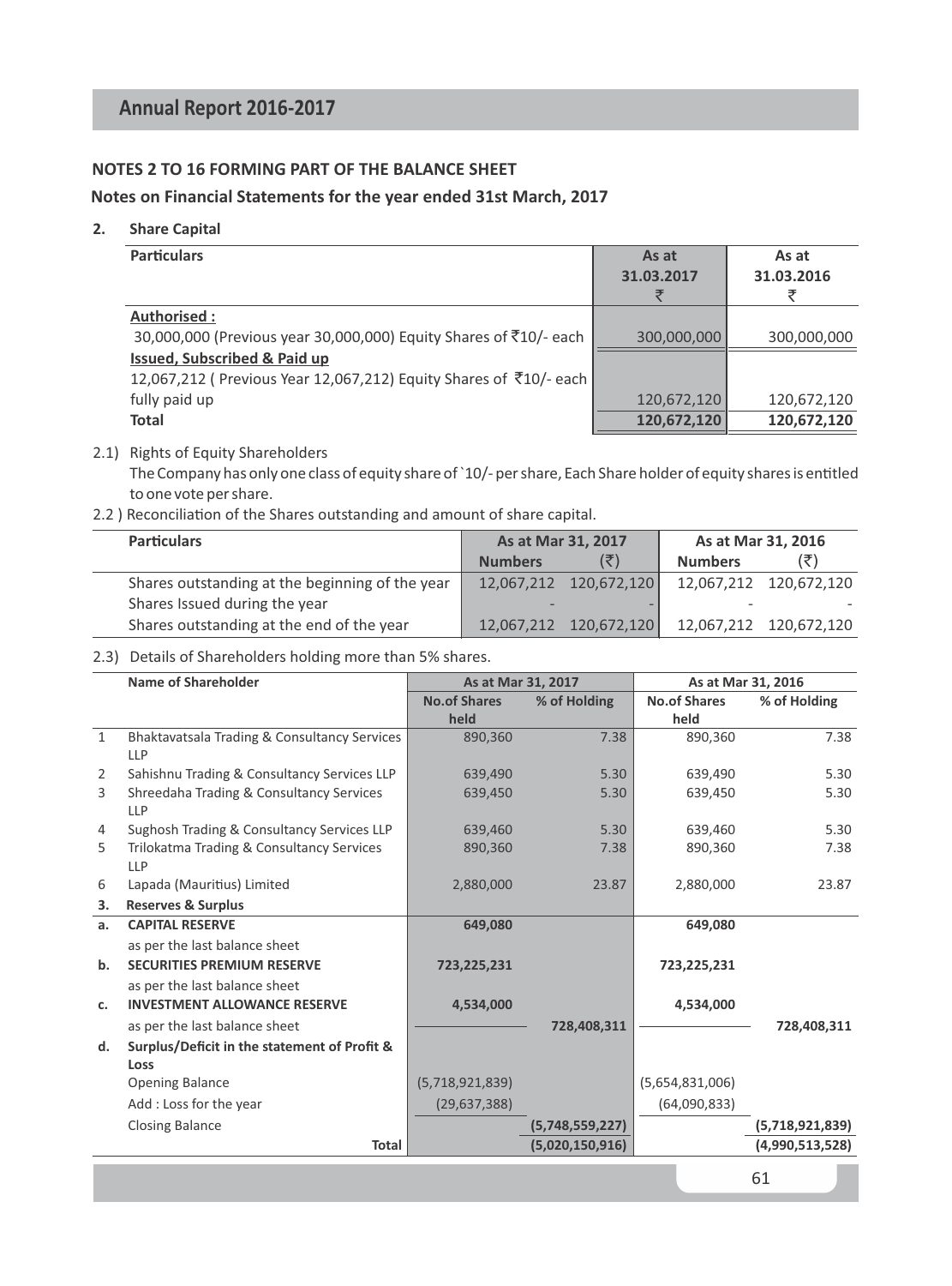### **NOTES 2 TO 16 FORMING PART OF THE BALANCE SHEET**

#### **Notes on Financial Statements for the year ended 31st March, 2017**

#### **2. Share Capital**

| <b>Particulars</b>                                                 | As at<br>31.03.2017<br>₹ | As at<br>31.03.2016<br>₹ |
|--------------------------------------------------------------------|--------------------------|--------------------------|
| Authorised:                                                        |                          |                          |
| 30,000,000 (Previous year 30,000,000) Equity Shares of ₹10/- each  | 300,000,000              | 300,000,000              |
| <b>Issued, Subscribed &amp; Paid up</b>                            |                          |                          |
| 12,067,212 ( Previous Year 12,067,212) Equity Shares of ₹10/- each |                          |                          |
| fully paid up                                                      | 120,672,120              | 120,672,120              |
| <b>Total</b>                                                       | 120,672,120              | 120,672,120              |

#### 2.1) Rights of Equity Shareholders

The Company has only one class of equity share of `10/- per share, Each Share holder of equity shares is entitled to one vote per share.

2.2 ) Reconciliation of the Shares outstanding and amount of share capital.

| <b>Particulars</b>                              | As at Mar 31, 2017 |                        | As at Mar 31, 2016 |                        |
|-------------------------------------------------|--------------------|------------------------|--------------------|------------------------|
|                                                 | <b>Numbers</b>     |                        | <b>Numbers</b>     | (₹)                    |
| Shares outstanding at the beginning of the year |                    | 12,067,212 120,672,120 |                    | 12,067,212 120,672,120 |
| Shares Issued during the year                   |                    |                        |                    |                        |
| Shares outstanding at the end of the year       |                    | 12.067.212 120.672.120 |                    | 12,067,212 120,672,120 |

2.3) Details of Shareholders holding more than 5% shares.

| Name of Shareholder                          |                                                                                                                                                                                                                | As at Mar 31, 2017   |                     | As at Mar 31, 2016   |
|----------------------------------------------|----------------------------------------------------------------------------------------------------------------------------------------------------------------------------------------------------------------|----------------------|---------------------|----------------------|
|                                              | <b>No.of Shares</b>                                                                                                                                                                                            | % of Holding         | <b>No.of Shares</b> | % of Holding         |
|                                              | held                                                                                                                                                                                                           |                      | held                |                      |
| Bhaktavatsala Trading & Consultancy Services | 890,360                                                                                                                                                                                                        | 7.38                 | 890,360             | 7.38                 |
|                                              |                                                                                                                                                                                                                |                      |                     |                      |
|                                              | 639.490                                                                                                                                                                                                        | 5.30                 | 639.490             | 5.30                 |
| Shreedaha Trading & Consultancy Services     | 639,450                                                                                                                                                                                                        | 5.30                 | 639,450             | 5.30                 |
|                                              |                                                                                                                                                                                                                |                      |                     |                      |
|                                              |                                                                                                                                                                                                                |                      |                     | 5.30                 |
|                                              | 890,360                                                                                                                                                                                                        | 7.38                 | 890,360             | 7.38                 |
|                                              |                                                                                                                                                                                                                |                      |                     |                      |
|                                              |                                                                                                                                                                                                                |                      |                     | 23.87                |
| <b>Reserves &amp; Surplus</b>                |                                                                                                                                                                                                                |                      |                     |                      |
| <b>CAPITAL RESERVE</b>                       | 649,080                                                                                                                                                                                                        |                      | 649,080             |                      |
| as per the last balance sheet                |                                                                                                                                                                                                                |                      |                     |                      |
| <b>SECURITIES PREMIUM RESERVE</b>            | 723,225,231                                                                                                                                                                                                    |                      | 723,225,231         |                      |
| as per the last balance sheet                |                                                                                                                                                                                                                |                      |                     |                      |
| <b>INVESTMENT ALLOWANCE RESERVE</b>          | 4,534,000                                                                                                                                                                                                      |                      | 4,534,000           |                      |
| as per the last balance sheet                |                                                                                                                                                                                                                | 728,408,311          |                     | 728.408.311          |
| Surplus/Deficit in the statement of Profit & |                                                                                                                                                                                                                |                      |                     |                      |
| Loss                                         |                                                                                                                                                                                                                |                      |                     |                      |
| <b>Opening Balance</b>                       | (5,718,921,839)                                                                                                                                                                                                |                      | (5,654,831,006)     |                      |
| Add: Loss for the year                       | (29, 637, 388)                                                                                                                                                                                                 |                      | (64,090,833)        |                      |
| <b>Closing Balance</b>                       |                                                                                                                                                                                                                | (5,748,559,227)      |                     | (5,718,921,839)      |
| Total                                        |                                                                                                                                                                                                                | (5,020,150,916)      |                     | (4,990,513,528)      |
|                                              |                                                                                                                                                                                                                |                      |                     | 61                   |
|                                              | <b>LLP</b><br>Sahishnu Trading & Consultancy Services LLP<br><b>LLP</b><br>Sughosh Trading & Consultancy Services LLP<br>Trilokatma Trading & Consultancy Services<br><b>LLP</b><br>Lapada (Mauritius) Limited | 639,460<br>2,880,000 | 5.30<br>23.87       | 639,460<br>2,880,000 |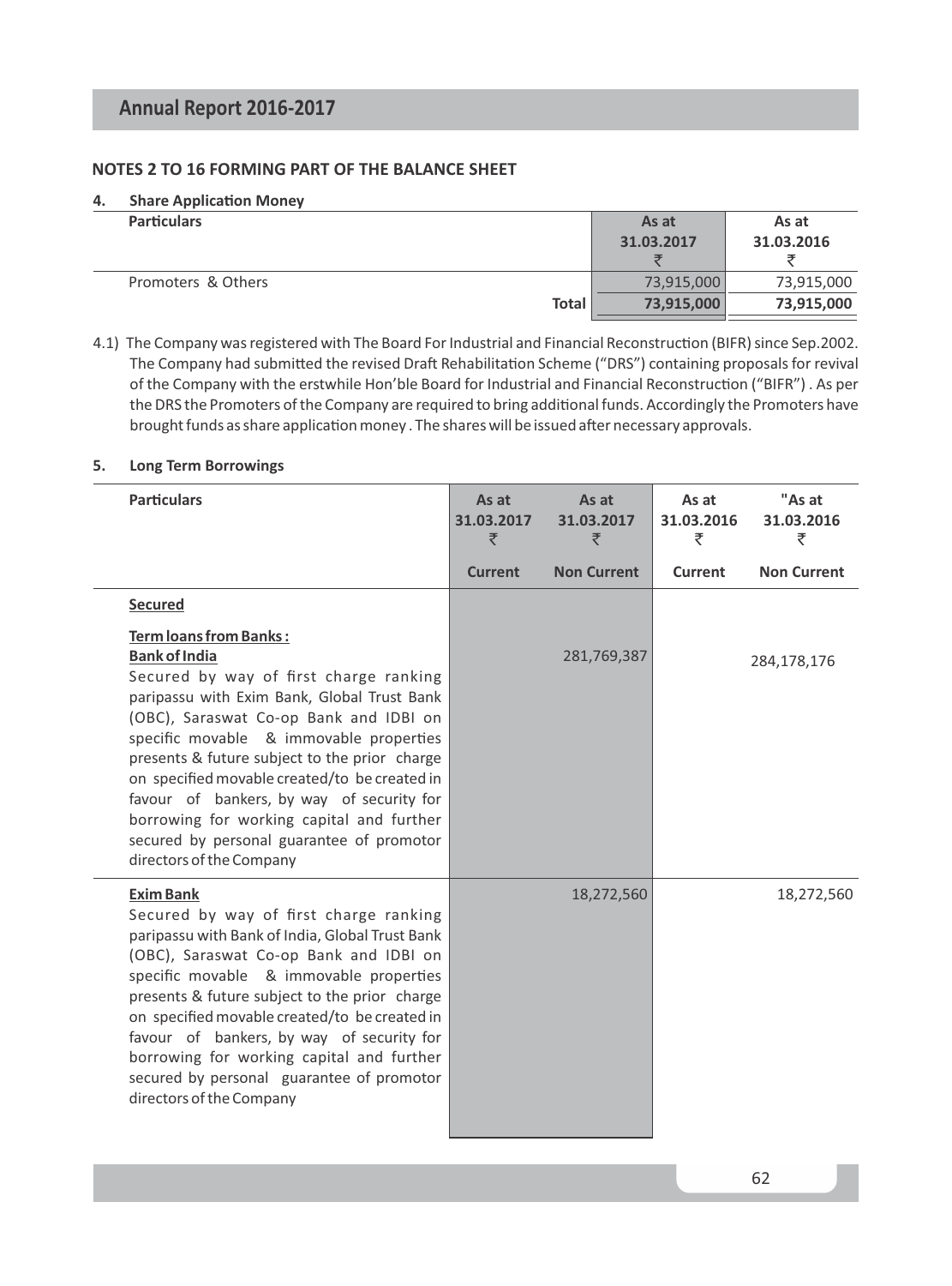### **NOTES 2 TO 16 FORMING PART OF THE BALANCE SHEET**

#### **4.** Share Application Money

|              | As at<br>31.03.2017 | As at<br>31.03.2016 |
|--------------|---------------------|---------------------|
|              | 73.915.000          | 73,915,000          |
| <b>Total</b> | 73,915,000          | 73,915,000          |
|              |                     |                     |

4.1) The Company was registered with The Board For Industrial and Financial Reconstruction (BIFR) since Sep.2002. The Company had submitted the revised Draft Rehabilitation Scheme ("DRS") containing proposals for revival of the Company with the erstwhile Hon'ble Board for Industrial and Financial Reconstruction ("BIFR"). As per the DRS the Promoters of the Company are required to bring additional funds. Accordingly the Promoters have brought funds as share application money . The shares will be issued after necessary approvals.

#### **5. Long Term Borrowings**

| <b>Particulars</b>                                                                                                                                                                                                                                                                                                                                                                                                                                                                                | As at<br>31.03.2017<br>₹ | As at<br>31.03.2017<br>₹ | As at<br>31.03.2016<br>₹ | "As at<br>31.03.2016<br>₹ |
|---------------------------------------------------------------------------------------------------------------------------------------------------------------------------------------------------------------------------------------------------------------------------------------------------------------------------------------------------------------------------------------------------------------------------------------------------------------------------------------------------|--------------------------|--------------------------|--------------------------|---------------------------|
|                                                                                                                                                                                                                                                                                                                                                                                                                                                                                                   | <b>Current</b>           | <b>Non Current</b>       | Current                  | <b>Non Current</b>        |
| Secured                                                                                                                                                                                                                                                                                                                                                                                                                                                                                           |                          |                          |                          |                           |
| Term loans from Banks:<br><b>Bank of India</b><br>Secured by way of first charge ranking<br>paripassu with Exim Bank, Global Trust Bank<br>(OBC), Saraswat Co-op Bank and IDBI on<br>specific movable & immovable properties<br>presents & future subject to the prior charge<br>on specified movable created/to be created in<br>favour of bankers, by way of security for<br>borrowing for working capital and further<br>secured by personal guarantee of promotor<br>directors of the Company |                          | 281,769,387              |                          | 284,178,176               |
| <b>Exim Bank</b><br>Secured by way of first charge ranking<br>paripassu with Bank of India, Global Trust Bank<br>(OBC), Saraswat Co-op Bank and IDBI on<br>specific movable & immovable properties<br>presents & future subject to the prior charge<br>on specified movable created/to be created in<br>favour of bankers, by way of security for<br>borrowing for working capital and further<br>secured by personal guarantee of promotor<br>directors of the Company                           |                          | 18,272,560               |                          | 18,272,560                |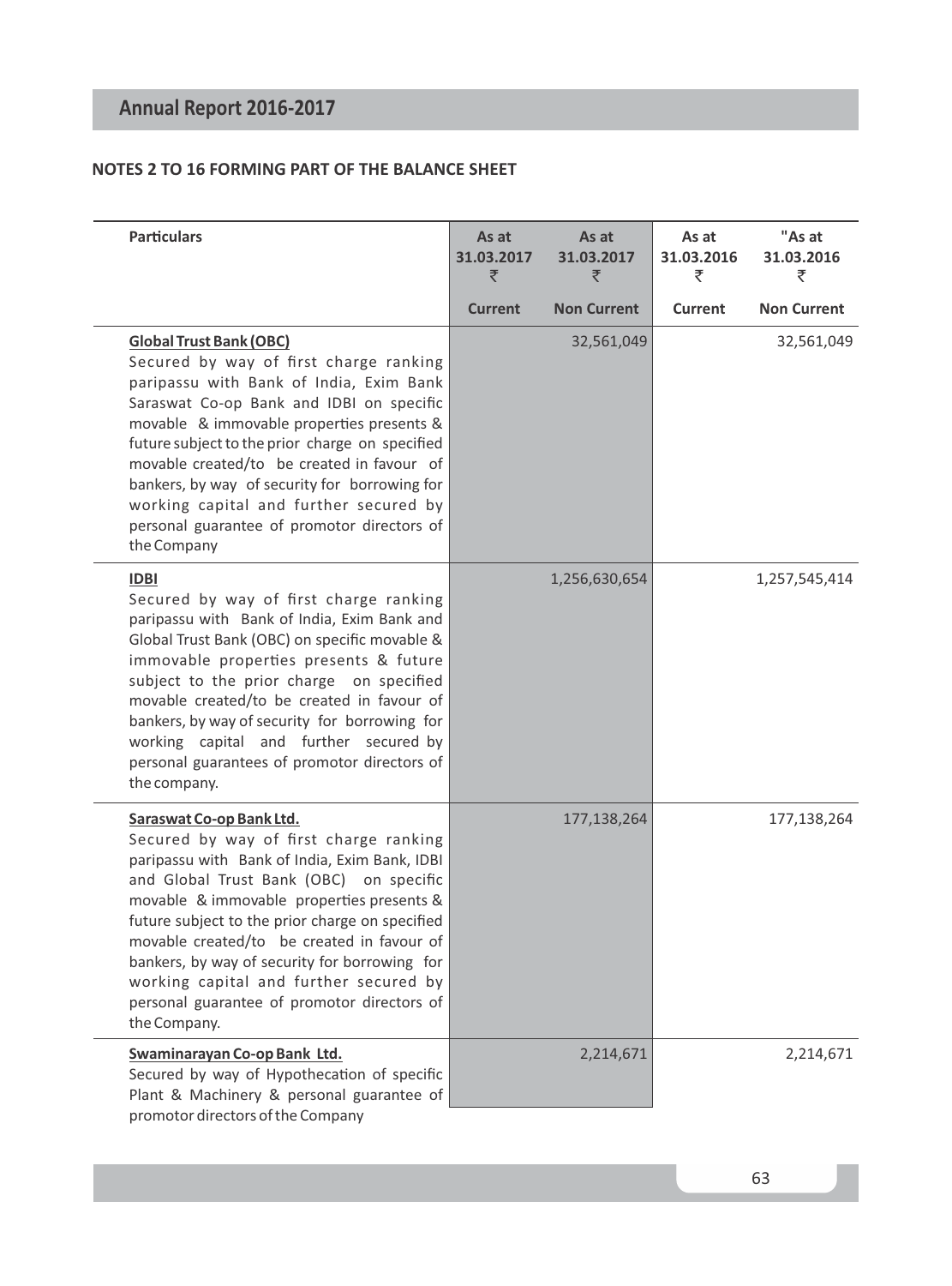## **NOTES 2 TO 16 FORMING PART OF THE BALANCE SHEET**

| <b>Particulars</b>                                                                                                                                                                                                                                                                                                                                                                                                                                                     | As at<br>31.03.2017<br>₹ | As at<br>31.03.2017<br>₹ | As at<br>31.03.2016<br>₹ | "As at<br>31.03.2016<br>₹ |
|------------------------------------------------------------------------------------------------------------------------------------------------------------------------------------------------------------------------------------------------------------------------------------------------------------------------------------------------------------------------------------------------------------------------------------------------------------------------|--------------------------|--------------------------|--------------------------|---------------------------|
|                                                                                                                                                                                                                                                                                                                                                                                                                                                                        | <b>Current</b>           | <b>Non Current</b>       | Current                  | <b>Non Current</b>        |
| <b>Global Trust Bank (OBC)</b><br>Secured by way of first charge ranking<br>paripassu with Bank of India, Exim Bank<br>Saraswat Co-op Bank and IDBI on specific<br>movable & immovable properties presents &<br>future subject to the prior charge on specified<br>movable created/to be created in favour of<br>bankers, by way of security for borrowing for<br>working capital and further secured by<br>personal guarantee of promotor directors of<br>the Company |                          | 32,561,049               |                          | 32,561,049                |
| <b>IDBI</b><br>Secured by way of first charge ranking<br>paripassu with Bank of India, Exim Bank and<br>Global Trust Bank (OBC) on specific movable &<br>immovable properties presents & future<br>subject to the prior charge on specified<br>movable created/to be created in favour of<br>bankers, by way of security for borrowing for<br>working capital and further secured by<br>personal guarantees of promotor directors of<br>the company.                   |                          | 1,256,630,654            |                          | 1,257,545,414             |
| Saraswat Co-op Bank Ltd.<br>Secured by way of first charge ranking<br>paripassu with Bank of India, Exim Bank, IDBI<br>and Global Trust Bank (OBC) on specific<br>movable & immovable properties presents &<br>future subject to the prior charge on specified<br>movable created/to be created in favour of<br>bankers, by way of security for borrowing for<br>working capital and further secured by<br>personal guarantee of promotor directors of<br>the Company. |                          | 177,138,264              |                          | 177,138,264               |
| Swaminarayan Co-op Bank Ltd.<br>Secured by way of Hypothecation of specific<br>Plant & Machinery & personal guarantee of<br>promotor directors of the Company                                                                                                                                                                                                                                                                                                          |                          | 2,214,671                |                          | 2,214,671                 |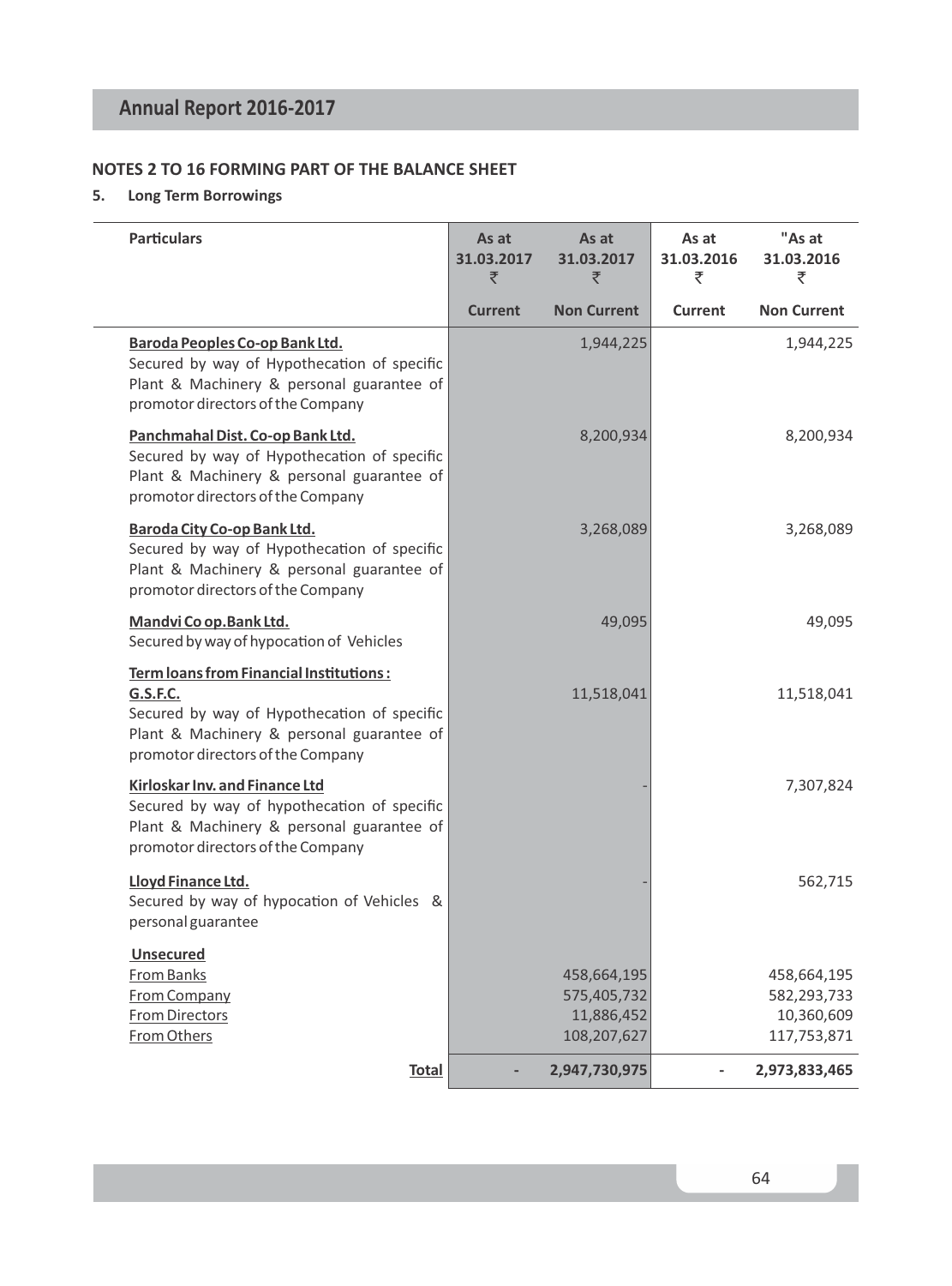## **NOTES 2 TO 16 FORMING PART OF THE BALANCE SHEET**

## **5. Long Term Borrowings**

| <b>Particulars</b>                                                                                                                                                                                 | As at<br>31.03.2017<br>₹ | As at<br>31.03.2017<br>₹                                | As at<br>31.03.2016<br>₹ | "As at<br>31.03.2016<br>₹                               |
|----------------------------------------------------------------------------------------------------------------------------------------------------------------------------------------------------|--------------------------|---------------------------------------------------------|--------------------------|---------------------------------------------------------|
|                                                                                                                                                                                                    | <b>Current</b>           | <b>Non Current</b>                                      | Current                  | <b>Non Current</b>                                      |
| Baroda Peoples Co-op Bank Ltd.<br>Secured by way of Hypothecation of specific<br>Plant & Machinery & personal guarantee of<br>promotor directors of the Company                                    |                          | 1,944,225                                               |                          | 1,944,225                                               |
| Panchmahal Dist. Co-op Bank Ltd.<br>Secured by way of Hypothecation of specific<br>Plant & Machinery & personal guarantee of<br>promotor directors of the Company                                  |                          | 8,200,934                                               |                          | 8,200,934                                               |
| Baroda City Co-op Bank Ltd.<br>Secured by way of Hypothecation of specific<br>Plant & Machinery & personal guarantee of<br>promotor directors of the Company                                       |                          | 3,268,089                                               |                          | 3,268,089                                               |
| Mandvi Co op. Bank Ltd.<br>Secured by way of hypocation of Vehicles                                                                                                                                |                          | 49,095                                                  |                          | 49,095                                                  |
| <b>Term loans from Financial Institutions:</b><br><b>G.S.F.C.</b><br>Secured by way of Hypothecation of specific<br>Plant & Machinery & personal guarantee of<br>promotor directors of the Company |                          | 11,518,041                                              |                          | 11,518,041                                              |
| Kirloskar Inv. and Finance Ltd<br>Secured by way of hypothecation of specific<br>Plant & Machinery & personal guarantee of<br>promotor directors of the Company                                    |                          |                                                         |                          | 7,307,824                                               |
| Lloyd Finance Ltd.<br>Secured by way of hypocation of Vehicles &<br>personal guarantee                                                                                                             |                          |                                                         |                          | 562,715                                                 |
| <b>Unsecured</b><br>From Banks<br><b>From Company</b><br><b>From Directors</b><br><b>From Others</b>                                                                                               |                          | 458,664,195<br>575,405,732<br>11,886,452<br>108,207,627 |                          | 458,664,195<br>582,293,733<br>10,360,609<br>117,753,871 |
| <b>Total</b>                                                                                                                                                                                       |                          | 2,947,730,975                                           |                          | 2,973,833,465                                           |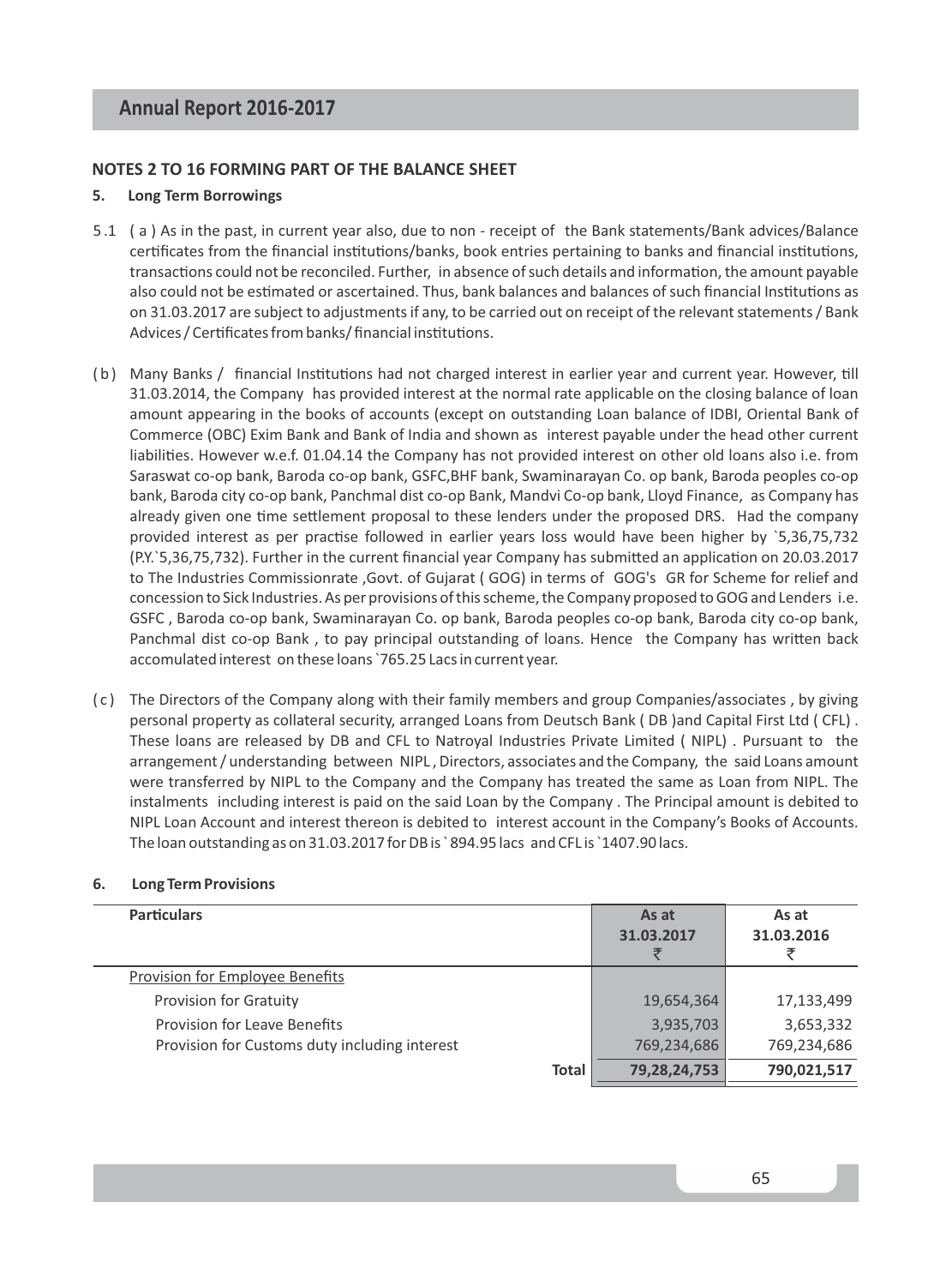#### **NOTES 2 TO 16 FORMING PART OF THE BALANCE SHEET**

#### **5. Long Term Borrowings**

- 5 .1 ( a ) As in the past, in current year also, due to non receipt of the Bank statements/Bank advices/Balance certificates from the financial institutions/banks, book entries pertaining to banks and financial institutions, transactions could not be reconciled. Further, in absence of such details and information, the amount payable also could not be estimated or ascertained. Thus, bank balances and balances of such financial Institutions as on 31.03.2017 are subject to adjustments if any, to be carried out on receipt of the relevant statements / Bank Advices / Certificates from banks/ financial institutions.
- (b) Many Banks / financial Institutions had not charged interest in earlier year and current year. However, till 31.03.2014, the Company has provided interest at the normal rate applicable on the closing balance of loan amount appearing in the books of accounts (except on outstanding Loan balance of IDBI, Oriental Bank of Commerce (OBC) Exim Bank and Bank of India and shown as interest payable under the head other current liabilies. However w.e.f. 01.04.14 the Company has not provided interest on other old loans also i.e. from Saraswat co-op bank, Baroda co-op bank, GSFC,BHF bank, Swaminarayan Co. op bank, Baroda peoples co-op bank, Baroda city co-op bank, Panchmal dist co-op Bank, Mandvi Co-op bank, Lloyd Finance, as Company has already given one time settlement proposal to these lenders under the proposed DRS. Had the company provided interest as per practise followed in earlier years loss would have been higher by `5,36,75,732 (P.Y.`5,36,75,732). Further in the current financial year Company has submitted an application on 20.03.2017 to The Industries Commissionrate ,Govt. of Gujarat ( GOG) in terms of GOG's GR for Scheme for relief and concession to Sick Industries. As per provisions of this scheme, the Company proposed to GOG and Lenders i.e. GSFC , Baroda co-op bank, Swaminarayan Co. op bank, Baroda peoples co-op bank, Baroda city co-op bank, Panchmal dist co-op Bank, to pay principal outstanding of loans. Hence the Company has written back accomulated interest on these loans `765.25 Lacs in current year.
- ( c ) The Directors of the Company along with their family members and group Companies/associates , by giving personal property as collateral security, arranged Loans from Deutsch Bank ( DB )and Capital First Ltd ( CFL) . These loans are released by DB and CFL to Natroyal Industries Private Limited ( NIPL) . Pursuant to the arrangement / understanding between NIPL , Directors, associates and the Company, the said Loans amount were transferred by NIPL to the Company and the Company has treated the same as Loan from NIPL. The instalments including interest is paid on the said Loan by the Company . The Principal amount is debited to NIPL Loan Account and interest thereon is debited to interest account in the Company's Books of Accounts. The loan outstanding as on 31.03.2017 for DB is ` 894.95 lacs and CFL is `1407.90 lacs.

#### **6. Long Term Provisions**

| <b>Particulars</b>                            |              | As at<br>31.03.2017 | As at<br>31.03.2016 |
|-----------------------------------------------|--------------|---------------------|---------------------|
| <b>Provision for Employee Benefits</b>        |              |                     |                     |
| <b>Provision for Gratuity</b>                 |              | 19,654,364          | 17,133,499          |
| Provision for Leave Benefits                  |              | 3,935,703           | 3,653,332           |
| Provision for Customs duty including interest |              | 769,234,686         | 769,234,686         |
|                                               | <b>Total</b> | 79,28,24,753        | 790,021,517         |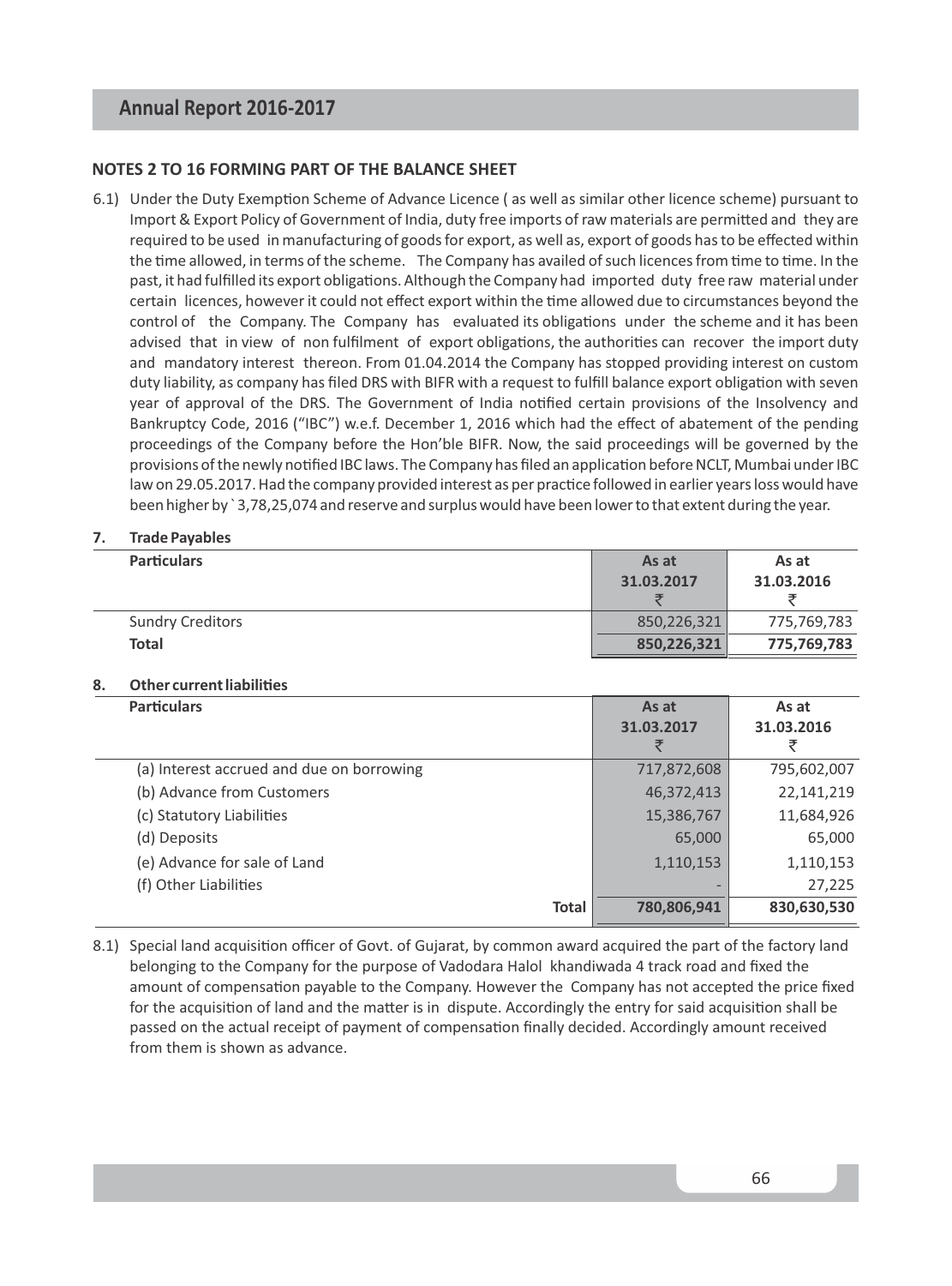#### **NOTES 2 TO 16 FORMING PART OF THE BALANCE SHEET**

6.1) Under the Duty Exemption Scheme of Advance Licence (as well as similar other licence scheme) pursuant to Import & Export Policy of Government of India, duty free imports of raw materials are permitted and they are required to be used in manufacturing of goods for export, as well as, export of goods has to be effected within the time allowed, in terms of the scheme. The Company has availed of such licences from time to time. In the past, it had fulfilled its export obligations. Although the Company had imported duty free raw material under certain licences, however it could not effect export within the time allowed due to circumstances beyond the control of the Company. The Company has evaluated its obligations under the scheme and it has been advised that in view of non fulfilment of export obligations, the authorities can recover the import duty and mandatory interest thereon. From 01.04.2014 the Company has stopped providing interest on custom duty liability, as company has filed DRS with BIFR with a request to fulfill balance export obligation with seven year of approval of the DRS. The Government of India notified certain provisions of the Insolvency and Bankruptcy Code, 2016 ("IBC") w.e.f. December 1, 2016 which had the effect of abatement of the pending proceedings of the Company before the Hon'ble BIFR. Now, the said proceedings will be governed by the provisions of the newly notified IBC laws. The Company has filed an application before NCLT, Mumbai under IBC law on 29.05.2017. Had the company provided interest as per practice followed in earlier years loss would have been higher by ` 3,78,25,074 and reserve and surplus would have been lower to that extent during the year.

#### **7. Trade Payables**

| <b>Particulars</b>      | As at       | As at       |
|-------------------------|-------------|-------------|
|                         | 31.03.2017  | 31.03.2016  |
|                         |             |             |
| <b>Sundry Creditors</b> | 850.226.321 | 775,769,783 |
| Total                   | 850,226,321 | 775,769,783 |

#### **8. Other current liabilies**

| <b>Particulars</b>                        | As at<br>31.03.2017<br>₹ | As at<br>31.03.2016<br>₹ |
|-------------------------------------------|--------------------------|--------------------------|
| (a) Interest accrued and due on borrowing | 717,872,608              | 795,602,007              |
| (b) Advance from Customers                | 46,372,413               | 22,141,219               |
| (c) Statutory Liabilities                 | 15,386,767               | 11,684,926               |
| (d) Deposits                              | 65,000                   | 65,000                   |
| (e) Advance for sale of Land              | 1,110,153                | 1,110,153                |
| (f) Other Liabilities                     |                          | 27,225                   |
| <b>Total</b>                              | 780,806,941              | 830,630,530              |

8.1) Special land acquisition officer of Govt. of Gujarat, by common award acquired the part of the factory land belonging to the Company for the purpose of Vadodara Halol khandiwada 4 track road and fixed the amount of compensation payable to the Company. However the Company has not accepted the price fixed for the acquisition of land and the matter is in dispute. Accordingly the entry for said acquisition shall be passed on the actual receipt of payment of compensation finally decided. Accordingly amount received from them is shown as advance.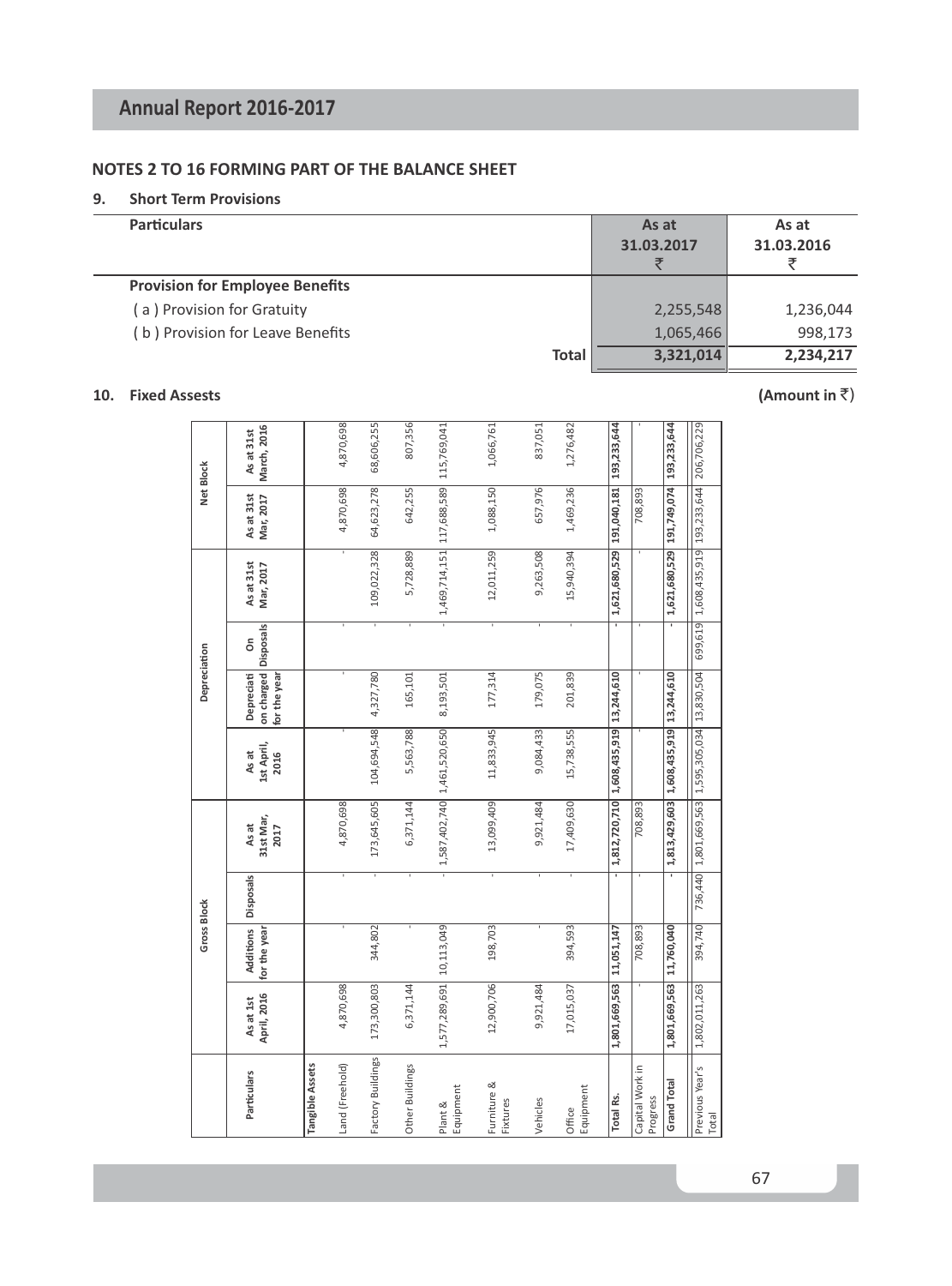## **NOTES 2 TO 16 FORMING PART OF THE BALANCE SHEET**

#### **9. Short Term Provisions**

| <b>Particulars</b>                     | As at<br>31.03.2017 | As at<br>31.03.2016 |
|----------------------------------------|---------------------|---------------------|
| <b>Provision for Employee Benefits</b> |                     |                     |
| (a) Provision for Gratuity             | 2,255,548           | 1,236,044           |
| (b) Provision for Leave Benefits       | 1,065,466           | 998,173             |
| <b>Total</b>                           | 3,321,014           | 2,234,217           |

### **10.** Fixed Assests (Amount in ₹)

 $\frac{1}{2}$ 

|                                               | As at 31st<br>As at 31st | March, 2016<br>Mar, 2017 | 4,870,698<br>4,870,698 | 68,606,255<br>64,623,278 | 807,356<br>642,255 | 115,769,041                 | 1,066,761<br>1,088,150 | 837,051<br>657,976 | 1,276,482<br>1,469,236 | 193,233,644<br>191,040,181             | 708,893                                                                                                                        | 193,233,644<br>191,749,074  |
|-----------------------------------------------|--------------------------|--------------------------|------------------------|--------------------------|--------------------|-----------------------------|------------------------|--------------------|------------------------|----------------------------------------|--------------------------------------------------------------------------------------------------------------------------------|-----------------------------|
|                                               | As at 31st<br>Mar, 2017  |                          |                        | 109,022,328              | 5,728,889          | 1,469,714,151 117,688,589   | 12,011,259             | 9,263,508          | 15,940,394             | 1,621,680,529                          |                                                                                                                                | 1,621,680,529               |
|                                               |                          |                          |                        |                          |                    |                             |                        |                    |                        |                                        |                                                                                                                                |                             |
| on charged Disposals<br>å<br>Depreciati       |                          |                          |                        | 4,327,780                | 165,101            | 8,193,501                   | 177,314                | 179,075            | 201,839                |                                        |                                                                                                                                |                             |
| for the year<br>1st April,<br>As at<br>2016   |                          |                          | 104,694,548            |                          | 5,563,788          |                             | 11,833,945             | 9,084,433          | 15,738,555             |                                        |                                                                                                                                | 13,244,610<br>1,608,435,919 |
| 4,870,698                                     |                          |                          |                        | 6,371,144                |                    | 1,587,402,740 1,461,520,650 |                        | 9,921,484          |                        | 1,812,720,710 1,608,435,919 13,244,610 | 708,893                                                                                                                        |                             |
| 173,645,605<br>31st Mar,<br>As at<br>2017     |                          |                          |                        |                          |                    |                             | 13,099,409             |                    | 17,409,630             |                                        |                                                                                                                                | 1,813,429,603               |
| Disposals<br><b>Additions</b><br>for the year |                          |                          | 344,802                |                          |                    |                             | 198,703                |                    | 394,593                | 11,051,147                             | 708,893                                                                                                                        | 11,760,040                  |
| 4,870,698<br>April, 2016<br>As at 1st         |                          |                          | 173,300,803            | 6,371,144                |                    | 1,577,289,691 10,113,049    | 12,900,706             | 9,921,484          | 17,015,037             | 1,801,669,563                          |                                                                                                                                | 1,801,669,563               |
|                                               | <b>Tangible Assets</b>   | Land (Freehold)          | Factory Buildings      | Other Buildings          |                    |                             |                        |                    |                        |                                        | Capital Work in<br>Furniture &<br>Equipment<br>Equipment<br>Total Rs.<br>Progress<br>Vehicles<br>Fixtures<br>Plant &<br>Office | Grand Total                 |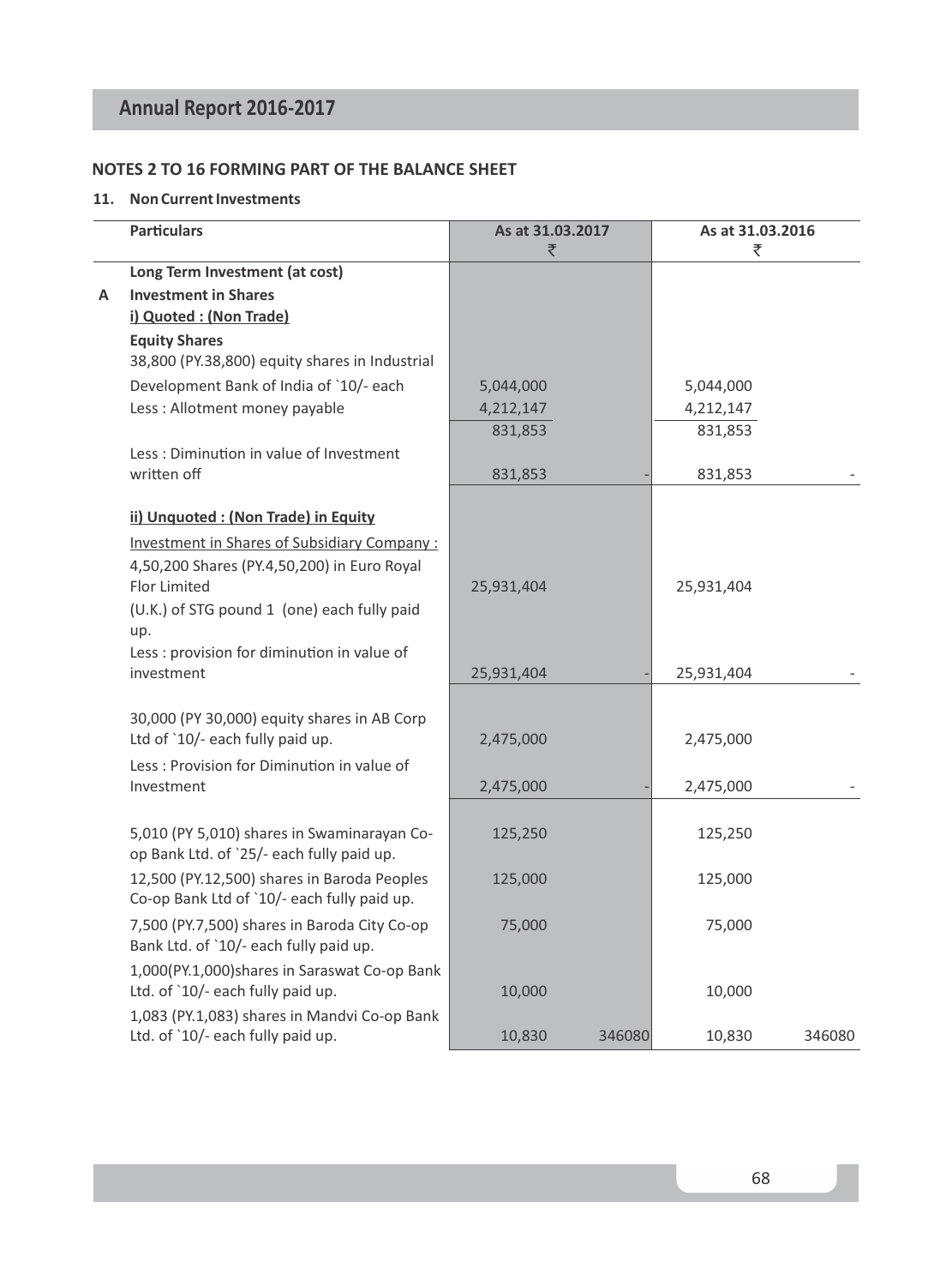## **NOTES 2 TO 16 FORMING PART OF THE BALANCE SHEET**

#### **11. Non Current Investments**

|   | <b>Particulars</b>                                                              | As at 31.03.2017<br>₹ |        | As at 31.03.2016<br>₹ |        |
|---|---------------------------------------------------------------------------------|-----------------------|--------|-----------------------|--------|
|   | Long Term Investment (at cost)                                                  |                       |        |                       |        |
| А | <b>Investment in Shares</b>                                                     |                       |        |                       |        |
|   | i) Quoted : (Non Trade)                                                         |                       |        |                       |        |
|   | <b>Equity Shares</b>                                                            |                       |        |                       |        |
|   | 38,800 (PY.38,800) equity shares in Industrial                                  |                       |        |                       |        |
|   | Development Bank of India of `10/- each                                         | 5,044,000             |        | 5,044,000             |        |
|   | Less: Allotment money payable                                                   | 4,212,147             |        | 4,212,147             |        |
|   |                                                                                 | 831,853               |        | 831,853               |        |
|   | Less: Diminution in value of Investment                                         |                       |        |                       |        |
|   | written off                                                                     | 831,853               |        | 831,853               |        |
|   | ii) Unquoted : (Non Trade) in Equity                                            |                       |        |                       |        |
|   | <b>Investment in Shares of Subsidiary Company:</b>                              |                       |        |                       |        |
|   | 4,50,200 Shares (PY.4,50,200) in Euro Royal                                     |                       |        |                       |        |
|   | <b>Flor Limited</b>                                                             | 25,931,404            |        | 25,931,404            |        |
|   | (U.K.) of STG pound 1 (one) each fully paid                                     |                       |        |                       |        |
|   | up.                                                                             |                       |        |                       |        |
|   | Less : provision for diminution in value of                                     |                       |        |                       |        |
|   | investment                                                                      | 25,931,404            |        | 25,931,404            |        |
|   |                                                                                 |                       |        |                       |        |
|   | 30,000 (PY 30,000) equity shares in AB Corp<br>Ltd of `10/- each fully paid up. |                       |        |                       |        |
|   |                                                                                 | 2,475,000             |        | 2,475,000             |        |
|   | Less: Provision for Diminution in value of<br>Investment                        |                       |        |                       |        |
|   |                                                                                 | 2,475,000             |        | 2,475,000             |        |
|   | 5,010 (PY 5,010) shares in Swaminarayan Co-                                     | 125,250               |        | 125,250               |        |
|   | op Bank Ltd. of `25/- each fully paid up.                                       |                       |        |                       |        |
|   | 12,500 (PY.12,500) shares in Baroda Peoples                                     | 125,000               |        | 125,000               |        |
|   | Co-op Bank Ltd of `10/- each fully paid up.                                     |                       |        |                       |        |
|   | 7,500 (PY.7,500) shares in Baroda City Co-op                                    | 75,000                |        | 75,000                |        |
|   | Bank Ltd. of `10/- each fully paid up.                                          |                       |        |                       |        |
|   | 1,000(PY.1,000)shares in Saraswat Co-op Bank                                    |                       |        |                       |        |
|   | Ltd. of `10/- each fully paid up.                                               | 10,000                |        | 10,000                |        |
|   | 1,083 (PY.1,083) shares in Mandvi Co-op Bank                                    |                       |        |                       |        |
|   | Ltd. of `10/- each fully paid up.                                               | 10,830                | 346080 | 10,830                | 346080 |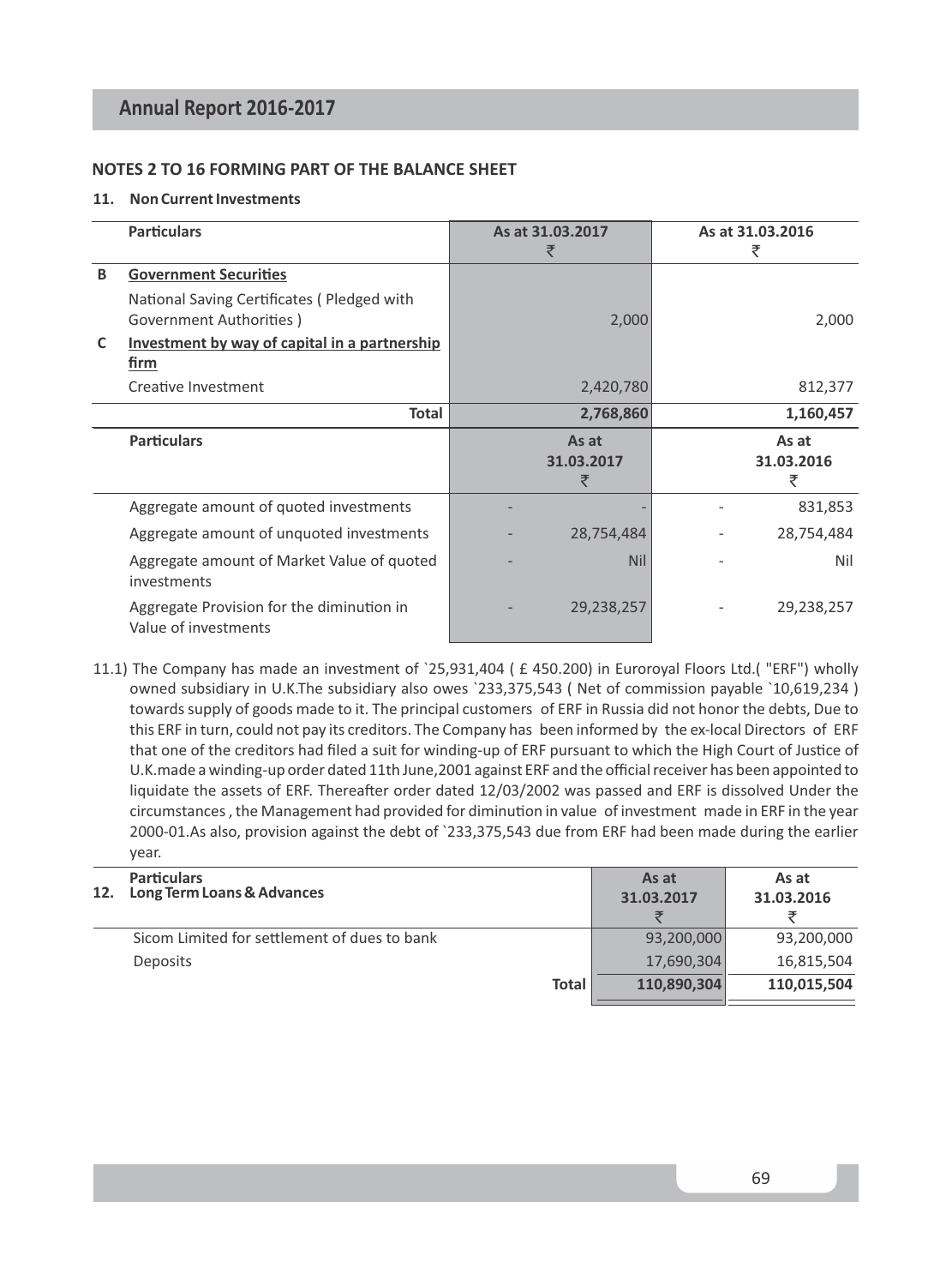#### **NOTES 2 TO 16 FORMING PART OF THE BALANCE SHEET**

#### **11. Non Current Investments**

|   | <b>Particulars</b>                                                    | As at 31,03,2017<br>₹    | As at 31.03.2016<br>₹    |
|---|-----------------------------------------------------------------------|--------------------------|--------------------------|
| B | <b>Government Securities</b>                                          |                          |                          |
|   | National Saving Certificates (Pledged with<br>Government Authorities) | 2,000                    | 2,000                    |
| C | Investment by way of capital in a partnership<br>firm                 |                          |                          |
|   | Creative Investment                                                   | 2,420,780                | 812,377                  |
|   | Total                                                                 | 2,768,860                | 1,160,457                |
|   | <b>Particulars</b>                                                    | As at<br>31.03.2017<br>₹ | As at<br>31.03.2016<br>₹ |
|   | Aggregate amount of quoted investments                                |                          | 831,853                  |
|   | Aggregate amount of unquoted investments                              | 28,754,484               | 28,754,484               |
|   | Aggregate amount of Market Value of quoted<br>investments             | <b>Nil</b>               | Nil                      |
|   |                                                                       |                          |                          |

11.1) The Company has made an investment of `25,931,404 ( £ 450.200) in Euroroyal Floors Ltd.( "ERF") wholly owned subsidiary in U.K.The subsidiary also owes `233,375,543 ( Net of commission payable `10,619,234 ) towards supply of goods made to it. The principal customers of ERF in Russia did not honor the debts, Due to this ERF in turn, could not pay its creditors. The Company has been informed by the ex-local Directors of ERF that one of the creditors had filed a suit for winding-up of ERF pursuant to which the High Court of Justice of U.K.made a winding-up order dated 11th June,2001 against ERF and the official receiver has been appointed to liquidate the assets of ERF. Thereafter order dated 12/03/2002 was passed and ERF is dissolved Under the circumstances, the Management had provided for diminution in value of investment made in ERF in the year 2000-01.As also, provision against the debt of `233,375,543 due from ERF had been made during the earlier year.

| 12. | <b>Particulars</b><br>Long Term Loans & Advances | As at<br>31.03.2017 | As at<br>31.03.2016 |
|-----|--------------------------------------------------|---------------------|---------------------|
|     | Sicom Limited for settlement of dues to bank     | 93,200,000          | 93,200,000          |
|     | <b>Deposits</b>                                  | 17,690,304          | 16,815,504          |
|     | <b>Total</b>                                     | 110.890.304         | 110,015,504         |
|     |                                                  |                     |                     |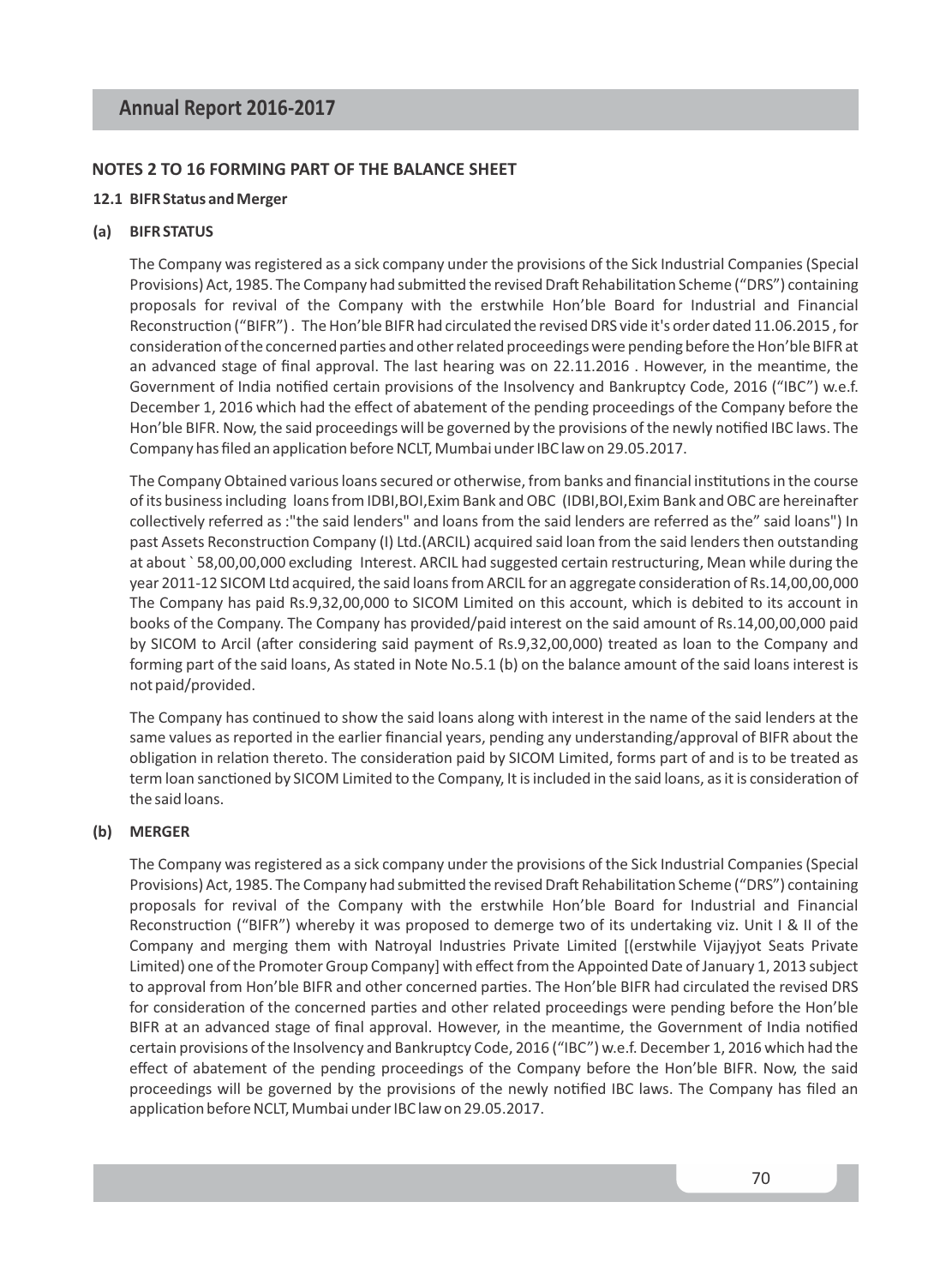# **NOTES 2 TO 16 FORMING PART OF THE BALANCE SHEET**

## **12.1 BIFR Status and Merger**

## **(a) BIFR STATUS**

The Company was registered as a sick company under the provisions of the Sick Industrial Companies (Special Provisions) Act, 1985. The Company had submitted the revised Draft Rehabilitation Scheme ("DRS") containing proposals for revival of the Company with the erstwhile Hon'ble Board for Industrial and Financial Reconstruction ("BIFR"). The Hon'ble BIFR had circulated the revised DRS vide it's order dated 11.06.2015, for consideration of the concerned parties and other related proceedings were pending before the Hon'ble BIFR at an advanced stage of final approval. The last hearing was on 22.11.2016 . However, in the meantime, the Government of India notified certain provisions of the Insolvency and Bankruptcy Code, 2016 ("IBC") w.e.f. December 1, 2016 which had the effect of abatement of the pending proceedings of the Company before the Hon'ble BIFR. Now, the said proceedings will be governed by the provisions of the newly nofied IBC laws. The Company has filed an application before NCLT, Mumbai under IBC law on 29.05.2017.

The Company Obtained various loans secured or otherwise, from banks and financial institutions in the course of its business including loans from IDBI,BOI,Exim Bank and OBC (IDBI,BOI,Exim Bank and OBC are hereinafter collectively referred as :"the said lenders" and loans from the said lenders are referred as the" said loans") In past Assets Reconstruction Company (I) Ltd.(ARCIL) acquired said loan from the said lenders then outstanding at about ` 58,00,00,000 excluding Interest. ARCIL had suggested certain restructuring, Mean while during the year 2011-12 SICOM Ltd acquired, the said loans from ARCIL for an aggregate consideration of Rs.14,00,00,000 The Company has paid Rs.9,32,00,000 to SICOM Limited on this account, which is debited to its account in books of the Company. The Company has provided/paid interest on the said amount of Rs.14,00,00,000 paid by SICOM to Arcil (after considering said payment of Rs.9,32,00,000) treated as loan to the Company and forming part of the said loans, As stated in Note No.5.1 (b) on the balance amount of the said loans interest is not paid/provided.

The Company has continued to show the said loans along with interest in the name of the said lenders at the same values as reported in the earlier financial years, pending any understanding/approval of BIFR about the obligation in relation thereto. The consideration paid by SICOM Limited, forms part of and is to be treated as term loan sanctioned by SICOM Limited to the Company, It is included in the said loans, as it is consideration of the said loans.

## **(b) MERGER**

The Company was registered as a sick company under the provisions of the Sick Industrial Companies (Special Provisions) Act, 1985. The Company had submitted the revised Draft Rehabilitation Scheme ("DRS") containing proposals for revival of the Company with the erstwhile Hon'ble Board for Industrial and Financial Reconstruction ("BIFR") whereby it was proposed to demerge two of its undertaking viz. Unit I & II of the Company and merging them with Natroyal Industries Private Limited [(erstwhile Vijayjyot Seats Private Limited) one of the Promoter Group Company] with effect from the Appointed Date of January 1, 2013 subject to approval from Hon'ble BIFR and other concerned parties. The Hon'ble BIFR had circulated the revised DRS for consideration of the concerned parties and other related proceedings were pending before the Hon'ble BIFR at an advanced stage of final approval. However, in the meantime, the Government of India notified certain provisions of the Insolvency and Bankruptcy Code, 2016 ("IBC") w.e.f. December 1, 2016 which had the effect of abatement of the pending proceedings of the Company before the Hon'ble BIFR. Now, the said proceedings will be governed by the provisions of the newly notified IBC laws. The Company has filed an application before NCLT, Mumbai under IBC law on 29.05.2017.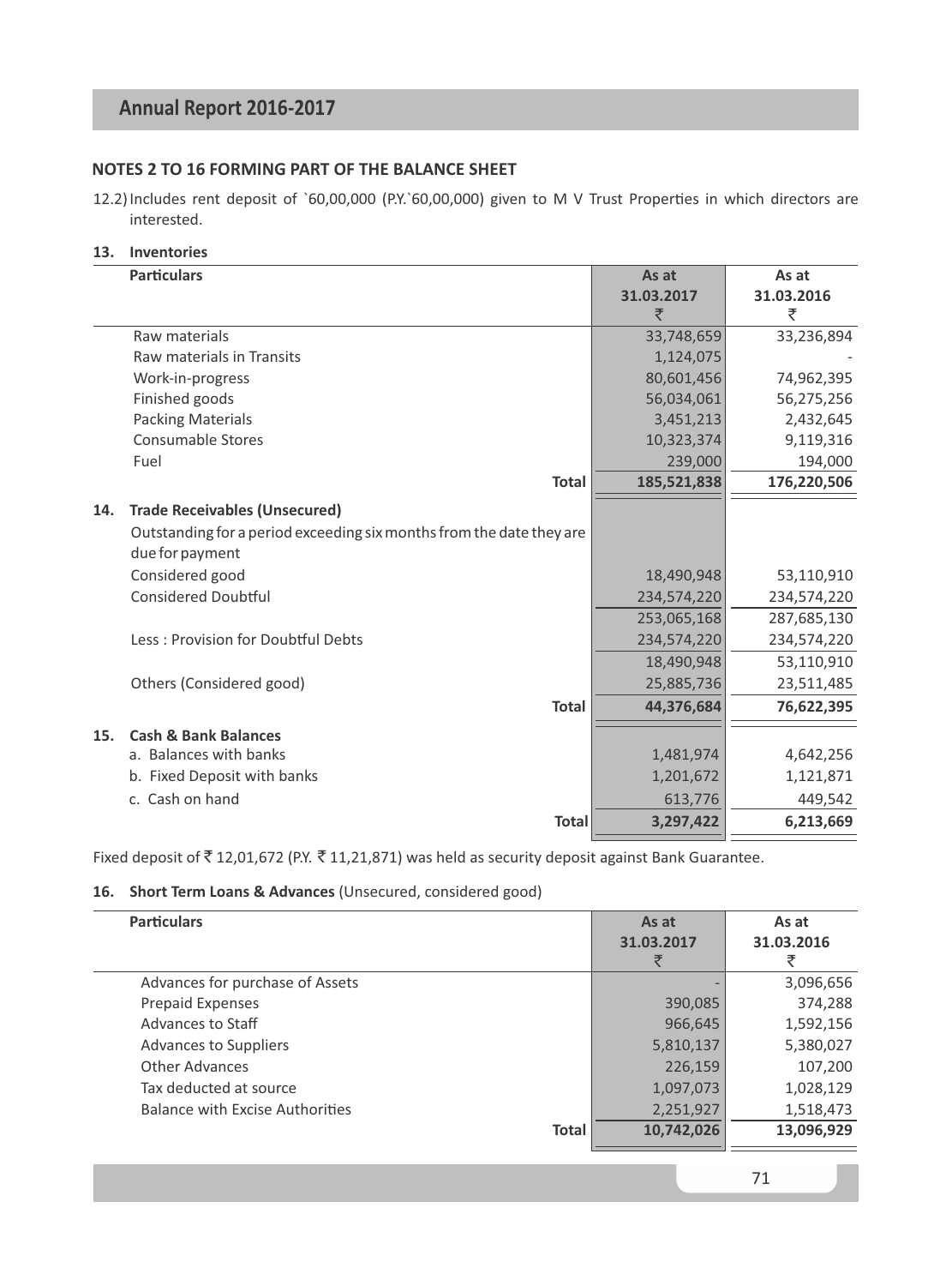# **NOTES 2 TO 16 FORMING PART OF THE BALANCE SHEET**

- 12.2) Includes rent deposit of `60,00,000 (P.Y.`60,00,000) given to M V Trust Properties in which directors are interested.
- **13. Inventories**

|     | <b>Particulars</b>                                                   | As at       | As at       |
|-----|----------------------------------------------------------------------|-------------|-------------|
|     |                                                                      | 31.03.2017  | 31.03.2016  |
|     |                                                                      | ₹           | ₹           |
|     | Raw materials                                                        | 33,748,659  | 33,236,894  |
|     | Raw materials in Transits                                            | 1,124,075   |             |
|     | Work-in-progress                                                     | 80,601,456  | 74,962,395  |
|     | Finished goods                                                       | 56,034,061  | 56,275,256  |
|     | <b>Packing Materials</b>                                             | 3,451,213   | 2,432,645   |
|     | <b>Consumable Stores</b>                                             | 10,323,374  | 9,119,316   |
|     | Fuel                                                                 | 239,000     | 194,000     |
|     | <b>Total</b>                                                         | 185,521,838 | 176,220,506 |
| 14. | <b>Trade Receivables (Unsecured)</b>                                 |             |             |
|     | Outstanding for a period exceeding six months from the date they are |             |             |
|     | due for payment                                                      |             |             |
|     | Considered good                                                      | 18,490,948  | 53,110,910  |
|     | <b>Considered Doubtful</b>                                           | 234,574,220 | 234,574,220 |
|     |                                                                      | 253,065,168 | 287,685,130 |
|     | Less: Provision for Doubtful Debts                                   | 234,574,220 | 234,574,220 |
|     |                                                                      | 18,490,948  | 53,110,910  |
|     | Others (Considered good)                                             | 25,885,736  | 23,511,485  |
|     | <b>Total</b>                                                         | 44,376,684  | 76,622,395  |
| 15. | <b>Cash &amp; Bank Balances</b>                                      |             |             |
|     | a. Balances with banks                                               | 1,481,974   | 4,642,256   |
|     | b. Fixed Deposit with banks                                          | 1,201,672   | 1,121,871   |
|     | c. Cash on hand                                                      | 613,776     | 449,542     |
|     | <b>Total</b>                                                         | 3,297,422   | 6,213,669   |
|     |                                                                      |             |             |

Fixed deposit of  $\bar{\tau}$  12,01,672 (P.Y.  $\bar{\tau}$  11,21,871) was held as security deposit against Bank Guarantee.

## **16. Short Term Loans & Advances** (Unsecured, considered good)

| <b>Particulars</b>              |              | As at<br>31.03.2017<br>₹ | As at<br>31.03.2016<br>₹ |
|---------------------------------|--------------|--------------------------|--------------------------|
| Advances for purchase of Assets |              |                          | 3,096,656                |
| <b>Prepaid Expenses</b>         |              | 390,085                  | 374,288                  |
| Advances to Staff               |              | 966,645                  | 1,592,156                |
| <b>Advances to Suppliers</b>    |              | 5,810,137                | 5,380,027                |
| Other Advances                  |              | 226,159                  | 107,200                  |
| Tax deducted at source          |              | 1,097,073                | 1,028,129                |
| Balance with Excise Authorities |              | 2,251,927                | 1,518,473                |
|                                 | <b>Total</b> | 10,742,026               | 13,096,929               |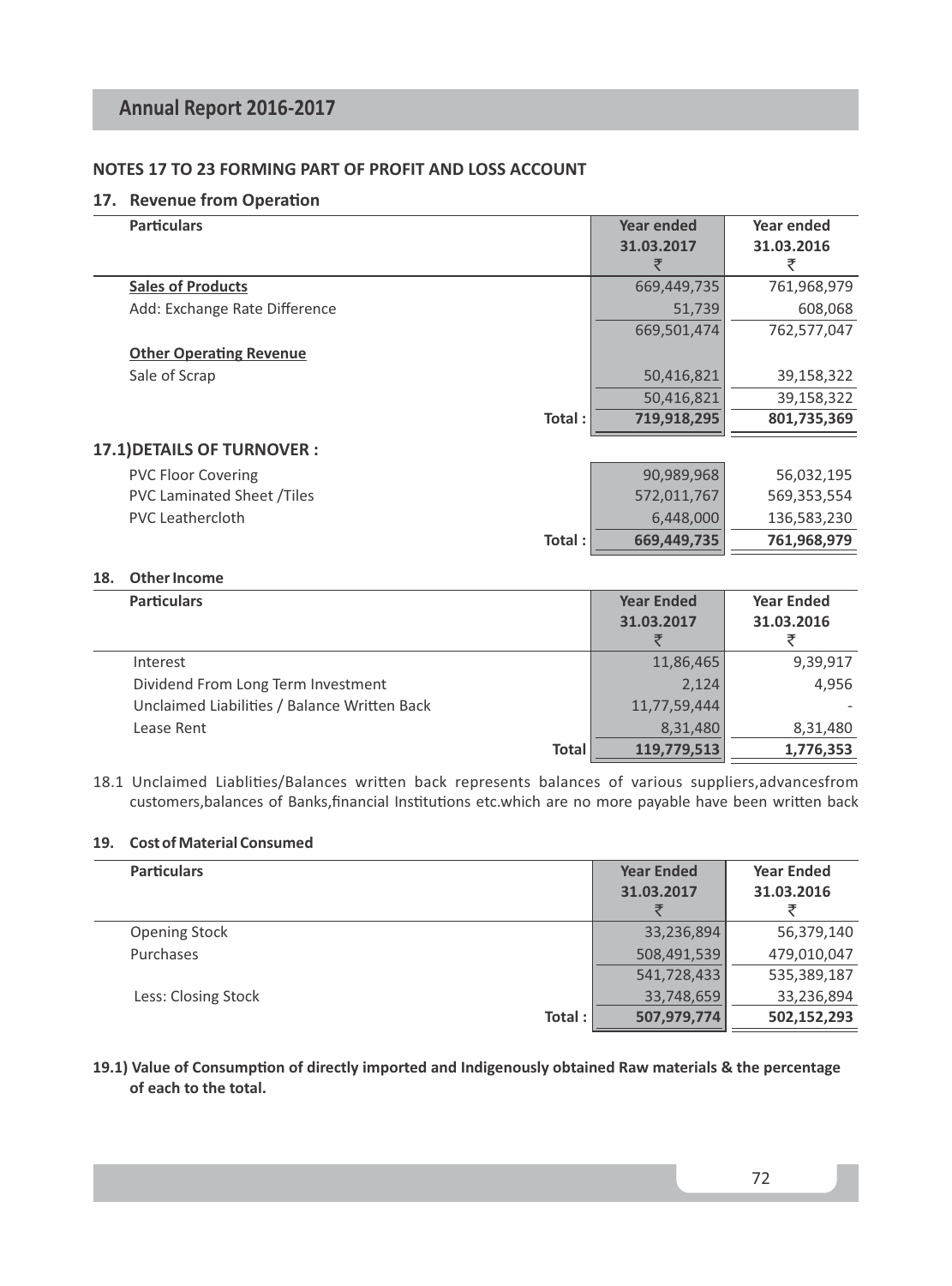# **NOTES 17 TO 23 FORMING PART OF PROFIT AND LOSS ACCOUNT**

# **17. Revenue from Operation**

| <b>Particulars</b>                | Year ended  | Year ended  |
|-----------------------------------|-------------|-------------|
|                                   | 31.03.2017  | 31.03.2016  |
|                                   |             | ₹           |
| <b>Sales of Products</b>          | 669,449,735 | 761,968,979 |
| Add: Exchange Rate Difference     | 51,739      | 608,068     |
|                                   | 669,501,474 | 762,577,047 |
| <b>Other Operating Revenue</b>    |             |             |
| Sale of Scrap                     | 50,416,821  | 39,158,322  |
|                                   | 50,416,821  | 39,158,322  |
| Total:                            | 719,918,295 | 801,735,369 |
| 17.1) DETAILS OF TURNOVER :       |             |             |
| <b>PVC Floor Covering</b>         | 90,989,968  | 56,032,195  |
| <b>PVC Laminated Sheet /Tiles</b> | 572,011,767 | 569,353,554 |
| <b>PVC</b> Leathercloth           | 6,448,000   | 136,583,230 |
| Total:                            | 669,449,735 | 761,968,979 |

# **18. Other Income**

 $\overline{a}$ 

| <b>Particulars</b>                           | <b>Year Ended</b> | <b>Year Ended</b> |
|----------------------------------------------|-------------------|-------------------|
|                                              | 31.03.2017        | 31.03.2016        |
|                                              |                   |                   |
| Interest                                     | 11,86,465         | 9,39,917          |
| Dividend From Long Term Investment           | 2,124             | 4.956             |
| Unclaimed Liabilities / Balance Written Back | 11,77,59,444      |                   |
| Lease Rent                                   | 8.31.480          | 8,31,480          |
| <b>Total</b>                                 | 119,779,513       | 1,776,353         |

18.1 Unclaimed Liablities/Balances written back represents balances of various suppliers, advancesfrom customers,balances of Banks,financial Institutions etc.which are no more payable have been written back

# **19. Cost of Material Consumed**

| <b>Particulars</b>   | <b>Year Ended</b> | <b>Year Ended</b> |
|----------------------|-------------------|-------------------|
|                      | 31.03.2017        | 31.03.2016        |
|                      |                   |                   |
| <b>Opening Stock</b> | 33,236,894        | 56,379,140        |
| Purchases            | 508,491,539       | 479,010,047       |
|                      | 541,728,433       | 535,389,187       |
| Less: Closing Stock  | 33,748,659        | 33,236,894        |
| Total:               | 507,979,774       | 502,152,293       |

19.1) Value of Consumption of directly imported and Indigenously obtained Raw materials & the percentage **of each to the total.**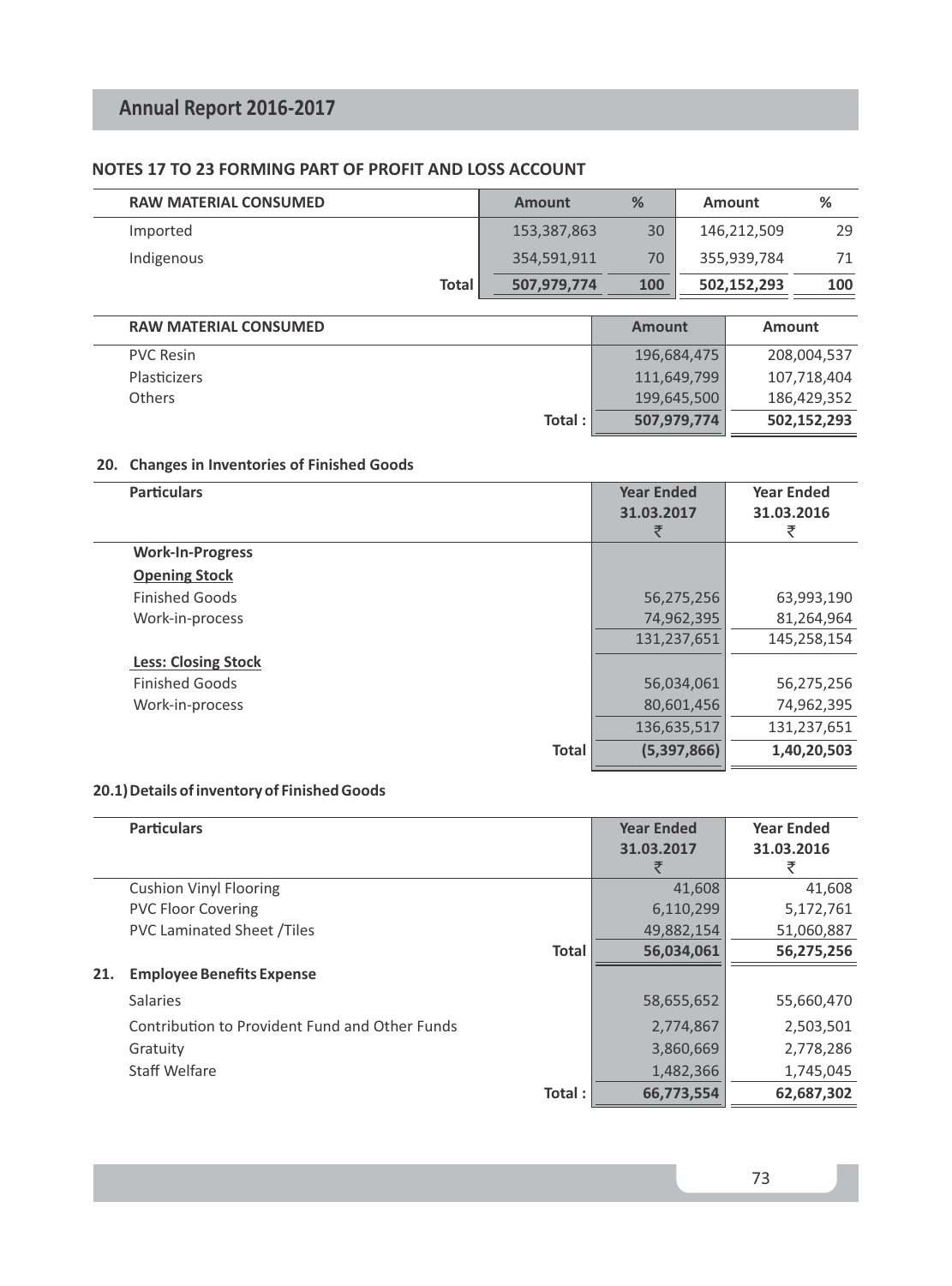# **NOTES 17 TO 23 FORMING PART OF PROFIT AND LOSS ACCOUNT**

| <b>RAW MATERIAL CONSUMED</b> | <b>Amount</b> | %             | Amount      |             | %           |
|------------------------------|---------------|---------------|-------------|-------------|-------------|
| Imported                     | 153,387,863   | 30            | 146,212,509 |             | 29          |
| Indigenous                   | 354,591,911   | 70            |             | 355,939,784 | 71          |
| <b>Total</b>                 | 507,979,774   | 100           |             | 502,152,293 | 100         |
| <b>RAW MATERIAL CONSUMED</b> |               | <b>Amount</b> |             | Amount      |             |
| <b>PVC Resin</b>             |               |               | 196,684,475 |             | 208,004,537 |
| Plasticizers                 |               |               | 111,649,799 |             | 107,718,404 |
| Others                       |               |               | 199,645,500 |             | 186,429,352 |
|                              | Total:        |               | 507,979,774 |             | 502,152,293 |

# **20. Changes in Inventories of Finished Goods**

| <b>Particulars</b>         |              | <b>Year Ended</b><br>31.03.2017 | <b>Year Ended</b><br>31.03.2016<br>₹ |
|----------------------------|--------------|---------------------------------|--------------------------------------|
| <b>Work-In-Progress</b>    |              |                                 |                                      |
| <b>Opening Stock</b>       |              |                                 |                                      |
| <b>Finished Goods</b>      |              | 56,275,256                      | 63,993,190                           |
| Work-in-process            |              | 74,962,395                      | 81,264,964                           |
|                            |              | 131,237,651                     | 145,258,154                          |
| <b>Less: Closing Stock</b> |              |                                 |                                      |
| <b>Finished Goods</b>      |              | 56,034,061                      | 56,275,256                           |
| Work-in-process            |              | 80,601,456                      | 74,962,395                           |
|                            |              | 136,635,517                     | 131,237,651                          |
|                            | <b>Total</b> | (5,397,866)                     | 1,40,20,503                          |
|                            |              |                                 |                                      |

# **20.1) Details of inventory of Finished Goods**

|     | <b>Particulars</b>                             | <b>Year Ended</b> | <b>Year Ended</b> |
|-----|------------------------------------------------|-------------------|-------------------|
|     |                                                | 31.03.2017        | 31.03.2016        |
|     |                                                |                   |                   |
|     | <b>Cushion Vinyl Flooring</b>                  | 41.608            | 41,608            |
|     | <b>PVC Floor Covering</b>                      | 6,110,299         | 5,172,761         |
|     | <b>PVC Laminated Sheet /Tiles</b>              | 49,882,154        | 51,060,887        |
|     | <b>Total</b>                                   | 56,034,061        | 56,275,256        |
| 21. | <b>Employee Benefits Expense</b>               |                   |                   |
|     | <b>Salaries</b>                                | 58,655,652        | 55,660,470        |
|     | Contribution to Provident Fund and Other Funds | 2,774,867         | 2,503,501         |
|     | Gratuity                                       | 3,860,669         | 2,778,286         |
|     | Staff Welfare                                  | 1,482,366         | 1,745,045         |
|     | Total:                                         | 66,773,554        | 62,687,302        |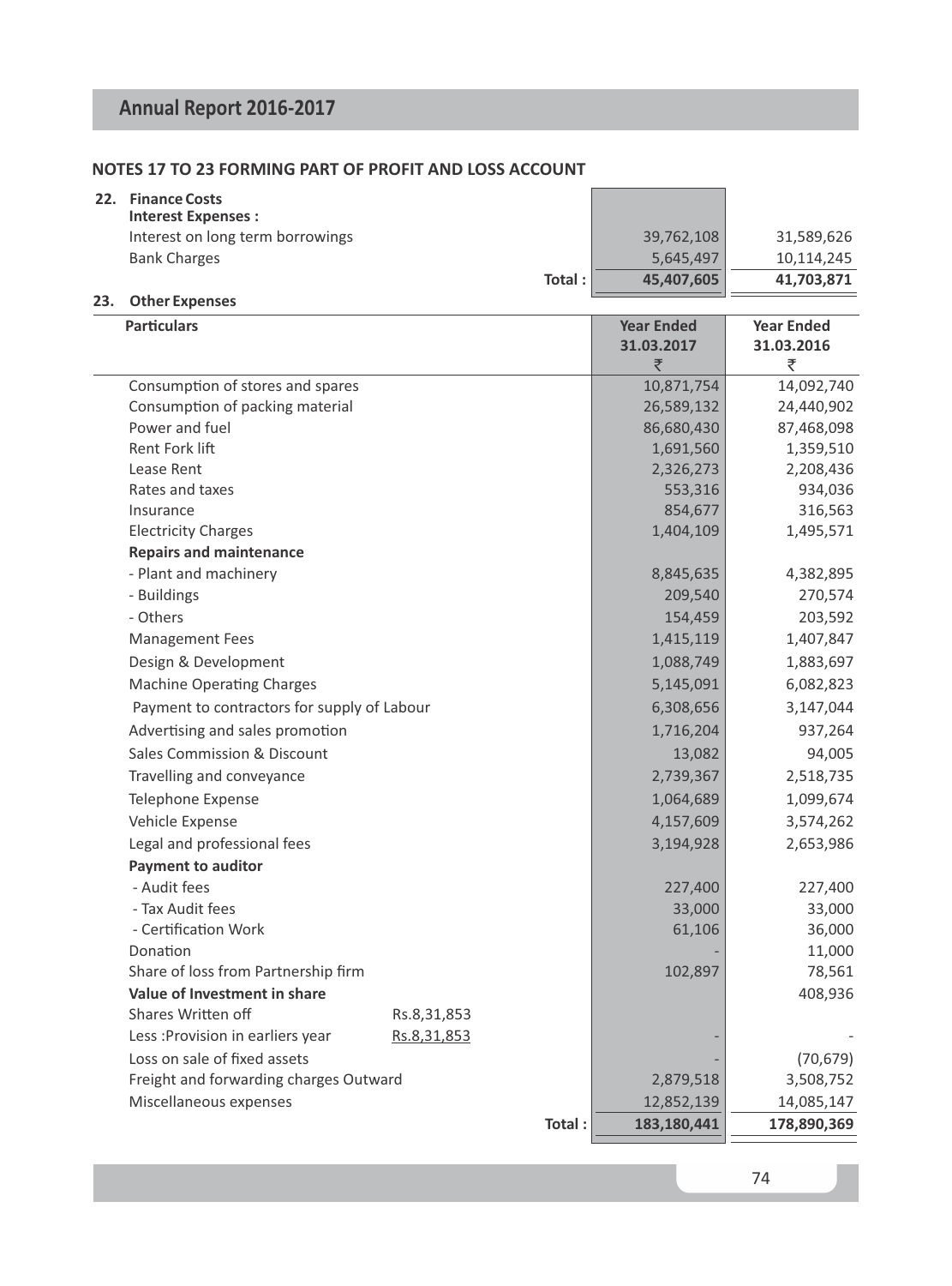# **NOTES 17 TO 23 FORMING PART OF PROFIT AND LOSS ACCOUNT**

| 22. | <b>Finance Costs</b><br><b>Interest Expenses:</b> |        |            |            |
|-----|---------------------------------------------------|--------|------------|------------|
|     | Interest on long term borrowings                  |        | 39.762.108 | 31,589,626 |
|     | <b>Bank Charges</b>                               |        | 5,645,497  | 10.114.245 |
|     |                                                   | Total: | 45.407.605 | 41,703,871 |
|     | Other Evenings                                    |        |            |            |

# **23. Other Expenses**

| <b>Particulars</b>                          |             |        | <b>Year Ended</b><br>31.03.2017<br>₹ | <b>Year Ended</b><br>31.03.2016<br>₹ |
|---------------------------------------------|-------------|--------|--------------------------------------|--------------------------------------|
| Consumption of stores and spares            |             |        | 10,871,754                           | 14,092,740                           |
| Consumption of packing material             |             |        | 26,589,132                           | 24,440,902                           |
| Power and fuel                              |             |        | 86,680,430                           | 87,468,098                           |
| <b>Rent Fork lift</b>                       |             |        | 1,691,560                            | 1,359,510                            |
| Lease Rent                                  |             |        | 2,326,273                            | 2,208,436                            |
| Rates and taxes                             |             |        | 553,316                              | 934,036                              |
| Insurance                                   |             |        | 854,677                              | 316,563                              |
| <b>Electricity Charges</b>                  |             |        | 1,404,109                            | 1,495,571                            |
| <b>Repairs and maintenance</b>              |             |        |                                      |                                      |
| - Plant and machinery                       |             |        | 8,845,635                            | 4,382,895                            |
| - Buildings                                 |             |        | 209,540                              | 270,574                              |
| - Others                                    |             |        | 154,459                              | 203,592                              |
| <b>Management Fees</b>                      |             |        | 1,415,119                            | 1,407,847                            |
| Design & Development                        |             |        | 1,088,749                            | 1,883,697                            |
| <b>Machine Operating Charges</b>            |             |        | 5,145,091                            | 6,082,823                            |
| Payment to contractors for supply of Labour |             |        | 6,308,656                            | 3,147,044                            |
| Advertising and sales promotion             |             |        | 1,716,204                            | 937,264                              |
| Sales Commission & Discount                 |             |        | 13,082                               | 94,005                               |
| Travelling and conveyance                   |             |        | 2,739,367                            | 2,518,735                            |
| Telephone Expense                           |             |        | 1,064,689                            | 1,099,674                            |
| Vehicle Expense                             |             |        | 4,157,609                            | 3,574,262                            |
| Legal and professional fees                 |             |        | 3,194,928                            | 2,653,986                            |
| <b>Payment to auditor</b>                   |             |        |                                      |                                      |
| - Audit fees                                |             |        | 227,400                              | 227,400                              |
| - Tax Audit fees                            |             |        | 33,000                               | 33,000                               |
| - Certification Work                        |             |        | 61,106                               | 36,000                               |
| Donation                                    |             |        |                                      | 11,000                               |
| Share of loss from Partnership firm         |             |        | 102,897                              | 78,561                               |
| Value of Investment in share                |             |        |                                      | 408,936                              |
| Shares Written off                          | Rs.8,31,853 |        |                                      |                                      |
| Less: Provision in earliers year            | Rs.8,31,853 |        |                                      |                                      |
| Loss on sale of fixed assets                |             |        |                                      | (70, 679)                            |
| Freight and forwarding charges Outward      |             |        | 2,879,518                            | 3,508,752                            |
| Miscellaneous expenses                      |             |        | 12,852,139                           | 14,085,147                           |
|                                             |             | Total: | 183,180,441                          | 178,890,369                          |
|                                             |             |        |                                      |                                      |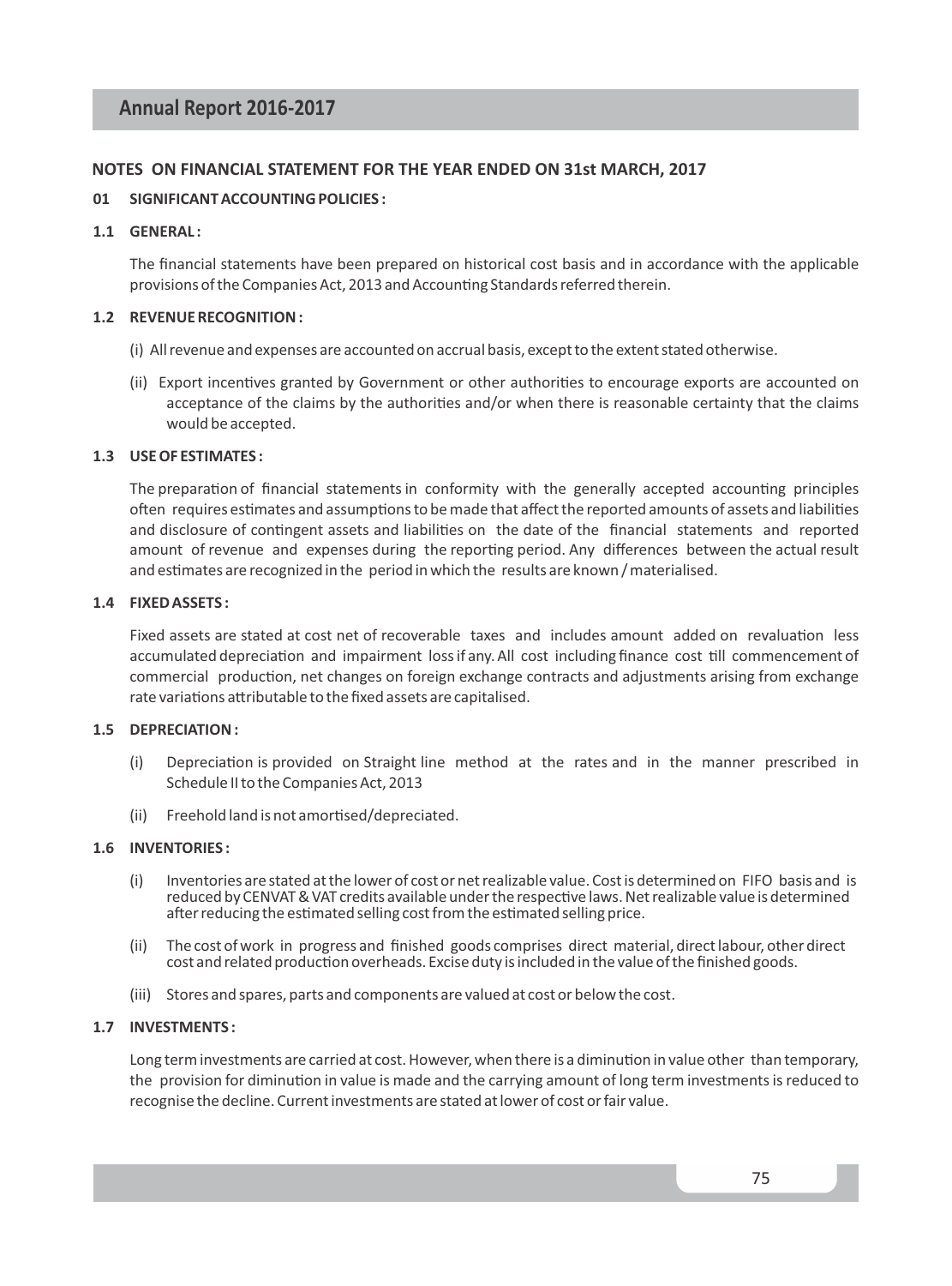## **NOTES ON FINANCIAL STATEMENT FOR THE YEAR ENDED ON 31st MARCH, 2017**

### **01 SIGNIFICANT ACCOUNTING POLICIES :**

#### **1.1 GENERAL :**

The financial statements have been prepared on historical cost basis and in accordance with the applicable provisions of the Companies Act, 2013 and Accounting Standards referred therein.

#### **1.2 REVENUE RECOGNITION :**

- (i) All revenue and expenses are accounted on accrual basis, except to the extent stated otherwise.
- (ii) Export incentives granted by Government or other authorities to encourage exports are accounted on acceptance of the claims by the authorities and/or when there is reasonable certainty that the claims would be accepted.

## **1.3 USE OF ESTIMATES :**

The preparation of financial statements in conformity with the generally accepted accounting principles often requires estimates and assumptions to be made that affect the reported amounts of assets and liabilities and disclosure of contingent assets and liabilities on the date of the financial statements and reported amount of revenue and expenses during the reporting period. Any differences between the actual result and estimates are recognized in the period in which the results are known / materialised.

#### **1.4 FIXED ASSETS :**

Fixed assets are stated at cost net of recoverable taxes and includes amount added on revaluation less accumulated depreciation and impairment loss if any. All cost including finance cost till commencement of commercial production, net changes on foreign exchange contracts and adjustments arising from exchange rate variations attributable to the fixed assets are capitalised.

# **1.5 DEPRECIATION :**

- (i) Depreciation is provided on Straight line method at the rates and in the manner prescribed in Schedule II to the Companies Act, 2013
- (ii) Freehold land is not amortised/depreciated.

#### **1.6 INVENTORIES :**

- (i) Inventories are stated at the lower of cost or net realizable value. Cost is determined on FIFO basis and is reduced by CENVAT & VAT credits available under the respective laws. Net realizable value is determined after reducing the estimated selling cost from the estimated selling price.
- (ii) The cost of work in progress and finished goods comprises direct material, direct labour, other direct cost and related production overheads. Excise duty is included in the value of the finished goods.
- (iii) Stores and spares, parts and components are valued at cost or below the cost.

## **1.7 INVESTMENTS :**

Long term investments are carried at cost. However, when there is a diminution in value other than temporary, the provision for diminution in value is made and the carrying amount of long term investments is reduced to recognise the decline. Current investments are stated at lower of cost or fair value.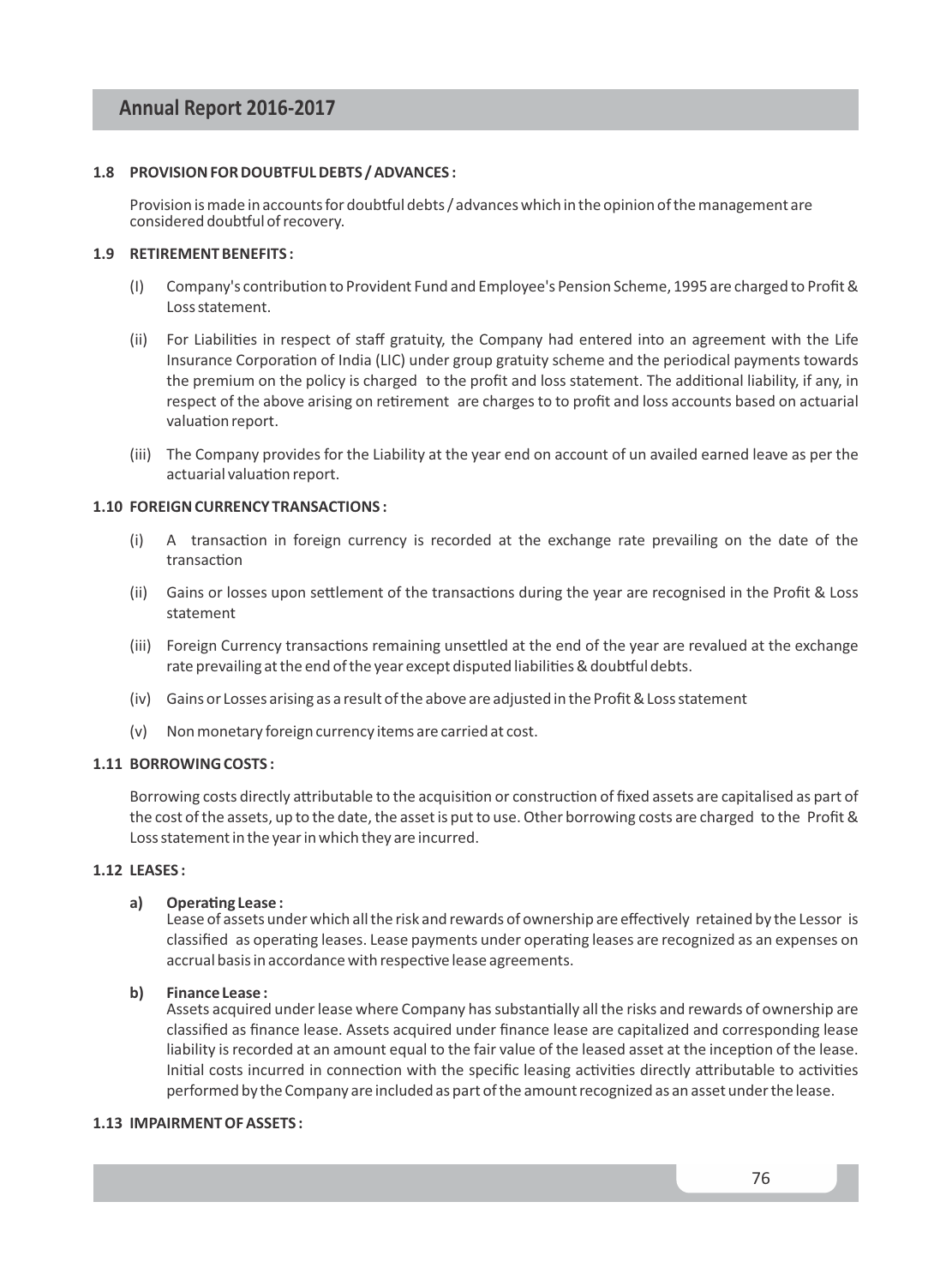## **1.8 PROVISION FOR DOUBTFUL DEBTS / ADVANCES :**

Provision is made in accounts for doubtful debts / advances which in the opinion of the management are considered doubtful of recovery.

# **1.9 RETIREMENT BENEFITS :**

- (I) Company's contribution to Provident Fund and Employee's Pension Scheme, 1995 are charged to Profit & Loss statement.
- (ii) For Liabilities in respect of staff gratuity, the Company had entered into an agreement with the Life Insurance Corporation of India (LIC) under group gratuity scheme and the periodical payments towards the premium on the policy is charged to the profit and loss statement. The additional liability, if any, in respect of the above arising on retirement are charges to to profit and loss accounts based on actuarial valuation report.
- (iii) The Company provides for the Liability at the year end on account of un availed earned leave as per the actuarial valuation report.

# **1.10 FOREIGN CURRENCY TRANSACTIONS :**

- $(i)$  A transaction in foreign currency is recorded at the exchange rate prevailing on the date of the transaction
- (ii) Gains or losses upon settlement of the transactions during the year are recognised in the Profit & Loss statement
- (iii) Foreign Currency transactions remaining unsettled at the end of the year are revalued at the exchange rate prevailing at the end of the year except disputed liabilities & doubtful debts.
- (iv) Gains or Losses arising as a result of the above are adjusted in the Profit & Loss statement
- (v) Non monetary foreign currency items are carried at cost.

### **1.11 BORROWING COSTS :**

Borrowing costs directly attributable to the acquisition or construction of fixed assets are capitalised as part of the cost of the assets, up to the date, the asset is put to use. Other borrowing costs are charged to the Profit & Loss statement in the year in which they are incurred.

#### **1.12 LEASES :**

#### a) Operating Lease :

Lease of assets under which all the risk and rewards of ownership are effectively retained by the Lessor is classified as operating leases. Lease payments under operating leases are recognized as an expenses on accrual basis in accordance with respective lease agreements.

#### **b) Finance Lease :**

Assets acquired under lease where Company has substantially all the risks and rewards of ownership are classified as finance lease. Assets acquired under finance lease are capitalized and corresponding lease liability is recorded at an amount equal to the fair value of the leased asset at the inception of the lease. Initial costs incurred in connection with the specific leasing activities directly attributable to activities performed by the Company are included as part of the amount recognized as an asset under the lease.

### **1.13 IMPAIRMENT OF ASSETS :**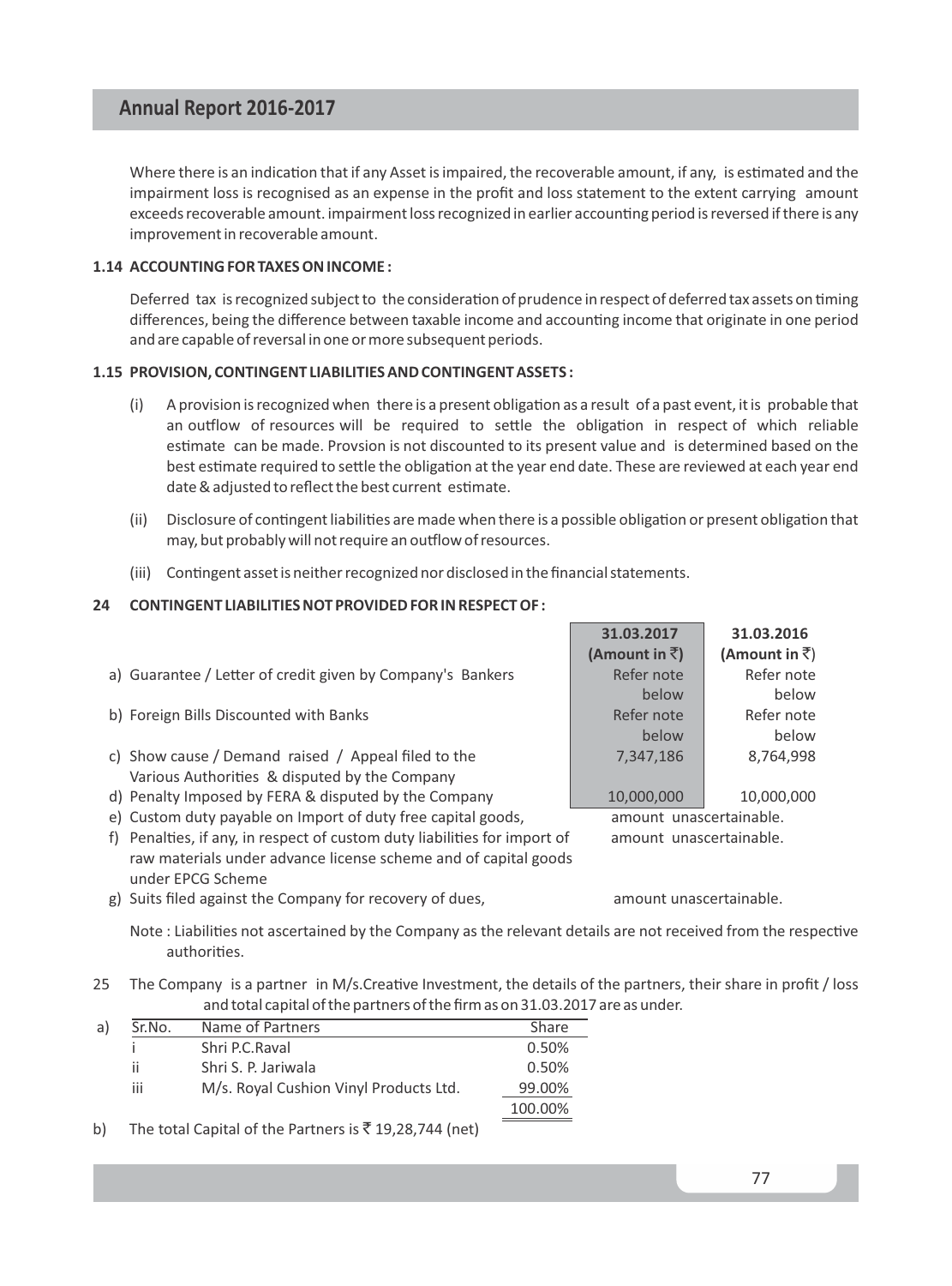Where there is an indication that if any Asset is impaired, the recoverable amount, if any, is estimated and the impairment loss is recognised as an expense in the profit and loss statement to the extent carrying amount exceeds recoverable amount. impairment loss recognized in earlier accounting period is reversed if there is any improvement in recoverable amount.

## **1.14 ACCOUNTING FOR TAXES ON INCOME :**

Deferred tax is recognized subject to the consideration of prudence in respect of deferred tax assets on timing differences, being the difference between taxable income and accounting income that originate in one period and are capable of reversal in one or more subsequent periods.

## **1.15 PROVISION, CONTINGENT LIABILITIES AND CONTINGENT ASSETS :**

- $(i)$  A provision is recognized when there is a present obligation as a result of a past event, it is probable that an outflow of resources will be required to settle the obligation in respect of which reliable estimate can be made. Provsion is not discounted to its present value and is determined based on the best estimate required to settle the obligation at the year end date. These are reviewed at each year end date & adjusted to reflect the best current estimate.
- (ii) Disclosure of contingent liabilities are made when there is a possible obligation or present obligation that may, but probably will not require an outflow of resources.
- (iii) Contingent asset is neither recognized nor disclosed in the financial statements.

## **24 CONTINGENT LIABILITIES NOT PROVIDED FOR IN RESPECT OF :**

|                                                                              | 31.03.2017              | 31.03.2016             |
|------------------------------------------------------------------------------|-------------------------|------------------------|
|                                                                              | (Amount in $\bar{z}$ )  | (Amount in $\bar{z}$ ) |
| a) Guarantee / Letter of credit given by Company's Bankers                   | Refer note              | Refer note             |
|                                                                              | below                   | below                  |
| b) Foreign Bills Discounted with Banks                                       | Refer note              | Refer note             |
|                                                                              | below                   | below                  |
| c) Show cause / Demand raised / Appeal filed to the                          | 7,347,186               | 8,764,998              |
| Various Authorities & disputed by the Company                                |                         |                        |
| d) Penalty Imposed by FERA & disputed by the Company                         | 10,000,000              | 10,000,000             |
| e) Custom duty payable on Import of duty free capital goods,                 | amount unascertainable. |                        |
| Penalties, if any, in respect of custom duty liabilities for import of<br>f) | amount unascertainable. |                        |
| raw materials under advance license scheme and of capital goods              |                         |                        |

g) Suits filed against the Company for recovery of dues,  $\Box$  amount unascertainable.

under EPCG Scheme

Note : Liabilities not ascertained by the Company as the relevant details are not received from the respective authorities.

25 The Company is a partner in M/s.Creative Investment, the details of the partners, their share in profit / loss and total capital of the partners of the firm as on 31.03.2017 are as under.

| a) | Sr.No. | Name of Partners                       | Share   |
|----|--------|----------------------------------------|---------|
|    |        | Shri P.C.Raval                         | 0.50%   |
|    | ii     | Shri S. P. Jariwala                    | 0.50%   |
|    | iii    | M/s. Royal Cushion Vinyl Products Ltd. | 99.00%  |
|    |        |                                        | 100.00% |
|    |        |                                        |         |

b) The total Capital of the Partners is  $\bar{\tau}$  19,28,744 (net)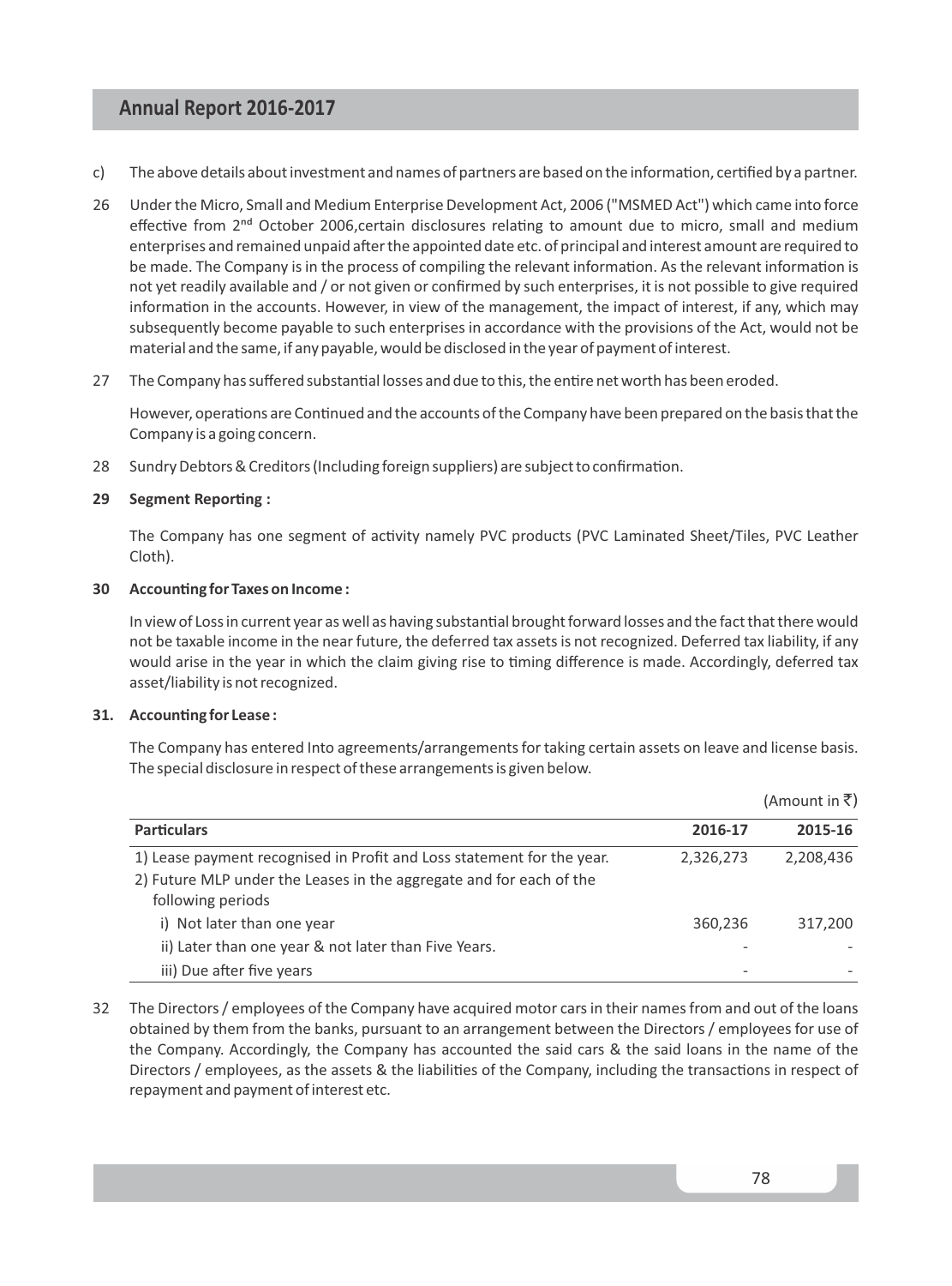- c) The above details about investment and names of partners are based on the information, certified by a partner.
- 26 Under the Micro, Small and Medium Enterprise Development Act, 2006 ("MSMED Act") which came into force effective from 2<sup>nd</sup> October 2006,certain disclosures relating to amount due to micro, small and medium enterprises and remained unpaid after the appointed date etc. of principal and interest amount are required to be made. The Company is in the process of compiling the relevant information. As the relevant information is not yet readily available and / or not given or confirmed by such enterprises, it is not possible to give required information in the accounts. However, in view of the management, the impact of interest, if any, which may subsequently become payable to such enterprises in accordance with the provisions of the Act, would not be material and the same, if any payable, would be disclosed in the year of payment of interest.
- 27 The Company has suffered substantial losses and due to this, the entire net worth has been eroded.

However, operations are Continued and the accounts of the Company have been prepared on the basis that the Company is a going concern.

28 Sundry Debtors & Creditors (Including foreign suppliers) are subject to confirmation.

## **29** Segment Reporting :

The Company has one segment of activity namely PVC products (PVC Laminated Sheet/Tiles, PVC Leather Cloth).

## **30 Accounting for Taxes on Income:**

In view of Loss in current year as well as having substantial brought forward losses and the fact that there would not be taxable income in the near future, the deferred tax assets is not recognized. Deferred tax liability, if any would arise in the year in which the claim giving rise to timing difference is made. Accordingly, deferred tax asset/liability is not recognized.

#### **31.** Accounting for Lease:

The Company has entered Into agreements/arrangements for taking certain assets on leave and license basis. The special disclosure in respect of these arrangements is given below.

|                                                                        |           | (Amount in ₹) |
|------------------------------------------------------------------------|-----------|---------------|
| <b>Particulars</b>                                                     | 2016-17   | 2015-16       |
| 1) Lease payment recognised in Profit and Loss statement for the year. | 2,326,273 | 2,208,436     |
| 2) Future MLP under the Leases in the aggregate and for each of the    |           |               |
| following periods                                                      |           |               |
| i) Not later than one year                                             | 360,236   | 317.200       |
| ii) Later than one year & not later than Five Years.                   |           |               |
| iii) Due after five years                                              |           |               |

32 The Directors / employees of the Company have acquired motor cars in their names from and out of the loans obtained by them from the banks, pursuant to an arrangement between the Directors / employees for use of the Company. Accordingly, the Company has accounted the said cars & the said loans in the name of the Directors / employees, as the assets & the liabilities of the Company, including the transactions in respect of repayment and payment of interest etc.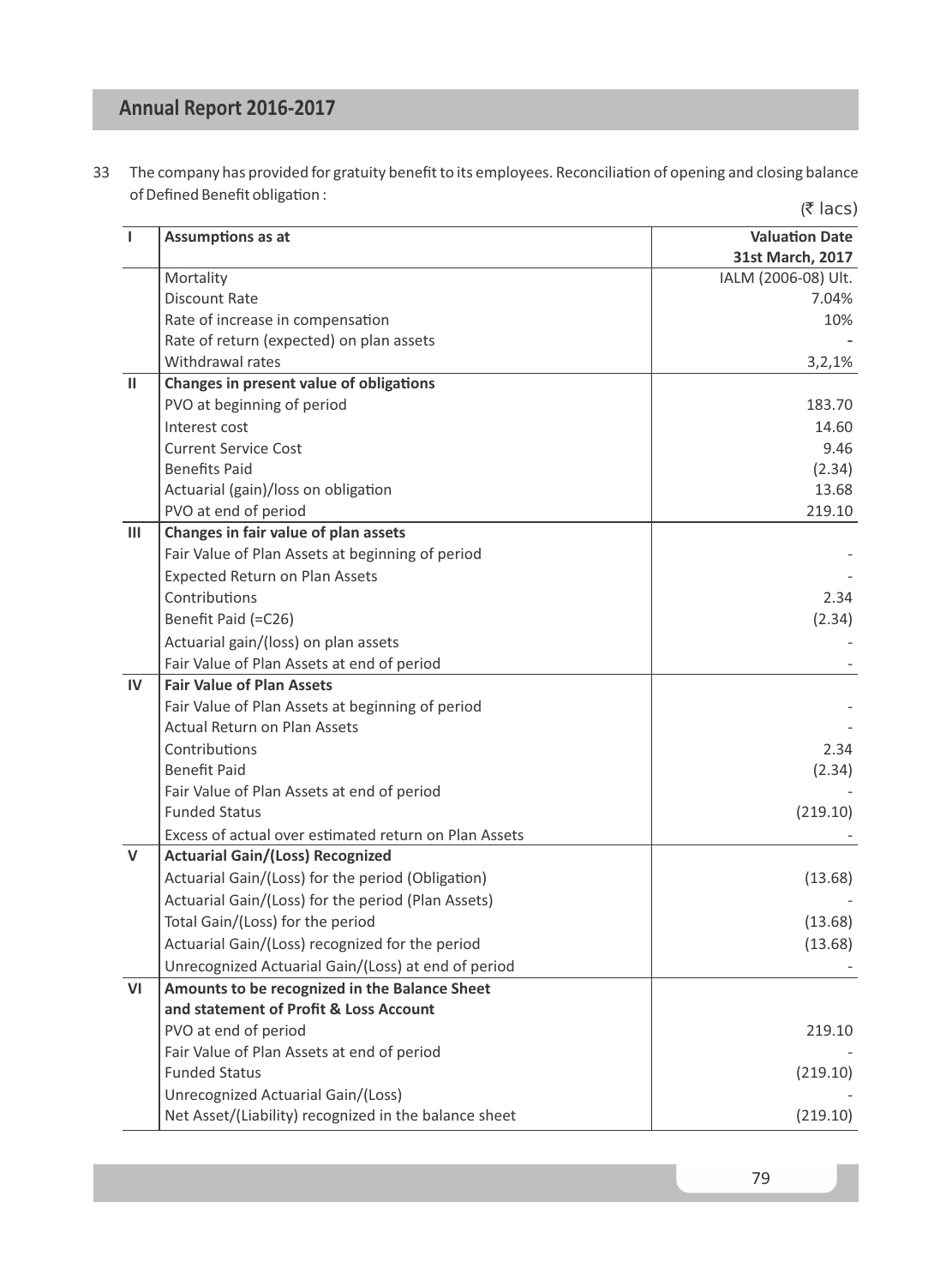33 The company has provided for gratuity benefit to its employees. Reconciliation of opening and closing balance of Defined Benefit obligation :  $(5 \text{ lacs})$ 

| $\mathbf{I}$  | Assumptions as at                                     | <b>Valuation Date</b>        |
|---------------|-------------------------------------------------------|------------------------------|
|               | Mortality                                             | 31st March, 2017             |
|               | <b>Discount Rate</b>                                  | IALM (2006-08) Ult.<br>7.04% |
|               | Rate of increase in compensation                      | 10%                          |
|               | Rate of return (expected) on plan assets              |                              |
|               | Withdrawal rates                                      | 3,2,1%                       |
| $\mathbf{II}$ | Changes in present value of obligations               |                              |
|               | PVO at beginning of period                            | 183.70                       |
|               | Interest cost                                         | 14.60                        |
|               | <b>Current Service Cost</b>                           | 9.46                         |
|               | <b>Benefits Paid</b>                                  | (2.34)                       |
|               | Actuarial (gain)/loss on obligation                   | 13.68                        |
|               | PVO at end of period                                  | 219.10                       |
| Ш             | Changes in fair value of plan assets                  |                              |
|               | Fair Value of Plan Assets at beginning of period      |                              |
|               | <b>Expected Return on Plan Assets</b>                 |                              |
|               | Contributions                                         | 2.34                         |
|               | Benefit Paid (=C26)                                   | (2.34)                       |
|               |                                                       |                              |
|               | Actuarial gain/(loss) on plan assets                  |                              |
| IV            | Fair Value of Plan Assets at end of period            |                              |
|               | <b>Fair Value of Plan Assets</b>                      |                              |
|               | Fair Value of Plan Assets at beginning of period      |                              |
|               | <b>Actual Return on Plan Assets</b>                   |                              |
|               | Contributions                                         | 2.34                         |
|               | <b>Benefit Paid</b>                                   | (2.34)                       |
|               | Fair Value of Plan Assets at end of period            |                              |
|               | <b>Funded Status</b>                                  | (219.10)                     |
|               | Excess of actual over estimated return on Plan Assets |                              |
| $\mathsf{V}$  | <b>Actuarial Gain/(Loss) Recognized</b>               |                              |
|               | Actuarial Gain/(Loss) for the period (Obligation)     | (13.68)                      |
|               | Actuarial Gain/(Loss) for the period (Plan Assets)    |                              |
|               | Total Gain/(Loss) for the period                      | (13.68)                      |
|               | Actuarial Gain/(Loss) recognized for the period       | (13.68)                      |
|               | Unrecognized Actuarial Gain/(Loss) at end of period   |                              |
| VI            | Amounts to be recognized in the Balance Sheet         |                              |
|               | and statement of Profit & Loss Account                |                              |
|               | PVO at end of period                                  | 219.10                       |
|               | Fair Value of Plan Assets at end of period            |                              |
|               | <b>Funded Status</b>                                  | (219.10)                     |
|               | Unrecognized Actuarial Gain/(Loss)                    |                              |
|               | Net Asset/(Liability) recognized in the balance sheet | (219.10)                     |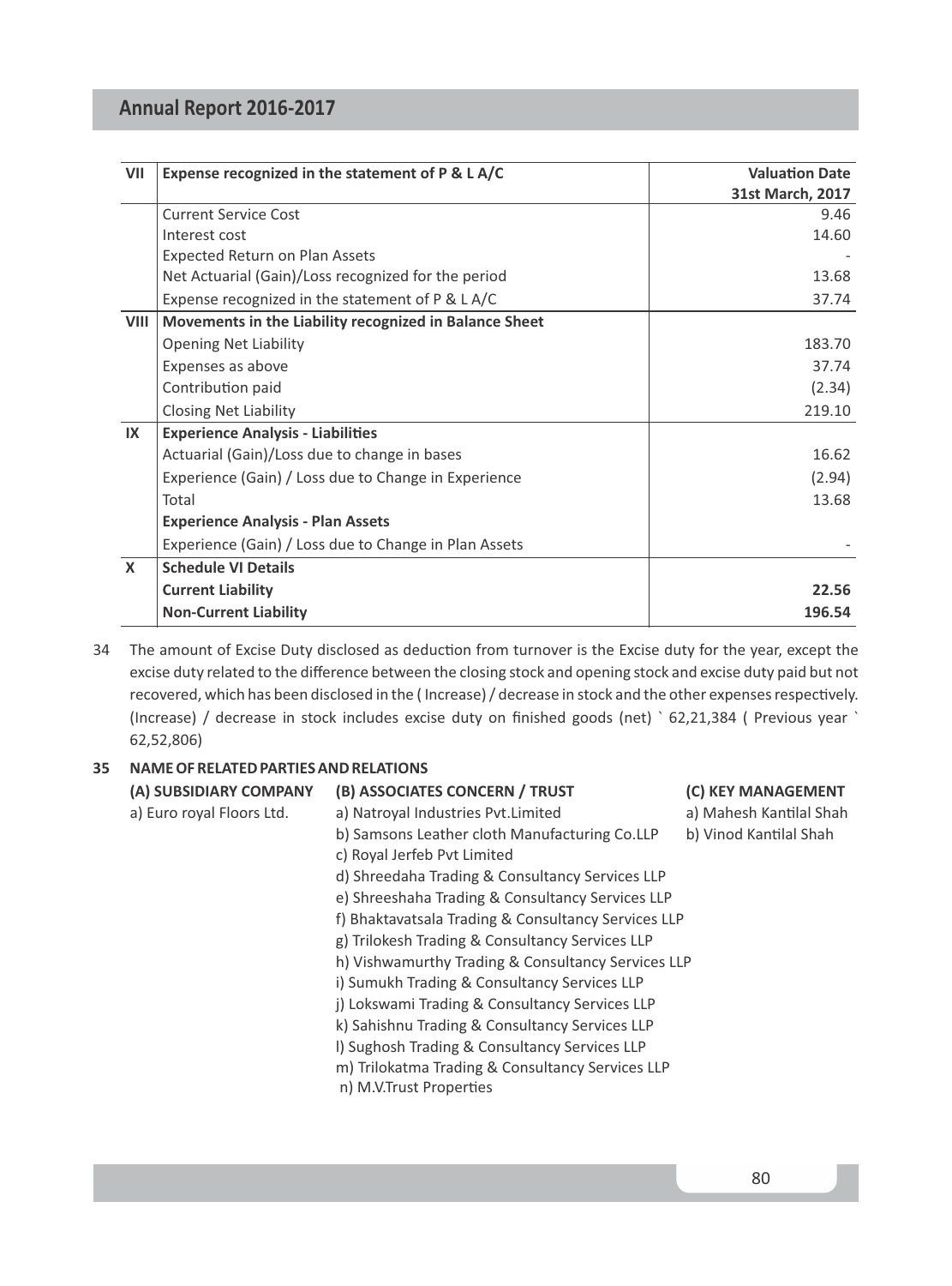| VII          | Expense recognized in the statement of P & L A/C       | <b>Valuation Date</b> |
|--------------|--------------------------------------------------------|-----------------------|
|              |                                                        | 31st March, 2017      |
|              | Current Service Cost                                   | 9.46                  |
|              | Interest cost                                          | 14.60                 |
|              | <b>Expected Return on Plan Assets</b>                  |                       |
|              | Net Actuarial (Gain)/Loss recognized for the period    | 13.68                 |
|              | Expense recognized in the statement of $P \& L A/C$    | 37.74                 |
| <b>VIII</b>  | Movements in the Liability recognized in Balance Sheet |                       |
|              | <b>Opening Net Liability</b>                           | 183.70                |
|              | Expenses as above                                      | 37.74                 |
|              | Contribution paid                                      | (2.34)                |
|              | Closing Net Liability                                  | 219.10                |
| IX           | <b>Experience Analysis - Liabilities</b>               |                       |
|              | Actuarial (Gain)/Loss due to change in bases           | 16.62                 |
|              | Experience (Gain) / Loss due to Change in Experience   | (2.94)                |
|              | Total                                                  | 13.68                 |
|              | <b>Experience Analysis - Plan Assets</b>               |                       |
|              | Experience (Gain) / Loss due to Change in Plan Assets  |                       |
| $\mathsf{x}$ | <b>Schedule VI Details</b>                             |                       |
|              | <b>Current Liability</b>                               | 22.56                 |
|              | <b>Non-Current Liability</b>                           | 196.54                |

34 The amount of Excise Duty disclosed as deduction from turnover is the Excise duty for the year, except the excise duty related to the difference between the closing stock and opening stock and excise duty paid but not recovered, which has been disclosed in the (Increase) / decrease in stock and the other expenses respectively. (Increase) / decrease in stock includes excise duty on finished goods (net) ` 62,21,384 ( Previous year ` 62,52,806)

# **35 NAME OF RELATED PARTIES AND RELATIONS**

| (A) SUBSIDIARY COMPANY    | (B) ASSOCIATES CONCERN / TRUST                      | (C) KEY MANAGEMENT      |
|---------------------------|-----------------------------------------------------|-------------------------|
| a) Euro royal Floors Ltd. | a) Natroyal Industries Pvt. Limited                 | a) Mahesh Kantilal Shah |
|                           | b) Samsons Leather cloth Manufacturing Co.LLP       | b) Vinod Kantilal Shah  |
|                           | c) Royal Jerfeb Pvt Limited                         |                         |
|                           | d) Shreedaha Trading & Consultancy Services LLP     |                         |
|                           | e) Shreeshaha Trading & Consultancy Services LLP    |                         |
|                           | f) Bhaktavatsala Trading & Consultancy Services LLP |                         |
|                           | g) Trilokesh Trading & Consultancy Services LLP     |                         |
|                           | h) Vishwamurthy Trading & Consultancy Services LLP  |                         |
|                           | i) Sumukh Trading & Consultancy Services LLP        |                         |
|                           | j) Lokswami Trading & Consultancy Services LLP      |                         |
|                           | k) Sahishnu Trading & Consultancy Services LLP      |                         |
|                           | I) Sughosh Trading & Consultancy Services LLP       |                         |
|                           | m) Trilokatma Trading & Consultancy Services LLP    |                         |
|                           | n) M.V.Trust Properties                             |                         |
|                           |                                                     |                         |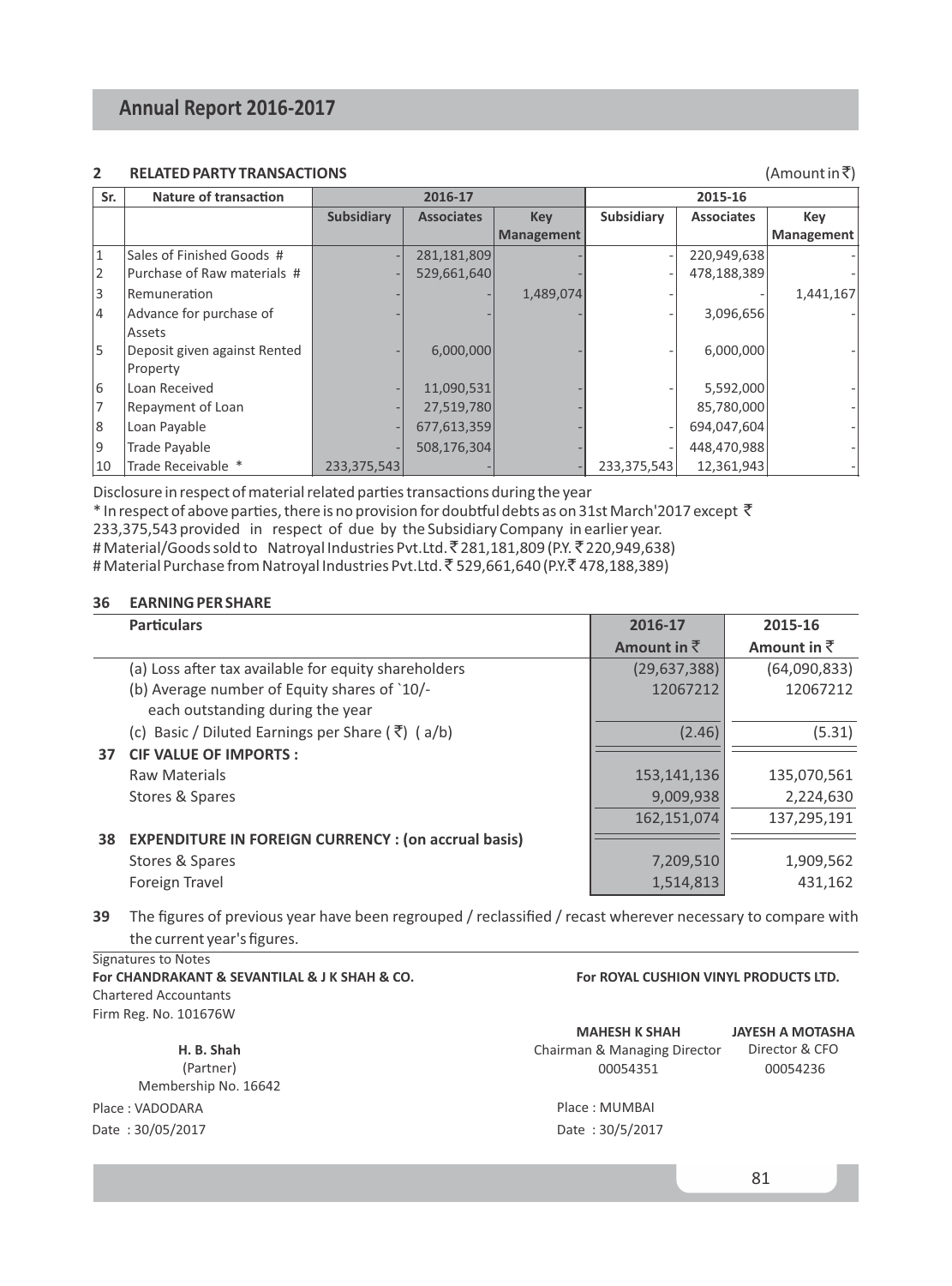# **2** RELATED PARTY TRANSACTIONS **CONSTRANT ACCOMPANY ACCOUNT ACCOUNT ACCOUNT ACCOUNT ACCOUNT ACCOUNT ACCOUNT ACCOUNT**

| Sr.            | <b>Nature of transaction</b><br>2016-17 |               |                   |                   |             | 2015-16           |            |
|----------------|-----------------------------------------|---------------|-------------------|-------------------|-------------|-------------------|------------|
|                |                                         | Subsidiary    | <b>Associates</b> | <b>Kev</b>        | Subsidiary  | <b>Associates</b> | Key        |
|                |                                         |               |                   | <b>Management</b> |             |                   | Management |
| $\mathbf{1}$   | Sales of Finished Goods #               |               | 281,181,809       |                   |             | 220,949,638       |            |
| $\overline{2}$ | Purchase of Raw materials #             |               | 529.661.640       |                   |             | 478,188,389       |            |
| 3              | Remuneration                            |               |                   | 1,489,074         |             |                   | 1,441,167  |
| 4              | Advance for purchase of                 |               |                   |                   |             | 3,096,656         |            |
|                | Assets                                  |               |                   |                   |             |                   |            |
| 5              | Deposit given against Rented            |               | 6,000,000         |                   |             | 6,000,000         |            |
|                | Property                                |               |                   |                   |             |                   |            |
| 6              | Loan Received                           |               | 11,090,531        |                   |             | 5,592,000         |            |
|                | Repayment of Loan                       |               | 27,519,780        |                   |             | 85,780,000        |            |
| 8              | Loan Payable                            |               | 677,613,359       |                   |             | 694,047,604       |            |
| 9              | Trade Payable                           |               | 508,176,304       |                   |             | 448,470,988       |            |
| 10             | Trade Receivable *                      | 233, 375, 543 |                   |                   | 233,375,543 | 12,361,943        |            |

Disclosure in respect of material related parties transactions during the year \* In respect of above parties, there is no provision for doubtful debts as on 31st March'2017 except  $\bar{\tau}$ 233,375,543 provided in respect of due by the Subsidiary Company in earlier year. # Material/Goods sold to Natroyal Industries Pvt.Ltd. ₹281,181,809 (P.Y. ₹220,949,638) # Material Purchase from Natroyal Industries Pvt.Ltd. ₹529,661,640 (P.Y. ₹478,188,389)

## **36 EARNING PER SHARE**

|    | <b>Particulars</b>                                             | 2016-17             | 2015-16             |
|----|----------------------------------------------------------------|---------------------|---------------------|
|    |                                                                | Amount in $\bar{z}$ | Amount in $\bar{z}$ |
|    | (a) Loss after tax available for equity shareholders           | (29, 637, 388)      | (64,090,833)        |
|    | (b) Average number of Equity shares of `10/-                   | 12067212            | 12067212            |
|    | each outstanding during the year                               |                     |                     |
|    | (c) Basic / Diluted Earnings per Share ( $\bar{\zeta}$ ) (a/b) | (2.46)              | (5.31)              |
| 37 | <b>CIF VALUE OF IMPORTS:</b>                                   |                     |                     |
|    | <b>Raw Materials</b>                                           | 153,141,136         | 135,070,561         |
|    | Stores & Spares                                                | 9,009,938           | 2,224,630           |
|    |                                                                | 162,151,074         | 137,295,191         |
| 38 | <b>EXPENDITURE IN FOREIGN CURRENCY: (on accrual basis)</b>     |                     |                     |
|    | Stores & Spares                                                | 7,209,510           | 1,909,562           |
|    | Foreign Travel                                                 | 1,514,813           | 431.162             |

**39** The figures of previous year have been regrouped / reclassified / recast wherever necessary to compare with the current year's figures.

Signatures to Notes **For CHANDRAKANT & SEVANTILAL & J K SHAH & CO.** Chartered Accountants Firm Reg. No. 101676W

**H. B. Shah**  (Partner) Membership No. 16642 Place : VADODARA Date : 30/05/2017 Date : 30/5/2017

## **For ROYAL CUSHION VINYL PRODUCTS LTD.**

| <b>MAHESH K SHAH</b>         | JΑ |
|------------------------------|----|
| Chairman & Managing Director |    |
| 00054351                     |    |

**JAYESH A MOTASHA**  Director & CFO 00054236

Place : MUMBAI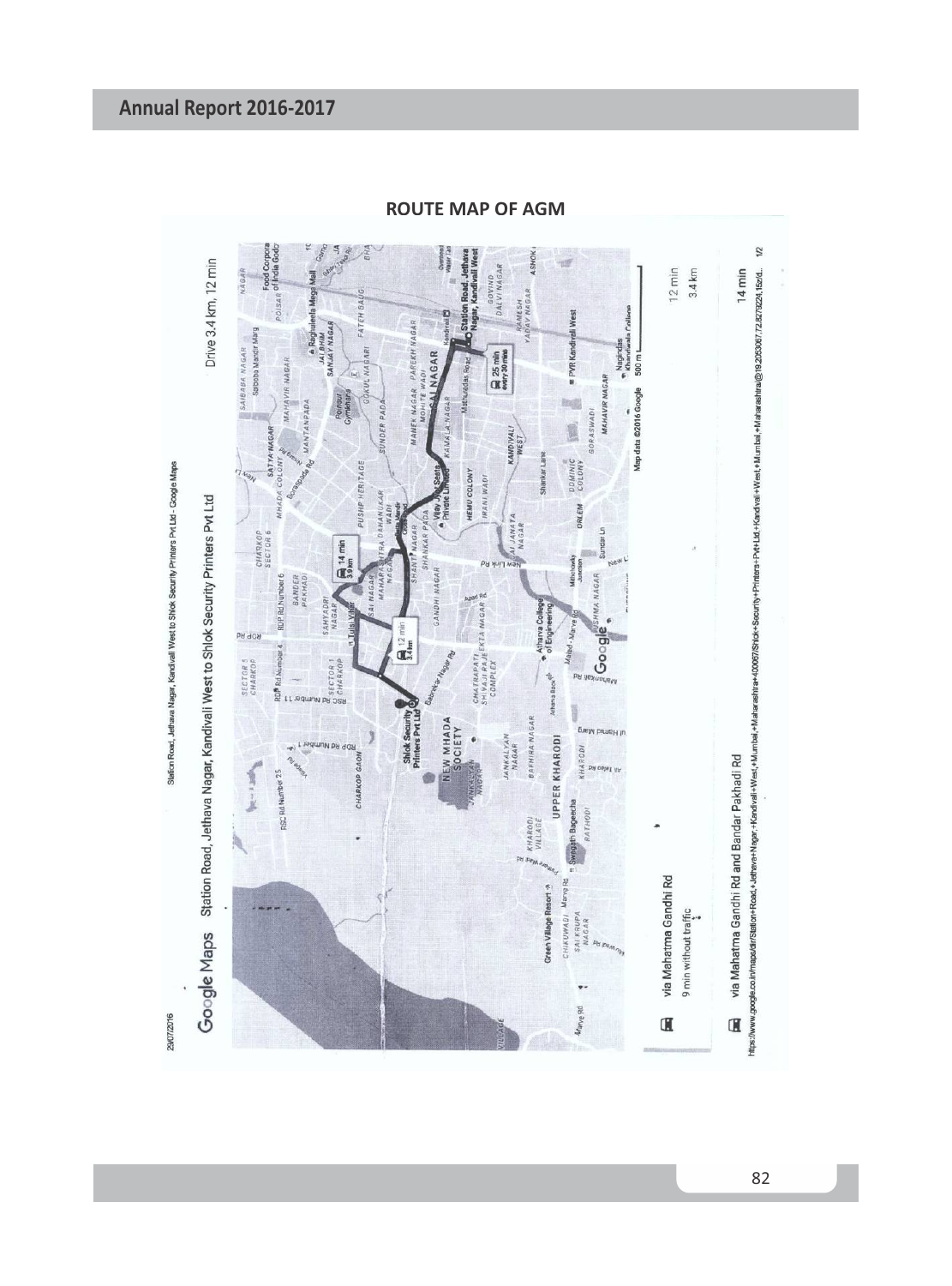

**ROUTE MAP OF AGM**

82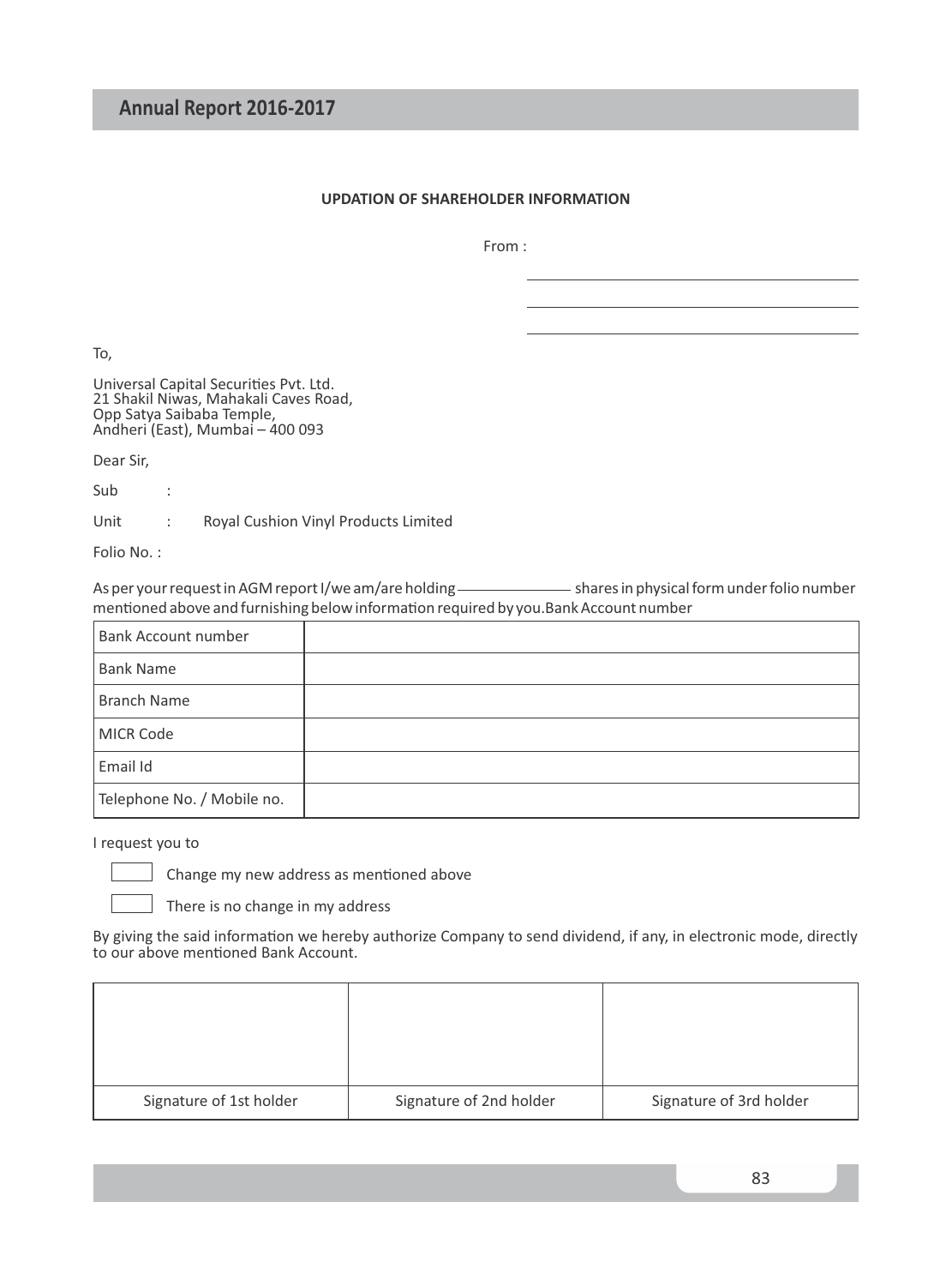# **UPDATION OF SHAREHOLDER INFORMATION**

From :

To,

Universal Capital Securities Pvt. Ltd. 21 Shakil Niwas, Mahakali Caves Road, Opp Satya Saibaba Temple, Andheri (East), Mumbai – 400 093

Dear Sir,

Sub :

Unit : Royal Cushion Vinyl Products Limited

Folio No. :

As per your request in AGM report I/we am/are holding \_\_\_\_\_\_\_\_\_\_\_\_\_\_\_\_\_\_\_\_ shares in physical form under folio number mentioned above and furnishing below information required by you.Bank Account number

| Bank Account number        |  |
|----------------------------|--|
| <b>Bank Name</b>           |  |
| <b>Branch Name</b>         |  |
| <b>MICR Code</b>           |  |
| Email Id                   |  |
| Telephone No. / Mobile no. |  |

I request you to

Change my new address as mentioned above

There is no change in my address

By giving the said information we hereby authorize Company to send dividend, if any, in electronic mode, directly to our above mentioned Bank Account.

| Signature of 1st holder | Signature of 2nd holder | Signature of 3rd holder |
|-------------------------|-------------------------|-------------------------|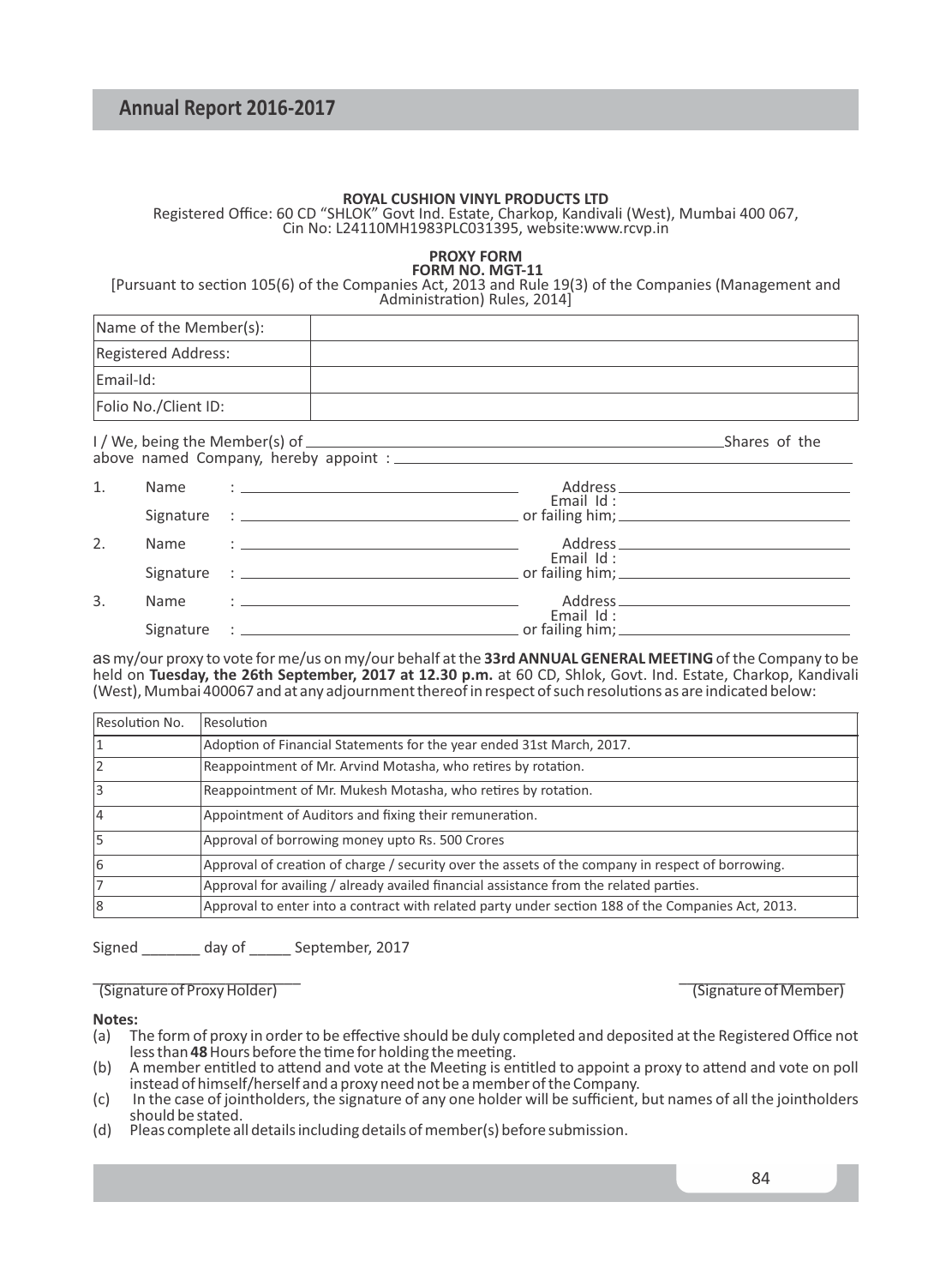# **ROYAL CUSHION VINYL PRODUCTS LTD**

Registered Office: 60 CD "SHLOK" Govt Ind. Estate, Charkop, Kandivali (West), Mumbai 400 067, Cin No: L24110MH1983PLC031395, website:www.rcvp.in

#### **PROXY FORM FORM NO. MGT-11**

[Pursuant to section 105(6) of the Companies Act, 2013 and Rule 19(3) of the Companies (Management and Administration) Rules, 2014]

| Name of the Member(s): |  |
|------------------------|--|
| Registered Address:    |  |
| Email-Id:              |  |
| Folio No./Client ID:   |  |
|                        |  |

I / We, being the Member(s) of Shares of the Shares of the Shares of the Shares of the Shares of the Shares of the Shares of the Shares of the Shares of the Shares of the Shares of the Shares of the Shares of the Shares of above named Company, hereby appoint :

| 1. | Name      | <u> 1986 - John Harry Harrison, mars and de la proprietation de la proprietation de la proprietation de la propri</u> |                                              |
|----|-----------|-----------------------------------------------------------------------------------------------------------------------|----------------------------------------------|
|    |           |                                                                                                                       | Email $Id:$                                  |
| 2. | Name      | the contract of the contract of the contract of the contract of the contract of the contract of                       | Email Id:                                    |
|    |           |                                                                                                                       | or failing him; $\sqrt{2\pi}$                |
| 3. | Name      | the distribution of the control of the control of the control of the control of the control of                        |                                              |
|    | Signature | the property of the control of the control of the control of the control of the control of                            | Email $Id:$<br>or failing him; $\frac{1}{1}$ |

as my/our proxy to vote for me/us on my/our behalf at the **33rd ANNUAL GENERAL MEETING** of the Company to be held on **Tuesday, the 26th September, 2017 at 12.30 p.m.** at 60 CD, Shlok, Govt. Ind. Estate, Charkop, Kandivali (West), Mumbai 400067 and at any adjournment thereof in respect of such resolutions as are indicated below:

| Resolution No. | Resolution                                                                                         |
|----------------|----------------------------------------------------------------------------------------------------|
|                | Adoption of Financial Statements for the year ended 31st March, 2017.                              |
|                | Reappointment of Mr. Arvind Motasha, who retires by rotation.                                      |
|                | Reappointment of Mr. Mukesh Motasha, who retires by rotation.                                      |
|                | Appointment of Auditors and fixing their remuneration.                                             |
|                | Approval of borrowing money upto Rs. 500 Crores                                                    |
|                | Approval of creation of charge / security over the assets of the company in respect of borrowing.  |
|                | Approval for availing / already availed financial assistance from the related parties.             |
| 8              | Approval to enter into a contract with related party under section 188 of the Companies Act, 2013. |

Signed \_\_\_\_\_\_\_ day of \_\_\_\_\_ September, 2017

#### \_\_\_\_\_\_\_\_\_\_\_\_\_\_\_\_\_\_\_\_\_\_\_\_\_ \_\_\_\_\_\_\_\_\_\_\_\_\_\_\_\_\_\_\_\_ (Signature of Proxy Holder) (Signature of Member)

#### **Notes:**

- (a) The form of proxy in order to be effective should be duly completed and deposited at the Registered Office not less than 48 Hours before the time for holding the meeting.
- (b) A member entitled to attend and vote at the Meeting is entitled to appoint a proxy to attend and vote on poll instead of himself/herself and a proxy need not be a member of the Company.
- (c) In the case of jointholders, the signature of any one holder will be sufficient, but names of all the jointholders should be stated.
- (d) Pleas complete all details including details of member(s) before submission.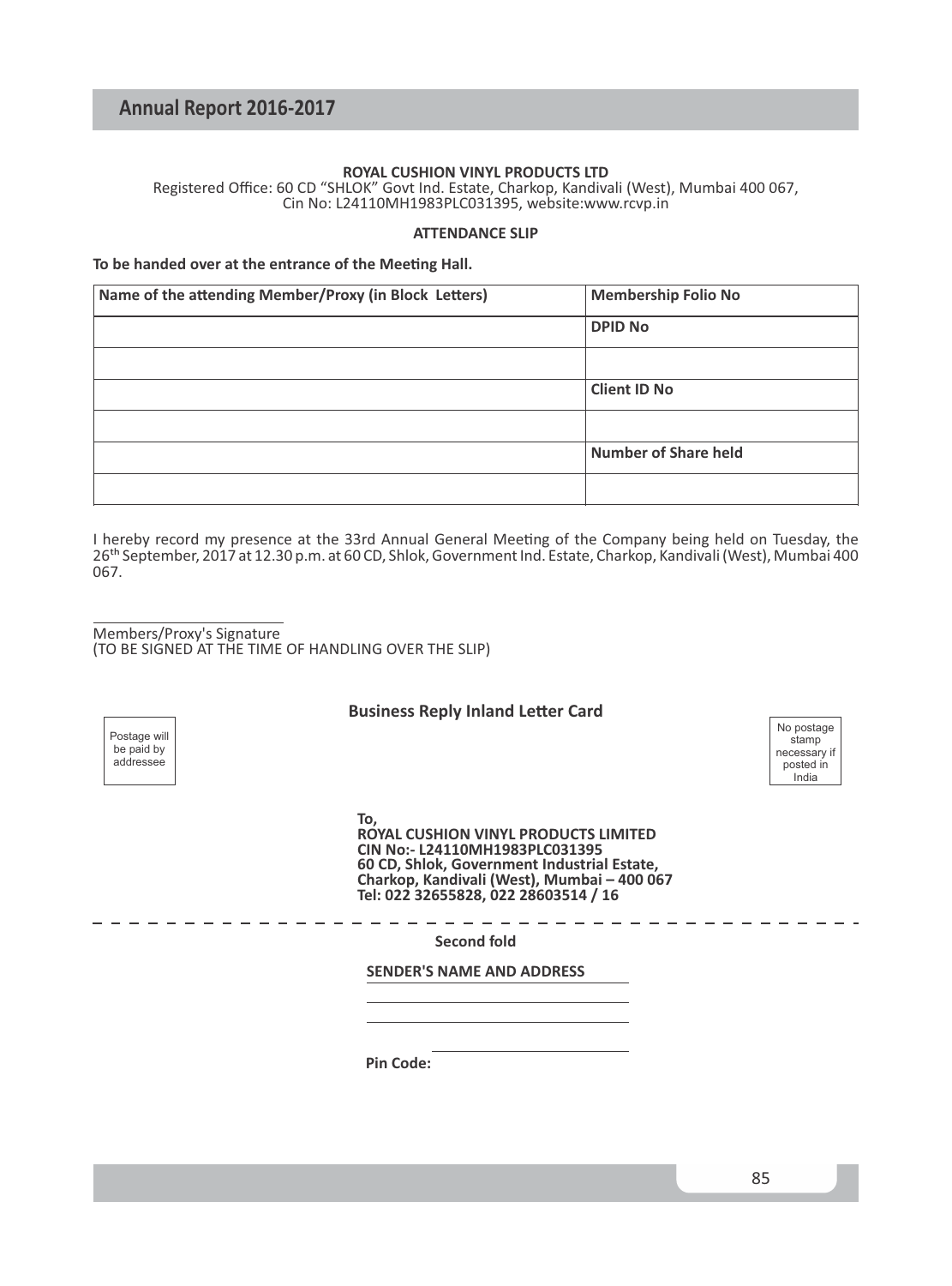## **ROYAL CUSHION VINYL PRODUCTS LTD**

Registered Office: 60 CD "SHLOK" Govt Ind. Estate, Charkop, Kandivali (West), Mumbai 400 067, Cin No: L24110MH1983PLC031395, website:www.rcvp.in

#### **ATTENDANCE SLIP**

#### To be handed over at the entrance of the Meeting Hall.

| Name of the attending Member/Proxy (in Block Letters) | <b>Membership Folio No</b>  |
|-------------------------------------------------------|-----------------------------|
|                                                       | <b>DPID No</b>              |
|                                                       |                             |
|                                                       | <b>Client ID No</b>         |
|                                                       |                             |
|                                                       | <b>Number of Share held</b> |
|                                                       |                             |

I hereby record my presence at the 33rd Annual General Meeting of the Company being held on Tuesday, the 26<sup>th</sup> September, 2017 at 12.30 p.m. at 60 CD, Shlok, Government Ind. Estate, Charkop, Kandivali (West), Mumbai 400 067.

Members/Proxy's Signature (TO BE SIGNED AT THE TIME OF HANDLING OVER THE SLIP)

#### **Business Reply Inland Letter Card**

**To, ROYAL CUSHION VINYL PRODUCTS LIMITED CIN No:- L24110MH1983PLC031395 60 CD, Shlok, Government Industrial Estate, Charkop, Kandivali (West), Mumbai – 400 067 Tel: 022 32655828, 022 28603514 / 16**

**Second fold**

**SENDER'S NAME AND ADDRESS**

**Pin Code:**

No postage stamp necessary if posted in India